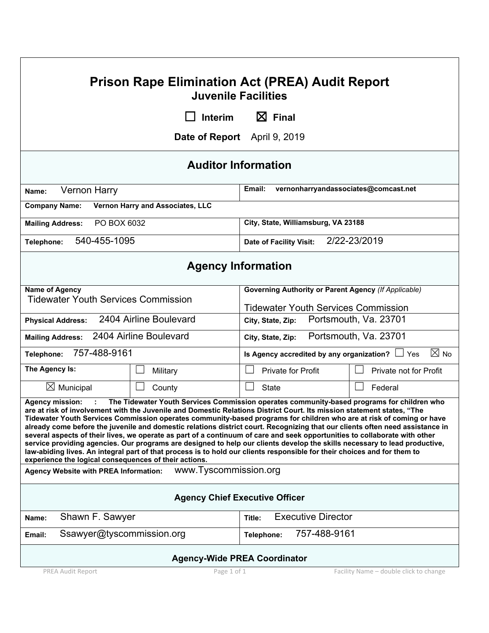| <b>Prison Rape Elimination Act (PREA) Audit Report</b><br><b>Juvenile Facilities</b>                                            |                        |                                                                                                                                                                                                                                                                                                                                                                                                                                                                                                                                                                                                                                                                                                                                                                                                                                                                       |                        |  |  |
|---------------------------------------------------------------------------------------------------------------------------------|------------------------|-----------------------------------------------------------------------------------------------------------------------------------------------------------------------------------------------------------------------------------------------------------------------------------------------------------------------------------------------------------------------------------------------------------------------------------------------------------------------------------------------------------------------------------------------------------------------------------------------------------------------------------------------------------------------------------------------------------------------------------------------------------------------------------------------------------------------------------------------------------------------|------------------------|--|--|
| $\boxtimes$ Final<br><b>Interim</b>                                                                                             |                        |                                                                                                                                                                                                                                                                                                                                                                                                                                                                                                                                                                                                                                                                                                                                                                                                                                                                       |                        |  |  |
| <b>Date of Report</b> April 9, 2019                                                                                             |                        |                                                                                                                                                                                                                                                                                                                                                                                                                                                                                                                                                                                                                                                                                                                                                                                                                                                                       |                        |  |  |
| <b>Auditor Information</b>                                                                                                      |                        |                                                                                                                                                                                                                                                                                                                                                                                                                                                                                                                                                                                                                                                                                                                                                                                                                                                                       |                        |  |  |
| <b>Vernon Harry</b><br>Name:                                                                                                    |                        | vernonharryandassociates@comcast.net<br>Email:                                                                                                                                                                                                                                                                                                                                                                                                                                                                                                                                                                                                                                                                                                                                                                                                                        |                        |  |  |
| Vernon Harry and Associates, LLC<br><b>Company Name:</b>                                                                        |                        |                                                                                                                                                                                                                                                                                                                                                                                                                                                                                                                                                                                                                                                                                                                                                                                                                                                                       |                        |  |  |
| PO BOX 6032<br><b>Mailing Address:</b>                                                                                          |                        | City, State, Williamsburg, VA 23188                                                                                                                                                                                                                                                                                                                                                                                                                                                                                                                                                                                                                                                                                                                                                                                                                                   |                        |  |  |
| 540-455-1095<br>Telephone:                                                                                                      |                        | 2/22-23/2019<br><b>Date of Facility Visit:</b>                                                                                                                                                                                                                                                                                                                                                                                                                                                                                                                                                                                                                                                                                                                                                                                                                        |                        |  |  |
|                                                                                                                                 |                        | <b>Agency Information</b>                                                                                                                                                                                                                                                                                                                                                                                                                                                                                                                                                                                                                                                                                                                                                                                                                                             |                        |  |  |
| <b>Name of Agency</b>                                                                                                           |                        | <b>Governing Authority or Parent Agency (If Applicable)</b>                                                                                                                                                                                                                                                                                                                                                                                                                                                                                                                                                                                                                                                                                                                                                                                                           |                        |  |  |
| <b>Tidewater Youth Services Commission</b>                                                                                      |                        | <b>Tidewater Youth Services Commission</b>                                                                                                                                                                                                                                                                                                                                                                                                                                                                                                                                                                                                                                                                                                                                                                                                                            |                        |  |  |
| <b>Physical Address:</b>                                                                                                        | 2404 Airline Boulevard | City, State, Zip:                                                                                                                                                                                                                                                                                                                                                                                                                                                                                                                                                                                                                                                                                                                                                                                                                                                     | Portsmouth, Va. 23701  |  |  |
| 2404 Airline Boulevard<br><b>Mailing Address:</b>                                                                               |                        | City, State, Zip:                                                                                                                                                                                                                                                                                                                                                                                                                                                                                                                                                                                                                                                                                                                                                                                                                                                     | Portsmouth, Va. 23701  |  |  |
| 757-488-9161<br>Telephone:                                                                                                      |                        | Is Agency accredited by any organization? $\Box$ Yes                                                                                                                                                                                                                                                                                                                                                                                                                                                                                                                                                                                                                                                                                                                                                                                                                  | $\boxtimes$ No         |  |  |
| The Agency Is:                                                                                                                  | Military               | <b>Private for Profit</b>                                                                                                                                                                                                                                                                                                                                                                                                                                                                                                                                                                                                                                                                                                                                                                                                                                             | Private not for Profit |  |  |
| $\boxtimes$ Municipal                                                                                                           | County                 | <b>State</b>                                                                                                                                                                                                                                                                                                                                                                                                                                                                                                                                                                                                                                                                                                                                                                                                                                                          | Federal                |  |  |
| <b>Agency mission:</b><br>experience the logical consequences of their actions.<br><b>Agency Website with PREA Information:</b> | www.Tyscommission.org  | The Tidewater Youth Services Commission operates community-based programs for children who<br>are at risk of involvement with the Juvenile and Domestic Relations District Court. Its mission statement states, "The<br>Tidewater Youth Services Commission operates community-based programs for children who are at risk of coming or have<br>already come before the juvenile and domestic relations district court. Recognizing that our clients often need assistance in<br>several aspects of their lives, we operate as part of a continuum of care and seek opportunities to collaborate with other<br>service providing agencies. Our programs are designed to help our clients develop the skills necessary to lead productive,<br>law-abiding lives. An integral part of that process is to hold our clients responsible for their choices and for them to |                        |  |  |
|                                                                                                                                 |                        | <b>Agency Chief Executive Officer</b>                                                                                                                                                                                                                                                                                                                                                                                                                                                                                                                                                                                                                                                                                                                                                                                                                                 |                        |  |  |
| Shawn F. Sawyer<br>Name:                                                                                                        |                        | <b>Executive Director</b><br>Title:                                                                                                                                                                                                                                                                                                                                                                                                                                                                                                                                                                                                                                                                                                                                                                                                                                   |                        |  |  |
| Ssawyer@tyscommission.org<br>Email:                                                                                             |                        | 757-488-9161<br>Telephone:                                                                                                                                                                                                                                                                                                                                                                                                                                                                                                                                                                                                                                                                                                                                                                                                                                            |                        |  |  |
|                                                                                                                                 |                        | <b>Agency-Wide PREA Coordinator</b>                                                                                                                                                                                                                                                                                                                                                                                                                                                                                                                                                                                                                                                                                                                                                                                                                                   |                        |  |  |

PREA Audit Report Page 1 of 1 Facility Name – double click to change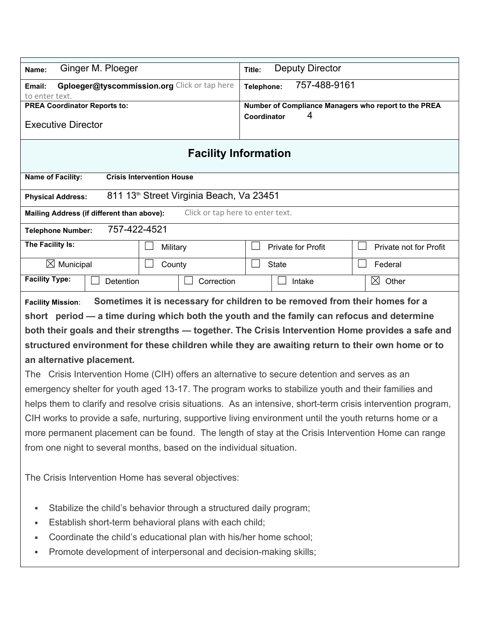| Ginger M. Ploeger<br>Name:                                                                                                                                                                                                                                                                                                                                                                                                                                                                                                                              | <b>Deputy Director</b><br>Title:                                                                                                                                                                                   |  |
|---------------------------------------------------------------------------------------------------------------------------------------------------------------------------------------------------------------------------------------------------------------------------------------------------------------------------------------------------------------------------------------------------------------------------------------------------------------------------------------------------------------------------------------------------------|--------------------------------------------------------------------------------------------------------------------------------------------------------------------------------------------------------------------|--|
| Gploeger@tyscommission.org Click or tap here<br>Email:<br>to enter text.                                                                                                                                                                                                                                                                                                                                                                                                                                                                                | 757-488-9161<br>Telephone:                                                                                                                                                                                         |  |
| <b>PREA Coordinator Reports to:</b>                                                                                                                                                                                                                                                                                                                                                                                                                                                                                                                     | Number of Compliance Managers who report to the PREA                                                                                                                                                               |  |
| <b>Executive Director</b>                                                                                                                                                                                                                                                                                                                                                                                                                                                                                                                               | 4<br>Coordinator                                                                                                                                                                                                   |  |
|                                                                                                                                                                                                                                                                                                                                                                                                                                                                                                                                                         | <b>Facility Information</b>                                                                                                                                                                                        |  |
| Name of Facility:<br><b>Crisis Intervention House</b>                                                                                                                                                                                                                                                                                                                                                                                                                                                                                                   |                                                                                                                                                                                                                    |  |
| 811 13th Street Virginia Beach, Va 23451<br><b>Physical Address:</b>                                                                                                                                                                                                                                                                                                                                                                                                                                                                                    |                                                                                                                                                                                                                    |  |
| Mailing Address (if different than above):                                                                                                                                                                                                                                                                                                                                                                                                                                                                                                              | Click or tap here to enter text.                                                                                                                                                                                   |  |
| 757-422-4521<br><b>Telephone Number:</b>                                                                                                                                                                                                                                                                                                                                                                                                                                                                                                                |                                                                                                                                                                                                                    |  |
| The Facility Is:<br>Military                                                                                                                                                                                                                                                                                                                                                                                                                                                                                                                            | <b>Private for Profit</b><br>Private not for Profit                                                                                                                                                                |  |
| $\boxtimes$ Municipal<br>County                                                                                                                                                                                                                                                                                                                                                                                                                                                                                                                         | <b>State</b><br>Federal                                                                                                                                                                                            |  |
| <b>Facility Type:</b><br>Correction<br>Detention                                                                                                                                                                                                                                                                                                                                                                                                                                                                                                        | ⊠<br>Other<br>Intake                                                                                                                                                                                               |  |
| structured environment for these children while they are awaiting return to their own home or to<br>an alternative placement.<br>The Crisis Intervention Home (CIH) offers an alternative to secure detention and serves as an<br>emergency shelter for youth aged 13-17. The program works to stabilize youth and their families and<br>CIH works to provide a safe, nurturing, supportive living environment until the youth returns home or a<br>more permanent placement can be found. The length of stay at the Crisis Intervention Home can range | both their goals and their strengths - together. The Crisis Intervention Home provides a safe and<br>helps them to clarify and resolve crisis situations. As an intensive, short-term crisis intervention program, |  |
| from one night to several months, based on the individual situation.<br>The Crisis Intervention Home has several objectives:                                                                                                                                                                                                                                                                                                                                                                                                                            |                                                                                                                                                                                                                    |  |
| Stabilize the child's behavior through a structured daily program;<br>п<br>Establish short-term behavioral plans with each child;<br>٠<br>Coordinate the child's educational plan with his/her home school;<br>٠<br>Promote development of interpersonal and decision-making skills;<br>٠                                                                                                                                                                                                                                                               |                                                                                                                                                                                                                    |  |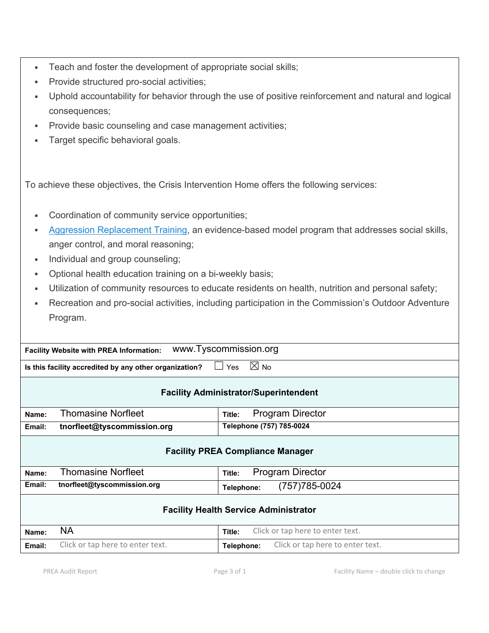- **Teach and foster the development of appropriate social skills;**
- **Provide structured pro-social activities;**
- Uphold accountability for behavior through the use of positive reinforcement and natural and logical consequences;
- **Provide basic counseling and case management activities;**
- **Target specific behavioral goals.**

To achieve these objectives, the Crisis Intervention Home offers the following services:

- Coordination of community service opportunities;
- Aggression Replacement Training, an evidence-based model program that addresses social skills, anger control, and moral reasoning;
- **Individual and group counseling;**
- **D**ptional health education training on a bi-weekly basis;
- Utilization of community resources to educate residents on health, nutrition and personal safety;
- Recreation and pro-social activities, including participation in the Commission's Outdoor Adventure Program.

**Facility Website with PREA Information:** www.Tyscommission.org

**Is this facility accredited by any other organization?** □ Yes  $\boxtimes$  No

| <b>Facility Administrator/Superintendent</b> |                                                                |                                                |  |  |  |
|----------------------------------------------|----------------------------------------------------------------|------------------------------------------------|--|--|--|
| Name:                                        | <b>Thomasine Norfleet</b><br><b>Program Director</b><br>Title: |                                                |  |  |  |
| Email:                                       | tnorfleet@tyscommission.org                                    | Telephone (757) 785-0024                       |  |  |  |
| <b>Facility PREA Compliance Manager</b>      |                                                                |                                                |  |  |  |
| Name:                                        | <b>Thomasine Norfleet</b>                                      | <b>Program Director</b><br>Title:              |  |  |  |
| Email:                                       | tnorfleet@tyscommission.org                                    | (757) 785-0024<br>Telephone:                   |  |  |  |
| <b>Facility Health Service Administrator</b> |                                                                |                                                |  |  |  |
| Name:                                        | <b>NA</b>                                                      | Click or tap here to enter text.<br>Title:     |  |  |  |
| Email:                                       | Click or tap here to enter text.                               | Click or tap here to enter text.<br>Telephone: |  |  |  |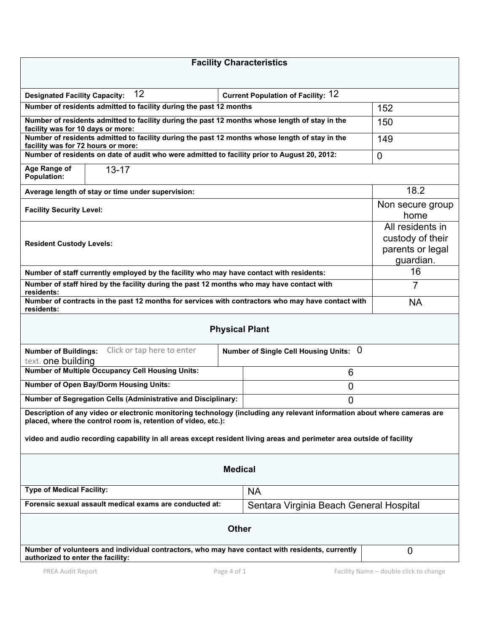| <b>Facility Characteristics</b>                                                                                                                                                           |                                                                       |                          |  |  |
|-------------------------------------------------------------------------------------------------------------------------------------------------------------------------------------------|-----------------------------------------------------------------------|--------------------------|--|--|
|                                                                                                                                                                                           |                                                                       |                          |  |  |
| 12<br><b>Designated Facility Capacity:</b>                                                                                                                                                | <b>Current Population of Facility: 12</b>                             |                          |  |  |
| Number of residents admitted to facility during the past 12 months                                                                                                                        | 152                                                                   |                          |  |  |
| Number of residents admitted to facility during the past 12 months whose length of stay in the<br>facility was for 10 days or more:                                                       | 150                                                                   |                          |  |  |
| Number of residents admitted to facility during the past 12 months whose length of stay in the<br>facility was for 72 hours or more:                                                      |                                                                       | 149                      |  |  |
| Number of residents on date of audit who were admitted to facility prior to August 20, 2012:                                                                                              |                                                                       | $\mathbf 0$              |  |  |
| Age Range of<br>$13 - 17$<br><b>Population:</b>                                                                                                                                           |                                                                       |                          |  |  |
| Average length of stay or time under supervision:                                                                                                                                         |                                                                       | 18.2                     |  |  |
| <b>Facility Security Level:</b>                                                                                                                                                           |                                                                       | Non secure group<br>home |  |  |
| <b>Resident Custody Levels:</b>                                                                                                                                                           | All residents in<br>custody of their<br>parents or legal<br>guardian. |                          |  |  |
| Number of staff currently employed by the facility who may have contact with residents:                                                                                                   |                                                                       | 16                       |  |  |
| Number of staff hired by the facility during the past 12 months who may have contact with<br>residents:                                                                                   |                                                                       | 7                        |  |  |
| Number of contracts in the past 12 months for services with contractors who may have contact with<br>residents:                                                                           |                                                                       | <b>NA</b>                |  |  |
|                                                                                                                                                                                           | <b>Physical Plant</b>                                                 |                          |  |  |
| Click or tap here to enter<br><b>Number of Buildings:</b><br>text. <b>one building</b>                                                                                                    | Number of Single Cell Housing Units: 0                                |                          |  |  |
| <b>Number of Multiple Occupancy Cell Housing Units:</b>                                                                                                                                   | 6                                                                     |                          |  |  |
| <b>Number of Open Bay/Dorm Housing Units:</b>                                                                                                                                             | 0                                                                     |                          |  |  |
| Number of Segregation Cells (Administrative and Disciplinary:                                                                                                                             | 0                                                                     |                          |  |  |
| Description of any video or electronic monitoring technology (including any relevant information about where cameras are<br>placed, where the control room is, retention of video, etc.): |                                                                       |                          |  |  |
| video and audio recording capability in all areas except resident living areas and perimeter area outside of facility                                                                     |                                                                       |                          |  |  |
|                                                                                                                                                                                           | <b>Medical</b>                                                        |                          |  |  |
| <b>Type of Medical Facility:</b><br><b>NA</b>                                                                                                                                             |                                                                       |                          |  |  |
| Forensic sexual assault medical exams are conducted at:                                                                                                                                   | Sentara Virginia Beach General Hospital                               |                          |  |  |
| <b>Other</b>                                                                                                                                                                              |                                                                       |                          |  |  |
| Number of volunteers and individual contractors, who may have contact with residents, currently<br>0<br>authorized to enter the facility:                                                 |                                                                       |                          |  |  |
|                                                                                                                                                                                           |                                                                       |                          |  |  |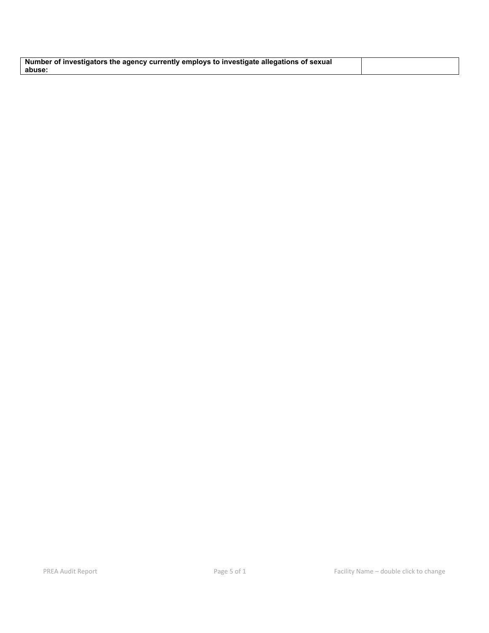| Number of investigators the agency currently employs to investigate allegations of sexual |  |
|-------------------------------------------------------------------------------------------|--|
| abuse                                                                                     |  |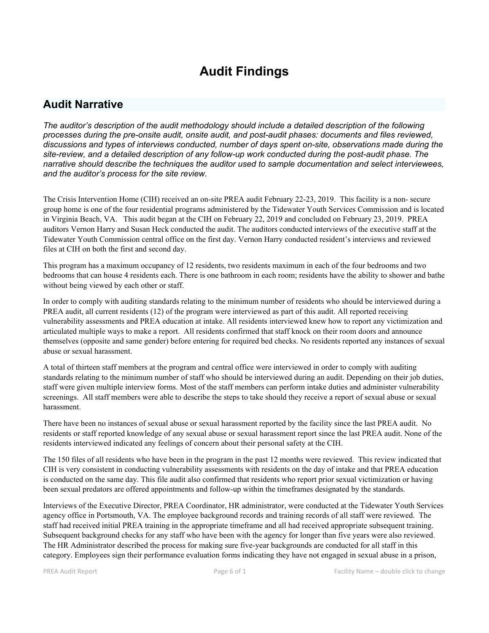# **Audit Findings**

## **Audit Narrative**

*The auditor's description of the audit methodology should include a detailed description of the following processes during the pre-onsite audit, onsite audit, and post-audit phases: documents and files reviewed, discussions and types of interviews conducted, number of days spent on-site, observations made during the site-review, and a detailed description of any follow-up work conducted during the post-audit phase. The narrative should describe the techniques the auditor used to sample documentation and select interviewees, and the auditor's process for the site review.*

The Crisis Intervention Home (CIH) received an on-site PREA audit February 22-23, 2019. This facility is a non- secure group home is one of the four residential programs administered by the Tidewater Youth Services Commission and is located in Virginia Beach, VA. This audit began at the CIH on February 22, 2019 and concluded on February 23, 2019. PREA auditors Vernon Harry and Susan Heck conducted the audit. The auditors conducted interviews of the executive staff at the Tidewater Youth Commission central office on the first day. Vernon Harry conducted resident's interviews and reviewed files at CIH on both the first and second day.

This program has a maximum occupancy of 12 residents, two residents maximum in each of the four bedrooms and two bedrooms that can house 4 residents each. There is one bathroom in each room; residents have the ability to shower and bathe without being viewed by each other or staff.

In order to comply with auditing standards relating to the minimum number of residents who should be interviewed during a PREA audit, all current residents (12) of the program were interviewed as part of this audit. All reported receiving vulnerability assessments and PREA education at intake. All residents interviewed knew how to report any victimization and articulated multiple ways to make a report. All residents confirmed that staff knock on their room doors and announce themselves (opposite and same gender) before entering for required bed checks. No residents reported any instances of sexual abuse or sexual harassment.

A total of thirteen staff members at the program and central office were interviewed in order to comply with auditing standards relating to the minimum number of staff who should be interviewed during an audit. Depending on their job duties, staff were given multiple interview forms. Most of the staff members can perform intake duties and administer vulnerability screenings. All staff members were able to describe the steps to take should they receive a report of sexual abuse or sexual harassment.

There have been no instances of sexual abuse or sexual harassment reported by the facility since the last PREA audit. No residents or staff reported knowledge of any sexual abuse or sexual harassment report since the last PREA audit. None of the residents interviewed indicated any feelings of concern about their personal safety at the CIH.

The 150 files of all residents who have been in the program in the past 12 months were reviewed. This review indicated that CIH is very consistent in conducting vulnerability assessments with residents on the day of intake and that PREA education is conducted on the same day. This file audit also confirmed that residents who report prior sexual victimization or having been sexual predators are offered appointments and follow-up within the timeframes designated by the standards.

Interviews of the Executive Director, PREA Coordinator, HR administrator, were conducted at the Tidewater Youth Services agency office in Portsmouth, VA. The employee background records and training records of all staff were reviewed. The staff had received initial PREA training in the appropriate timeframe and all had received appropriate subsequent training. Subsequent background checks for any staff who have been with the agency for longer than five years were also reviewed. The HR Administrator described the process for making sure five-year backgrounds are conducted for all staff in this category. Employees sign their performance evaluation forms indicating they have not engaged in sexual abuse in a prison,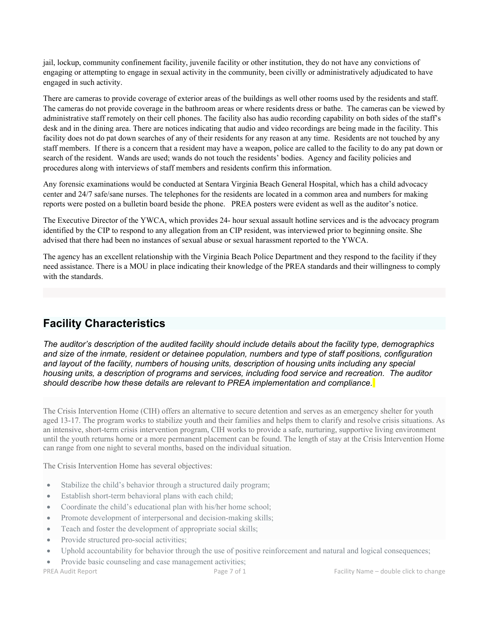jail, lockup, community confinement facility, juvenile facility or other institution, they do not have any convictions of engaging or attempting to engage in sexual activity in the community, been civilly or administratively adjudicated to have engaged in such activity.

There are cameras to provide coverage of exterior areas of the buildings as well other rooms used by the residents and staff. The cameras do not provide coverage in the bathroom areas or where residents dress or bathe. The cameras can be viewed by administrative staff remotely on their cell phones. The facility also has audio recording capability on both sides of the staff's desk and in the dining area. There are notices indicating that audio and video recordings are being made in the facility. This facility does not do pat down searches of any of their residents for any reason at any time. Residents are not touched by any staff members. If there is a concern that a resident may have a weapon, police are called to the facility to do any pat down or search of the resident. Wands are used; wands do not touch the residents' bodies. Agency and facility policies and procedures along with interviews of staff members and residents confirm this information.

Any forensic examinations would be conducted at Sentara Virginia Beach General Hospital, which has a child advocacy center and 24/7 safe/sane nurses. The telephones for the residents are located in a common area and numbers for making reports were posted on a bulletin board beside the phone. PREA posters were evident as well as the auditor's notice.

The Executive Director of the YWCA, which provides 24- hour sexual assault hotline services and is the advocacy program identified by the CIP to respond to any allegation from an CIP resident, was interviewed prior to beginning onsite. She advised that there had been no instances of sexual abuse or sexual harassment reported to the YWCA.

The agency has an excellent relationship with the Virginia Beach Police Department and they respond to the facility if they need assistance. There is a MOU in place indicating their knowledge of the PREA standards and their willingness to comply with the standards.

## **Facility Characteristics**

*The auditor's description of the audited facility should include details about the facility type, demographics and size of the inmate, resident or detainee population, numbers and type of staff positions, configuration and layout of the facility, numbers of housing units, description of housing units including any special housing units, a description of programs and services, including food service and recreation. The auditor should describe how these details are relevant to PREA implementation and compliance.*

The Crisis Intervention Home (CIH) offers an alternative to secure detention and serves as an emergency shelter for youth aged 13-17. The program works to stabilize youth and their families and helps them to clarify and resolve crisis situations. As an intensive, short-term crisis intervention program, CIH works to provide a safe, nurturing, supportive living environment until the youth returns home or a more permanent placement can be found. The length of stay at the Crisis Intervention Home can range from one night to several months, based on the individual situation.

The Crisis Intervention Home has several objectives:

- Stabilize the child's behavior through a structured daily program;
- Establish short-term behavioral plans with each child;
- Coordinate the child's educational plan with his/her home school;
- Promote development of interpersonal and decision-making skills;
- Teach and foster the development of appropriate social skills;
- Provide structured pro-social activities;
- Uphold accountability for behavior through the use of positive reinforcement and natural and logical consequences;
- Provide basic counseling and case management activities;

PREA Audit Report **PREA Audit Report Page 7 of 1** Page 7 of 1 **Facility Name – double click to change**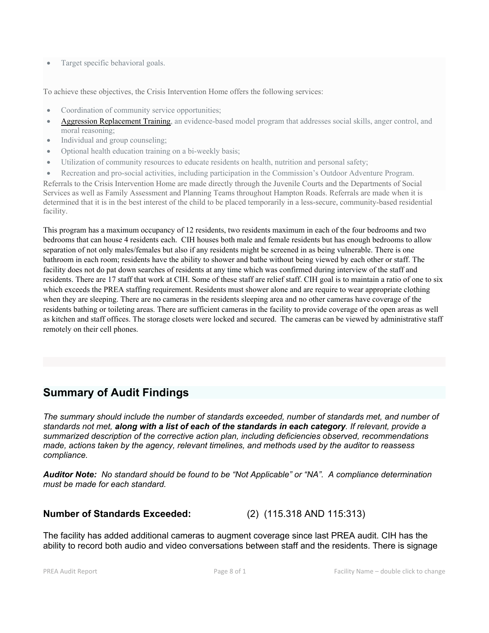Target specific behavioral goals.

To achieve these objectives, the Crisis Intervention Home offers the following services:

- Coordination of community service opportunities;
- Aggression Replacement Training, an evidence-based model program that addresses social skills, anger control, and moral reasoning;
- Individual and group counseling;
- Optional health education training on a bi-weekly basis;
- Utilization of community resources to educate residents on health, nutrition and personal safety;
- Recreation and pro-social activities, including participation in the Commission's Outdoor Adventure Program.

Referrals to the Crisis Intervention Home are made directly through the Juvenile Courts and the Departments of Social Services as well as Family Assessment and Planning Teams throughout Hampton Roads. Referrals are made when it is determined that it is in the best interest of the child to be placed temporarily in a less-secure, community-based residential facility.

This program has a maximum occupancy of 12 residents, two residents maximum in each of the four bedrooms and two bedrooms that can house 4 residents each. CIH houses both male and female residents but has enough bedrooms to allow separation of not only males/females but also if any residents might be screened in as being vulnerable. There is one bathroom in each room; residents have the ability to shower and bathe without being viewed by each other or staff. The facility does not do pat down searches of residents at any time which was confirmed during interview of the staff and residents. There are 17 staff that work at CIH. Some of these staff are relief staff. CIH goal is to maintain a ratio of one to six which exceeds the PREA staffing requirement. Residents must shower alone and are require to wear appropriate clothing when they are sleeping. There are no cameras in the residents sleeping area and no other cameras have coverage of the residents bathing or toileting areas. There are sufficient cameras in the facility to provide coverage of the open areas as well as kitchen and staff offices. The storage closets were locked and secured. The cameras can be viewed by administrative staff remotely on their cell phones.

## **Summary of Audit Findings**

*The summary should include the number of standards exceeded, number of standards met, and number of standards not met, along with a list of each of the standards in each category. If relevant, provide a summarized description of the corrective action plan, including deficiencies observed, recommendations made, actions taken by the agency, relevant timelines, and methods used by the auditor to reassess compliance.*

*Auditor Note: No standard should be found to be "Not Applicable" or "NA". A compliance determination must be made for each standard.* 

## **Number of Standards Exceeded:** (2) (115.318 AND 115:313)

The facility has added additional cameras to augment coverage since last PREA audit. CIH has the ability to record both audio and video conversations between staff and the residents. There is signage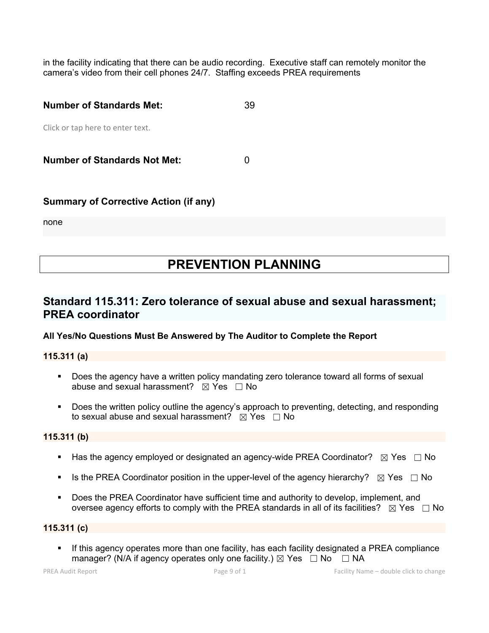in the facility indicating that there can be audio recording. Executive staff can remotely monitor the camera's video from their cell phones 24/7. Staffing exceeds PREA requirements

| <b>Number of Standards Met:</b>     | 39 |
|-------------------------------------|----|
| Click or tap here to enter text.    |    |
| <b>Number of Standards Not Met:</b> |    |

## **Summary of Corrective Action (if any)**

none

# **PREVENTION PLANNING**

## **Standard 115.311: Zero tolerance of sexual abuse and sexual harassment; PREA coordinator**

### **All Yes/No Questions Must Be Answered by The Auditor to Complete the Report**

**115.311 (a)**

- **Does the agency have a written policy mandating zero tolerance toward all forms of sexual** abuse and sexual harassment?  $\boxtimes$  Yes  $\Box$  No
- **Does the written policy outline the agency's approach to preventing, detecting, and responding** to sexual abuse and sexual harassment?  $\boxtimes$  Yes  $\Box$  No

### **115.311 (b)**

- Has the agency employed or designated an agency-wide PREA Coordinator?  $\boxtimes$  Yes  $\Box$  No
- Is the PREA Coordinator position in the upper-level of the agency hierarchy?  $\boxtimes$  Yes  $\Box$  No
- Does the PREA Coordinator have sufficient time and authority to develop, implement, and oversee agency efforts to comply with the PREA standards in all of its facilities?  $\boxtimes$  Yes  $\Box$  No

### **115.311 (c)**

 If this agency operates more than one facility, has each facility designated a PREA compliance manager? (N/A if agency operates only one facility.)  $\boxtimes$  Yes  $\Box$  No  $\Box$  NA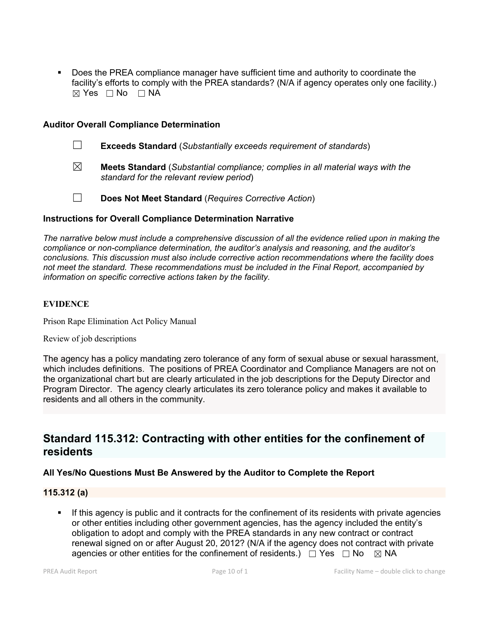Does the PREA compliance manager have sufficient time and authority to coordinate the facility's efforts to comply with the PREA standards? (N/A if agency operates only one facility.)  $⊠ Yes □ No □ NA$ 

#### **Auditor Overall Compliance Determination**

- ☐ **Exceeds Standard** (*Substantially exceeds requirement of standards*)
- ☒ **Meets Standard** (*Substantial compliance; complies in all material ways with the standard for the relevant review period*)

☐ **Does Not Meet Standard** (*Requires Corrective Action*)

#### **Instructions for Overall Compliance Determination Narrative**

*The narrative below must include a comprehensive discussion of all the evidence relied upon in making the compliance or non-compliance determination, the auditor's analysis and reasoning, and the auditor's conclusions. This discussion must also include corrective action recommendations where the facility does not meet the standard. These recommendations must be included in the Final Report, accompanied by information on specific corrective actions taken by the facility.*

### **EVIDENCE**

Prison Rape Elimination Act Policy Manual

Review of job descriptions

The agency has a policy mandating zero tolerance of any form of sexual abuse or sexual harassment, which includes definitions. The positions of PREA Coordinator and Compliance Managers are not on the organizational chart but are clearly articulated in the job descriptions for the Deputy Director and Program Director. The agency clearly articulates its zero tolerance policy and makes it available to residents and all others in the community.

## **Standard 115.312: Contracting with other entities for the confinement of residents**

### **All Yes/No Questions Must Be Answered by the Auditor to Complete the Report**

#### **115.312 (a)**

 If this agency is public and it contracts for the confinement of its residents with private agencies or other entities including other government agencies, has the agency included the entity's obligation to adopt and comply with the PREA standards in any new contract or contract renewal signed on or after August 20, 2012? (N/A if the agency does not contract with private agencies or other entities for the confinement of residents.)  $\Box$  Yes  $\Box$  No  $\boxtimes$  NA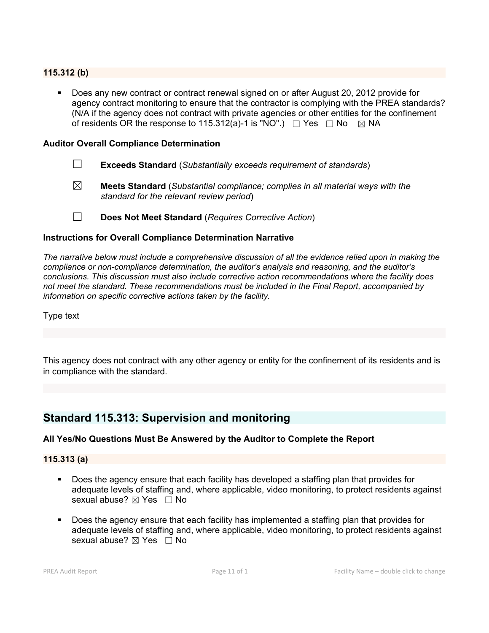### **115.312 (b)**

 Does any new contract or contract renewal signed on or after August 20, 2012 provide for agency contract monitoring to ensure that the contractor is complying with the PREA standards? (N/A if the agency does not contract with private agencies or other entities for the confinement of residents OR the response to 115.312(a)-1 is "NO".)  $\Box$  Yes  $\Box$  No  $\boxtimes$  NA

#### **Auditor Overall Compliance Determination**

- ☐ **Exceeds Standard** (*Substantially exceeds requirement of standards*)
- ☒ **Meets Standard** (*Substantial compliance; complies in all material ways with the standard for the relevant review period*)
- ☐ **Does Not Meet Standard** (*Requires Corrective Action*)

#### **Instructions for Overall Compliance Determination Narrative**

*The narrative below must include a comprehensive discussion of all the evidence relied upon in making the compliance or non-compliance determination, the auditor's analysis and reasoning, and the auditor's conclusions. This discussion must also include corrective action recommendations where the facility does not meet the standard. These recommendations must be included in the Final Report, accompanied by information on specific corrective actions taken by the facility.*

Type text

This agency does not contract with any other agency or entity for the confinement of its residents and is in compliance with the standard.

## **Standard 115.313: Supervision and monitoring**

### **All Yes/No Questions Must Be Answered by the Auditor to Complete the Report**

#### **115.313 (a)**

- Does the agency ensure that each facility has developed a staffing plan that provides for adequate levels of staffing and, where applicable, video monitoring, to protect residents against sexual abuse?  $\boxtimes$  Yes  $\Box$  No
- Does the agency ensure that each facility has implemented a staffing plan that provides for adequate levels of staffing and, where applicable, video monitoring, to protect residents against sexual abuse?  $\boxtimes$  Yes  $\Box$  No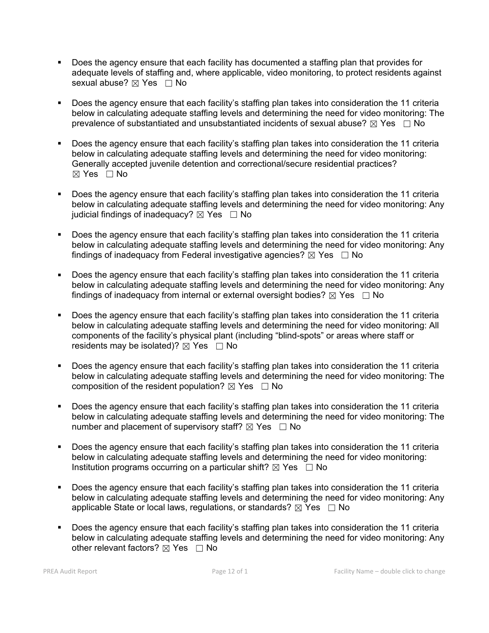- Does the agency ensure that each facility has documented a staffing plan that provides for adequate levels of staffing and, where applicable, video monitoring, to protect residents against sexual abuse?  $\boxtimes$  Yes  $\Box$  No
- Does the agency ensure that each facility's staffing plan takes into consideration the 11 criteria below in calculating adequate staffing levels and determining the need for video monitoring: The prevalence of substantiated and unsubstantiated incidents of sexual abuse?  $\boxtimes$  Yes  $\Box$  No
- Does the agency ensure that each facility's staffing plan takes into consideration the 11 criteria below in calculating adequate staffing levels and determining the need for video monitoring: Generally accepted juvenile detention and correctional/secure residential practices?  $\boxtimes$  Yes  $\Box$  No
- Does the agency ensure that each facility's staffing plan takes into consideration the 11 criteria below in calculating adequate staffing levels and determining the need for video monitoring: Any judicial findings of inadequacy?  $\boxtimes$  Yes  $\Box$  No
- Does the agency ensure that each facility's staffing plan takes into consideration the 11 criteria below in calculating adequate staffing levels and determining the need for video monitoring: Any findings of inadequacy from Federal investigative agencies?  $\boxtimes$  Yes  $\Box$  No
- Does the agency ensure that each facility's staffing plan takes into consideration the 11 criteria below in calculating adequate staffing levels and determining the need for video monitoring: Any findings of inadequacy from internal or external oversight bodies?  $\boxtimes$  Yes  $\Box$  No
- Does the agency ensure that each facility's staffing plan takes into consideration the 11 criteria below in calculating adequate staffing levels and determining the need for video monitoring: All components of the facility's physical plant (including "blind-spots" or areas where staff or residents may be isolated)?  $\boxtimes$  Yes  $\Box$  No
- Does the agency ensure that each facility's staffing plan takes into consideration the 11 criteria below in calculating adequate staffing levels and determining the need for video monitoring: The composition of the resident population?  $\boxtimes$  Yes  $\Box$  No
- Does the agency ensure that each facility's staffing plan takes into consideration the 11 criteria below in calculating adequate staffing levels and determining the need for video monitoring: The number and placement of supervisory staff?  $\boxtimes$  Yes  $\Box$  No
- Does the agency ensure that each facility's staffing plan takes into consideration the 11 criteria below in calculating adequate staffing levels and determining the need for video monitoring: Institution programs occurring on a particular shift?  $\boxtimes$  Yes  $\Box$  No
- Does the agency ensure that each facility's staffing plan takes into consideration the 11 criteria below in calculating adequate staffing levels and determining the need for video monitoring: Any applicable State or local laws, regulations, or standards?  $\boxtimes$  Yes  $\Box$  No
- Does the agency ensure that each facility's staffing plan takes into consideration the 11 criteria below in calculating adequate staffing levels and determining the need for video monitoring: Any other relevant factors?  $\boxtimes$  Yes  $\Box$  No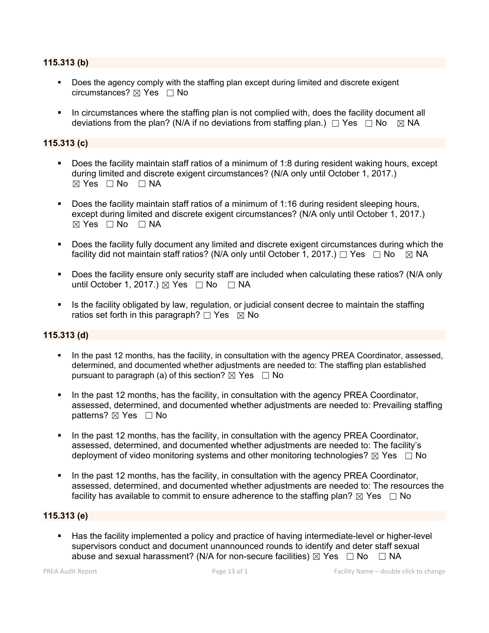#### **115.313 (b)**

- **Does the agency comply with the staffing plan except during limited and discrete exigent** circumstances? ☒ Yes ☐ No
- In circumstances where the staffing plan is not complied with, does the facility document all deviations from the plan? (N/A if no deviations from staffing plan.)  $\Box$  Yes  $\Box$  No  $\boxtimes$  NA

#### **115.313 (c)**

- Does the facility maintain staff ratios of a minimum of 1:8 during resident waking hours, except during limited and discrete exigent circumstances? (N/A only until October 1, 2017.)  $\boxtimes$  Yes  $\Box$  No  $\Box$  NA
- Does the facility maintain staff ratios of a minimum of 1:16 during resident sleeping hours, except during limited and discrete exigent circumstances? (N/A only until October 1, 2017.)  $\boxtimes$  Yes  $\Box$  No  $\Box$  NA
- Does the facility fully document any limited and discrete exigent circumstances during which the facility did not maintain staff ratios? (N/A only until October 1, 2017.)  $\Box$  Yes  $\Box$  No  $\boxtimes$  NA
- Does the facility ensure only security staff are included when calculating these ratios? (N/A only until October 1, 2017.)  $\boxtimes$  Yes  $\Box$  No  $\Box$  NA
- Is the facility obligated by law, regulation, or judicial consent decree to maintain the staffing ratios set forth in this paragraph?  $\Box$  Yes  $\boxtimes$  No

#### **115.313 (d)**

- In the past 12 months, has the facility, in consultation with the agency PREA Coordinator, assessed, determined, and documented whether adjustments are needed to: The staffing plan established pursuant to paragraph (a) of this section?  $\boxtimes$  Yes  $\Box$  No
- In the past 12 months, has the facility, in consultation with the agency PREA Coordinator, assessed, determined, and documented whether adjustments are needed to: Prevailing staffing patterns? ⊠ Yes □ No
- In the past 12 months, has the facility, in consultation with the agency PREA Coordinator, assessed, determined, and documented whether adjustments are needed to: The facility's deployment of video monitoring systems and other monitoring technologies?  $\boxtimes$  Yes  $\Box$  No
- In the past 12 months, has the facility, in consultation with the agency PREA Coordinator, assessed, determined, and documented whether adjustments are needed to: The resources the facility has available to commit to ensure adherence to the staffing plan?  $\boxtimes$  Yes  $\Box$  No

### **115.313 (e)**

 Has the facility implemented a policy and practice of having intermediate-level or higher-level supervisors conduct and document unannounced rounds to identify and deter staff sexual abuse and sexual harassment? (N/A for non-secure facilities)  $\boxtimes$  Yes  $\Box$  No  $\Box$  NA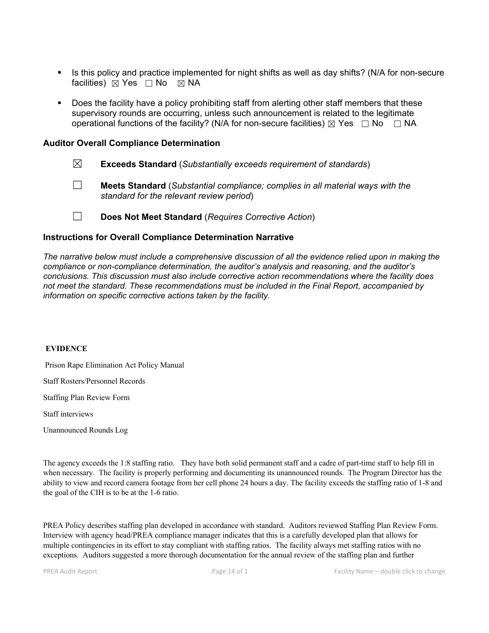- Is this policy and practice implemented for night shifts as well as day shifts? (N/A for non-secure facilities)  $\boxtimes$  Yes  $\Box$  No  $\boxtimes$  NA
- Does the facility have a policy prohibiting staff from alerting other staff members that these supervisory rounds are occurring, unless such announcement is related to the legitimate operational functions of the facility? (N/A for non-secure facilities)  $\boxtimes$  Yes  $\Box$  No  $\Box$  NA

#### **Auditor Overall Compliance Determination**

- ☒ **Exceeds Standard** (*Substantially exceeds requirement of standards*)
- ☐ **Meets Standard** (*Substantial compliance; complies in all material ways with the standard for the relevant review period*)
- ☐ **Does Not Meet Standard** (*Requires Corrective Action*)

#### **Instructions for Overall Compliance Determination Narrative**

*The narrative below must include a comprehensive discussion of all the evidence relied upon in making the compliance or non-compliance determination, the auditor's analysis and reasoning, and the auditor's conclusions. This discussion must also include corrective action recommendations where the facility does not meet the standard. These recommendations must be included in the Final Report, accompanied by information on specific corrective actions taken by the facility.*

#### **EVIDENCE**

Prison Rape Elimination Act Policy Manual

Staff Rosters/Personnel Records

Staffing Plan Review Form

Staff interviews

Unannounced Rounds Log

The agency exceeds the 1:8 staffing ratio. They have both solid permanent staff and a cadre of part-time staff to help fill in when necessary. The facility is properly performing and documenting its unannounced rounds. The Program Director has the ability to view and record camera footage from her cell phone 24 hours a day.The facility exceeds the staffing ratio of 1-8 and the goal of the CIH is to be at the 1-6 ratio.

PREA Policy describes staffing plan developed in accordance with standard. Auditors reviewed Staffing Plan Review Form. Interview with agency head/PREA compliance manager indicates that this is a carefully developed plan that allows for multiple contingencies in its effort to stay compliant with staffing ratios. The facility always met staffing ratios with no exceptions. Auditors suggested a more thorough documentation for the annual review of the staffing plan and further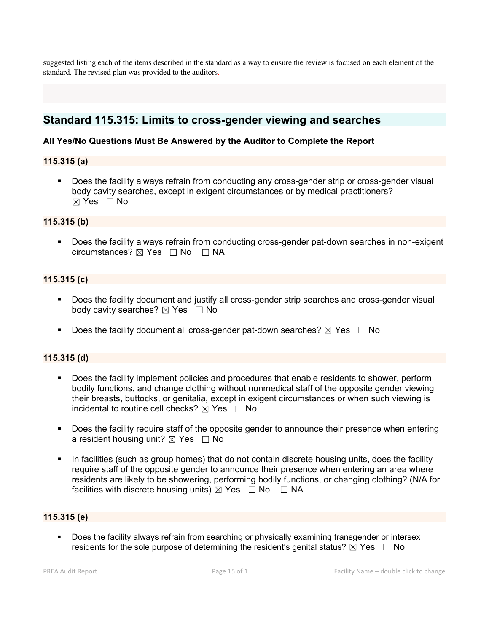suggested listing each of the items described in the standard as a way to ensure the review is focused on each element of the standard. The revised plan was provided to the auditors.

## **Standard 115.315: Limits to cross-gender viewing and searches**

## **All Yes/No Questions Must Be Answered by the Auditor to Complete the Report**

#### **115.315 (a)**

 Does the facility always refrain from conducting any cross-gender strip or cross-gender visual body cavity searches, except in exigent circumstances or by medical practitioners?  $\boxtimes$  Yes  $\Box$  No

#### **115.315 (b)**

 Does the facility always refrain from conducting cross-gender pat-down searches in non-exigent circumstances? ☒ Yes ☐ No ☐ NA

#### **115.315 (c)**

- Does the facility document and justify all cross-gender strip searches and cross-gender visual body cavity searches?  $\boxtimes$  Yes  $\Box$  No
- Does the facility document all cross-gender pat-down searches?  $\boxtimes$  Yes  $\Box$  No

### **115.315 (d)**

- Does the facility implement policies and procedures that enable residents to shower, perform bodily functions, and change clothing without nonmedical staff of the opposite gender viewing their breasts, buttocks, or genitalia, except in exigent circumstances or when such viewing is incidental to routine cell checks?  $\boxtimes$  Yes  $\Box$  No
- **Does the facility require staff of the opposite gender to announce their presence when entering** a resident housing unit?  $\boxtimes$  Yes  $\Box$  No
- In facilities (such as group homes) that do not contain discrete housing units, does the facility require staff of the opposite gender to announce their presence when entering an area where residents are likely to be showering, performing bodily functions, or changing clothing? (N/A for facilities with discrete housing units)  $\boxtimes$  Yes  $\Box$  No  $\Box$  NA

#### **115.315 (e)**

 Does the facility always refrain from searching or physically examining transgender or intersex residents for the sole purpose of determining the resident's genital status?  $\boxtimes$  Yes  $\Box$  No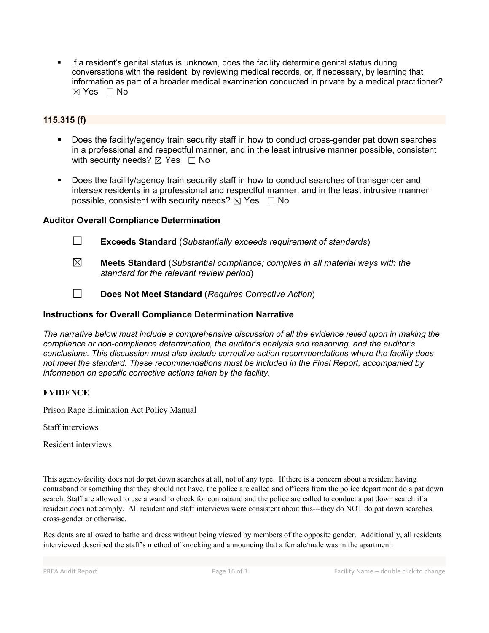If a resident's genital status is unknown, does the facility determine genital status during conversations with the resident, by reviewing medical records, or, if necessary, by learning that information as part of a broader medical examination conducted in private by a medical practitioner?  $\boxtimes$  Yes  $\Box$  No

## **115.315 (f)**

- Does the facility/agency train security staff in how to conduct cross-gender pat down searches in a professional and respectful manner, and in the least intrusive manner possible, consistent with security needs?  $\boxtimes$  Yes  $\Box$  No
- Does the facility/agency train security staff in how to conduct searches of transgender and intersex residents in a professional and respectful manner, and in the least intrusive manner possible, consistent with security needs?  $\boxtimes$  Yes  $\Box$  No

## **Auditor Overall Compliance Determination**

- ☐ **Exceeds Standard** (*Substantially exceeds requirement of standards*)
- ☒ **Meets Standard** (*Substantial compliance; complies in all material ways with the standard for the relevant review period*)
- ☐ **Does Not Meet Standard** (*Requires Corrective Action*)

## **Instructions for Overall Compliance Determination Narrative**

*The narrative below must include a comprehensive discussion of all the evidence relied upon in making the compliance or non-compliance determination, the auditor's analysis and reasoning, and the auditor's conclusions. This discussion must also include corrective action recommendations where the facility does not meet the standard. These recommendations must be included in the Final Report, accompanied by information on specific corrective actions taken by the facility.*

### **EVIDENCE**

Prison Rape Elimination Act Policy Manual

Staff interviews

Resident interviews

This agency/facility does not do pat down searches at all, not of any type. If there is a concern about a resident having contraband or something that they should not have, the police are called and officers from the police department do a pat down search. Staff are allowed to use a wand to check for contraband and the police are called to conduct a pat down search if a resident does not comply. All resident and staff interviews were consistent about this---they do NOT do pat down searches, cross-gender or otherwise.

Residents are allowed to bathe and dress without being viewed by members of the opposite gender. Additionally, all residents interviewed described the staff's method of knocking and announcing that a female/male was in the apartment.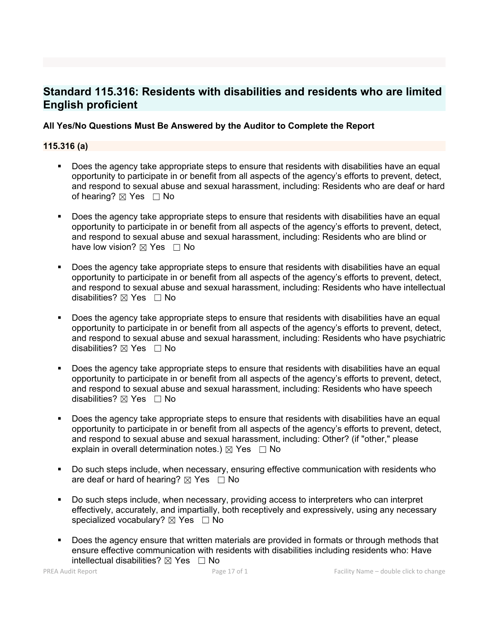## **Standard 115.316: Residents with disabilities and residents who are limited English proficient**

### **All Yes/No Questions Must Be Answered by the Auditor to Complete the Report**

#### **115.316 (a)**

- Does the agency take appropriate steps to ensure that residents with disabilities have an equal opportunity to participate in or benefit from all aspects of the agency's efforts to prevent, detect, and respond to sexual abuse and sexual harassment, including: Residents who are deaf or hard of hearing?  $\boxtimes$  Yes  $\Box$  No
- Does the agency take appropriate steps to ensure that residents with disabilities have an equal opportunity to participate in or benefit from all aspects of the agency's efforts to prevent, detect, and respond to sexual abuse and sexual harassment, including: Residents who are blind or have low vision?  $\boxtimes$  Yes  $\Box$  No
- Does the agency take appropriate steps to ensure that residents with disabilities have an equal opportunity to participate in or benefit from all aspects of the agency's efforts to prevent, detect, and respond to sexual abuse and sexual harassment, including: Residents who have intellectual disabilities?  $\boxtimes$  Yes  $\Box$  No
- Does the agency take appropriate steps to ensure that residents with disabilities have an equal opportunity to participate in or benefit from all aspects of the agency's efforts to prevent, detect, and respond to sexual abuse and sexual harassment, including: Residents who have psychiatric disabilities?  $\boxtimes$  Yes  $\Box$  No
- Does the agency take appropriate steps to ensure that residents with disabilities have an equal opportunity to participate in or benefit from all aspects of the agency's efforts to prevent, detect, and respond to sexual abuse and sexual harassment, including: Residents who have speech disabilities?  $\boxtimes$  Yes  $\Box$  No
- Does the agency take appropriate steps to ensure that residents with disabilities have an equal opportunity to participate in or benefit from all aspects of the agency's efforts to prevent, detect, and respond to sexual abuse and sexual harassment, including: Other? (if "other," please explain in overall determination notes.)  $\boxtimes$  Yes  $\Box$  No
- Do such steps include, when necessary, ensuring effective communication with residents who are deaf or hard of hearing?  $\boxtimes$  Yes  $\Box$  No
- Do such steps include, when necessary, providing access to interpreters who can interpret effectively, accurately, and impartially, both receptively and expressively, using any necessary specialized vocabulary?  $\boxtimes$  Yes  $\Box$  No
- Does the agency ensure that written materials are provided in formats or through methods that ensure effective communication with residents with disabilities including residents who: Have intellectual disabilities?  $\boxtimes$  Yes  $\Box$  No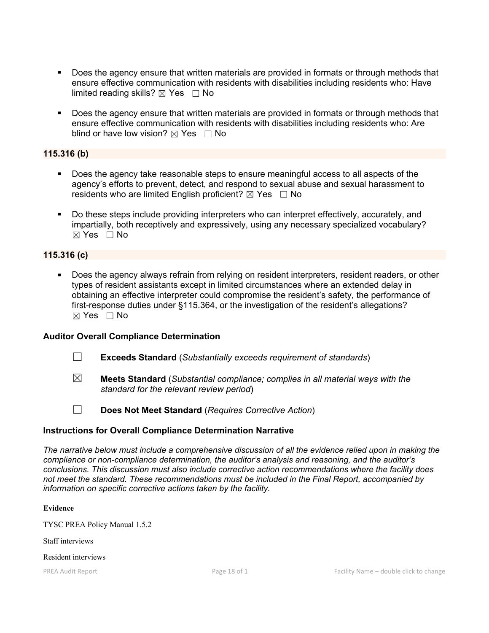- Does the agency ensure that written materials are provided in formats or through methods that ensure effective communication with residents with disabilities including residents who: Have limited reading skills?  $\boxtimes$  Yes  $\Box$  No
- Does the agency ensure that written materials are provided in formats or through methods that ensure effective communication with residents with disabilities including residents who: Are blind or have low vision?  $\boxtimes$  Yes  $\Box$  No

#### **115.316 (b)**

- Does the agency take reasonable steps to ensure meaningful access to all aspects of the agency's efforts to prevent, detect, and respond to sexual abuse and sexual harassment to residents who are limited English proficient?  $\boxtimes$  Yes  $\Box$  No
- Do these steps include providing interpreters who can interpret effectively, accurately, and impartially, both receptively and expressively, using any necessary specialized vocabulary?  $\boxtimes$  Yes  $\Box$  No

#### **115.316 (c)**

 Does the agency always refrain from relying on resident interpreters, resident readers, or other types of resident assistants except in limited circumstances where an extended delay in obtaining an effective interpreter could compromise the resident's safety, the performance of first-response duties under §115.364, or the investigation of the resident's allegations?  $\boxtimes$  Yes  $\Box$  No

#### **Auditor Overall Compliance Determination**

- ☐ **Exceeds Standard** (*Substantially exceeds requirement of standards*)
- ☒ **Meets Standard** (*Substantial compliance; complies in all material ways with the standard for the relevant review period*)

☐ **Does Not Meet Standard** (*Requires Corrective Action*)

### **Instructions for Overall Compliance Determination Narrative**

*The narrative below must include a comprehensive discussion of all the evidence relied upon in making the compliance or non-compliance determination, the auditor's analysis and reasoning, and the auditor's conclusions. This discussion must also include corrective action recommendations where the facility does not meet the standard. These recommendations must be included in the Final Report, accompanied by information on specific corrective actions taken by the facility.*

#### **Evidence**

TYSC PREA Policy Manual 1.5.2

Staff interviews

#### Resident interviews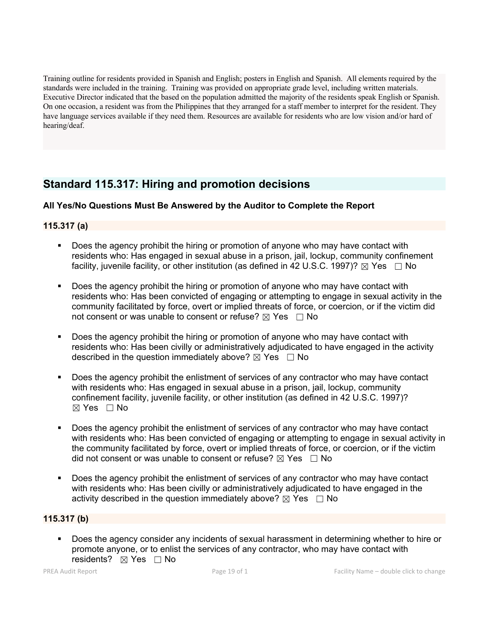Training outline for residents provided in Spanish and English; posters in English and Spanish. All elements required by the standards were included in the training. Training was provided on appropriate grade level, including written materials. Executive Director indicated that the based on the population admitted the majority of the residents speak English or Spanish. On one occasion, a resident was from the Philippines that they arranged for a staff member to interpret for the resident. They have language services available if they need them. Resources are available for residents who are low vision and/or hard of hearing/deaf.

## **Standard 115.317: Hiring and promotion decisions**

## **All Yes/No Questions Must Be Answered by the Auditor to Complete the Report**

## **115.317 (a)**

- Does the agency prohibit the hiring or promotion of anyone who may have contact with residents who: Has engaged in sexual abuse in a prison, jail, lockup, community confinement facility, juvenile facility, or other institution (as defined in 42 U.S.C. 1997)?  $\boxtimes$  Yes  $\Box$  No
- Does the agency prohibit the hiring or promotion of anyone who may have contact with residents who: Has been convicted of engaging or attempting to engage in sexual activity in the community facilitated by force, overt or implied threats of force, or coercion, or if the victim did not consent or was unable to consent or refuse?  $\boxtimes$  Yes  $\Box$  No
- Does the agency prohibit the hiring or promotion of anyone who may have contact with residents who: Has been civilly or administratively adjudicated to have engaged in the activity described in the question immediately above?  $\boxtimes$  Yes  $\Box$  No
- Does the agency prohibit the enlistment of services of any contractor who may have contact with residents who: Has engaged in sexual abuse in a prison, jail, lockup, community confinement facility, juvenile facility, or other institution (as defined in 42 U.S.C. 1997)?  $\boxtimes$  Yes  $\Box$  No
- Does the agency prohibit the enlistment of services of any contractor who may have contact with residents who: Has been convicted of engaging or attempting to engage in sexual activity in the community facilitated by force, overt or implied threats of force, or coercion, or if the victim did not consent or was unable to consent or refuse?  $\boxtimes$  Yes  $\Box$  No
- Does the agency prohibit the enlistment of services of any contractor who may have contact with residents who: Has been civilly or administratively adjudicated to have engaged in the activity described in the question immediately above?  $\boxtimes$  Yes  $\Box$  No

### **115.317 (b)**

 Does the agency consider any incidents of sexual harassment in determining whether to hire or promote anyone, or to enlist the services of any contractor, who may have contact with residents? ⊠ Yes □ No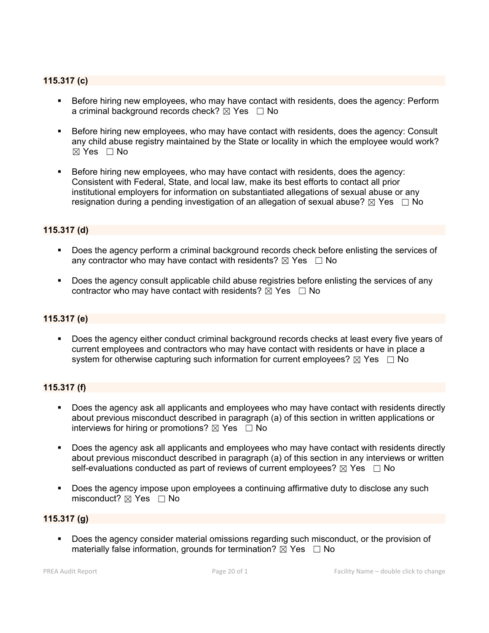### **115.317 (c)**

- Before hiring new employees, who may have contact with residents, does the agency: Perform a criminal background records check?  $\boxtimes$  Yes  $\Box$  No
- **Before hiring new employees, who may have contact with residents, does the agency: Consult** any child abuse registry maintained by the State or locality in which the employee would work? ☒ Yes ☐ No
- Before hiring new employees, who may have contact with residents, does the agency: Consistent with Federal, State, and local law, make its best efforts to contact all prior institutional employers for information on substantiated allegations of sexual abuse or any resignation during a pending investigation of an allegation of sexual abuse?  $\boxtimes$  Yes  $\Box$  No

### **115.317 (d)**

- Does the agency perform a criminal background records check before enlisting the services of any contractor who may have contact with residents?  $\boxtimes$  Yes  $\Box$  No
- Does the agency consult applicable child abuse registries before enlisting the services of any contractor who may have contact with residents?  $\overline{\boxtimes}$  Yes  $\Box$  No

#### **115.317 (e)**

 Does the agency either conduct criminal background records checks at least every five years of current employees and contractors who may have contact with residents or have in place a system for otherwise capturing such information for current employees?  $\boxtimes$  Yes  $\Box$  No

### **115.317 (f)**

- Does the agency ask all applicants and employees who may have contact with residents directly about previous misconduct described in paragraph (a) of this section in written applications or interviews for hiring or promotions?  $\boxtimes$  Yes  $\Box$  No
- Does the agency ask all applicants and employees who may have contact with residents directly about previous misconduct described in paragraph (a) of this section in any interviews or written self-evaluations conducted as part of reviews of current employees?  $\boxtimes$  Yes  $\Box$  No
- Does the agency impose upon employees a continuing affirmative duty to disclose any such misconduct?  $\boxtimes$  Yes  $\Box$  No

### **115.317 (g)**

 Does the agency consider material omissions regarding such misconduct, or the provision of materially false information, grounds for termination?  $\boxtimes$  Yes  $\Box$  No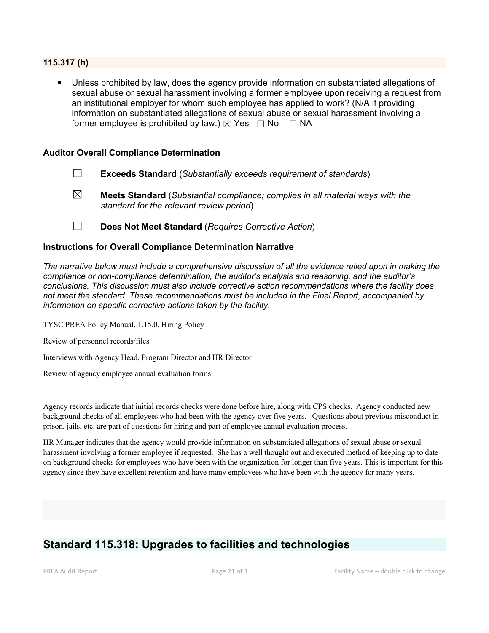#### **115.317 (h)**

 Unless prohibited by law, does the agency provide information on substantiated allegations of sexual abuse or sexual harassment involving a former employee upon receiving a request from an institutional employer for whom such employee has applied to work? (N/A if providing information on substantiated allegations of sexual abuse or sexual harassment involving a former employee is prohibited by law.)  $\boxtimes$  Yes  $\Box$  No  $\Box$  NA

#### **Auditor Overall Compliance Determination**

- ☐ **Exceeds Standard** (*Substantially exceeds requirement of standards*)
- ☒ **Meets Standard** (*Substantial compliance; complies in all material ways with the standard for the relevant review period*)
- ☐ **Does Not Meet Standard** (*Requires Corrective Action*)

#### **Instructions for Overall Compliance Determination Narrative**

*The narrative below must include a comprehensive discussion of all the evidence relied upon in making the compliance or non-compliance determination, the auditor's analysis and reasoning, and the auditor's conclusions. This discussion must also include corrective action recommendations where the facility does not meet the standard. These recommendations must be included in the Final Report, accompanied by information on specific corrective actions taken by the facility.*

TYSC PREA Policy Manual, 1.15.0, Hiring Policy

Review of personnel records/files

Interviews with Agency Head, Program Director and HR Director

Review of agency employee annual evaluation forms

Agency records indicate that initial records checks were done before hire, along with CPS checks. Agency conducted new background checks of all employees who had been with the agency over five years. Questions about previous misconduct in prison, jails, etc. are part of questions for hiring and part of employee annual evaluation process.

HR Manager indicates that the agency would provide information on substantiated allegations ofsexual abuse or sexual harassment involving a former employee if requested. She has a well thought out and executed method of keeping up to date on background checks for employees who have been with the organization for longer than five years. This is important for this agency since they have excellent retention and have many employees who have been with the agency for many years.

# **Standard 115.318: Upgrades to facilities and technologies**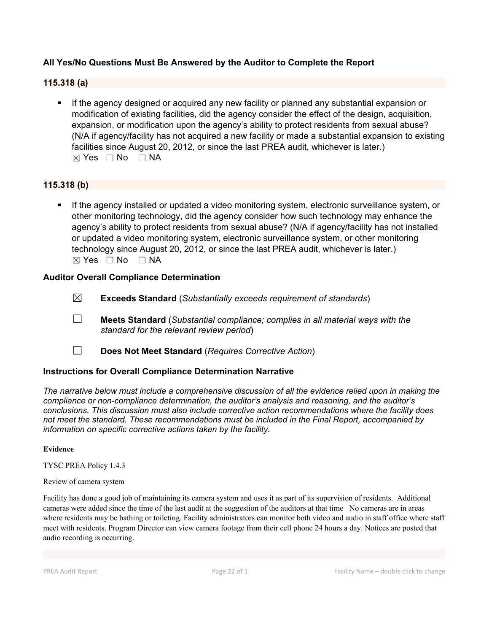## **All Yes/No Questions Must Be Answered by the Auditor to Complete the Report**

#### **115.318 (a)**

 If the agency designed or acquired any new facility or planned any substantial expansion or modification of existing facilities, did the agency consider the effect of the design, acquisition, expansion, or modification upon the agency's ability to protect residents from sexual abuse? (N/A if agency/facility has not acquired a new facility or made a substantial expansion to existing facilities since August 20, 2012, or since the last PREA audit, whichever is later.)  $⊠ Yes □ No □ NA$ 

### **115.318 (b)**

**If the agency installed or updated a video monitoring system, electronic surveillance system, or** other monitoring technology, did the agency consider how such technology may enhance the agency's ability to protect residents from sexual abuse? (N/A if agency/facility has not installed or updated a video monitoring system, electronic surveillance system, or other monitoring technology since August 20, 2012, or since the last PREA audit, whichever is later.) ☒ Yes ☐ No ☐ NA

#### **Auditor Overall Compliance Determination**

- ☒ **Exceeds Standard** (*Substantially exceeds requirement of standards*)
- ☐ **Meets Standard** (*Substantial compliance; complies in all material ways with the standard for the relevant review period*)
- ☐ **Does Not Meet Standard** (*Requires Corrective Action*)

#### **Instructions for Overall Compliance Determination Narrative**

*The narrative below must include a comprehensive discussion of all the evidence relied upon in making the compliance or non-compliance determination, the auditor's analysis and reasoning, and the auditor's conclusions. This discussion must also include corrective action recommendations where the facility does not meet the standard. These recommendations must be included in the Final Report, accompanied by information on specific corrective actions taken by the facility.*

#### **Evidence**

TYSC PREA Policy 1.4.3

#### Review of camera system

Facility has done a good job of maintaining its camera system and uses it as part of its supervision of residents. Additional cameras were added since the time of the last audit at the suggestion of the auditors at that time No cameras are in areas where residents may be bathing or toileting. Facility administrators can monitor both video and audio in staff office where staff meet with residents. Program Director can view camera footage from their cell phone 24 hours a day. Notices are posted that audio recording is occurring.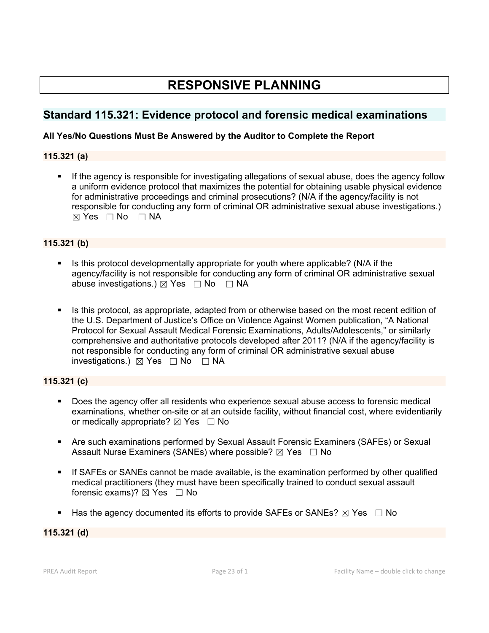# **RESPONSIVE PLANNING**

## **Standard 115.321: Evidence protocol and forensic medical examinations**

## **All Yes/No Questions Must Be Answered by the Auditor to Complete the Report**

## **115.321 (a)**

 If the agency is responsible for investigating allegations of sexual abuse, does the agency follow a uniform evidence protocol that maximizes the potential for obtaining usable physical evidence for administrative proceedings and criminal prosecutions? (N/A if the agency/facility is not responsible for conducting any form of criminal OR administrative sexual abuse investigations.)  $⊠ Yes □ No □ NA$ 

## **115.321 (b)**

- Is this protocol developmentally appropriate for youth where applicable? (N/A if the agency/facility is not responsible for conducting any form of criminal OR administrative sexual abuse investigations.)  $\boxtimes$  Yes  $\Box$  No  $\Box$  NA
- Is this protocol, as appropriate, adapted from or otherwise based on the most recent edition of the U.S. Department of Justice's Office on Violence Against Women publication, "A National Protocol for Sexual Assault Medical Forensic Examinations, Adults/Adolescents," or similarly comprehensive and authoritative protocols developed after 2011? (N/A if the agency/facility is not responsible for conducting any form of criminal OR administrative sexual abuse investigations.) ☒ Yes ☐ No ☐ NA

## **115.321 (c)**

- Does the agency offer all residents who experience sexual abuse access to forensic medical examinations, whether on-site or at an outside facility, without financial cost, where evidentiarily or medically appropriate?  $\boxtimes$  Yes  $\Box$  No
- Are such examinations performed by Sexual Assault Forensic Examiners (SAFEs) or Sexual Assault Nurse Examiners (SANEs) where possible?  $\boxtimes$  Yes  $\Box$  No
- If SAFEs or SANEs cannot be made available, is the examination performed by other qualified medical practitioners (they must have been specifically trained to conduct sexual assault forensic exams)?  $\boxtimes$  Yes  $\Box$  No
- Has the agency documented its efforts to provide SAFEs or SANEs?  $\boxtimes$  Yes  $\Box$  No

## **115.321 (d)**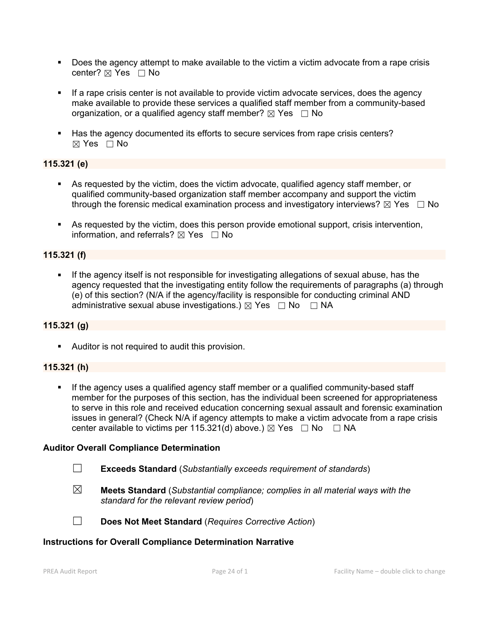- Does the agency attempt to make available to the victim a victim advocate from a rape crisis center? ⊠ Yes □ No
- If a rape crisis center is not available to provide victim advocate services, does the agency make available to provide these services a qualified staff member from a community-based organization, or a qualified agency staff member?  $\boxtimes$  Yes  $\Box$  No
- Has the agency documented its efforts to secure services from rape crisis centers?  $\boxtimes$  Yes  $\Box$  No

### **115.321 (e)**

- As requested by the victim, does the victim advocate, qualified agency staff member, or qualified community-based organization staff member accompany and support the victim through the forensic medical examination process and investigatory interviews?  $\boxtimes$  Yes  $\Box$  No
- As requested by the victim, does this person provide emotional support, crisis intervention, information, and referrals?  $\boxtimes$  Yes  $\Box$  No

## **115.321 (f)**

 If the agency itself is not responsible for investigating allegations of sexual abuse, has the agency requested that the investigating entity follow the requirements of paragraphs (a) through (e) of this section? (N/A if the agency/facility is responsible for conducting criminal AND administrative sexual abuse investigations.)  $\boxtimes$  Yes  $\Box$  No  $\Box$  NA

### **115.321 (g)**

Auditor is not required to audit this provision.

### **115.321 (h)**

If the agency uses a qualified agency staff member or a qualified community-based staff member for the purposes of this section, has the individual been screened for appropriateness to serve in this role and received education concerning sexual assault and forensic examination issues in general? (Check N/A if agency attempts to make a victim advocate from a rape crisis center available to victims per 115.321(d) above.)  $\boxtimes$  Yes  $\Box$  No  $\Box$  NA

### **Auditor Overall Compliance Determination**

- ☐ **Exceeds Standard** (*Substantially exceeds requirement of standards*)
- ☒ **Meets Standard** (*Substantial compliance; complies in all material ways with the standard for the relevant review period*)

☐ **Does Not Meet Standard** (*Requires Corrective Action*)

#### **Instructions for Overall Compliance Determination Narrative**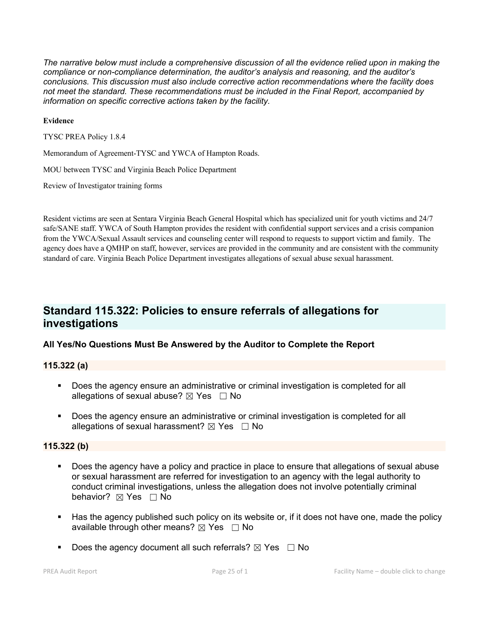*The narrative below must include a comprehensive discussion of all the evidence relied upon in making the compliance or non-compliance determination, the auditor's analysis and reasoning, and the auditor's conclusions. This discussion must also include corrective action recommendations where the facility does not meet the standard. These recommendations must be included in the Final Report, accompanied by information on specific corrective actions taken by the facility.*

#### **Evidence**

TYSC PREA Policy 1.8.4

Memorandum of Agreement-TYSC and YWCA of Hampton Roads.

MOU between TYSC and Virginia Beach Police Department

Review of Investigator training forms

Resident victims are seen at Sentara Virginia Beach General Hospital which has specialized unit foryouth victims and 24/7 safe/SANE staff. YWCA of South Hampton provides the resident with confidential support services and a crisis companion from the YWCA/Sexual Assault services and counseling center will respond to requests to support victim and family. The agency does have a QMHP on staff, however, services are provided in the community and are consistent with the community standard of care. Virginia Beach Police Department investigates allegations of sexual abuse sexual harassment.

## **Standard 115.322: Policies to ensure referrals of allegations for investigations**

### **All Yes/No Questions Must Be Answered by the Auditor to Complete the Report**

### **115.322 (a)**

- Does the agency ensure an administrative or criminal investigation is completed for all allegations of sexual abuse?  $\boxtimes$  Yes  $\Box$  No
- **Does the agency ensure an administrative or criminal investigation is completed for all** allegations of sexual harassment?  $\boxtimes$  Yes  $\Box$  No

#### **115.322 (b)**

- Does the agency have a policy and practice in place to ensure that allegations of sexual abuse or sexual harassment are referred for investigation to an agency with the legal authority to conduct criminal investigations, unless the allegation does not involve potentially criminal behavior? **⊠** Yes □ No
- Has the agency published such policy on its website or, if it does not have one, made the policy available through other means?  $\boxtimes$  Yes  $\Box$  No
- Does the agency document all such referrals?  $\boxtimes$  Yes  $\Box$  No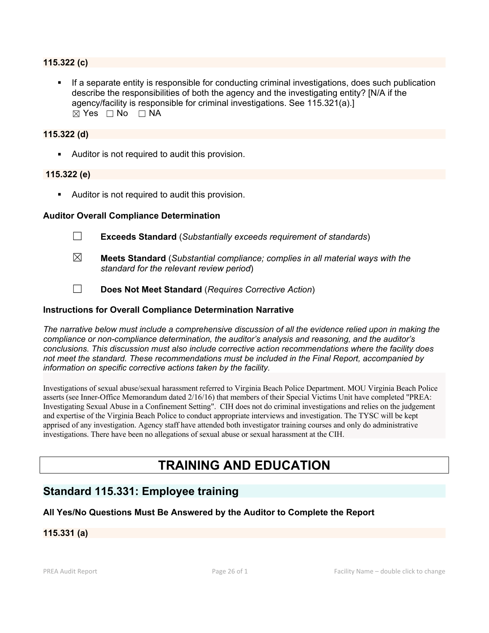#### **115.322 (c)**

 If a separate entity is responsible for conducting criminal investigations, does such publication describe the responsibilities of both the agency and the investigating entity? [N/A if the agency/facility is responsible for criminal investigations. See 115.321(a).]  $\boxtimes$  Yes  $\Box$  No  $\Box$  NA

#### **115.322 (d)**

Auditor is not required to audit this provision.

#### **115.322 (e)**

Auditor is not required to audit this provision.

#### **Auditor Overall Compliance Determination**

- ☐ **Exceeds Standard** (*Substantially exceeds requirement of standards*)
- ☒ **Meets Standard** (*Substantial compliance; complies in all material ways with the standard for the relevant review period*)
- ☐ **Does Not Meet Standard** (*Requires Corrective Action*)

#### **Instructions for Overall Compliance Determination Narrative**

*The narrative below must include a comprehensive discussion of all the evidence relied upon in making the compliance or non-compliance determination, the auditor's analysis and reasoning, and the auditor's conclusions. This discussion must also include corrective action recommendations where the facility does not meet the standard. These recommendations must be included in the Final Report, accompanied by information on specific corrective actions taken by the facility.*

Investigations ofsexual abuse/sexual harassment referred to Virginia Beach Police Department. MOU Virginia Beach Police asserts (see Inner-Office Memorandum dated 2/16/16) that members of their Special Victims Unit have completed "PREA: Investigating Sexual Abuse in a Confinement Setting". CIH does not do criminal investigations and relies on the judgement and expertise of the Virginia Beach Police to conduct appropriate interviews and investigation. The TYSC will be kept apprised of any investigation. Agency staff have attended both investigator training courses and only do administrative investigations. There have been no allegations of sexual abuse or sexual harassment at the CIH.

# **TRAINING AND EDUCATION**

## **Standard 115.331: Employee training**

#### **All Yes/No Questions Must Be Answered by the Auditor to Complete the Report**

#### **115.331 (a)**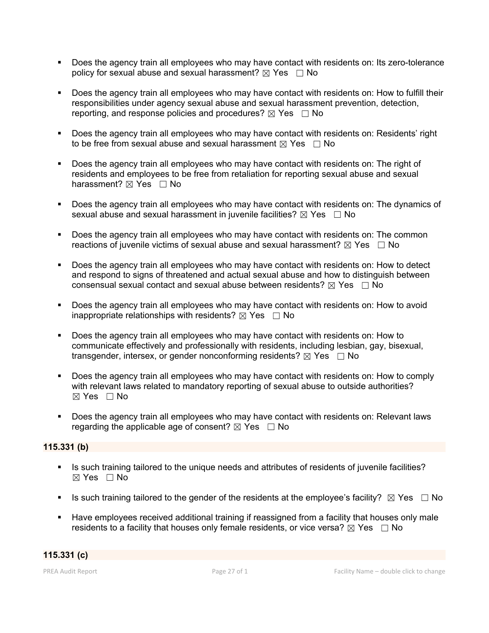- Does the agency train all employees who may have contact with residents on: Its zero-tolerance policy for sexual abuse and sexual harassment?  $\boxtimes$  Yes  $\Box$  No
- Does the agency train all employees who may have contact with residents on: How to fulfill their responsibilities under agency sexual abuse and sexual harassment prevention, detection, reporting, and response policies and procedures?  $\boxtimes$  Yes  $\Box$  No
- Does the agency train all employees who may have contact with residents on: Residents' right to be free from sexual abuse and sexual harassment  $\boxtimes$  Yes  $\Box$  No
- Does the agency train all employees who may have contact with residents on: The right of residents and employees to be free from retaliation for reporting sexual abuse and sexual harassment?  $\boxtimes$  Yes  $\Box$  No
- Does the agency train all employees who may have contact with residents on: The dynamics of sexual abuse and sexual harassment in juvenile facilities?  $\boxtimes$  Yes  $\Box$  No
- Does the agency train all employees who may have contact with residents on: The common reactions of juvenile victims of sexual abuse and sexual harassment?  $\boxtimes$  Yes  $\Box$  No
- Does the agency train all employees who may have contact with residents on: How to detect and respond to signs of threatened and actual sexual abuse and how to distinguish between consensual sexual contact and sexual abuse between residents?  $\boxtimes$  Yes  $\Box$  No
- Does the agency train all employees who may have contact with residents on: How to avoid inappropriate relationships with residents?  $\boxtimes$  Yes  $\Box$  No
- Does the agency train all employees who may have contact with residents on: How to communicate effectively and professionally with residents, including lesbian, gay, bisexual, transgender, intersex, or gender nonconforming residents?  $\boxtimes$  Yes  $\Box$  No
- Does the agency train all employees who may have contact with residents on: How to comply with relevant laws related to mandatory reporting of sexual abuse to outside authorities? ☒ Yes ☐ No
- Does the agency train all employees who may have contact with residents on: Relevant laws regarding the applicable age of consent?  $\boxtimes$  Yes  $\Box$  No

### **115.331 (b)**

- Is such training tailored to the unique needs and attributes of residents of juvenile facilities?  $\boxtimes$  Yes  $\Box$  No
- Is such training tailored to the gender of the residents at the employee's facility?  $\boxtimes$  Yes  $\Box$  No
- Have employees received additional training if reassigned from a facility that houses only male residents to a facility that houses only female residents, or vice versa?  $\boxtimes$  Yes  $\Box$  No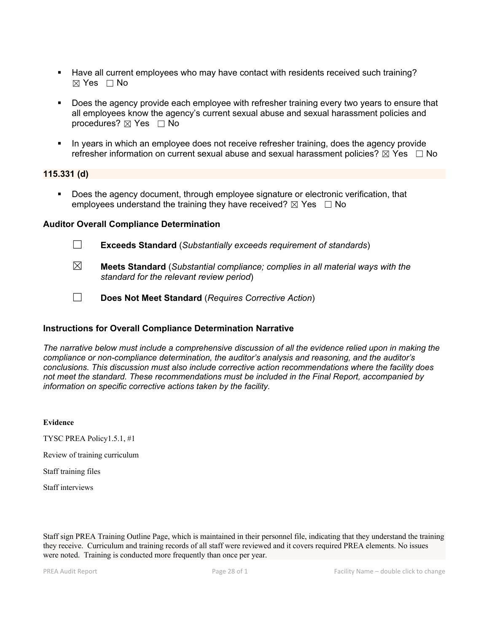- Have all current employees who may have contact with residents received such training? ☒ Yes ☐ No
- Does the agency provide each employee with refresher training every two years to ensure that all employees know the agency's current sexual abuse and sexual harassment policies and procedures?  $\boxtimes$  Yes  $\Box$  No
- In years in which an employee does not receive refresher training, does the agency provide refresher information on current sexual abuse and sexual harassment policies?  $\boxtimes$  Yes  $\Box$  No

#### **115.331 (d)**

 Does the agency document, through employee signature or electronic verification, that employees understand the training they have received?  $\boxtimes$  Yes  $\Box$  No

#### **Auditor Overall Compliance Determination**

- ☐ **Exceeds Standard** (*Substantially exceeds requirement of standards*)
- ☒ **Meets Standard** (*Substantial compliance; complies in all material ways with the standard for the relevant review period*)
- ☐ **Does Not Meet Standard** (*Requires Corrective Action*)

#### **Instructions for Overall Compliance Determination Narrative**

*The narrative below must include a comprehensive discussion of all the evidence relied upon in making the compliance or non-compliance determination, the auditor's analysis and reasoning, and the auditor's conclusions. This discussion must also include corrective action recommendations where the facility does not meet the standard. These recommendations must be included in the Final Report, accompanied by information on specific corrective actions taken by the facility.*

#### **Evidence**

TYSC PREA Policy1.5.1, #1

Review of training curriculum

Staff training files

Staff interviews

Staff sign PREA Training Outline Page, which is maintained in their personnel file, indicating that they understand the training they receive. Curriculum and training records ofall staff were reviewed and it covers required PREA elements. No issues were noted. Training is conducted more frequently than once per year.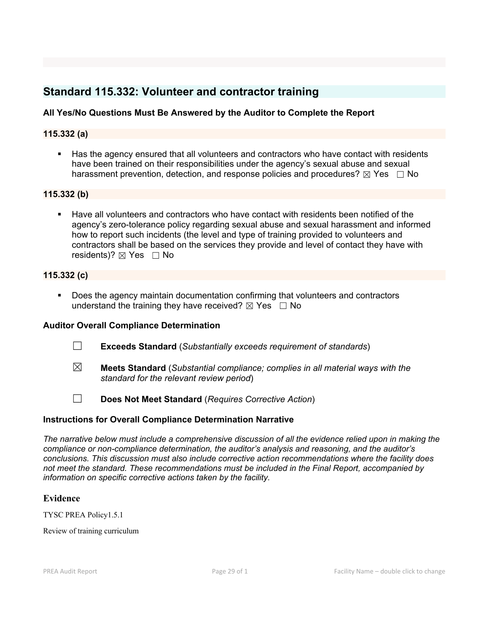## **Standard 115.332: Volunteer and contractor training**

## **All Yes/No Questions Must Be Answered by the Auditor to Complete the Report**

## **115.332 (a)**

 Has the agency ensured that all volunteers and contractors who have contact with residents have been trained on their responsibilities under the agency's sexual abuse and sexual harassment prevention, detection, and response policies and procedures?  $\boxtimes$  Yes  $\Box$  No

#### **115.332 (b)**

 Have all volunteers and contractors who have contact with residents been notified of the agency's zero-tolerance policy regarding sexual abuse and sexual harassment and informed how to report such incidents (the level and type of training provided to volunteers and contractors shall be based on the services they provide and level of contact they have with residents)?  $\boxtimes$  Yes  $\Box$  No

### **115.332 (c)**

 Does the agency maintain documentation confirming that volunteers and contractors understand the training they have received?  $\boxtimes$  Yes  $\Box$  No

### **Auditor Overall Compliance Determination**

- ☐ **Exceeds Standard** (*Substantially exceeds requirement of standards*)
- ☒ **Meets Standard** (*Substantial compliance; complies in all material ways with the standard for the relevant review period*)

☐ **Does Not Meet Standard** (*Requires Corrective Action*)

### **Instructions for Overall Compliance Determination Narrative**

*The narrative below must include a comprehensive discussion of all the evidence relied upon in making the compliance or non-compliance determination, the auditor's analysis and reasoning, and the auditor's conclusions. This discussion must also include corrective action recommendations where the facility does not meet the standard. These recommendations must be included in the Final Report, accompanied by information on specific corrective actions taken by the facility.*

### **Evidence**

TYSC PREA Policy1.5.1

Review of training curriculum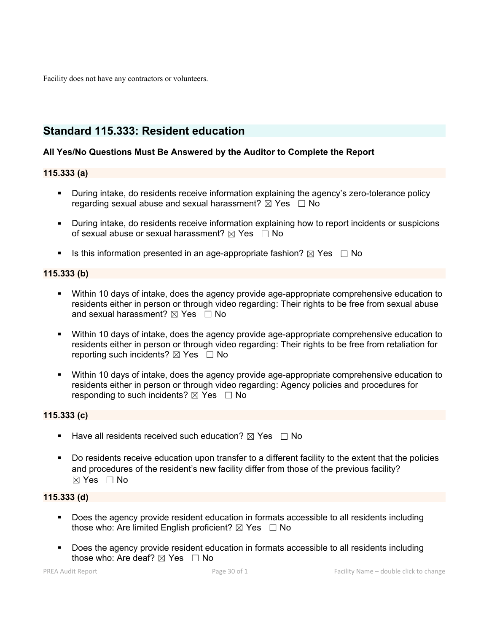Facility does not have any contractors or volunteers.

## **Standard 115.333: Resident education**

### **All Yes/No Questions Must Be Answered by the Auditor to Complete the Report**

### **115.333 (a)**

- **During intake, do residents receive information explaining the agency's zero-tolerance policy** regarding sexual abuse and sexual harassment?  $\boxtimes$  Yes  $\Box$  No
- During intake, do residents receive information explaining how to report incidents or suspicions of sexual abuse or sexual harassment?  $\boxtimes$  Yes  $\Box$  No
- Is this information presented in an age-appropriate fashion?  $\boxtimes$  Yes  $\Box$  No

### **115.333 (b)**

- Within 10 days of intake, does the agency provide age-appropriate comprehensive education to residents either in person or through video regarding: Their rights to be free from sexual abuse and sexual harassment?  $\boxtimes$  Yes  $\Box$  No
- Within 10 days of intake, does the agency provide age-appropriate comprehensive education to residents either in person or through video regarding: Their rights to be free from retaliation for reporting such incidents? ⊠ Yes □ No
- Within 10 days of intake, does the agency provide age-appropriate comprehensive education to residents either in person or through video regarding: Agency policies and procedures for responding to such incidents?  $\boxtimes$  Yes  $\Box$  No

### **115.333 (c)**

- **Have all residents received such education?**  $\boxtimes$  Yes  $\Box$  No
- Do residents receive education upon transfer to a different facility to the extent that the policies and procedures of the resident's new facility differ from those of the previous facility? ☒ Yes ☐ No

### **115.333 (d)**

- **Does the agency provide resident education in formats accessible to all residents including** those who: Are limited English proficient?  $\boxtimes$  Yes  $\Box$  No
- Does the agency provide resident education in formats accessible to all residents including those who: Are deaf?  $\boxtimes$  Yes  $\Box$  No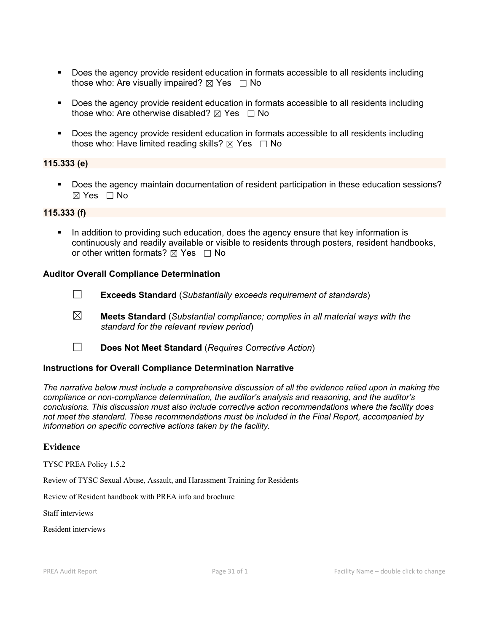- Does the agency provide resident education in formats accessible to all residents including those who: Are visually impaired?  $\boxtimes$  Yes  $\Box$  No
- Does the agency provide resident education in formats accessible to all residents including those who: Are otherwise disabled?  $\boxtimes$  Yes  $\Box$  No
- Does the agency provide resident education in formats accessible to all residents including those who: Have limited reading skills?  $\boxtimes$  Yes  $\Box$  No

### **115.333 (e)**

Does the agency maintain documentation of resident participation in these education sessions?  $\boxtimes$  Yes  $\Box$  No

#### **115.333 (f)**

 In addition to providing such education, does the agency ensure that key information is continuously and readily available or visible to residents through posters, resident handbooks, or other written formats?  $\boxtimes$  Yes  $\Box$  No

#### **Auditor Overall Compliance Determination**

- ☐ **Exceeds Standard** (*Substantially exceeds requirement of standards*)
- ☒ **Meets Standard** (*Substantial compliance; complies in all material ways with the standard for the relevant review period*)
- ☐ **Does Not Meet Standard** (*Requires Corrective Action*)

#### **Instructions for Overall Compliance Determination Narrative**

*The narrative below must include a comprehensive discussion of all the evidence relied upon in making the compliance or non-compliance determination, the auditor's analysis and reasoning, and the auditor's conclusions. This discussion must also include corrective action recommendations where the facility does not meet the standard. These recommendations must be included in the Final Report, accompanied by information on specific corrective actions taken by the facility.*

#### **Evidence**

TYSC PREA Policy 1.5.2

Review of TYSC Sexual Abuse, Assault, and Harassment Training for Residents

Review of Resident handbook with PREA info and brochure

Staff interviews

Resident interviews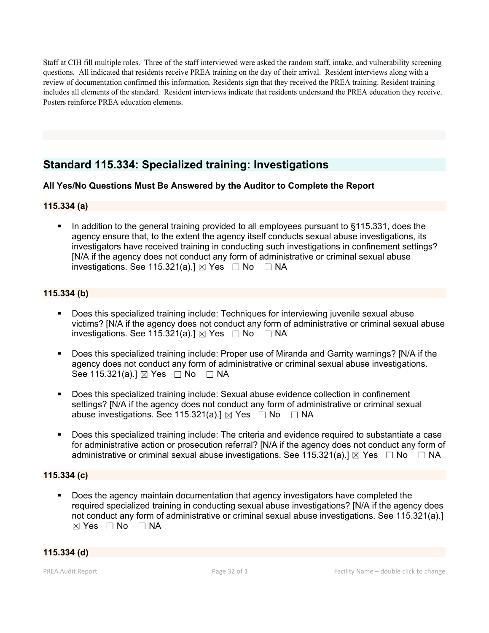Staff at CIH fill multiple roles. Three of the staff interviewed were asked the random staff, intake, and vulnerability screening questions. All indicated that residents receive PREA training on the day of their arrival. Resident interviews along with a review of documentation confirmed this information. Residents sign that they received the PREA training. Resident training includes all elements of the standard. Resident interviews indicate that residents understand the PREA education they receive. Posters reinforce PREA education elements.

## **Standard 115.334: Specialized training: Investigations**

## **All Yes/No Questions Must Be Answered by the Auditor to Complete the Report**

### **115.334 (a)**

 In addition to the general training provided to all employees pursuant to §115.331, does the agency ensure that, to the extent the agency itself conducts sexual abuse investigations, its investigators have received training in conducting such investigations in confinement settings? [N/A if the agency does not conduct any form of administrative or criminal sexual abuse investigations. See 115.321(a).]  $\boxtimes$  Yes  $\Box$  No  $\Box$  NA

## **115.334 (b)**

- Does this specialized training include: Techniques for interviewing juvenile sexual abuse victims? [N/A if the agency does not conduct any form of administrative or criminal sexual abuse investigations. See 115.321(a).]  $\boxtimes$  Yes  $\Box$  No  $\Box$  NA
- Does this specialized training include: Proper use of Miranda and Garrity warnings? [N/A if the agency does not conduct any form of administrative or criminal sexual abuse investigations. See 115.321(a).] ⊠ Yes □ No □ NA
- Does this specialized training include: Sexual abuse evidence collection in confinement settings? [N/A if the agency does not conduct any form of administrative or criminal sexual abuse investigations. See 115.321(a).]  $\boxtimes$  Yes  $\Box$  No  $\Box$  NA
- Does this specialized training include: The criteria and evidence required to substantiate a case for administrative action or prosecution referral? [N/A if the agency does not conduct any form of administrative or criminal sexual abuse investigations. See 115.321(a).]  $\boxtimes$  Yes  $\Box$  No  $\Box$  NA

## **115.334 (c)**

 Does the agency maintain documentation that agency investigators have completed the required specialized training in conducting sexual abuse investigations? [N/A if the agency does not conduct any form of administrative or criminal sexual abuse investigations. See 115.321(a).]  $⊠ Yes □ No □ NA$ 

#### **115.334 (d)**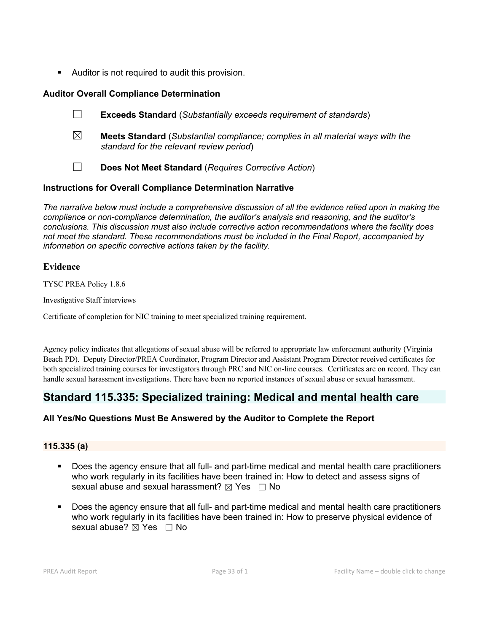Auditor is not required to audit this provision.

## **Auditor Overall Compliance Determination**

- ☐ **Exceeds Standard** (*Substantially exceeds requirement of standards*)
- ☒ **Meets Standard** (*Substantial compliance; complies in all material ways with the standard for the relevant review period*)
- ☐ **Does Not Meet Standard** (*Requires Corrective Action*)

## **Instructions for Overall Compliance Determination Narrative**

*The narrative below must include a comprehensive discussion of all the evidence relied upon in making the compliance or non-compliance determination, the auditor's analysis and reasoning, and the auditor's conclusions. This discussion must also include corrective action recommendations where the facility does not meet the standard. These recommendations must be included in the Final Report, accompanied by information on specific corrective actions taken by the facility.*

## **Evidence**

TYSC PREA Policy 1.8.6

Investigative Staff interviews

Certificate of completion for NIC training to meet specialized training requirement.

Agency policy indicates that allegations of sexual abuse will be referred to appropriate law enforcement authority (Virginia Beach PD). Deputy Director/PREA Coordinator, Program Director and Assistant Program Director received certificates for both specialized training courses for investigators through PRC and NIC on-line courses. Certificates are on record. They can handle sexual harassment investigations. There have been no reported instances of sexual abuse or sexual harassment.

## **Standard 115.335: Specialized training: Medical and mental health care**

## **All Yes/No Questions Must Be Answered by the Auditor to Complete the Report**

### **115.335 (a)**

- Does the agency ensure that all full- and part-time medical and mental health care practitioners who work regularly in its facilities have been trained in: How to detect and assess signs of sexual abuse and sexual harassment?  $\boxtimes$  Yes  $\Box$  No
- Does the agency ensure that all full- and part-time medical and mental health care practitioners who work regularly in its facilities have been trained in: How to preserve physical evidence of sexual abuse? ⊠ Yes □ No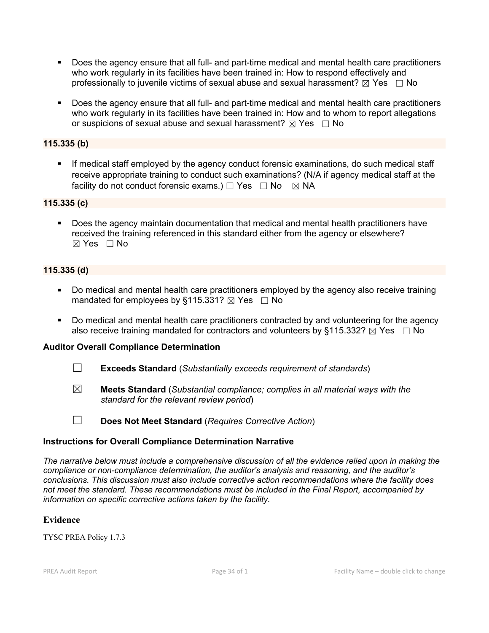- Does the agency ensure that all full- and part-time medical and mental health care practitioners who work regularly in its facilities have been trained in: How to respond effectively and professionally to juvenile victims of sexual abuse and sexual harassment?  $\boxtimes$  Yes  $\Box$  No
- Does the agency ensure that all full- and part-time medical and mental health care practitioners who work regularly in its facilities have been trained in: How and to whom to report allegations or suspicions of sexual abuse and sexual harassment?  $\boxtimes$  Yes  $\Box$  No

### **115.335 (b)**

 If medical staff employed by the agency conduct forensic examinations, do such medical staff receive appropriate training to conduct such examinations? (N/A if agency medical staff at the facility do not conduct forensic exams.)  $\Box$  Yes  $\Box$  No  $\boxtimes$  NA

#### **115.335 (c)**

 Does the agency maintain documentation that medical and mental health practitioners have received the training referenced in this standard either from the agency or elsewhere?  $\boxtimes$  Yes  $\Box$  No

### **115.335 (d)**

- Do medical and mental health care practitioners employed by the agency also receive training mandated for employees by §115.331?  $\boxtimes$  Yes  $\Box$  No
- Do medical and mental health care practitioners contracted by and volunteering for the agency also receive training mandated for contractors and volunteers by §115.332?  $\boxtimes$  Yes  $\Box$  No

#### **Auditor Overall Compliance Determination**

- ☐ **Exceeds Standard** (*Substantially exceeds requirement of standards*)
- ☒ **Meets Standard** (*Substantial compliance; complies in all material ways with the standard for the relevant review period*)
- ☐ **Does Not Meet Standard** (*Requires Corrective Action*)

### **Instructions for Overall Compliance Determination Narrative**

*The narrative below must include a comprehensive discussion of all the evidence relied upon in making the compliance or non-compliance determination, the auditor's analysis and reasoning, and the auditor's conclusions. This discussion must also include corrective action recommendations where the facility does not meet the standard. These recommendations must be included in the Final Report, accompanied by information on specific corrective actions taken by the facility.*

#### **Evidence**

TYSC PREA Policy 1.7.3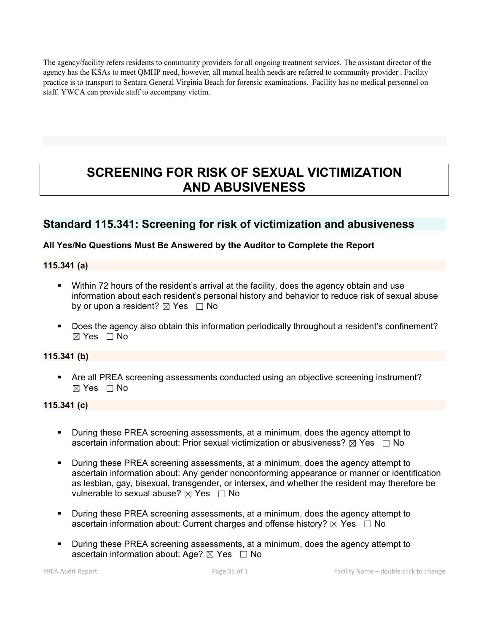The agency/facility refers residents to community providers for all ongoing treatment services. The assistant director of the agency has the KSAs to meet QMHP need, however, all mental health needs are referred to community provider . Facility practice is to transport to Sentara General Virginia Beach for forensic examinations. Facility has no medical personnel on staff. YWCA can provide staff to accompany victim.

# **SCREENING FOR RISK OF SEXUAL VICTIMIZATION AND ABUSIVENESS**

## **Standard 115.341: Screening for risk of victimization and abusiveness**

## **All Yes/No Questions Must Be Answered by the Auditor to Complete the Report**

### **115.341 (a)**

- Within 72 hours of the resident's arrival at the facility, does the agency obtain and use information about each resident's personal history and behavior to reduce risk of sexual abuse by or upon a resident?  $\boxtimes$  Yes  $\Box$  No
- Does the agency also obtain this information periodically throughout a resident's confinement?  $\boxtimes$  Yes  $\Box$  No

## **115.341 (b)**

 Are all PREA screening assessments conducted using an objective screening instrument? ☒ Yes ☐ No

### **115.341 (c)**

- During these PREA screening assessments, at a minimum, does the agency attempt to ascertain information about: Prior sexual victimization or abusiveness?  $\boxtimes$  Yes  $\Box$  No
- During these PREA screening assessments, at a minimum, does the agency attempt to ascertain information about: Any gender nonconforming appearance or manner or identification as lesbian, gay, bisexual, transgender, or intersex, and whether the resident may therefore be vulnerable to sexual abuse?  $\boxtimes$  Yes  $\Box$  No
- **During these PREA screening assessments, at a minimum, does the agency attempt to** ascertain information about: Current charges and offense history?  $\boxtimes$  Yes  $\Box$  No
- During these PREA screening assessments, at a minimum, does the agency attempt to ascertain information about: Age?  $\boxtimes$  Yes  $\Box$  No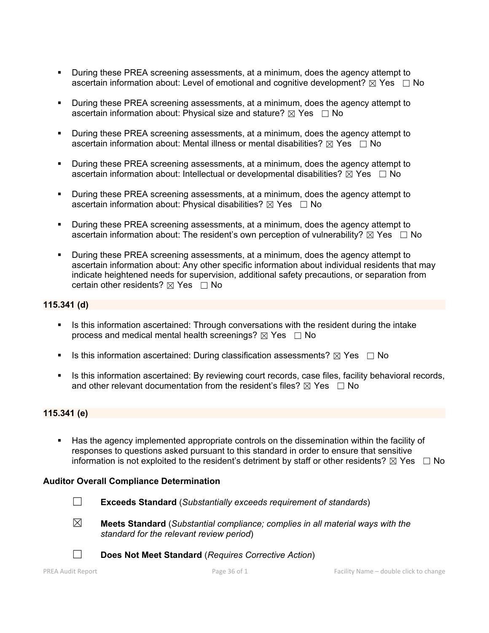- During these PREA screening assessments, at a minimum, does the agency attempt to ascertain information about: Level of emotional and cognitive development?  $\boxtimes$  Yes  $\Box$  No
- During these PREA screening assessments, at a minimum, does the agency attempt to ascertain information about: Physical size and stature?  $\boxtimes$  Yes  $\Box$  No
- During these PREA screening assessments, at a minimum, does the agency attempt to ascertain information about: Mental illness or mental disabilities?  $\boxtimes$  Yes  $\Box$  No
- During these PREA screening assessments, at a minimum, does the agency attempt to ascertain information about: Intellectual or developmental disabilities?  $\boxtimes$  Yes  $\Box$  No
- During these PREA screening assessments, at a minimum, does the agency attempt to ascertain information about: Physical disabilities?  $\boxtimes$  Yes  $\Box$  No
- **During these PREA screening assessments, at a minimum, does the agency attempt to** ascertain information about: The resident's own perception of vulnerability?  $\boxtimes$  Yes  $\Box$  No
- During these PREA screening assessments, at a minimum, does the agency attempt to ascertain information about: Any other specific information about individual residents that may indicate heightened needs for supervision, additional safety precautions, or separation from certain other residents?  $\boxtimes$  Yes  $\Box$  No

### **115.341 (d)**

- Is this information ascertained: Through conversations with the resident during the intake process and medical mental health screenings?  $\boxtimes$  Yes  $\Box$  No
- Is this information ascertained: During classification assessments?  $\boxtimes$  Yes  $\Box$  No
- Is this information ascertained: By reviewing court records, case files, facility behavioral records, and other relevant documentation from the resident's files?  $\boxtimes$  Yes  $\Box$  No

### **115.341 (e)**

 Has the agency implemented appropriate controls on the dissemination within the facility of responses to questions asked pursuant to this standard in order to ensure that sensitive information is not exploited to the resident's detriment by staff or other residents?  $\boxtimes$  Yes  $\Box$  No

#### **Auditor Overall Compliance Determination**

- ☐ **Exceeds Standard** (*Substantially exceeds requirement of standards*)
- ☒ **Meets Standard** (*Substantial compliance; complies in all material ways with the standard for the relevant review period*)
- ☐ **Does Not Meet Standard** (*Requires Corrective Action*)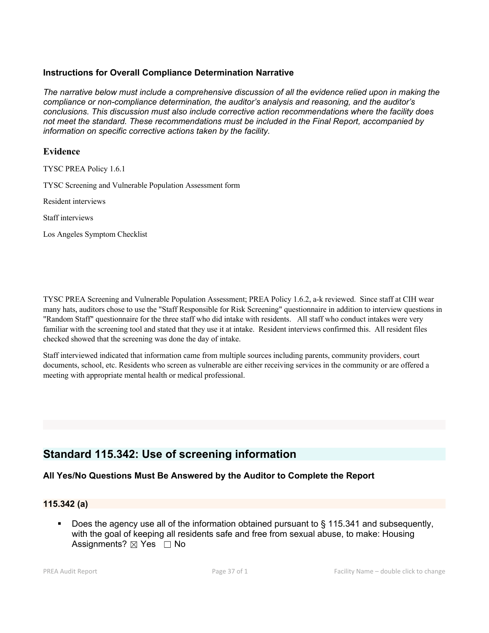## **Instructions for Overall Compliance Determination Narrative**

*The narrative below must include a comprehensive discussion of all the evidence relied upon in making the compliance or non-compliance determination, the auditor's analysis and reasoning, and the auditor's conclusions. This discussion must also include corrective action recommendations where the facility does not meet the standard. These recommendations must be included in the Final Report, accompanied by information on specific corrective actions taken by the facility.*

### **Evidence**

TYSC PREA Policy 1.6.1

TYSC Screening and Vulnerable Population Assessment form

Resident interviews

Staff interviews

Los Angeles Symptom Checklist

TYSC PREA Screeningand Vulnerable Population Assessment; PREA Policy 1.6.2, a-k reviewed. Since staff at CIH wear many hats, auditors chose to use the "Staff Responsible for Risk Screening" questionnaire in addition to interview questions in "Random Staff" questionnaire for the three staff who did intake with residents. All staff who conduct intakes were very familiar with the screening tool and stated that they use it at intake. Resident interviews confirmed this. All resident files checked showed that the screening was done the day of intake.

Staff interviewed indicated that information came from multiple sources including parents, community providers, court documents, school, etc. Residents who screen as vulnerable are either receiving services in the community or are offered a meeting with appropriate mental health or medical professional.

## **Standard 115.342: Use of screening information**

#### **All Yes/No Questions Must Be Answered by the Auditor to Complete the Report**

#### **115.342 (a)**

 Does the agency use all of the information obtained pursuant to § 115.341 and subsequently, with the goal of keeping all residents safe and free from sexual abuse, to make: Housing Assignments?  $\boxtimes$  Yes  $\Box$  No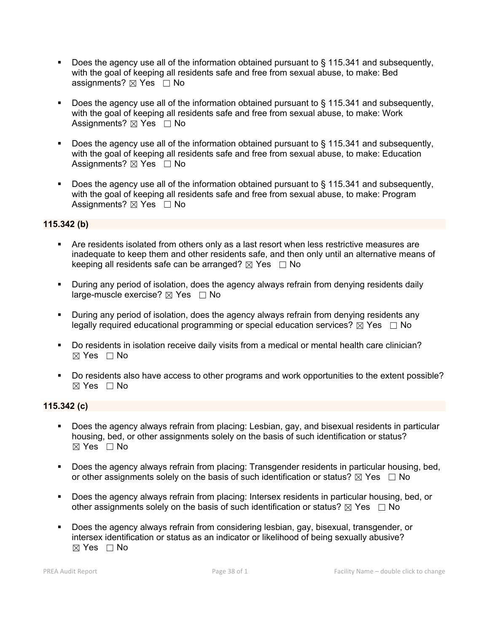- Does the agency use all of the information obtained pursuant to § 115.341 and subsequently, with the goal of keeping all residents safe and free from sexual abuse, to make: Bed assignments?  $\boxtimes$  Yes  $\Box$  No
- Does the agency use all of the information obtained pursuant to § 115.341 and subsequently, with the goal of keeping all residents safe and free from sexual abuse, to make: Work Assignments?  $\boxtimes$  Yes  $\Box$  No
- Does the agency use all of the information obtained pursuant to § 115.341 and subsequently, with the goal of keeping all residents safe and free from sexual abuse, to make: Education Assignments?  $\boxtimes$  Yes  $\Box$  No
- Does the agency use all of the information obtained pursuant to § 115.341 and subsequently, with the goal of keeping all residents safe and free from sexual abuse, to make: Program Assignments?  $\boxtimes$  Yes  $\Box$  No

## **115.342 (b)**

- Are residents isolated from others only as a last resort when less restrictive measures are inadequate to keep them and other residents safe, and then only until an alternative means of keeping all residents safe can be arranged?  $\boxtimes$  Yes  $\Box$  No
- During any period of isolation, does the agency always refrain from denying residents daily large-muscle exercise?  $\boxtimes$  Yes  $\Box$  No
- During any period of isolation, does the agency always refrain from denying residents any legally required educational programming or special education services?  $\boxtimes$  Yes  $\Box$  No
- Do residents in isolation receive daily visits from a medical or mental health care clinician?  $\boxtimes$  Yes  $\Box$  No
- Do residents also have access to other programs and work opportunities to the extent possible?  $\boxtimes$  Yes  $\Box$  No

## **115.342 (c)**

- Does the agency always refrain from placing: Lesbian, gay, and bisexual residents in particular housing, bed, or other assignments solely on the basis of such identification or status?  $\boxtimes$  Yes  $\Box$  No
- Does the agency always refrain from placing: Transgender residents in particular housing, bed, or other assignments solely on the basis of such identification or status?  $\boxtimes$  Yes  $\Box$  No
- Does the agency always refrain from placing: Intersex residents in particular housing, bed, or other assignments solely on the basis of such identification or status?  $\boxtimes$  Yes  $\Box$  No
- Does the agency always refrain from considering lesbian, gay, bisexual, transgender, or intersex identification or status as an indicator or likelihood of being sexually abusive?  $\boxtimes$  Yes  $\Box$  No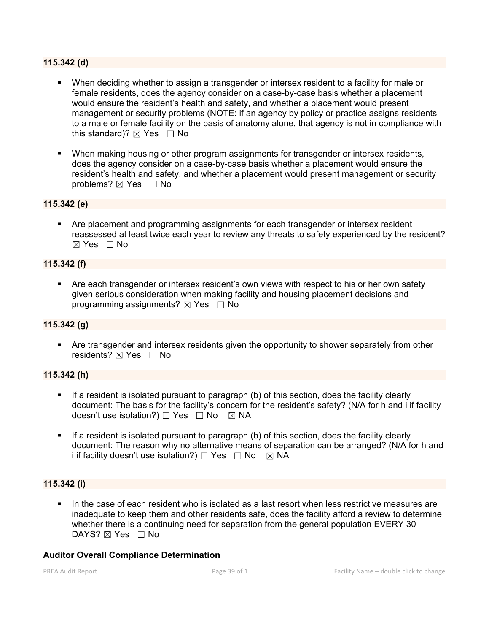#### **115.342 (d)**

- When deciding whether to assign a transgender or intersex resident to a facility for male or female residents, does the agency consider on a case-by-case basis whether a placement would ensure the resident's health and safety, and whether a placement would present management or security problems (NOTE: if an agency by policy or practice assigns residents to a male or female facility on the basis of anatomy alone, that agency is not in compliance with this standard)?  $\boxtimes$  Yes  $\Box$  No
- When making housing or other program assignments for transgender or intersex residents, does the agency consider on a case-by-case basis whether a placement would ensure the resident's health and safety, and whether a placement would present management or security problems?  $\boxtimes$  Yes  $\Box$  No

#### **115.342 (e)**

**• Are placement and programming assignments for each transgender or intersex resident** reassessed at least twice each year to review any threats to safety experienced by the resident?  $\boxtimes$  Yes  $\Box$  No

### **115.342 (f)**

 Are each transgender or intersex resident's own views with respect to his or her own safety given serious consideration when making facility and housing placement decisions and programming assignments?  $\boxtimes$  Yes  $\Box$  No

### **115.342 (g)**

 Are transgender and intersex residents given the opportunity to shower separately from other residents?  $\boxtimes$  Yes  $\Box$  No

#### **115.342 (h)**

- If a resident is isolated pursuant to paragraph (b) of this section, does the facility clearly document: The basis for the facility's concern for the resident's safety? (N/A for h and i if facility doesn't use isolation?)  $\Box$  Yes  $\Box$  No  $\boxtimes$  NA
- If a resident is isolated pursuant to paragraph (b) of this section, does the facility clearly document: The reason why no alternative means of separation can be arranged? (N/A for h and i if facility doesn't use isolation?)  $\Box$  Yes  $\Box$  No  $\boxtimes$  NA

#### **115.342 (i)**

 In the case of each resident who is isolated as a last resort when less restrictive measures are inadequate to keep them and other residents safe, does the facility afford a review to determine whether there is a continuing need for separation from the general population EVERY 30 DAYS?  $\boxtimes$  Yes  $\Box$  No

#### **Auditor Overall Compliance Determination**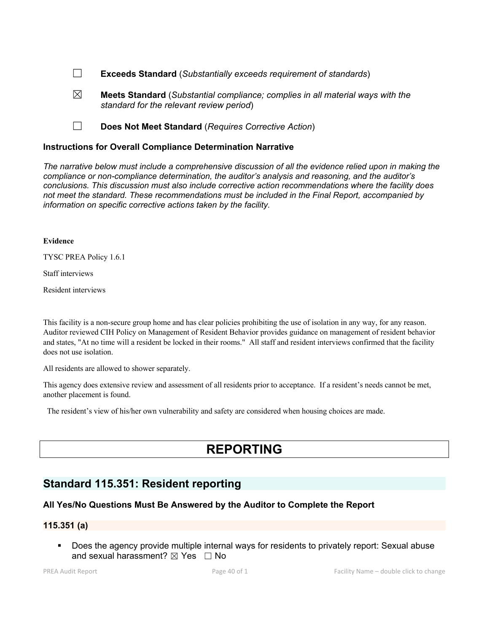- ☐ **Exceeds Standard** (*Substantially exceeds requirement of standards*)
- ☒ **Meets Standard** (*Substantial compliance; complies in all material ways with the standard for the relevant review period*)
- ☐ **Does Not Meet Standard** (*Requires Corrective Action*)

#### **Instructions for Overall Compliance Determination Narrative**

*The narrative below must include a comprehensive discussion of all the evidence relied upon in making the compliance or non-compliance determination, the auditor's analysis and reasoning, and the auditor's conclusions. This discussion must also include corrective action recommendations where the facility does not meet the standard. These recommendations must be included in the Final Report, accompanied by information on specific corrective actions taken by the facility.*

#### **Evidence**

TYSC PREA Policy 1.6.1

Staff interviews

Resident interviews

This facility is a non-secure group home and has clear policies prohibiting the use of isolation in any way, for any reason. Auditor reviewed CIH Policy on Management of Resident Behavior provides guidance on management of resident behavior and states, "At no time will a resident be locked in their rooms." All staff and resident interviews confirmed that the facility does not use isolation.

All residents are allowed to shower separately.

This agency does extensive review and assessment of all residents prior to acceptance. If a resident's needs cannot be met, another placement is found.

The resident's view of his/her own vulnerability and safety are considered when housing choices are made.

# **REPORTING**

## **Standard 115.351: Resident reporting**

#### **All Yes/No Questions Must Be Answered by the Auditor to Complete the Report**

## **115.351 (a)**

 Does the agency provide multiple internal ways for residents to privately report: Sexual abuse and sexual harassment?  $\boxtimes$  Yes  $\Box$  No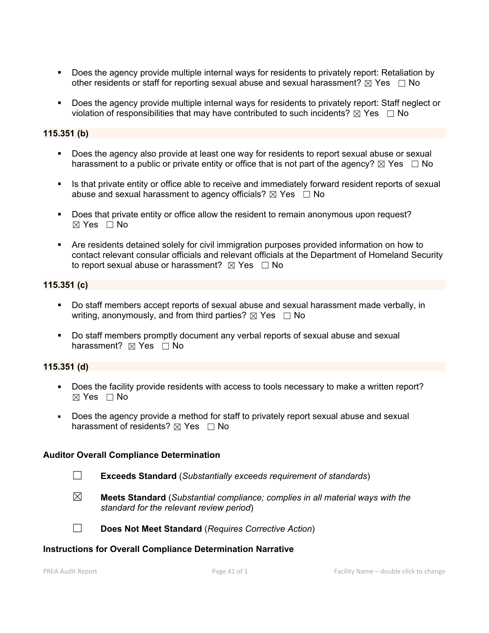- Does the agency provide multiple internal ways for residents to privately report: Retaliation by other residents or staff for reporting sexual abuse and sexual harassment?  $\boxtimes$  Yes  $\Box$  No
- Does the agency provide multiple internal ways for residents to privately report: Staff neglect or violation of responsibilities that may have contributed to such incidents?  $\boxtimes$  Yes  $\Box$  No

## **115.351 (b)**

- Does the agency also provide at least one way for residents to report sexual abuse or sexual harassment to a public or private entity or office that is not part of the agency?  $\boxtimes$  Yes  $\Box$  No
- Is that private entity or office able to receive and immediately forward resident reports of sexual abuse and sexual harassment to agency officials?  $\boxtimes$  Yes  $\Box$  No
- Does that private entity or office allow the resident to remain anonymous upon request? ☒ Yes ☐ No
- Are residents detained solely for civil immigration purposes provided information on how to contact relevant consular officials and relevant officials at the Department of Homeland Security to report sexual abuse or harassment?  $\boxtimes$  Yes  $\Box$  No

### **115.351 (c)**

- Do staff members accept reports of sexual abuse and sexual harassment made verbally, in writing, anonymously, and from third parties?  $\boxtimes$  Yes  $\Box$  No
- Do staff members promptly document any verbal reports of sexual abuse and sexual harassment?  $\boxtimes$  Yes  $\Box$  No

#### **115.351 (d)**

- Does the facility provide residents with access to tools necessary to make a written report?  $\boxtimes$  Yes  $\Box$  No
- Does the agency provide a method for staff to privately report sexual abuse and sexual harassment of residents?  $\boxtimes$  Yes  $\Box$  No

#### **Auditor Overall Compliance Determination**

- ☐ **Exceeds Standard** (*Substantially exceeds requirement of standards*)
- ☒ **Meets Standard** (*Substantial compliance; complies in all material ways with the standard for the relevant review period*)
- ☐ **Does Not Meet Standard** (*Requires Corrective Action*)

#### **Instructions for Overall Compliance Determination Narrative**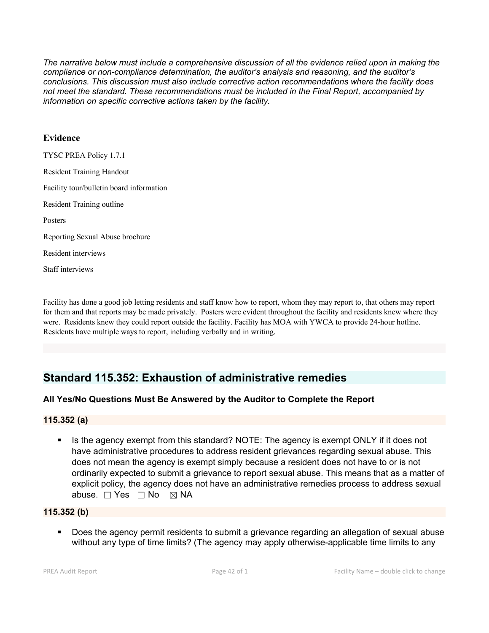*The narrative below must include a comprehensive discussion of all the evidence relied upon in making the compliance or non-compliance determination, the auditor's analysis and reasoning, and the auditor's conclusions. This discussion must also include corrective action recommendations where the facility does not meet the standard. These recommendations must be included in the Final Report, accompanied by information on specific corrective actions taken by the facility.*

### **Evidence**

TYSC PREA Policy 1.7.1 Resident Training Handout Facility tour/bulletin board information Resident Training outline Posters Reporting Sexual Abuse brochure Resident interviews Staff interviews

Facility has done a good job letting residents and staff know how to report, whom they may report to, thatothers may report for them and that reports may be made privately. Posters were evident throughout the facility and residents knew where they were. Residents knew they could report outside the facility. Facility has MOA with YWCA to provide 24-hour hotline. Residents have multiple ways to report, including verbally and in writing.

## **Standard 115.352: Exhaustion of administrative remedies**

## **All Yes/No Questions Must Be Answered by the Auditor to Complete the Report**

## **115.352 (a)**

Is the agency exempt from this standard? NOTE: The agency is exempt ONLY if it does not have administrative procedures to address resident grievances regarding sexual abuse. This does not mean the agency is exempt simply because a resident does not have to or is not ordinarily expected to submit a grievance to report sexual abuse. This means that as a matter of explicit policy, the agency does not have an administrative remedies process to address sexual abuse. □ Yes □ No ⊠ NA

## **115.352 (b)**

 Does the agency permit residents to submit a grievance regarding an allegation of sexual abuse without any type of time limits? (The agency may apply otherwise-applicable time limits to any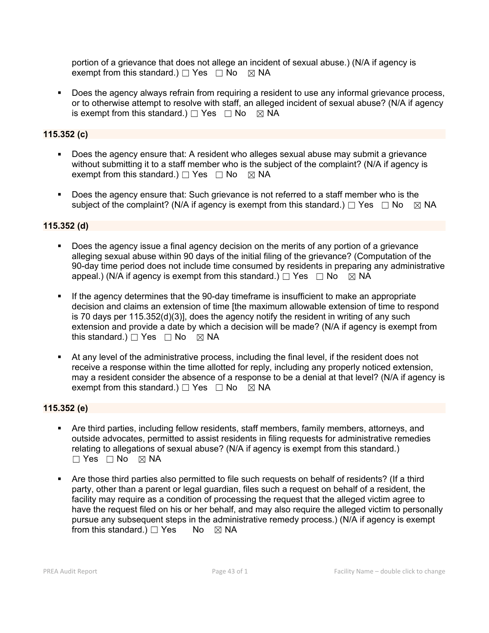portion of a grievance that does not allege an incident of sexual abuse.) (N/A if agency is exempt from this standard.)  $\Box$  Yes  $\Box$  No  $\boxtimes$  NA

 Does the agency always refrain from requiring a resident to use any informal grievance process, or to otherwise attempt to resolve with staff, an alleged incident of sexual abuse? (N/A if agency is exempt from this standard.)  $\Box$  Yes  $\Box$  No  $\boxtimes$  NA

## **115.352 (c)**

- Does the agency ensure that: A resident who alleges sexual abuse may submit a grievance without submitting it to a staff member who is the subject of the complaint? (N/A if agency is exempt from this standard.)  $\Box$  Yes  $\Box$  No  $\boxtimes$  NA
- Does the agency ensure that: Such grievance is not referred to a staff member who is the subject of the complaint? (N/A if agency is exempt from this standard.)  $\Box$  Yes  $\Box$  No  $\boxtimes$  NA

## **115.352 (d)**

- Does the agency issue a final agency decision on the merits of any portion of a grievance alleging sexual abuse within 90 days of the initial filing of the grievance? (Computation of the 90-day time period does not include time consumed by residents in preparing any administrative appeal.) (N/A if agency is exempt from this standard.)  $\Box$  Yes  $\Box$  No  $\boxtimes$  NA
- If the agency determines that the 90-day timeframe is insufficient to make an appropriate decision and claims an extension of time [the maximum allowable extension of time to respond is 70 days per 115.352(d)(3)], does the agency notify the resident in writing of any such extension and provide a date by which a decision will be made? (N/A if agency is exempt from this standard.)  $\Box$  Yes  $\Box$  No  $\boxtimes$  NA
- At any level of the administrative process, including the final level, if the resident does not receive a response within the time allotted for reply, including any properly noticed extension, may a resident consider the absence of a response to be a denial at that level? (N/A if agency is exempt from this standard.)  $\Box$  Yes  $\Box$  No  $\boxtimes$  NA

## **115.352 (e)**

- Are third parties, including fellow residents, staff members, family members, attorneys, and outside advocates, permitted to assist residents in filing requests for administrative remedies relating to allegations of sexual abuse? (N/A if agency is exempt from this standard.)  $\Box$  Yes  $\Box$  No  $\boxtimes$  NA
- Are those third parties also permitted to file such requests on behalf of residents? (If a third party, other than a parent or legal guardian, files such a request on behalf of a resident, the facility may require as a condition of processing the request that the alleged victim agree to have the request filed on his or her behalf, and may also require the alleged victim to personally pursue any subsequent steps in the administrative remedy process.) (N/A if agency is exempt from this standard.)  $\Box$  Yes No  $\boxtimes$  NA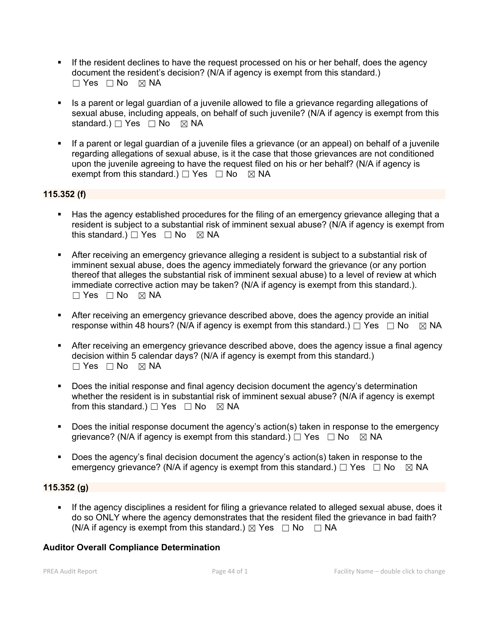- If the resident declines to have the request processed on his or her behalf, does the agency document the resident's decision? (N/A if agency is exempt from this standard.) ☐ Yes ☐ No ☒ NA
- Is a parent or legal guardian of a juvenile allowed to file a grievance regarding allegations of sexual abuse, including appeals, on behalf of such juvenile? (N/A if agency is exempt from this standard.) □ Yes □ No ⊠ NA
- If a parent or legal guardian of a juvenile files a grievance (or an appeal) on behalf of a juvenile regarding allegations of sexual abuse, is it the case that those grievances are not conditioned upon the juvenile agreeing to have the request filed on his or her behalf? (N/A if agency is exempt from this standard.)  $\Box$  Yes  $\Box$  No  $\boxtimes$  NA

## **115.352 (f)**

- Has the agency established procedures for the filing of an emergency grievance alleging that a resident is subject to a substantial risk of imminent sexual abuse? (N/A if agency is exempt from this standard.)  $\Box$  Yes  $\Box$  No  $\boxtimes$  NA
- After receiving an emergency grievance alleging a resident is subject to a substantial risk of imminent sexual abuse, does the agency immediately forward the grievance (or any portion thereof that alleges the substantial risk of imminent sexual abuse) to a level of review at which immediate corrective action may be taken? (N/A if agency is exempt from this standard.).  $\Box$  Yes  $\Box$  No  $\boxtimes$  NA
- After receiving an emergency grievance described above, does the agency provide an initial response within 48 hours? (N/A if agency is exempt from this standard.)  $\Box$  Yes  $\Box$  No  $\Box$  NA
- After receiving an emergency grievance described above, does the agency issue a final agency decision within 5 calendar days? (N/A if agency is exempt from this standard.)  $\Box$  Yes  $\Box$  No  $\boxtimes$  NA
- Does the initial response and final agency decision document the agency's determination whether the resident is in substantial risk of imminent sexual abuse? (N/A if agency is exempt from this standard.)  $\Box$  Yes  $\Box$  No  $\boxtimes$  NA
- Does the initial response document the agency's action(s) taken in response to the emergency grievance? (N/A if agency is exempt from this standard.)  $\Box$  Yes  $\Box$  No  $\boxtimes$  NA
- Does the agency's final decision document the agency's action(s) taken in response to the emergency grievance? (N/A if agency is exempt from this standard.)  $\Box$  Yes  $\Box$  No  $\boxtimes$  NA

## **115.352 (g)**

 If the agency disciplines a resident for filing a grievance related to alleged sexual abuse, does it do so ONLY where the agency demonstrates that the resident filed the grievance in bad faith? (N/A if agency is exempt from this standard.)  $\boxtimes$  Yes  $\Box$  No  $\Box$  NA

## **Auditor Overall Compliance Determination**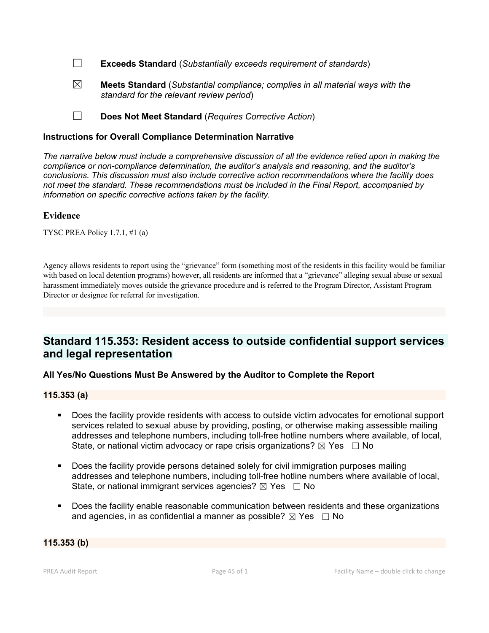☐ **Exceeds Standard** (*Substantially exceeds requirement of standards*)

☒ **Meets Standard** (*Substantial compliance; complies in all material ways with the standard for the relevant review period*)

☐ **Does Not Meet Standard** (*Requires Corrective Action*)

### **Instructions for Overall Compliance Determination Narrative**

*The narrative below must include a comprehensive discussion of all the evidence relied upon in making the compliance or non-compliance determination, the auditor's analysis and reasoning, and the auditor's conclusions. This discussion must also include corrective action recommendations where the facility does not meet the standard. These recommendations must be included in the Final Report, accompanied by information on specific corrective actions taken by the facility.*

### **Evidence**

TYSC PREA Policy 1.7.1, #1 (a)

Agency allows residents to report using the "grievance" form (something most of the residents in this facility would be familiar with based on local detention programs) however, all residents are informed that a "grievance" alleging sexual abuse or sexual harassment immediately moves outside the grievance procedure and is referred to the Program Director, Assistant Program Director or designee for referral for investigation.

## **Standard 115.353: Resident access to outside confidential support services and legal representation**

## **All Yes/No Questions Must Be Answered by the Auditor to Complete the Report**

#### **115.353 (a)**

- Does the facility provide residents with access to outside victim advocates for emotional support services related to sexual abuse by providing, posting, or otherwise making assessible mailing addresses and telephone numbers, including toll-free hotline numbers where available, of local, State, or national victim advocacy or rape crisis organizations?  $\boxtimes$  Yes  $\Box$  No
- Does the facility provide persons detained solely for civil immigration purposes mailing addresses and telephone numbers, including toll-free hotline numbers where available of local, State, or national immigrant services agencies?  $\boxtimes$  Yes  $\Box$  No
- Does the facility enable reasonable communication between residents and these organizations and agencies, in as confidential a manner as possible?  $\boxtimes$  Yes  $\Box$  No

#### **115.353 (b)**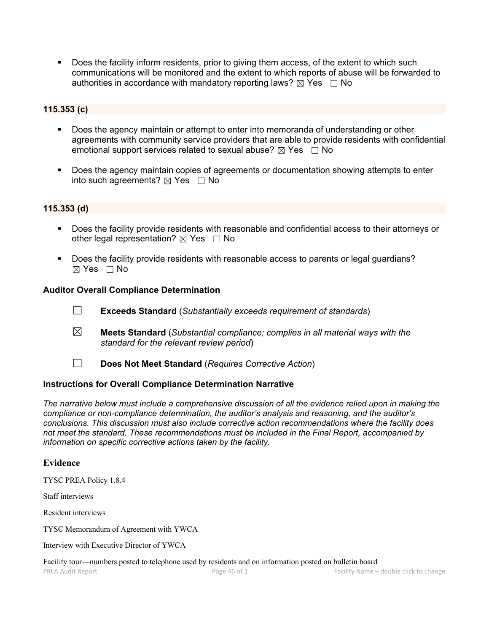Does the facility inform residents, prior to giving them access, of the extent to which such communications will be monitored and the extent to which reports of abuse will be forwarded to authorities in accordance with mandatory reporting laws?  $\boxtimes$  Yes  $\Box$  No

### **115.353 (c)**

- Does the agency maintain or attempt to enter into memoranda of understanding or other agreements with community service providers that are able to provide residents with confidential emotional support services related to sexual abuse?  $\boxtimes$  Yes  $\Box$  No
- Does the agency maintain copies of agreements or documentation showing attempts to enter into such agreements?  $\boxtimes$  Yes  $\Box$  No

#### **115.353 (d)**

- Does the facility provide residents with reasonable and confidential access to their attorneys or other legal representation?  $\boxtimes$  Yes  $\Box$  No
- Does the facility provide residents with reasonable access to parents or legal guardians?  $\boxtimes$  Yes  $\Box$  No

#### **Auditor Overall Compliance Determination**

- ☐ **Exceeds Standard** (*Substantially exceeds requirement of standards*)
- ☒ **Meets Standard** (*Substantial compliance; complies in all material ways with the standard for the relevant review period*)
- ☐ **Does Not Meet Standard** (*Requires Corrective Action*)

#### **Instructions for Overall Compliance Determination Narrative**

*The narrative below must include a comprehensive discussion of all the evidence relied upon in making the compliance or non-compliance determination, the auditor's analysis and reasoning, and the auditor's conclusions. This discussion must also include corrective action recommendations where the facility does not meet the standard. These recommendations must be included in the Final Report, accompanied by information on specific corrective actions taken by the facility.*

#### **Evidence**

TYSC PREA Policy 1.8.4

Staff interviews

Resident interviews

TYSC Memorandum of Agreement with YWCA

Interview with Executive Director of YWCA

Facility tour—numbers posted to telephone used by residents and on information posted on bulletin board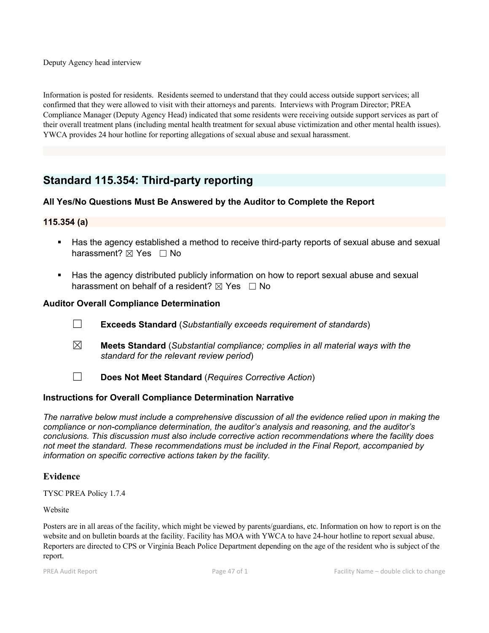Deputy Agency head interview

Information is posted for residents. Residents seemed to understand that they could access outside support services; all confirmed that they were allowed to visit with their attorneys and parents. Interviews with Program Director; PREA Compliance Manager (Deputy Agency Head) indicated that some residents were receiving outside support services as part of their overall treatment plans (including mental health treatment for sexual abuse victimization and other mental health issues). YWCA provides 24 hour hotline for reporting allegations of sexual abuse and sexual harassment.

## **Standard 115.354: Third-party reporting**

## **All Yes/No Questions Must Be Answered by the Auditor to Complete the Report**

## **115.354 (a)**

- Has the agency established a method to receive third-party reports of sexual abuse and sexual harassment?  $\boxtimes$  Yes  $\Box$  No
- Has the agency distributed publicly information on how to report sexual abuse and sexual harassment on behalf of a resident?  $\boxtimes$  Yes  $\Box$  No

### **Auditor Overall Compliance Determination**

- ☐ **Exceeds Standard** (*Substantially exceeds requirement of standards*)
- ☒ **Meets Standard** (*Substantial compliance; complies in all material ways with the standard for the relevant review period*)
- ☐ **Does Not Meet Standard** (*Requires Corrective Action*)

## **Instructions for Overall Compliance Determination Narrative**

*The narrative below must include a comprehensive discussion of all the evidence relied upon in making the compliance or non-compliance determination, the auditor's analysis and reasoning, and the auditor's conclusions. This discussion must also include corrective action recommendations where the facility does not meet the standard. These recommendations must be included in the Final Report, accompanied by information on specific corrective actions taken by the facility.*

#### **Evidence**

TYSC PREA Policy 1.7.4

Website

Posters are in all areas of the facility, which might be viewed by parents/guardians, etc. Information on how to report is on the website and on bulletin boards at the facility. Facility has MOA with YWCA to have 24-hour hotline to report sexual abuse. Reporters are directed to CPS or Virginia Beach Police Department depending on the age of the resident who is subject of the report.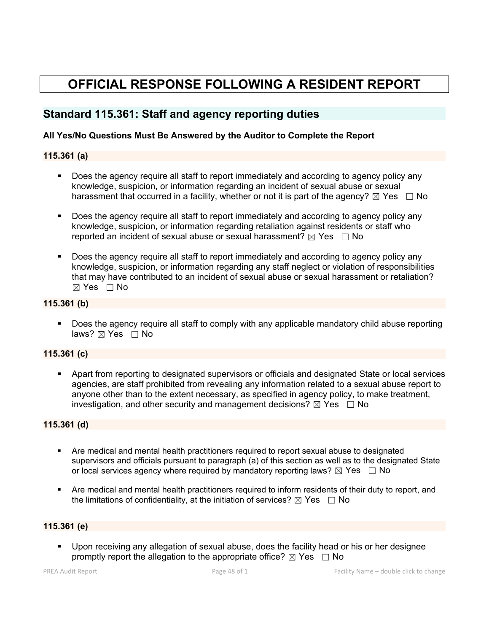# **OFFICIAL RESPONSE FOLLOWING A RESIDENT REPORT**

## **Standard 115.361: Staff and agency reporting duties**

## **All Yes/No Questions Must Be Answered by the Auditor to Complete the Report**

## **115.361 (a)**

- Does the agency require all staff to report immediately and according to agency policy any knowledge, suspicion, or information regarding an incident of sexual abuse or sexual harassment that occurred in a facility, whether or not it is part of the agency?  $\boxtimes$  Yes  $\Box$  No
- Does the agency require all staff to report immediately and according to agency policy any knowledge, suspicion, or information regarding retaliation against residents or staff who reported an incident of sexual abuse or sexual harassment?  $\boxtimes$  Yes  $\Box$  No
- Does the agency require all staff to report immediately and according to agency policy any knowledge, suspicion, or information regarding any staff neglect or violation of responsibilities that may have contributed to an incident of sexual abuse or sexual harassment or retaliation?  $\boxtimes$  Yes  $\Box$  No

## **115.361 (b)**

 Does the agency require all staff to comply with any applicable mandatory child abuse reporting laws?  $\boxtimes$  Yes  $\Box$  No

## **115.361 (c)**

 Apart from reporting to designated supervisors or officials and designated State or local services agencies, are staff prohibited from revealing any information related to a sexual abuse report to anyone other than to the extent necessary, as specified in agency policy, to make treatment, investigation, and other security and management decisions?  $\boxtimes$  Yes  $\Box$  No

## **115.361 (d)**

- Are medical and mental health practitioners required to report sexual abuse to designated supervisors and officials pursuant to paragraph (a) of this section as well as to the designated State or local services agency where required by mandatory reporting laws?  $\boxtimes$  Yes  $\Box$  No
- Are medical and mental health practitioners required to inform residents of their duty to report, and the limitations of confidentiality, at the initiation of services?  $\boxtimes$  Yes  $\Box$  No

## **115.361 (e)**

 Upon receiving any allegation of sexual abuse, does the facility head or his or her designee promptly report the allegation to the appropriate office?  $\boxtimes$  Yes  $\Box$  No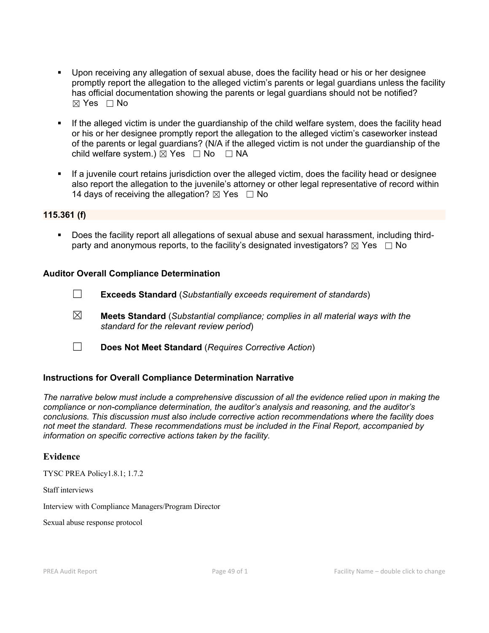- Upon receiving any allegation of sexual abuse, does the facility head or his or her designee promptly report the allegation to the alleged victim's parents or legal guardians unless the facility has official documentation showing the parents or legal guardians should not be notified?  $\boxtimes$  Yes  $\Box$  No
- If the alleged victim is under the guardianship of the child welfare system, does the facility head or his or her designee promptly report the allegation to the alleged victim's caseworker instead of the parents or legal guardians? (N/A if the alleged victim is not under the guardianship of the child welfare system.)  $\boxtimes$  Yes  $\Box$  No  $\Box$  NA
- If a juvenile court retains jurisdiction over the alleged victim, does the facility head or designee also report the allegation to the juvenile's attorney or other legal representative of record within 14 days of receiving the allegation?  $\boxtimes$  Yes  $\Box$  No

### **115.361 (f)**

 Does the facility report all allegations of sexual abuse and sexual harassment, including thirdparty and anonymous reports, to the facility's designated investigators?  $\boxtimes$  Yes  $\Box$  No

### **Auditor Overall Compliance Determination**

☐ **Exceeds Standard** (*Substantially exceeds requirement of standards*)

- ☒ **Meets Standard** (*Substantial compliance; complies in all material ways with the standard for the relevant review period*)
- ☐ **Does Not Meet Standard** (*Requires Corrective Action*)

## **Instructions for Overall Compliance Determination Narrative**

*The narrative below must include a comprehensive discussion of all the evidence relied upon in making the compliance or non-compliance determination, the auditor's analysis and reasoning, and the auditor's conclusions. This discussion must also include corrective action recommendations where the facility does not meet the standard. These recommendations must be included in the Final Report, accompanied by information on specific corrective actions taken by the facility.*

#### **Evidence**

TYSC PREA Policy1.8.1; 1.7.2

Staff interviews

Interview with Compliance Managers/Program Director

Sexual abuse response protocol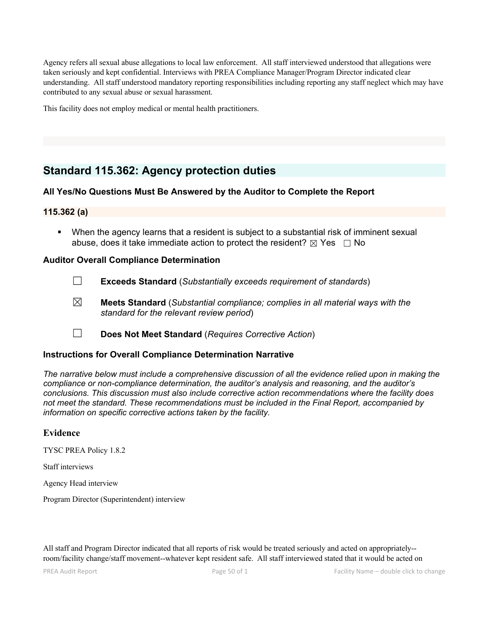Agency refers all sexual abuse allegations to local law enforcement. All staff interviewed understood that allegations were taken seriously and kept confidential. Interviews with PREA Compliance Manager/Program Director indicated clear understanding. All staff understood mandatory reporting responsibilities including reporting any staff neglect which may have contributed to any sexual abuse or sexual harassment.

This facility does not employ medical or mental health practitioners.

## **Standard 115.362: Agency protection duties**

### **All Yes/No Questions Must Be Answered by the Auditor to Complete the Report**

### **115.362 (a)**

 When the agency learns that a resident is subject to a substantial risk of imminent sexual abuse, does it take immediate action to protect the resident?  $\boxtimes$  Yes  $\Box$  No

#### **Auditor Overall Compliance Determination**

- ☐ **Exceeds Standard** (*Substantially exceeds requirement of standards*)
- ☒ **Meets Standard** (*Substantial compliance; complies in all material ways with the standard for the relevant review period*)
- ☐ **Does Not Meet Standard** (*Requires Corrective Action*)

#### **Instructions for Overall Compliance Determination Narrative**

*The narrative below must include a comprehensive discussion of all the evidence relied upon in making the compliance or non-compliance determination, the auditor's analysis and reasoning, and the auditor's conclusions. This discussion must also include corrective action recommendations where the facility does not meet the standard. These recommendations must be included in the Final Report, accompanied by information on specific corrective actions taken by the facility.*

#### **Evidence**

TYSC PREA Policy 1.8.2

Staff interviews

Agency Head interview

Program Director (Superintendent) interview

All staff and Program Director indicated that all reports of risk would be treated seriously and acted on appropriately-room/facility change/staff movement--whatever kept resident safe. All staff interviewed stated thatit would be acted on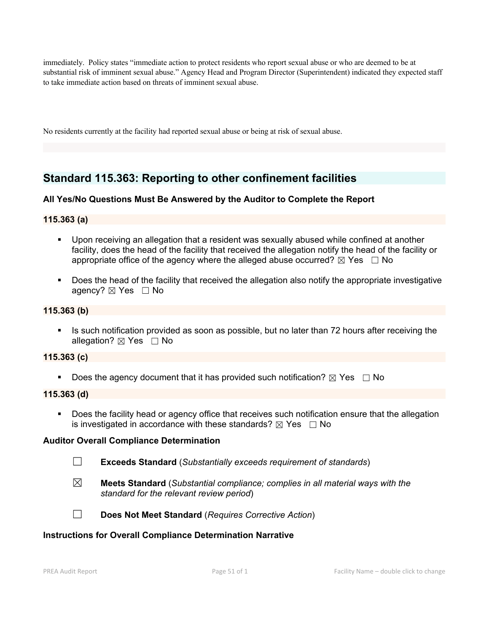immediately. Policy states "immediate action to protect residents who report sexual abuse or who are deemed to be at substantial risk of imminent sexual abuse." Agency Head and Program Director (Superintendent) indicated they expected staff to take immediate action based on threats of imminent sexual abuse.

No residents currently at the facility had reported sexual abuse or being at risk of sexual abuse.

## **Standard 115.363: Reporting to other confinement facilities**

## **All Yes/No Questions Must Be Answered by the Auditor to Complete the Report**

## **115.363 (a)**

- Upon receiving an allegation that a resident was sexually abused while confined at another facility, does the head of the facility that received the allegation notify the head of the facility or appropriate office of the agency where the alleged abuse occurred?  $\boxtimes$  Yes  $\Box$  No
- Does the head of the facility that received the allegation also notify the appropriate investigative agency? ⊠ Yes □ No

### **115.363 (b)**

Is such notification provided as soon as possible, but no later than 72 hours after receiving the allegation?  $\boxtimes$  Yes  $\Box$  No

### **115.363 (c)**

Does the agency document that it has provided such notification?  $\boxtimes$  Yes  $\Box$  No

#### **115.363 (d)**

Does the facility head or agency office that receives such notification ensure that the allegation is investigated in accordance with these standards?  $\boxtimes$  Yes  $\Box$  No

#### **Auditor Overall Compliance Determination**

- ☐ **Exceeds Standard** (*Substantially exceeds requirement of standards*)
- ☒ **Meets Standard** (*Substantial compliance; complies in all material ways with the standard for the relevant review period*)



☐ **Does Not Meet Standard** (*Requires Corrective Action*)

#### **Instructions for Overall Compliance Determination Narrative**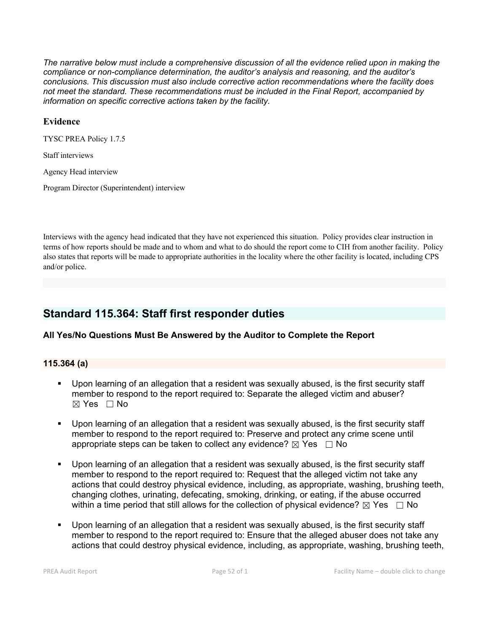*The narrative below must include a comprehensive discussion of all the evidence relied upon in making the compliance or non-compliance determination, the auditor's analysis and reasoning, and the auditor's conclusions. This discussion must also include corrective action recommendations where the facility does not meet the standard. These recommendations must be included in the Final Report, accompanied by information on specific corrective actions taken by the facility.*

### **Evidence**

TYSC PREA Policy 1.7.5

Staff interviews

Agency Head interview

Program Director (Superintendent) interview

Interviews with the agency head indicated that they have not experienced this situation. Policy provides clear instruction in terms ofhow reports should be made and to whom and what to do should the report come to CIH from another facility. Policy also states that reports will be made to appropriate authorities in the locality where the other facility is located, including CPS and/or police.

## **Standard 115.364: Staff first responder duties**

#### **All Yes/No Questions Must Be Answered by the Auditor to Complete the Report**

#### **115.364 (a)**

- Upon learning of an allegation that a resident was sexually abused, is the first security staff member to respond to the report required to: Separate the alleged victim and abuser?  $\boxtimes$  Yes  $\Box$  No
- Upon learning of an allegation that a resident was sexually abused, is the first security staff member to respond to the report required to: Preserve and protect any crime scene until appropriate steps can be taken to collect any evidence?  $\boxtimes$  Yes  $\Box$  No
- Upon learning of an allegation that a resident was sexually abused, is the first security staff member to respond to the report required to: Request that the alleged victim not take any actions that could destroy physical evidence, including, as appropriate, washing, brushing teeth, changing clothes, urinating, defecating, smoking, drinking, or eating, if the abuse occurred within a time period that still allows for the collection of physical evidence?  $\boxtimes$  Yes  $\Box$  No
- Upon learning of an allegation that a resident was sexually abused, is the first security staff member to respond to the report required to: Ensure that the alleged abuser does not take any actions that could destroy physical evidence, including, as appropriate, washing, brushing teeth,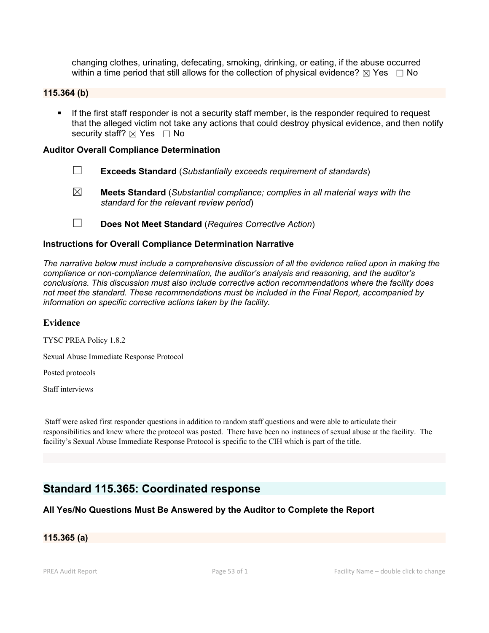changing clothes, urinating, defecating, smoking, drinking, or eating, if the abuse occurred within a time period that still allows for the collection of physical evidence?  $\boxtimes$  Yes  $\Box$  No

### **115.364 (b)**

**If the first staff responder is not a security staff member, is the responder required to request** that the alleged victim not take any actions that could destroy physical evidence, and then notify security staff?  $\boxtimes$  Yes  $\Box$  No

#### **Auditor Overall Compliance Determination**

- ☐ **Exceeds Standard** (*Substantially exceeds requirement of standards*)
- ☒ **Meets Standard** (*Substantial compliance; complies in all material ways with the standard for the relevant review period*)
- ☐ **Does Not Meet Standard** (*Requires Corrective Action*)

#### **Instructions for Overall Compliance Determination Narrative**

*The narrative below must include a comprehensive discussion of all the evidence relied upon in making the compliance or non-compliance determination, the auditor's analysis and reasoning, and the auditor's conclusions. This discussion must also include corrective action recommendations where the facility does not meet the standard. These recommendations must be included in the Final Report, accompanied by information on specific corrective actions taken by the facility.*

#### **Evidence**

TYSC PREA Policy 1.8.2

Sexual Abuse Immediate Response Protocol

Posted protocols

Staff interviews

Staff were asked first responder questions in addition to random staff questions and were able to articulate their responsibilities and knew where the protocol was posted. There have been no instances ofsexual abuse at the facility. The facility's Sexual Abuse Immediate Response Protocol is specific to the CIH which is part of the title.

## **Standard 115.365: Coordinated response**

## **All Yes/No Questions Must Be Answered by the Auditor to Complete the Report**

#### **115.365 (a)**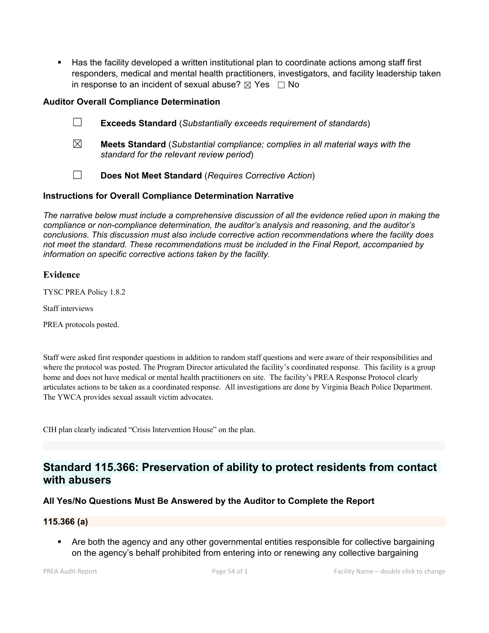Has the facility developed a written institutional plan to coordinate actions among staff first responders, medical and mental health practitioners, investigators, and facility leadership taken in response to an incident of sexual abuse?  $\boxtimes$  Yes  $\Box$  No

## **Auditor Overall Compliance Determination**

- ☐ **Exceeds Standard** (*Substantially exceeds requirement of standards*)
- ☒ **Meets Standard** (*Substantial compliance; complies in all material ways with the standard for the relevant review period*)
- ☐ **Does Not Meet Standard** (*Requires Corrective Action*)

## **Instructions for Overall Compliance Determination Narrative**

*The narrative below must include a comprehensive discussion of all the evidence relied upon in making the compliance or non-compliance determination, the auditor's analysis and reasoning, and the auditor's conclusions. This discussion must also include corrective action recommendations where the facility does not meet the standard. These recommendations must be included in the Final Report, accompanied by information on specific corrective actions taken by the facility.*

## **Evidence**

TYSC PREA Policy 1.8.2

Staff interviews

PREA protocols posted.

Staff were asked first responder questions in addition to random staff questions and were aware of their responsibilities and where the protocol was posted. The Program Director articulated the facility's coordinated response. This facility is a group home and does not have medical or mental health practitioners on site. The facility's PREA Response Protocol clearly articulates actions to be taken as a coordinated response. All investigations are done by Virginia Beach Police Department. The YWCA provides sexual assault victim advocates.

CIH plan clearly indicated "Crisis Intervention House" on the plan.

## **Standard 115.366: Preservation of ability to protect residents from contact with abusers**

## **All Yes/No Questions Must Be Answered by the Auditor to Complete the Report**

#### **115.366 (a)**

 Are both the agency and any other governmental entities responsible for collective bargaining on the agency's behalf prohibited from entering into or renewing any collective bargaining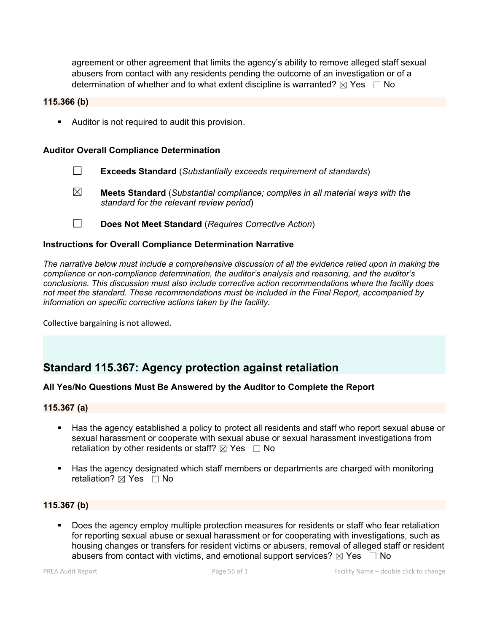agreement or other agreement that limits the agency's ability to remove alleged staff sexual abusers from contact with any residents pending the outcome of an investigation or of a determination of whether and to what extent discipline is warranted?  $\boxtimes$  Yes  $\Box$  No

#### **115.366 (b)**

Auditor is not required to audit this provision.

#### **Auditor Overall Compliance Determination**

- ☐ **Exceeds Standard** (*Substantially exceeds requirement of standards*)
- ☒ **Meets Standard** (*Substantial compliance; complies in all material ways with the standard for the relevant review period*)
- ☐ **Does Not Meet Standard** (*Requires Corrective Action*)

### **Instructions for Overall Compliance Determination Narrative**

*The narrative below must include a comprehensive discussion of all the evidence relied upon in making the compliance or non-compliance determination, the auditor's analysis and reasoning, and the auditor's conclusions. This discussion must also include corrective action recommendations where the facility does not meet the standard. These recommendations must be included in the Final Report, accompanied by information on specific corrective actions taken by the facility.*

Collective bargaining is not allowed.

## **Standard 115.367: Agency protection against retaliation**

## **All Yes/No Questions Must Be Answered by the Auditor to Complete the Report**

### **115.367 (a)**

- Has the agency established a policy to protect all residents and staff who report sexual abuse or sexual harassment or cooperate with sexual abuse or sexual harassment investigations from retaliation by other residents or staff?  $\boxtimes$  Yes  $\Box$  No
- Has the agency designated which staff members or departments are charged with monitoring retaliation?  $✓$  Yes  $□$  No

#### **115.367 (b)**

 Does the agency employ multiple protection measures for residents or staff who fear retaliation for reporting sexual abuse or sexual harassment or for cooperating with investigations, such as housing changes or transfers for resident victims or abusers, removal of alleged staff or resident abusers from contact with victims, and emotional support services?  $\boxtimes$  Yes  $\Box$  No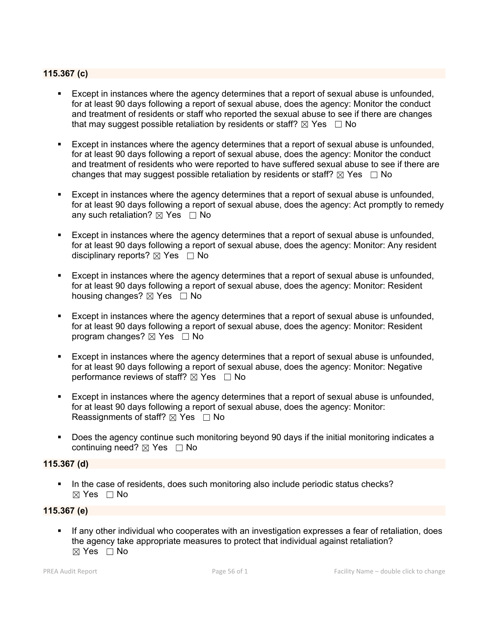### **115.367 (c)**

- Except in instances where the agency determines that a report of sexual abuse is unfounded, for at least 90 days following a report of sexual abuse, does the agency: Monitor the conduct and treatment of residents or staff who reported the sexual abuse to see if there are changes that may suggest possible retaliation by residents or staff?  $\boxtimes$  Yes  $\Box$  No
- Except in instances where the agency determines that a report of sexual abuse is unfounded, for at least 90 days following a report of sexual abuse, does the agency: Monitor the conduct and treatment of residents who were reported to have suffered sexual abuse to see if there are changes that may suggest possible retaliation by residents or staff?  $\boxtimes$  Yes  $\Box$  No
- Except in instances where the agency determines that a report of sexual abuse is unfounded, for at least 90 days following a report of sexual abuse, does the agency: Act promptly to remedy any such retaliation?  $\boxtimes$  Yes  $\Box$  No
- Except in instances where the agency determines that a report of sexual abuse is unfounded, for at least 90 days following a report of sexual abuse, does the agency: Monitor: Any resident disciplinary reports?  $\boxtimes$  Yes  $\Box$  No
- Except in instances where the agency determines that a report of sexual abuse is unfounded, for at least 90 days following a report of sexual abuse, does the agency: Monitor: Resident housing changes?  $\boxtimes$  Yes  $\Box$  No
- Except in instances where the agency determines that a report of sexual abuse is unfounded, for at least 90 days following a report of sexual abuse, does the agency: Monitor: Resident program changes?  $\boxtimes$  Yes  $\Box$  No
- Except in instances where the agency determines that a report of sexual abuse is unfounded, for at least 90 days following a report of sexual abuse, does the agency: Monitor: Negative performance reviews of staff?  $\boxtimes$  Yes  $\Box$  No
- Except in instances where the agency determines that a report of sexual abuse is unfounded, for at least 90 days following a report of sexual abuse, does the agency: Monitor: Reassignments of staff?  $\boxtimes$  Yes  $\Box$  No
- Does the agency continue such monitoring beyond 90 days if the initial monitoring indicates a continuing need? ⊠ Yes □ No

#### **115.367 (d)**

In the case of residents, does such monitoring also include periodic status checks?  $\boxtimes$  Yes  $\Box$  No

#### **115.367 (e)**

 If any other individual who cooperates with an investigation expresses a fear of retaliation, does the agency take appropriate measures to protect that individual against retaliation?  $\boxtimes$  Yes  $\Box$  No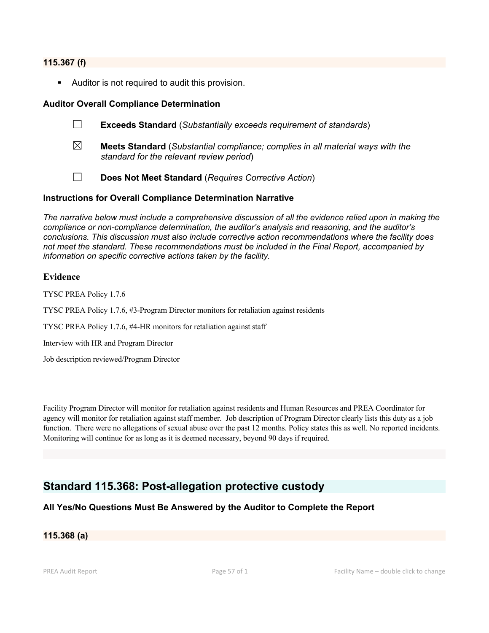#### **115.367 (f)**

Auditor is not required to audit this provision.

#### **Auditor Overall Compliance Determination**

- ☐ **Exceeds Standard** (*Substantially exceeds requirement of standards*)
- ☒ **Meets Standard** (*Substantial compliance; complies in all material ways with the standard for the relevant review period*)
- ☐ **Does Not Meet Standard** (*Requires Corrective Action*)

#### **Instructions for Overall Compliance Determination Narrative**

*The narrative below must include a comprehensive discussion of all the evidence relied upon in making the compliance or non-compliance determination, the auditor's analysis and reasoning, and the auditor's conclusions. This discussion must also include corrective action recommendations where the facility does not meet the standard. These recommendations must be included in the Final Report, accompanied by information on specific corrective actions taken by the facility.*

#### **Evidence**

TYSC PREA Policy 1.7.6

TYSC PREA Policy 1.7.6, #3-Program Director monitors for retaliation against residents

TYSC PREA Policy 1.7.6, #4-HR monitors for retaliation against staff

Interview with HR and Program Director

Job description reviewed/Program Director

Facility Program Director will monitor for retaliation against residents and Human Resources and PREA Coordinator for agency will monitor for retaliation against staff member. Job description of Program Director clearly lists this duty as a job function. There were no allegations of sexual abuse over the past 12 months. Policy states this as well. No reported incidents. Monitoring will continue for as long as it is deemed necessary, beyond 90 days if required.

## **Standard 115.368: Post-allegation protective custody**

## **All Yes/No Questions Must Be Answered by the Auditor to Complete the Report**

#### **115.368 (a)**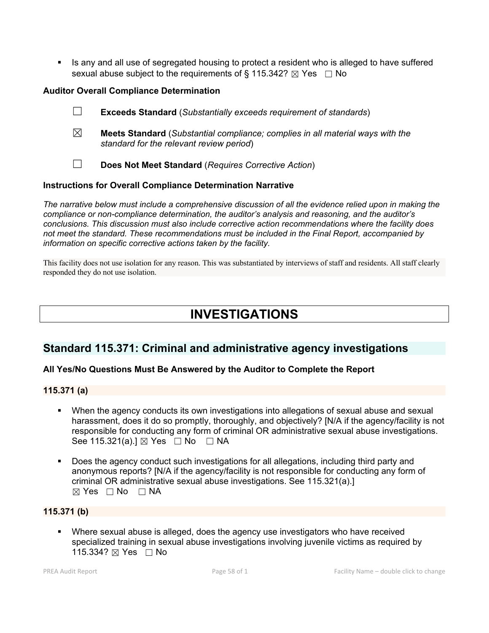Is any and all use of segregated housing to protect a resident who is alleged to have suffered sexual abuse subject to the requirements of § 115.342?  $\boxtimes$  Yes  $\Box$  No

## **Auditor Overall Compliance Determination**

- ☐ **Exceeds Standard** (*Substantially exceeds requirement of standards*)
- ☒ **Meets Standard** (*Substantial compliance; complies in all material ways with the standard for the relevant review period*)
- 
- ☐ **Does Not Meet Standard** (*Requires Corrective Action*)

## **Instructions for Overall Compliance Determination Narrative**

*The narrative below must include a comprehensive discussion of all the evidence relied upon in making the compliance or non-compliance determination, the auditor's analysis and reasoning, and the auditor's conclusions. This discussion must also include corrective action recommendations where the facility does not meet the standard. These recommendations must be included in the Final Report, accompanied by information on specific corrective actions taken by the facility.*

This facility does not use isolation for any reason. This was substantiated by interviews of staff and residents. All staff clearly responded they do not use isolation.

# **INVESTIGATIONS**

## **Standard 115.371: Criminal and administrative agency investigations**

## **All Yes/No Questions Must Be Answered by the Auditor to Complete the Report**

## **115.371 (a)**

- When the agency conducts its own investigations into allegations of sexual abuse and sexual harassment, does it do so promptly, thoroughly, and objectively? [N/A if the agency/facility is not responsible for conducting any form of criminal OR administrative sexual abuse investigations. See 115.321(a).] ⊠ Yes □ No □ NA
- Does the agency conduct such investigations for all allegations, including third party and anonymous reports? [N/A if the agency/facility is not responsible for conducting any form of criminal OR administrative sexual abuse investigations. See 115.321(a).]  $\boxtimes$  Yes  $\Box$  No  $\Box$  NA

## **115.371 (b)**

 Where sexual abuse is alleged, does the agency use investigators who have received specialized training in sexual abuse investigations involving juvenile victims as required by 115.334? ⊠ Yes □ No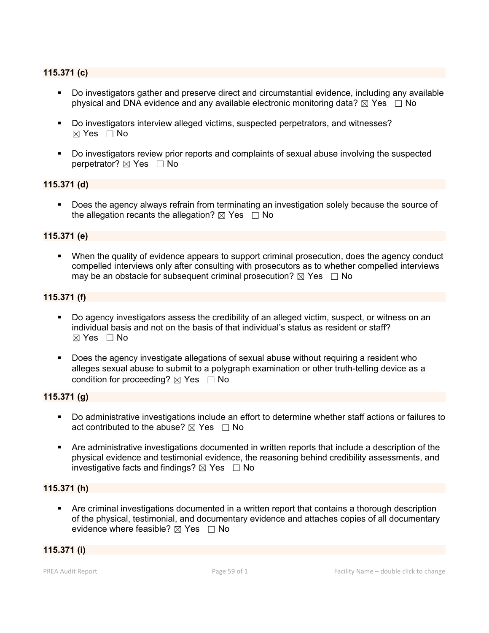## **115.371 (c)**

- Do investigators gather and preserve direct and circumstantial evidence, including any available physical and DNA evidence and any available electronic monitoring data?  $\boxtimes$  Yes  $\Box$  No
- Do investigators interview alleged victims, suspected perpetrators, and witnesses? ☒ Yes ☐ No
- Do investigators review prior reports and complaints of sexual abuse involving the suspected perpetrator? ⊠ Yes □ No

## **115.371 (d)**

 Does the agency always refrain from terminating an investigation solely because the source of the allegation recants the allegation?  $\boxtimes$  Yes  $\Box$  No

#### **115.371 (e)**

 When the quality of evidence appears to support criminal prosecution, does the agency conduct compelled interviews only after consulting with prosecutors as to whether compelled interviews may be an obstacle for subsequent criminal prosecution?  $\boxtimes$  Yes  $\Box$  No

## **115.371 (f)**

- Do agency investigators assess the credibility of an alleged victim, suspect, or witness on an individual basis and not on the basis of that individual's status as resident or staff?  $\boxtimes$  Yes  $\Box$  No
- Does the agency investigate allegations of sexual abuse without requiring a resident who alleges sexual abuse to submit to a polygraph examination or other truth-telling device as a condition for proceeding?  $\boxtimes$  Yes  $\Box$  No

#### **115.371 (g)**

- Do administrative investigations include an effort to determine whether staff actions or failures to act contributed to the abuse?  $\boxtimes$  Yes  $\Box$  No
- Are administrative investigations documented in written reports that include a description of the physical evidence and testimonial evidence, the reasoning behind credibility assessments, and investigative facts and findings?  $\boxtimes$  Yes  $\Box$  No

### **115.371 (h)**

 Are criminal investigations documented in a written report that contains a thorough description of the physical, testimonial, and documentary evidence and attaches copies of all documentary evidence where feasible?  $\boxtimes$  Yes  $\Box$  No

#### **115.371 (i)**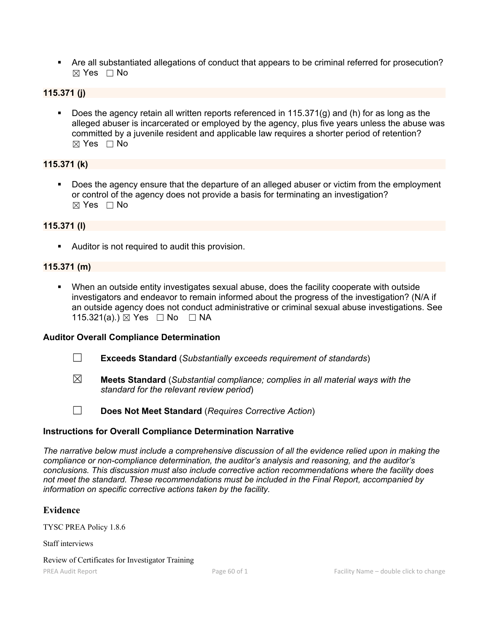Are all substantiated allegations of conduct that appears to be criminal referred for prosecution? ☒ Yes ☐ No

## **115.371 (j)**

Does the agency retain all written reports referenced in 115.371(g) and (h) for as long as the alleged abuser is incarcerated or employed by the agency, plus five years unless the abuse was committed by a juvenile resident and applicable law requires a shorter period of retention?  $\boxtimes$  Yes  $\Box$  No

## **115.371 (k)**

 Does the agency ensure that the departure of an alleged abuser or victim from the employment or control of the agency does not provide a basis for terminating an investigation?  $\boxtimes$  Yes  $\Box$  No

## **115.371 (l)**

**Auditor is not required to audit this provision.** 

## **115.371 (m)**

 When an outside entity investigates sexual abuse, does the facility cooperate with outside investigators and endeavor to remain informed about the progress of the investigation? (N/A if an outside agency does not conduct administrative or criminal sexual abuse investigations. See 115.321(a).) ⊠ Yes □ No □ NA

## **Auditor Overall Compliance Determination**

- ☐ **Exceeds Standard** (*Substantially exceeds requirement of standards*)
- 
- ☒ **Meets Standard** (*Substantial compliance; complies in all material ways with the standard for the relevant review period*)
- 
- ☐ **Does Not Meet Standard** (*Requires Corrective Action*)

## **Instructions for Overall Compliance Determination Narrative**

*The narrative below must include a comprehensive discussion of all the evidence relied upon in making the compliance or non-compliance determination, the auditor's analysis and reasoning, and the auditor's conclusions. This discussion must also include corrective action recommendations where the facility does not meet the standard. These recommendations must be included in the Final Report, accompanied by information on specific corrective actions taken by the facility.*

## **Evidence**

TYSC PREA Policy 1.8.6

Staff interviews

Review of Certificates for Investigator Training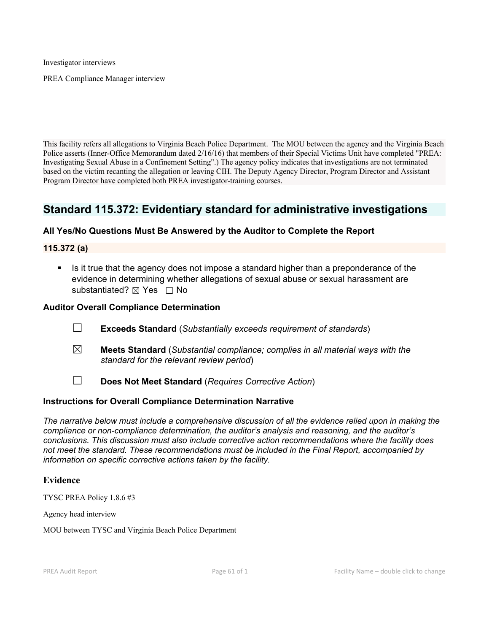Investigator interviews

PREA Compliance Manager interview

This facility refers all allegations to Virginia Beach Police Department. The MOU between the agency and the Virginia Beach Police asserts (Inner-Office Memorandum dated 2/16/16) that members of their Special Victims Unit have completed "PREA: Investigating Sexual Abuse in a Confinement Setting".) The agency policy indicates that investigations are not terminated based on the victim recanting the allegation or leaving CIH. The Deputy Agency Director, Program Director and Assistant Program Director have completed both PREA investigator-training courses.

## **Standard 115.372: Evidentiary standard for administrative investigations**

### **All Yes/No Questions Must Be Answered by the Auditor to Complete the Report**

**115.372 (a)**

 Is it true that the agency does not impose a standard higher than a preponderance of the evidence in determining whether allegations of sexual abuse or sexual harassment are substantiated? ⊠ Yes □ No

#### **Auditor Overall Compliance Determination**

- ☐ **Exceeds Standard** (*Substantially exceeds requirement of standards*)
- ☒ **Meets Standard** (*Substantial compliance; complies in all material ways with the standard for the relevant review period*)
- ☐ **Does Not Meet Standard** (*Requires Corrective Action*)

#### **Instructions for Overall Compliance Determination Narrative**

*The narrative below must include a comprehensive discussion of all the evidence relied upon in making the compliance or non-compliance determination, the auditor's analysis and reasoning, and the auditor's conclusions. This discussion must also include corrective action recommendations where the facility does not meet the standard. These recommendations must be included in the Final Report, accompanied by information on specific corrective actions taken by the facility.*

#### **Evidence**

TYSC PREA Policy 1.8.6 #3

Agency head interview

MOU between TYSC and Virginia Beach Police Department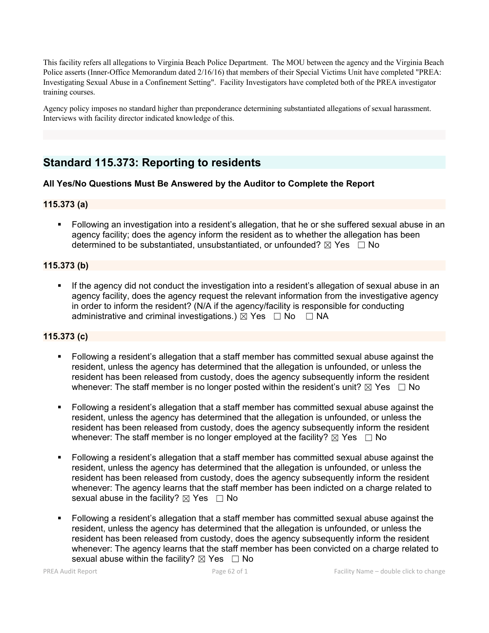This facility refers all allegations to Virginia Beach Police Department. The MOU between the agency and the Virginia Beach Police asserts (Inner-Office Memorandum dated 2/16/16) that members of their Special Victims Unit have completed "PREA: Investigating Sexual Abuse in a Confinement Setting". Facility Investigators have completed both of the PREA investigator training courses.

Agency policy imposes no standard higher than preponderance determining substantiated allegations of sexual harassment. Interviews with facility director indicated knowledge of this.

## **Standard 115.373: Reporting to residents**

## **All Yes/No Questions Must Be Answered by the Auditor to Complete the Report**

### **115.373 (a)**

 Following an investigation into a resident's allegation, that he or she suffered sexual abuse in an agency facility; does the agency inform the resident as to whether the allegation has been determined to be substantiated, unsubstantiated, or unfounded?  $\boxtimes$  Yes  $\Box$  No

## **115.373 (b)**

 If the agency did not conduct the investigation into a resident's allegation of sexual abuse in an agency facility, does the agency request the relevant information from the investigative agency in order to inform the resident? (N/A if the agency/facility is responsible for conducting administrative and criminal investigations.)  $\boxtimes$  Yes  $\Box$  No  $\Box$  NA

## **115.373 (c)**

- Following a resident's allegation that a staff member has committed sexual abuse against the resident, unless the agency has determined that the allegation is unfounded, or unless the resident has been released from custody, does the agency subsequently inform the resident whenever: The staff member is no longer posted within the resident's unit?  $\boxtimes$  Yes  $\Box$  No
- Following a resident's allegation that a staff member has committed sexual abuse against the resident, unless the agency has determined that the allegation is unfounded, or unless the resident has been released from custody, does the agency subsequently inform the resident whenever: The staff member is no longer employed at the facility?  $\boxtimes$  Yes  $\Box$  No
- Following a resident's allegation that a staff member has committed sexual abuse against the resident, unless the agency has determined that the allegation is unfounded, or unless the resident has been released from custody, does the agency subsequently inform the resident whenever: The agency learns that the staff member has been indicted on a charge related to sexual abuse in the facility?  $\boxtimes$  Yes  $\Box$  No
- Following a resident's allegation that a staff member has committed sexual abuse against the resident, unless the agency has determined that the allegation is unfounded, or unless the resident has been released from custody, does the agency subsequently inform the resident whenever: The agency learns that the staff member has been convicted on a charge related to sexual abuse within the facility?  $\boxtimes$  Yes  $\Box$  No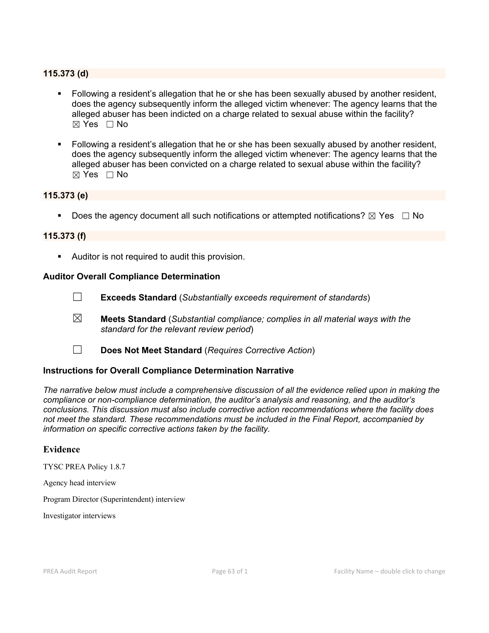### **115.373 (d)**

- Following a resident's allegation that he or she has been sexually abused by another resident, does the agency subsequently inform the alleged victim whenever: The agency learns that the alleged abuser has been indicted on a charge related to sexual abuse within the facility?  $\boxtimes$  Yes  $\Box$  No
- Following a resident's allegation that he or she has been sexually abused by another resident, does the agency subsequently inform the alleged victim whenever: The agency learns that the alleged abuser has been convicted on a charge related to sexual abuse within the facility?  $\boxtimes$  Yes  $\Box$  No

#### **115.373 (e)**

Does the agency document all such notifications or attempted notifications?  $\boxtimes$  Yes  $\Box$  No

#### **115.373 (f)**

Auditor is not required to audit this provision.

#### **Auditor Overall Compliance Determination**

- ☐ **Exceeds Standard** (*Substantially exceeds requirement of standards*)
- ☒ **Meets Standard** (*Substantial compliance; complies in all material ways with the standard for the relevant review period*)
- ☐ **Does Not Meet Standard** (*Requires Corrective Action*)

#### **Instructions for Overall Compliance Determination Narrative**

*The narrative below must include a comprehensive discussion of all the evidence relied upon in making the compliance or non-compliance determination, the auditor's analysis and reasoning, and the auditor's conclusions. This discussion must also include corrective action recommendations where the facility does not meet the standard. These recommendations must be included in the Final Report, accompanied by information on specific corrective actions taken by the facility.*

#### **Evidence**

TYSC PREA Policy 1.8.7

Agency head interview

Program Director (Superintendent) interview

Investigator interviews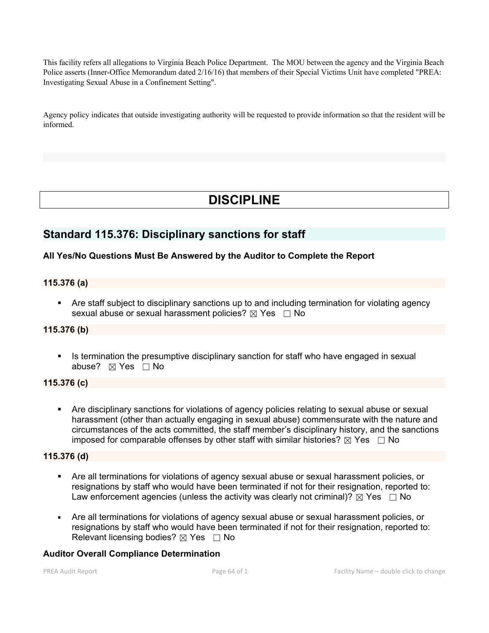This facility refers all allegations to Virginia Beach Police Department. The MOU between the agency and the Virginia Beach Police asserts (Inner-Office Memorandum dated 2/16/16) that members of their Special Victims Unit have completed "PREA: Investigating Sexual Abuse in a Confinement Setting".

Agency policy indicates that outside investigating authority will be requested to provide information so that the resident will be informed.

# **DISCIPLINE**

## **Standard 115.376: Disciplinary sanctions for staff**

## **All Yes/No Questions Must Be Answered by the Auditor to Complete the Report**

## **115.376 (a)**

 Are staff subject to disciplinary sanctions up to and including termination for violating agency sexual abuse or sexual harassment policies?  $\boxtimes$  Yes  $\Box$  No

## **115.376 (b)**

Intermination the presumptive disciplinary sanction for staff who have engaged in sexual abuse?  $⊠$  Yes  $□$  No

## **115.376 (c)**

 Are disciplinary sanctions for violations of agency policies relating to sexual abuse or sexual harassment (other than actually engaging in sexual abuse) commensurate with the nature and circumstances of the acts committed, the staff member's disciplinary history, and the sanctions imposed for comparable offenses by other staff with similar histories?  $\boxtimes$  Yes  $\Box$  No

### **115.376 (d)**

- Are all terminations for violations of agency sexual abuse or sexual harassment policies, or resignations by staff who would have been terminated if not for their resignation, reported to: Law enforcement agencies (unless the activity was clearly not criminal)?  $\boxtimes$  Yes  $\Box$  No
- Are all terminations for violations of agency sexual abuse or sexual harassment policies, or resignations by staff who would have been terminated if not for their resignation, reported to: Relevant licensing bodies?  $\boxtimes$  Yes  $\Box$  No

#### **Auditor Overall Compliance Determination**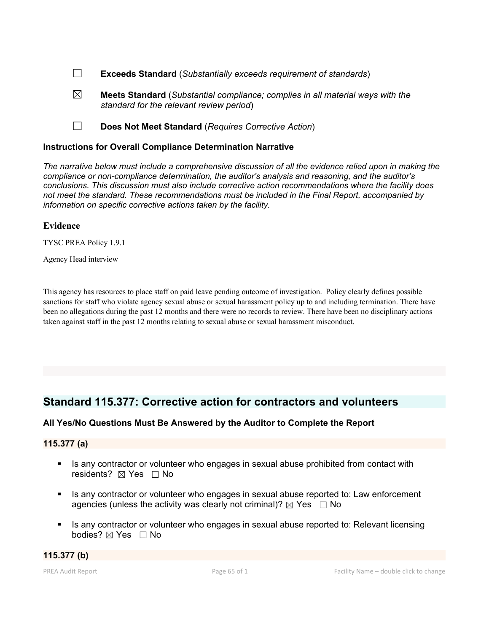☐ **Exceeds Standard** (*Substantially exceeds requirement of standards*)

- ☒ **Meets Standard** (*Substantial compliance; complies in all material ways with the standard for the relevant review period*)
- ☐ **Does Not Meet Standard** (*Requires Corrective Action*)

### **Instructions for Overall Compliance Determination Narrative**

*The narrative below must include a comprehensive discussion of all the evidence relied upon in making the compliance or non-compliance determination, the auditor's analysis and reasoning, and the auditor's conclusions. This discussion must also include corrective action recommendations where the facility does not meet the standard. These recommendations must be included in the Final Report, accompanied by information on specific corrective actions taken by the facility.*

#### **Evidence**

TYSC PREA Policy 1.9.1

Agency Head interview

This agency has resources to place staff on paid leave pending outcome of investigation. Policy clearly defines possible sanctions for staff who violate agency sexual abuse or sexual harassment policy up to and including termination. There have been no allegations during the past 12 months and there were no records to review. There have been no disciplinary actions taken against staff in the past 12 months relating to sexual abuse or sexual harassment misconduct.

## **Standard 115.377: Corrective action for contractors and volunteers**

## **All Yes/No Questions Must Be Answered by the Auditor to Complete the Report**

#### **115.377 (a)**

- Is any contractor or volunteer who engages in sexual abuse prohibited from contact with residents? ⊠ Yes □ No
- Is any contractor or volunteer who engages in sexual abuse reported to: Law enforcement agencies (unless the activity was clearly not criminal)?  $\boxtimes$  Yes  $\Box$  No
- Is any contractor or volunteer who engages in sexual abuse reported to: Relevant licensing bodies?  $\boxtimes$  Yes  $\Box$  No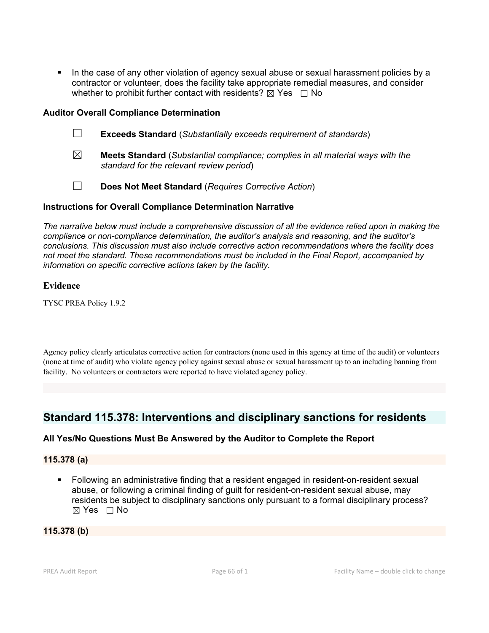In the case of any other violation of agency sexual abuse or sexual harassment policies by a contractor or volunteer, does the facility take appropriate remedial measures, and consider whether to prohibit further contact with residents?  $\boxtimes$  Yes  $\Box$  No

### **Auditor Overall Compliance Determination**

- ☐ **Exceeds Standard** (*Substantially exceeds requirement of standards*)
- ☒ **Meets Standard** (*Substantial compliance; complies in all material ways with the standard for the relevant review period*)
- ☐ **Does Not Meet Standard** (*Requires Corrective Action*)

### **Instructions for Overall Compliance Determination Narrative**

*The narrative below must include a comprehensive discussion of all the evidence relied upon in making the compliance or non-compliance determination, the auditor's analysis and reasoning, and the auditor's conclusions. This discussion must also include corrective action recommendations where the facility does not meet the standard. These recommendations must be included in the Final Report, accompanied by information on specific corrective actions taken by the facility.*

### **Evidence**

TYSC PREA Policy 1.9.2

Agency policy clearly articulates corrective action for contractors (none used in this agency at time of the audit) or volunteers (none at time of audit) who violate agency policy against sexual abuse or sexual harassment up to an including banning from facility. No volunteers or contractors were reported to have violated agency policy.

## **Standard 115.378: Interventions and disciplinary sanctions for residents**

## **All Yes/No Questions Must Be Answered by the Auditor to Complete the Report**

#### **115.378 (a)**

 Following an administrative finding that a resident engaged in resident-on-resident sexual abuse, or following a criminal finding of guilt for resident-on-resident sexual abuse, may residents be subject to disciplinary sanctions only pursuant to a formal disciplinary process?  $\boxtimes$  Yes  $\Box$  No

#### **115.378 (b)**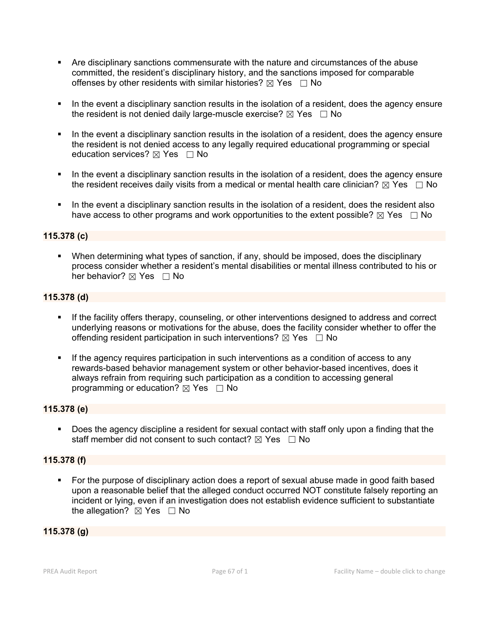- Are disciplinary sanctions commensurate with the nature and circumstances of the abuse committed, the resident's disciplinary history, and the sanctions imposed for comparable offenses by other residents with similar histories?  $\boxtimes$  Yes  $\Box$  No
- In the event a disciplinary sanction results in the isolation of a resident, does the agency ensure the resident is not denied daily large-muscle exercise?  $\boxtimes$  Yes  $\Box$  No
- In the event a disciplinary sanction results in the isolation of a resident, does the agency ensure the resident is not denied access to any legally required educational programming or special education services?  $\boxtimes$  Yes  $\Box$  No
- In the event a disciplinary sanction results in the isolation of a resident, does the agency ensure the resident receives daily visits from a medical or mental health care clinician?  $\boxtimes$  Yes  $\Box$  No
- In the event a disciplinary sanction results in the isolation of a resident, does the resident also have access to other programs and work opportunities to the extent possible?  $\boxtimes$  Yes  $\Box$  No

### **115.378 (c)**

 When determining what types of sanction, if any, should be imposed, does the disciplinary process consider whether a resident's mental disabilities or mental illness contributed to his or her behavior?  $\boxtimes$  Yes  $\Box$  No

### **115.378 (d)**

- If the facility offers therapy, counseling, or other interventions designed to address and correct underlying reasons or motivations for the abuse, does the facility consider whether to offer the offending resident participation in such interventions?  $\boxtimes$  Yes  $\Box$  No
- If the agency requires participation in such interventions as a condition of access to any rewards-based behavior management system or other behavior-based incentives, does it always refrain from requiring such participation as a condition to accessing general programming or education?  $\boxtimes$  Yes  $\Box$  No

## **115.378 (e)**

 Does the agency discipline a resident for sexual contact with staff only upon a finding that the staff member did not consent to such contact?  $\boxtimes$  Yes  $\Box$  No

#### **115.378 (f)**

 For the purpose of disciplinary action does a report of sexual abuse made in good faith based upon a reasonable belief that the alleged conduct occurred NOT constitute falsely reporting an incident or lying, even if an investigation does not establish evidence sufficient to substantiate the allegation?  $\boxtimes$  Yes  $\Box$  No

### **115.378 (g)**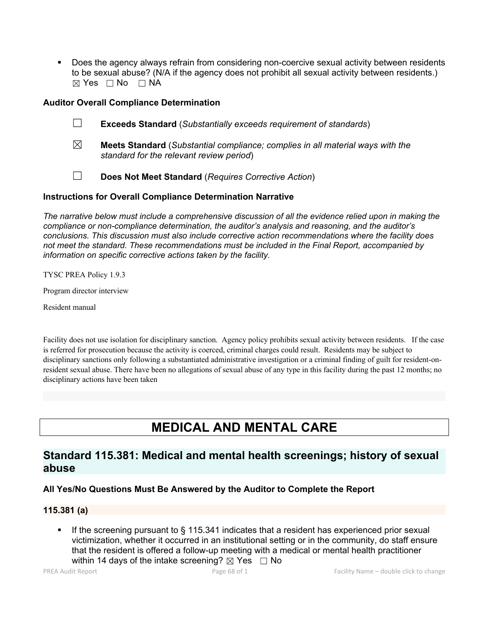Does the agency always refrain from considering non-coercive sexual activity between residents to be sexual abuse? (N/A if the agency does not prohibit all sexual activity between residents.)  $⊠ Yes □ No □ NA$ 

### **Auditor Overall Compliance Determination**

- ☐ **Exceeds Standard** (*Substantially exceeds requirement of standards*)
- ☒ **Meets Standard** (*Substantial compliance; complies in all material ways with the standard for the relevant review period*)
- ☐ **Does Not Meet Standard** (*Requires Corrective Action*)

### **Instructions for Overall Compliance Determination Narrative**

*The narrative below must include a comprehensive discussion of all the evidence relied upon in making the compliance or non-compliance determination, the auditor's analysis and reasoning, and the auditor's conclusions. This discussion must also include corrective action recommendations where the facility does not meet the standard. These recommendations must be included in the Final Report, accompanied by information on specific corrective actions taken by the facility.*

TYSC PREA Policy 1.9.3

Program director interview

Resident manual

Facility doesnot use isolation for disciplinary sanction. Agency policy prohibits sexual activity between residents. If the case is referred for prosecution because the activity is coerced, criminal charges could result. Residents may be subject to disciplinary sanctions only following a substantiated administrative investigation or a criminal finding of guilt for resident-onresident sexual abuse. There have been no allegations of sexual abuse of any type in this facility during the past 12 months; no disciplinary actions have been taken

# **MEDICAL AND MENTAL CARE**

## **Standard 115.381: Medical and mental health screenings; history of sexual abuse**

#### **All Yes/No Questions Must Be Answered by the Auditor to Complete the Report**

## **115.381 (a)**

 If the screening pursuant to § 115.341 indicates that a resident has experienced prior sexual victimization, whether it occurred in an institutional setting or in the community, do staff ensure that the resident is offered a follow-up meeting with a medical or mental health practitioner within 14 days of the intake screening?  $\boxtimes$  Yes  $\Box$  No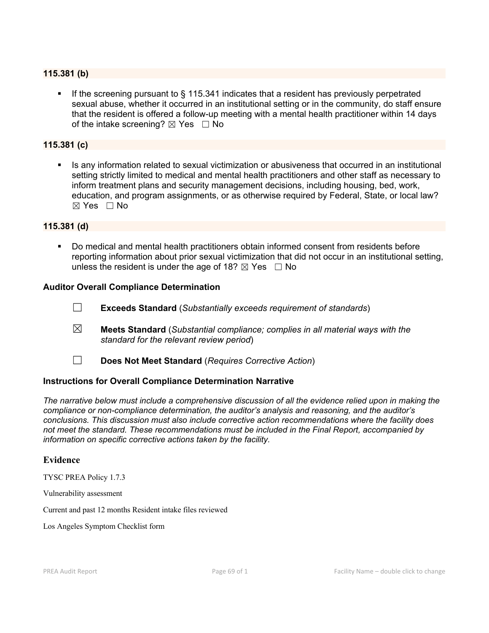#### **115.381 (b)**

If the screening pursuant to  $\S$  115.341 indicates that a resident has previously perpetrated sexual abuse, whether it occurred in an institutional setting or in the community, do staff ensure that the resident is offered a follow-up meeting with a mental health practitioner within 14 days of the intake screening?  $\boxtimes$  Yes  $\Box$  No

## **115.381 (c)**

 Is any information related to sexual victimization or abusiveness that occurred in an institutional setting strictly limited to medical and mental health practitioners and other staff as necessary to inform treatment plans and security management decisions, including housing, bed, work, education, and program assignments, or as otherwise required by Federal, State, or local law?  $\boxtimes$  Yes  $\Box$  No

### **115.381 (d)**

 Do medical and mental health practitioners obtain informed consent from residents before reporting information about prior sexual victimization that did not occur in an institutional setting, unless the resident is under the age of 18?  $\boxtimes$  Yes  $\Box$  No

#### **Auditor Overall Compliance Determination**

- ☐ **Exceeds Standard** (*Substantially exceeds requirement of standards*)
- ☒ **Meets Standard** (*Substantial compliance; complies in all material ways with the standard for the relevant review period*)
- ☐ **Does Not Meet Standard** (*Requires Corrective Action*)

#### **Instructions for Overall Compliance Determination Narrative**

*The narrative below must include a comprehensive discussion of all the evidence relied upon in making the compliance or non-compliance determination, the auditor's analysis and reasoning, and the auditor's conclusions. This discussion must also include corrective action recommendations where the facility does not meet the standard. These recommendations must be included in the Final Report, accompanied by information on specific corrective actions taken by the facility.*

#### **Evidence**

TYSC PREA Policy 1.7.3

Vulnerability assessment

Current and past 12 months Resident intake files reviewed

Los Angeles Symptom Checklist form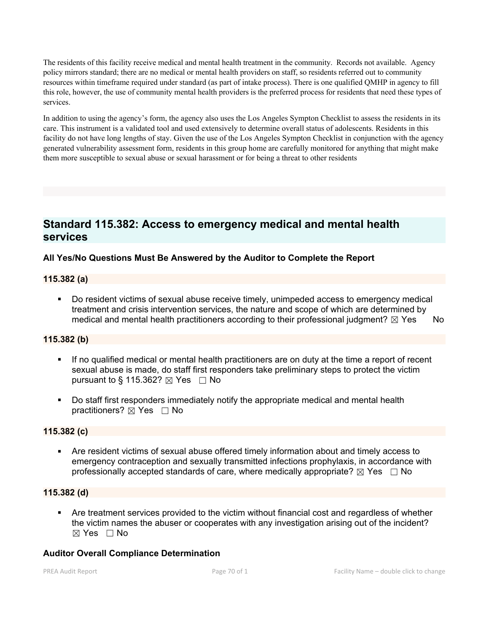The residents ofthis facility receive medical and mental health treatment in the community. Records not available. Agency policy mirrors standard; there are no medical or mental health providers on staff, so residents referred out to community resources within timeframe required under standard (as part of intake process). There is one qualified QMHP in agency to fill this role, however, the use of community mental health providers is the preferred process for residents that need these types of services.

In addition to using the agency's form, the agency also uses the Los Angeles Sympton Checklist to assess the residents in its care. This instrument is a validated tool and used extensively to determine overall status of adolescents. Residents in this facility do not have long lengths of stay. Given the use of the Los Angeles Sympton Checklist in conjunction with the agency generated vulnerability assessment form, residents in this group home are carefully monitored for anything that might make them more susceptible to sexual abuse or sexual harassment or for being a threat to other residents

## **Standard 115.382: Access to emergency medical and mental health services**

## **All Yes/No Questions Must Be Answered by the Auditor to Complete the Report**

### **115.382 (a)**

 Do resident victims of sexual abuse receive timely, unimpeded access to emergency medical treatment and crisis intervention services, the nature and scope of which are determined by medical and mental health practitioners according to their professional judgment?  $\boxtimes$  Yes No

### **115.382 (b)**

- If no qualified medical or mental health practitioners are on duty at the time a report of recent sexual abuse is made, do staff first responders take preliminary steps to protect the victim pursuant to § 115.362?  $\boxtimes$  Yes  $\Box$  No
- Do staff first responders immediately notify the appropriate medical and mental health practitioners?  $\boxtimes$  Yes  $\Box$  No

#### **115.382 (c)**

 Are resident victims of sexual abuse offered timely information about and timely access to emergency contraception and sexually transmitted infections prophylaxis, in accordance with professionally accepted standards of care, where medically appropriate?  $\boxtimes$  Yes  $\Box$  No

## **115.382 (d)**

 Are treatment services provided to the victim without financial cost and regardless of whether the victim names the abuser or cooperates with any investigation arising out of the incident?  $\boxtimes$  Yes  $\Box$  No

## **Auditor Overall Compliance Determination**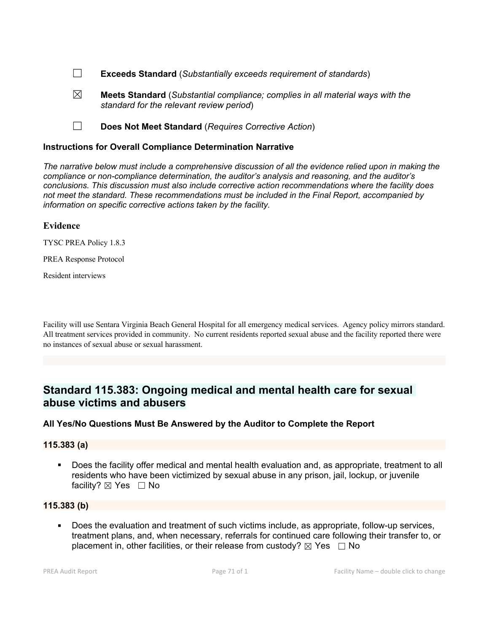- ☐ **Exceeds Standard** (*Substantially exceeds requirement of standards*)
- ☒ **Meets Standard** (*Substantial compliance; complies in all material ways with the standard for the relevant review period*)
- ☐ **Does Not Meet Standard** (*Requires Corrective Action*)

#### **Instructions for Overall Compliance Determination Narrative**

*The narrative below must include a comprehensive discussion of all the evidence relied upon in making the compliance or non-compliance determination, the auditor's analysis and reasoning, and the auditor's conclusions. This discussion must also include corrective action recommendations where the facility does not meet the standard. These recommendations must be included in the Final Report, accompanied by information on specific corrective actions taken by the facility.*

### **Evidence**

TYSC PREA Policy 1.8.3

PREA Response Protocol

Resident interviews

Facility will use Sentara Virginia Beach General Hospital for all emergency medical services. Agency policy mirrors standard. All treatment services provided in community. No current residents reported sexual abuse and the facility reported there were no instances of sexual abuse or sexual harassment.

## **Standard 115.383: Ongoing medical and mental health care for sexual abuse victims and abusers**

#### **All Yes/No Questions Must Be Answered by the Auditor to Complete the Report**

#### **115.383 (a)**

 Does the facility offer medical and mental health evaluation and, as appropriate, treatment to all residents who have been victimized by sexual abuse in any prison, jail, lockup, or juvenile facility?  $\boxtimes$  Yes  $\Box$  No

### **115.383 (b)**

 Does the evaluation and treatment of such victims include, as appropriate, follow-up services, treatment plans, and, when necessary, referrals for continued care following their transfer to, or placement in, other facilities, or their release from custody?  $\boxtimes$  Yes  $\Box$  No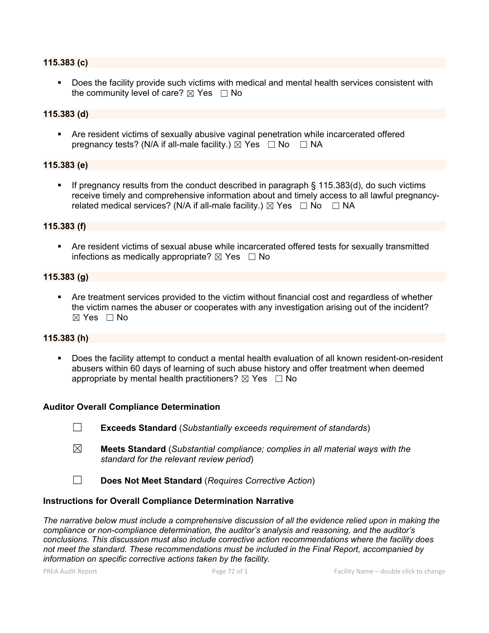#### **115.383 (c)**

 Does the facility provide such victims with medical and mental health services consistent with the community level of care?  $\boxtimes$  Yes  $\Box$  No

#### **115.383 (d)**

 Are resident victims of sexually abusive vaginal penetration while incarcerated offered pregnancy tests? (N/A if all-male facility.)  $\boxtimes$  Yes  $\Box$  No  $\Box$  NA

#### **115.383 (e)**

If pregnancy results from the conduct described in paragraph  $\S$  115.383(d), do such victims receive timely and comprehensive information about and timely access to all lawful pregnancyrelated medical services? (N/A if all-male facility.)  $\boxtimes$  Yes  $\Box$  No  $\Box$  NA

#### **115.383 (f)**

 Are resident victims of sexual abuse while incarcerated offered tests for sexually transmitted infections as medically appropriate?  $\boxtimes$  Yes  $\Box$  No

### **115.383 (g)**

 Are treatment services provided to the victim without financial cost and regardless of whether the victim names the abuser or cooperates with any investigation arising out of the incident?  $\boxtimes$  Yes  $\Box$  No

#### **115.383 (h)**

 Does the facility attempt to conduct a mental health evaluation of all known resident-on-resident abusers within 60 days of learning of such abuse history and offer treatment when deemed appropriate by mental health practitioners?  $\boxtimes$  Yes  $\Box$  No

#### **Auditor Overall Compliance Determination**

- ☐ **Exceeds Standard** (*Substantially exceeds requirement of standards*)
- ☒ **Meets Standard** (*Substantial compliance; complies in all material ways with the standard for the relevant review period*)
- ☐ **Does Not Meet Standard** (*Requires Corrective Action*)

#### **Instructions for Overall Compliance Determination Narrative**

*The narrative below must include a comprehensive discussion of all the evidence relied upon in making the compliance or non-compliance determination, the auditor's analysis and reasoning, and the auditor's conclusions. This discussion must also include corrective action recommendations where the facility does not meet the standard. These recommendations must be included in the Final Report, accompanied by information on specific corrective actions taken by the facility.*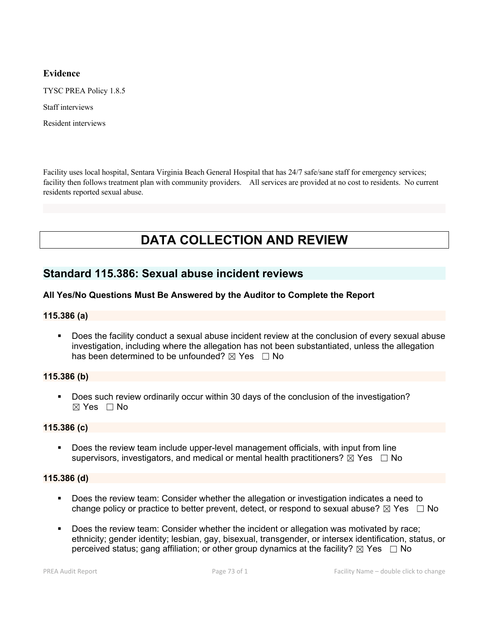# **Evidence**

TYSC PREA Policy 1.8.5

Staff interviews

Resident interviews

Facility uses local hospital, Sentara Virginia Beach General Hospital that has 24/7 safe/sane staff for emergency services; facility then follows treatment plan with community providers. All services are provided at no cost to residents. No current residents reported sexual abuse.

# **DATA COLLECTION AND REVIEW**

# **Standard 115.386: Sexual abuse incident reviews**

# **All Yes/No Questions Must Be Answered by the Auditor to Complete the Report**

#### **115.386 (a)**

 Does the facility conduct a sexual abuse incident review at the conclusion of every sexual abuse investigation, including where the allegation has not been substantiated, unless the allegation has been determined to be unfounded?  $\boxtimes$  Yes  $\Box$  No

#### **115.386 (b)**

 Does such review ordinarily occur within 30 days of the conclusion of the investigation? ☒ Yes ☐ No

#### **115.386 (c)**

 Does the review team include upper-level management officials, with input from line supervisors, investigators, and medical or mental health practitioners?  $\boxtimes$  Yes  $\Box$  No

#### **115.386 (d)**

- Does the review team: Consider whether the allegation or investigation indicates a need to change policy or practice to better prevent, detect, or respond to sexual abuse?  $\boxtimes$  Yes  $\Box$  No
- Does the review team: Consider whether the incident or allegation was motivated by race; ethnicity; gender identity; lesbian, gay, bisexual, transgender, or intersex identification, status, or perceived status; gang affiliation; or other group dynamics at the facility?  $\boxtimes$  Yes  $\Box$  No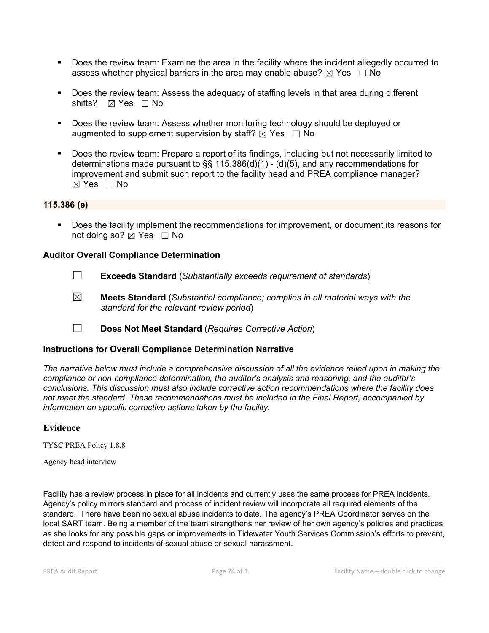- Does the review team: Examine the area in the facility where the incident allegedly occurred to assess whether physical barriers in the area may enable abuse?  $\boxtimes$  Yes  $\Box$  No
- Does the review team: Assess the adequacy of staffing levels in that area during different shifts? ⊠ Yes □ No
- Does the review team: Assess whether monitoring technology should be deployed or augmented to supplement supervision by staff?  $\boxtimes$  Yes  $\Box$  No
- Does the review team: Prepare a report of its findings, including but not necessarily limited to determinations made pursuant to §§ 115.386(d)(1) - (d)(5), and any recommendations for improvement and submit such report to the facility head and PREA compliance manager?  $\boxtimes$  Yes  $\Box$  No

### **115.386 (e)**

Does the facility implement the recommendations for improvement, or document its reasons for not doing so?  $\boxtimes$  Yes  $\Box$  No

### **Auditor Overall Compliance Determination**

- ☐ **Exceeds Standard** (*Substantially exceeds requirement of standards*)
- ☒ **Meets Standard** (*Substantial compliance; complies in all material ways with the standard for the relevant review period*)
- ☐ **Does Not Meet Standard** (*Requires Corrective Action*)

#### **Instructions for Overall Compliance Determination Narrative**

*The narrative below must include a comprehensive discussion of all the evidence relied upon in making the compliance or non-compliance determination, the auditor's analysis and reasoning, and the auditor's conclusions. This discussion must also include corrective action recommendations where the facility does not meet the standard. These recommendations must be included in the Final Report, accompanied by information on specific corrective actions taken by the facility.*

#### **Evidence**

TYSC PREA Policy 1.8.8

Agency head interview

Facility has a review process in place for all incidents and currently uses the same process for PREA incidents. Agency's policy mirrors standard and process of incident review will incorporate all required elements of the standard. There have been no sexual abuse incidents to date. The agency's PREA Coordinator serves on the local SART team. Being a member of the team strengthens her review of her own agency's policies and practices as she looks for any possible gaps or improvements in Tidewater Youth Services Commission's efforts to prevent, detect and respond to incidents of sexual abuse or sexual harassment.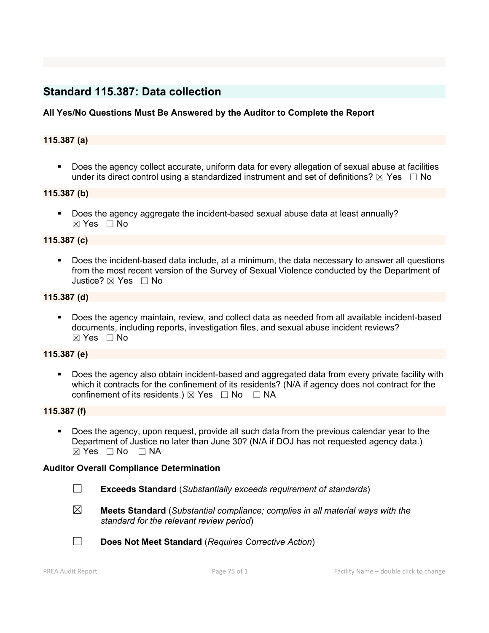# **Standard 115.387: Data collection**

# **All Yes/No Questions Must Be Answered by the Auditor to Complete the Report**

### **115.387 (a)**

 Does the agency collect accurate, uniform data for every allegation of sexual abuse at facilities under its direct control using a standardized instrument and set of definitions?  $\boxtimes$  Yes  $\Box$  No

#### **115.387 (b)**

 Does the agency aggregate the incident-based sexual abuse data at least annually?  $\boxtimes$  Yes  $\Box$  No

#### **115.387 (c)**

 Does the incident-based data include, at a minimum, the data necessary to answer all questions from the most recent version of the Survey of Sexual Violence conducted by the Department of Justice?  $\boxtimes$  Yes  $\Box$  No

#### **115.387 (d)**

 Does the agency maintain, review, and collect data as needed from all available incident-based documents, including reports, investigation files, and sexual abuse incident reviews?  $\boxtimes$  Yes  $\Box$  No

#### **115.387 (e)**

 Does the agency also obtain incident-based and aggregated data from every private facility with which it contracts for the confinement of its residents? (N/A if agency does not contract for the confinement of its residents.)  $\boxtimes$  Yes  $\Box$  No  $\Box$  NA

#### **115.387 (f)**

 Does the agency, upon request, provide all such data from the previous calendar year to the Department of Justice no later than June 30? (N/A if DOJ has not requested agency data.)  $⊠ Yes □ No □ NA$ 

#### **Auditor Overall Compliance Determination**

- ☐ **Exceeds Standard** (*Substantially exceeds requirement of standards*)
- ☒ **Meets Standard** (*Substantial compliance; complies in all material ways with the standard for the relevant review period*)

☐ **Does Not Meet Standard** (*Requires Corrective Action*)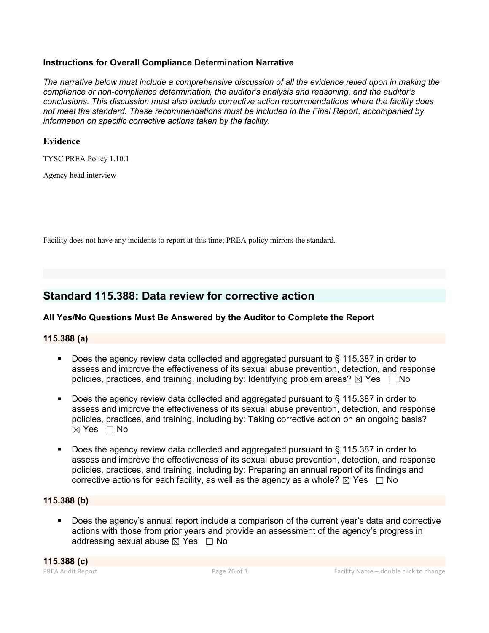# **Instructions for Overall Compliance Determination Narrative**

*The narrative below must include a comprehensive discussion of all the evidence relied upon in making the compliance or non-compliance determination, the auditor's analysis and reasoning, and the auditor's conclusions. This discussion must also include corrective action recommendations where the facility does not meet the standard. These recommendations must be included in the Final Report, accompanied by information on specific corrective actions taken by the facility.*

# **Evidence**

TYSC PREA Policy 1.10.1

Agency head interview

Facility does not have any incidents to report at this time; PREA policy mirrors the standard.

# **Standard 115.388: Data review for corrective action**

# **All Yes/No Questions Must Be Answered by the Auditor to Complete the Report**

# **115.388 (a)**

- Does the agency review data collected and aggregated pursuant to § 115.387 in order to assess and improve the effectiveness of its sexual abuse prevention, detection, and response policies, practices, and training, including by: Identifying problem areas?  $\boxtimes$  Yes  $\Box$  No
- Does the agency review data collected and aggregated pursuant to § 115.387 in order to assess and improve the effectiveness of its sexual abuse prevention, detection, and response policies, practices, and training, including by: Taking corrective action on an ongoing basis? ☒ Yes ☐ No
- Does the agency review data collected and aggregated pursuant to § 115.387 in order to assess and improve the effectiveness of its sexual abuse prevention, detection, and response policies, practices, and training, including by: Preparing an annual report of its findings and corrective actions for each facility, as well as the agency as a whole?  $\boxtimes$  Yes  $\Box$  No

# **115.388 (b)**

 Does the agency's annual report include a comparison of the current year's data and corrective actions with those from prior years and provide an assessment of the agency's progress in addressing sexual abuse  $\boxtimes$  Yes  $\Box$  No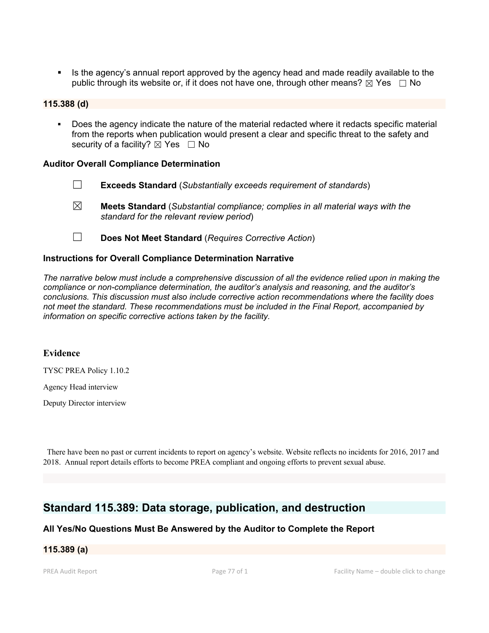Is the agency's annual report approved by the agency head and made readily available to the public through its website or, if it does not have one, through other means?  $\boxtimes$  Yes  $\Box$  No

#### **115.388 (d)**

 Does the agency indicate the nature of the material redacted where it redacts specific material from the reports when publication would present a clear and specific threat to the safety and security of a facility?  $\boxtimes$  Yes  $\Box$  No

#### **Auditor Overall Compliance Determination**

- ☐ **Exceeds Standard** (*Substantially exceeds requirement of standards*)
- ☒ **Meets Standard** (*Substantial compliance; complies in all material ways with the standard for the relevant review period*)
- ☐ **Does Not Meet Standard** (*Requires Corrective Action*)

#### **Instructions for Overall Compliance Determination Narrative**

*The narrative below must include a comprehensive discussion of all the evidence relied upon in making the compliance or non-compliance determination, the auditor's analysis and reasoning, and the auditor's conclusions. This discussion must also include corrective action recommendations where the facility does not meet the standard. These recommendations must be included in the Final Report, accompanied by information on specific corrective actions taken by the facility.*

#### **Evidence**

TYSC PREA Policy 1.10.2

Agency Head interview

Deputy Director interview

There have been no past or current incidents to report on agency's website. Website reflects no incidents for 2016, 2017 and 2018. Annual report details efforts to become PREA compliant and ongoing efforts to prevent sexual abuse.

# **Standard 115.389: Data storage, publication, and destruction**

#### **All Yes/No Questions Must Be Answered by the Auditor to Complete the Report**

# **115.389 (a)**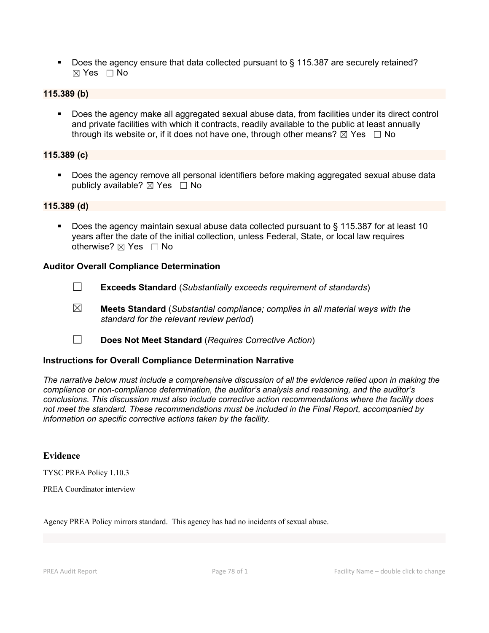Does the agency ensure that data collected pursuant to § 115.387 are securely retained? ☒ Yes ☐ No

# **115.389 (b)**

 Does the agency make all aggregated sexual abuse data, from facilities under its direct control and private facilities with which it contracts, readily available to the public at least annually through its website or, if it does not have one, through other means?  $\boxtimes$  Yes  $\Box$  No

### **115.389 (c)**

 Does the agency remove all personal identifiers before making aggregated sexual abuse data publicly available?  $\boxtimes$  Yes  $\Box$  No

# **115.389 (d)**

 Does the agency maintain sexual abuse data collected pursuant to § 115.387 for at least 10 years after the date of the initial collection, unless Federal, State, or local law requires otherwise? ⊠ Yes □ No

### **Auditor Overall Compliance Determination**

- ☐ **Exceeds Standard** (*Substantially exceeds requirement of standards*)
- ☒ **Meets Standard** (*Substantial compliance; complies in all material ways with the standard for the relevant review period*)
- ☐ **Does Not Meet Standard** (*Requires Corrective Action*)

#### **Instructions for Overall Compliance Determination Narrative**

*The narrative below must include a comprehensive discussion of all the evidence relied upon in making the compliance or non-compliance determination, the auditor's analysis and reasoning, and the auditor's conclusions. This discussion must also include corrective action recommendations where the facility does not meet the standard. These recommendations must be included in the Final Report, accompanied by information on specific corrective actions taken by the facility.*

#### **Evidence**

TYSC PREA Policy 1.10.3

PREA Coordinator interview

Agency PREA Policy mirrors standard. This agency has had no incidents of sexual abuse.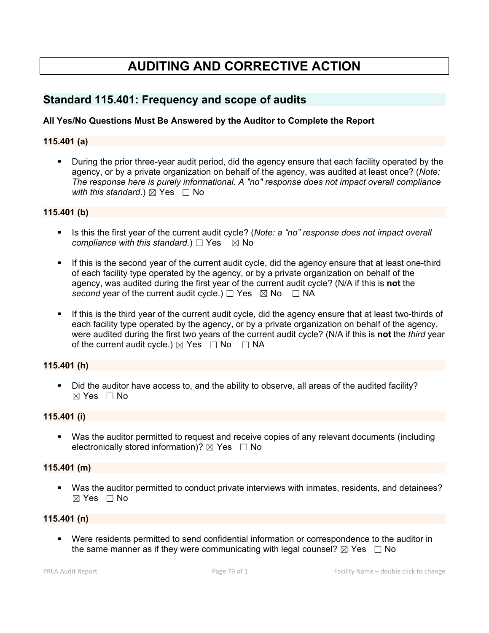# **AUDITING AND CORRECTIVE ACTION**

# **Standard 115.401: Frequency and scope of audits**

# **All Yes/No Questions Must Be Answered by the Auditor to Complete the Report**

### **115.401 (a)**

 During the prior three-year audit period, did the agency ensure that each facility operated by the agency, or by a private organization on behalf of the agency, was audited at least once? (*Note: The response here is purely informational. A "no" response does not impact overall compliance with this standard.*)  $\boxtimes$  Yes  $\Box$  No

### **115.401 (b)**

- Is this the first year of the current audit cycle? (*Note: a "no" response does not impact overall compliance with this standard.*)  $\Box$  Yes  $\Box$  No
- If this is the second year of the current audit cycle, did the agency ensure that at least one-third of each facility type operated by the agency, or by a private organization on behalf of the agency, was audited during the first year of the current audit cycle? (N/A if this is **not** the *second* year of the current audit cycle.)  $\Box$  Yes  $\boxtimes$  No  $\Box$  NA
- If this is the third year of the current audit cycle, did the agency ensure that at least two-thirds of each facility type operated by the agency, or by a private organization on behalf of the agency, were audited during the first two years of the current audit cycle? (N/A if this is **not** the *third* year of the current audit cycle.)  $\boxtimes$  Yes  $\Box$  No  $\Box$  NA

#### **115.401 (h)**

 Did the auditor have access to, and the ability to observe, all areas of the audited facility?  $\boxtimes$  Yes  $\Box$  No

#### **115.401 (i)**

 Was the auditor permitted to request and receive copies of any relevant documents (including electronically stored information)?  $\boxtimes$  Yes  $\Box$  No

#### **115.401 (m)**

 Was the auditor permitted to conduct private interviews with inmates, residents, and detainees?  $\boxtimes$  Yes  $\Box$  No

### **115.401 (n)**

 Were residents permitted to send confidential information or correspondence to the auditor in the same manner as if they were communicating with legal counsel?  $\boxtimes$  Yes  $\Box$  No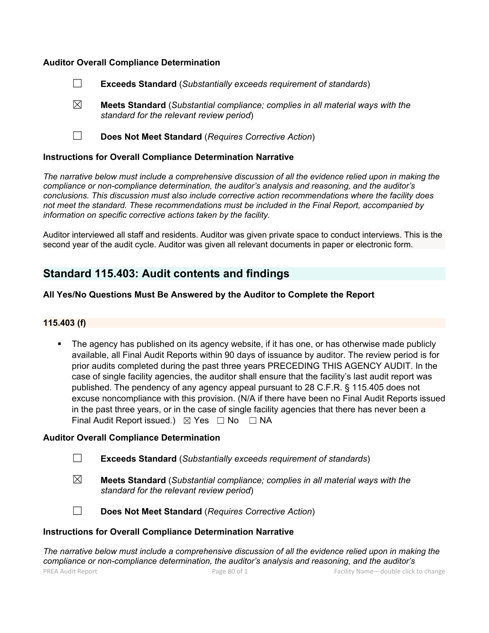### **Auditor Overall Compliance Determination**

- ☐ **Exceeds Standard** (*Substantially exceeds requirement of standards*)
- ☒ **Meets Standard** (*Substantial compliance; complies in all material ways with the standard for the relevant review period*)
- ☐ **Does Not Meet Standard** (*Requires Corrective Action*)

#### **Instructions for Overall Compliance Determination Narrative**

*The narrative below must include a comprehensive discussion of all the evidence relied upon in making the compliance or non-compliance determination, the auditor's analysis and reasoning, and the auditor's conclusions. This discussion must also include corrective action recommendations where the facility does not meet the standard. These recommendations must be included in the Final Report, accompanied by information on specific corrective actions taken by the facility.*

Auditor interviewed all staff and residents. Auditor was given private space to conduct interviews. This is the second year of the audit cycle. Auditor was given all relevant documents in paper or electronic form.

# **Standard 115.403: Audit contents and findings**

#### **All Yes/No Questions Must Be Answered by the Auditor to Complete the Report**

#### **115.403 (f)**

 The agency has published on its agency website, if it has one, or has otherwise made publicly available, all Final Audit Reports within 90 days of issuance by auditor. The review period is for prior audits completed during the past three years PRECEDING THIS AGENCY AUDIT. In the case of single facility agencies, the auditor shall ensure that the facility's last audit report was published. The pendency of any agency appeal pursuant to 28 C.F.R. § 115.405 does not excuse noncompliance with this provision. (N/A if there have been no Final Audit Reports issued in the past three years, or in the case of single facility agencies that there has never been a Final Audit Report issued.)  $\boxtimes$  Yes  $\Box$  No  $\Box$  NA

#### **Auditor Overall Compliance Determination**

- ☐ **Exceeds Standard** (*Substantially exceeds requirement of standards*)
- ☒ **Meets Standard** (*Substantial compliance; complies in all material ways with the standard for the relevant review period*)
- 
- ☐ **Does Not Meet Standard** (*Requires Corrective Action*)

#### **Instructions for Overall Compliance Determination Narrative**

PREA Audit Report **PREA Audit Report Page 80 of 1** Page 80 of 1 Facility Name – double click to change *The narrative below must include a comprehensive discussion of all the evidence relied upon in making the compliance or non-compliance determination, the auditor's analysis and reasoning, and the auditor's*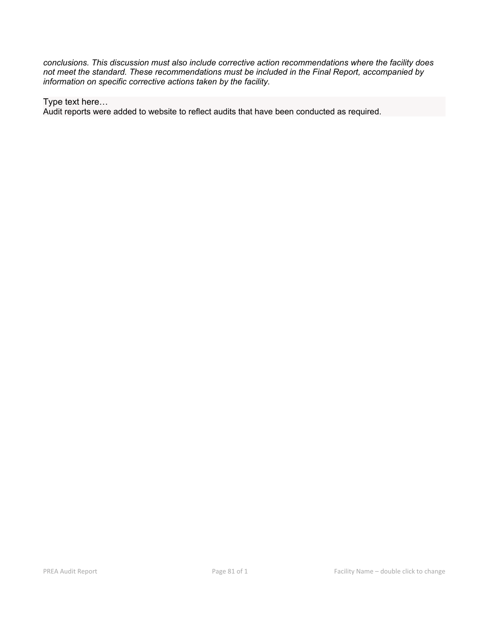*conclusions. This discussion must also include corrective action recommendations where the facility does not meet the standard. These recommendations must be included in the Final Report, accompanied by information on specific corrective actions taken by the facility.*

Type text here…

Audit reports were added to website to reflect audits that have been conducted as required.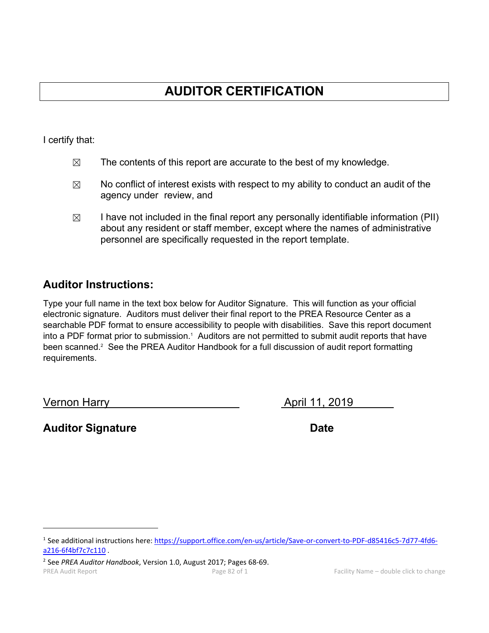# **AUDITOR CERTIFICATION**

I certify that:

- $\boxtimes$  The contents of this report are accurate to the best of my knowledge.
- $\boxtimes$  No conflict of interest exists with respect to my ability to conduct an audit of the agency under review, and
- $\boxtimes$  I have not included in the final report any personally identifiable information (PII) about any resident or staff member, except where the names of administrative personnel are specifically requested in the report template.

# **Auditor Instructions:**

Type your full name in the text box below for Auditor Signature. This will function as your official electronic signature. Auditors must deliver their final report to the PREA Resource Center as a searchable PDF format to ensure accessibility to people with disabilities. Save this report document into a PDF format prior to submission.<sup>1</sup> Auditors are not permitted to submit audit reports that have been scanned.<sup>2</sup> See the PREA Auditor Handbook for a full discussion of audit report formatting requirements.

Vernon Harry **April 11, 2019** 

**Auditor Signature Date** 

<sup>1</sup> See additional instructions here: https://support.office.com/en-us/article/Save-or-convert-to-PDF-d85416c5-7d77-4fd6 a216-6f4bf7c7c110 .

PREA Audit Report **PREA Audit Report Page 82 of 1** Page 82 of 1 Facility Name – double click to change <sup>2</sup> See *PREA Auditor Handbook*, Version 1.0, August 2017; Pages 68-69.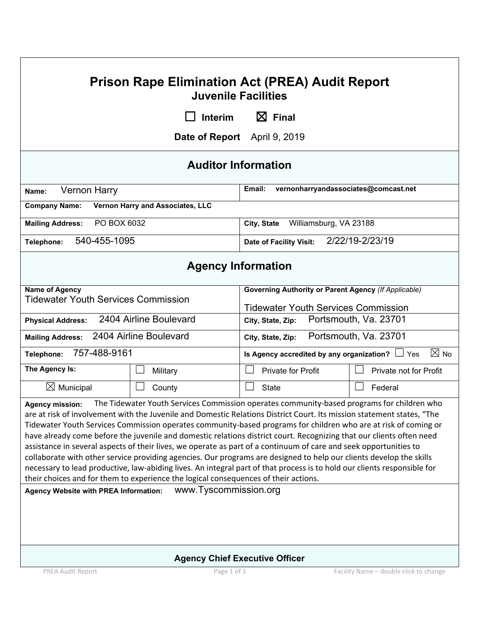# PREA Audit Report **PREA Audit Report Page 1 of 1** Page 1 of 1 **Facility Name – double click to change Prison Rape Elimination Act (PREA) Audit Report Juvenile Facilities** ☐ **Interim** ☒ **Final Date of Report** April 9, 2019 **Auditor Information Name: Vernon Harry <b>Email:** vernonharryandassociates@comcast.net **Company Name: Vernon Harry and Associates, LLC Mailing Address:** PO BOX 6032 **City, State** Williamsburg, VA 23188 **Telephone:** 540-455-1095 **Date of Facility Visit:** 2/22/19-2/23/19 **Agency Information Name of Agency** Tidewater Youth Services Commission **Governing Authority or Parent Agency** *(If Applicable)* Tidewater Youth Services Commission **Physical Address:** 2404 Airline Boulevard **City, State, Zip:** Portsmouth, Va. 23701 **Mailing Address:** 2404 Airline Boulevard **City, State, Zip:** Portsmouth, Va. 23701 **Telephone:** 757-488-9161 **Is Agency accredited by any organization?** ☐ Yes ☒ No **The Agency Is:** │ □ Military │ □ Private for Profit │ □ Private not for Profit  $\boxtimes$  Municipal  $\Box$  County  $\Box$  State  $\Box$  Federal **Agency mission:** The Tidewater Youth Services Commission operates community-based programs for children who are at risk of involvement with the Juvenile and Domestic Relations District Court. Its mission statement states, "The Tidewater Youth Services Commission operates community-based programs for children who are at risk of coming or have already come before the juvenile and domestic relations district court. Recognizing that our clients often need assistance in several aspects of their lives, we operate as part of a continuum of care and seek opportunities to collaborate with other service providing agencies. Our programs are designed to help our clients develop the skills necessary to lead productive, law-abiding lives. An integral part of that process is to hold our clients responsible for their choices and for them to experience the logical consequences of their actions. **Agency Website with PREA Information:** www.Tyscommission.org **Agency Chief Executive Officer**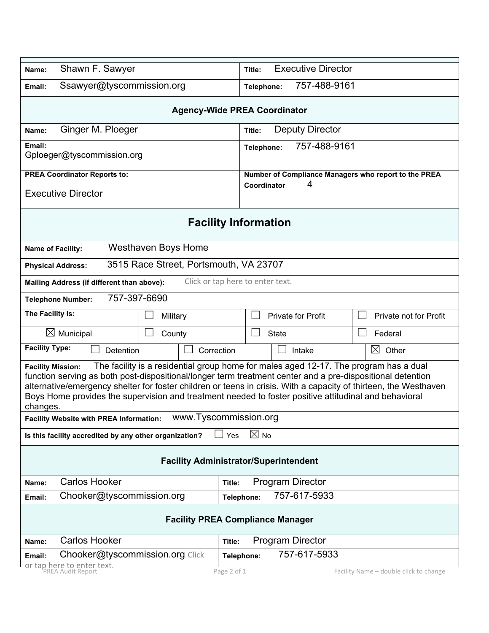| Shawn F. Sawyer<br>Name:                                                                                                                                                                                                                                                                                                                                                                                                                                                                                                                            | <b>Executive Director</b><br>Title:                                      |  |  |  |  |  |  |
|-----------------------------------------------------------------------------------------------------------------------------------------------------------------------------------------------------------------------------------------------------------------------------------------------------------------------------------------------------------------------------------------------------------------------------------------------------------------------------------------------------------------------------------------------------|--------------------------------------------------------------------------|--|--|--|--|--|--|
| Ssawyer@tyscommission.org<br>Email:                                                                                                                                                                                                                                                                                                                                                                                                                                                                                                                 | 757-488-9161<br>Telephone:                                               |  |  |  |  |  |  |
| <b>Agency-Wide PREA Coordinator</b>                                                                                                                                                                                                                                                                                                                                                                                                                                                                                                                 |                                                                          |  |  |  |  |  |  |
| Ginger M. Ploeger<br>Name:                                                                                                                                                                                                                                                                                                                                                                                                                                                                                                                          | <b>Deputy Director</b><br>Title:                                         |  |  |  |  |  |  |
| Email:<br>Gploeger@tyscommission.org                                                                                                                                                                                                                                                                                                                                                                                                                                                                                                                | 757-488-9161<br>Telephone:                                               |  |  |  |  |  |  |
| <b>PREA Coordinator Reports to:</b><br><b>Executive Director</b>                                                                                                                                                                                                                                                                                                                                                                                                                                                                                    | Number of Compliance Managers who report to the PREA<br>4<br>Coordinator |  |  |  |  |  |  |
| <b>Facility Information</b>                                                                                                                                                                                                                                                                                                                                                                                                                                                                                                                         |                                                                          |  |  |  |  |  |  |
| <b>Westhaven Boys Home</b><br>Name of Facility:                                                                                                                                                                                                                                                                                                                                                                                                                                                                                                     |                                                                          |  |  |  |  |  |  |
| 3515 Race Street, Portsmouth, VA 23707<br><b>Physical Address:</b>                                                                                                                                                                                                                                                                                                                                                                                                                                                                                  |                                                                          |  |  |  |  |  |  |
| Mailing Address (if different than above):                                                                                                                                                                                                                                                                                                                                                                                                                                                                                                          | Click or tap here to enter text.                                         |  |  |  |  |  |  |
| 757-397-6690<br><b>Telephone Number:</b>                                                                                                                                                                                                                                                                                                                                                                                                                                                                                                            |                                                                          |  |  |  |  |  |  |
| The Facility Is:<br>Military                                                                                                                                                                                                                                                                                                                                                                                                                                                                                                                        | Private for Profit<br>Private not for Profit                             |  |  |  |  |  |  |
| $\boxtimes$ Municipal<br>County                                                                                                                                                                                                                                                                                                                                                                                                                                                                                                                     | <b>State</b><br>Federal                                                  |  |  |  |  |  |  |
| <b>Facility Type:</b><br>Detention<br>Correction                                                                                                                                                                                                                                                                                                                                                                                                                                                                                                    | $\boxtimes$ Other<br>Intake                                              |  |  |  |  |  |  |
| The facility is a residential group home for males aged 12-17. The program has a dual<br><b>Facility Mission:</b><br>function serving as both post-dispositional/longer term treatment center and a pre-dispositional detention<br>alternative/emergency shelter for foster children or teens in crisis. With a capacity of thirteen, the Westhaven<br>Boys Home provides the supervision and treatment needed to foster positive attitudinal and behavioral<br>changes.<br>www.Tyscommission.org<br><b>Facility Website with PREA Information:</b> |                                                                          |  |  |  |  |  |  |
| $\boxtimes$ No<br>Yes<br>Is this facility accredited by any other organization?                                                                                                                                                                                                                                                                                                                                                                                                                                                                     |                                                                          |  |  |  |  |  |  |
| <b>Facility Administrator/Superintendent</b>                                                                                                                                                                                                                                                                                                                                                                                                                                                                                                        |                                                                          |  |  |  |  |  |  |
| <b>Carlos Hooker</b><br>Name:                                                                                                                                                                                                                                                                                                                                                                                                                                                                                                                       | <b>Program Director</b><br>Title:                                        |  |  |  |  |  |  |
| Chooker@tyscommission.org<br>Email:                                                                                                                                                                                                                                                                                                                                                                                                                                                                                                                 | 757-617-5933<br>Telephone:                                               |  |  |  |  |  |  |
| <b>Facility PREA Compliance Manager</b>                                                                                                                                                                                                                                                                                                                                                                                                                                                                                                             |                                                                          |  |  |  |  |  |  |
| <b>Carlos Hooker</b><br>Name:                                                                                                                                                                                                                                                                                                                                                                                                                                                                                                                       | <b>Program Director</b><br>Title:                                        |  |  |  |  |  |  |
| Chooker@tyscommission.org Click<br>Email:                                                                                                                                                                                                                                                                                                                                                                                                                                                                                                           | 757-617-5933<br>Telephone:                                               |  |  |  |  |  |  |
| <mark>or tap here to enter text.</mark><br>PREA Audit Report                                                                                                                                                                                                                                                                                                                                                                                                                                                                                        | Facility Name - double click to change<br>Page 2 of 1                    |  |  |  |  |  |  |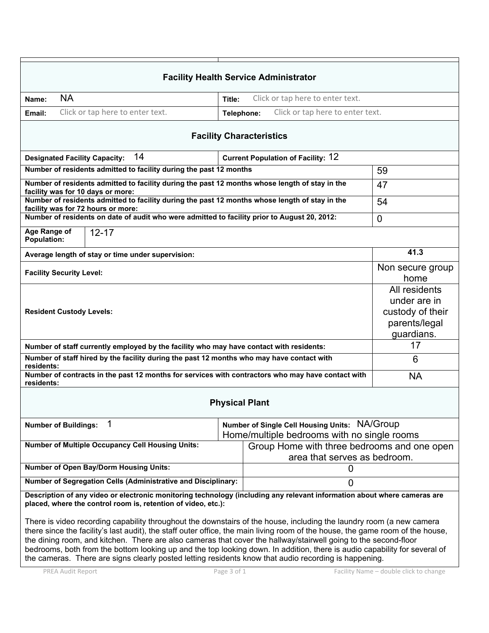|                                                                                                                                                                                                                                                                                                                                                                                                                                                                                                                                                                                                                 |                                                                                  | <b>Facility Health Service Administrator</b>                                                 |      |  |
|-----------------------------------------------------------------------------------------------------------------------------------------------------------------------------------------------------------------------------------------------------------------------------------------------------------------------------------------------------------------------------------------------------------------------------------------------------------------------------------------------------------------------------------------------------------------------------------------------------------------|----------------------------------------------------------------------------------|----------------------------------------------------------------------------------------------|------|--|
| <b>NA</b><br>Name:                                                                                                                                                                                                                                                                                                                                                                                                                                                                                                                                                                                              | Title:                                                                           | Click or tap here to enter text.                                                             |      |  |
| Click or tap here to enter text.<br>Email:                                                                                                                                                                                                                                                                                                                                                                                                                                                                                                                                                                      | Telephone:                                                                       | Click or tap here to enter text.                                                             |      |  |
|                                                                                                                                                                                                                                                                                                                                                                                                                                                                                                                                                                                                                 |                                                                                  | <b>Facility Characteristics</b>                                                              |      |  |
| 14<br><b>Designated Facility Capacity:</b>                                                                                                                                                                                                                                                                                                                                                                                                                                                                                                                                                                      |                                                                                  | <b>Current Population of Facility: 12</b>                                                    |      |  |
| Number of residents admitted to facility during the past 12 months                                                                                                                                                                                                                                                                                                                                                                                                                                                                                                                                              |                                                                                  |                                                                                              | 59   |  |
| Number of residents admitted to facility during the past 12 months whose length of stay in the<br>facility was for 10 days or more:                                                                                                                                                                                                                                                                                                                                                                                                                                                                             |                                                                                  |                                                                                              | 47   |  |
| Number of residents admitted to facility during the past 12 months whose length of stay in the<br>facility was for 72 hours or more:                                                                                                                                                                                                                                                                                                                                                                                                                                                                            | 54                                                                               |                                                                                              |      |  |
| Number of residents on date of audit who were admitted to facility prior to August 20, 2012:                                                                                                                                                                                                                                                                                                                                                                                                                                                                                                                    | $\mathbf 0$                                                                      |                                                                                              |      |  |
| Age Range of<br>$12 - 17$<br><b>Population:</b>                                                                                                                                                                                                                                                                                                                                                                                                                                                                                                                                                                 |                                                                                  |                                                                                              |      |  |
| Average length of stay or time under supervision:                                                                                                                                                                                                                                                                                                                                                                                                                                                                                                                                                               |                                                                                  |                                                                                              | 41.3 |  |
| <b>Facility Security Level:</b>                                                                                                                                                                                                                                                                                                                                                                                                                                                                                                                                                                                 | Non secure group<br>home                                                         |                                                                                              |      |  |
| <b>Resident Custody Levels:</b>                                                                                                                                                                                                                                                                                                                                                                                                                                                                                                                                                                                 | All residents<br>under are in<br>custody of their<br>parents/legal<br>guardians. |                                                                                              |      |  |
| Number of staff currently employed by the facility who may have contact with residents:                                                                                                                                                                                                                                                                                                                                                                                                                                                                                                                         |                                                                                  |                                                                                              | 17   |  |
| Number of staff hired by the facility during the past 12 months who may have contact with<br>residents:                                                                                                                                                                                                                                                                                                                                                                                                                                                                                                         |                                                                                  |                                                                                              | 6    |  |
| Number of contracts in the past 12 months for services with contractors who may have contact with<br>residents:                                                                                                                                                                                                                                                                                                                                                                                                                                                                                                 | <b>NA</b>                                                                        |                                                                                              |      |  |
|                                                                                                                                                                                                                                                                                                                                                                                                                                                                                                                                                                                                                 | <b>Physical Plant</b>                                                            |                                                                                              |      |  |
| <b>Number of Buildings:</b>                                                                                                                                                                                                                                                                                                                                                                                                                                                                                                                                                                                     |                                                                                  | Number of Single Cell Housing Units: NA/Group<br>Home/multiple bedrooms with no single rooms |      |  |
| <b>Number of Multiple Occupancy Cell Housing Units:</b><br>Group Home with three bedrooms and one open<br>area that serves as bedroom.                                                                                                                                                                                                                                                                                                                                                                                                                                                                          |                                                                                  |                                                                                              |      |  |
| <b>Number of Open Bay/Dorm Housing Units:</b><br>0                                                                                                                                                                                                                                                                                                                                                                                                                                                                                                                                                              |                                                                                  |                                                                                              |      |  |
| Number of Segregation Cells (Administrative and Disciplinary:                                                                                                                                                                                                                                                                                                                                                                                                                                                                                                                                                   |                                                                                  |                                                                                              |      |  |
| Description of any video or electronic monitoring technology (including any relevant information about where cameras are<br>placed, where the control room is, retention of video, etc.):                                                                                                                                                                                                                                                                                                                                                                                                                       |                                                                                  |                                                                                              |      |  |
| There is video recording capability throughout the downstairs of the house, including the laundry room (a new camera<br>there since the facility's last audit), the staff outer office, the main living room of the house, the game room of the house,<br>the dining room, and kitchen. There are also cameras that cover the hallway/stairwell going to the second-floor<br>bedrooms, both from the bottom looking up and the top looking down. In addition, there is audio capability for several of<br>the cameras. There are signs clearly posted letting residents know that audio recording is happening. |                                                                                  |                                                                                              |      |  |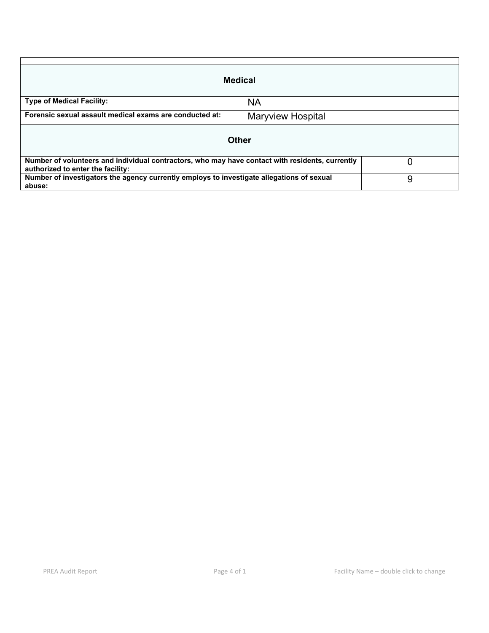| <b>Medical</b>                                                                                                                       |                          |   |
|--------------------------------------------------------------------------------------------------------------------------------------|--------------------------|---|
| <b>Type of Medical Facility:</b>                                                                                                     | <b>NA</b>                |   |
| Forensic sexual assault medical exams are conducted at:                                                                              | <b>Maryview Hospital</b> |   |
|                                                                                                                                      | <b>Other</b>             |   |
| Number of volunteers and individual contractors, who may have contact with residents, currently<br>authorized to enter the facility: |                          |   |
| Number of investigators the agency currently employs to investigate allegations of sexual<br>abuse:                                  |                          | 9 |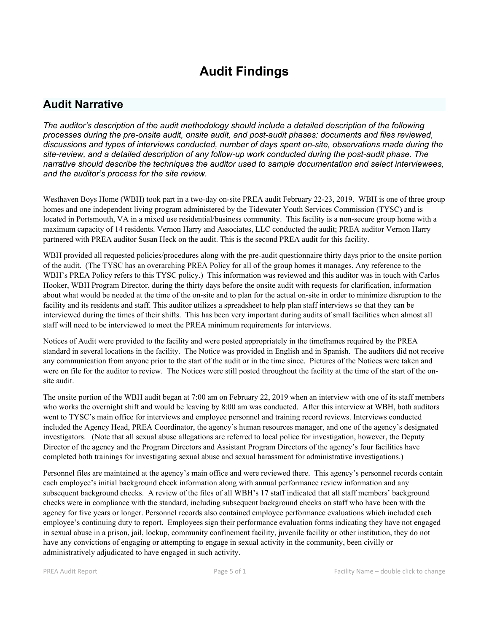# **Audit Findings**

# **Audit Narrative**

*The auditor's description of the audit methodology should include a detailed description of the following processes during the pre-onsite audit, onsite audit, and post-audit phases: documents and files reviewed, discussions and types of interviews conducted, number of days spent on-site, observations made during the site-review, and a detailed description of any follow-up work conducted during the post-audit phase. The narrative should describe the techniques the auditor used to sample documentation and select interviewees, and the auditor's process for the site review.*

Westhaven Boys Home (WBH) took part in a two-day on-site PREA audit February 22-23, 2019. WBH is one of three group homes and one independent living program administered by the Tidewater Youth Services Commission (TYSC) and is located in Portsmouth, VA in a mixed use residential/business community. This facility is a non-secure group home with a maximum capacity of 14 residents. Vernon Harry and Associates, LLC conducted the audit; PREA auditor Vernon Harry partnered with PREA auditor Susan Heck on the audit. This is the second PREA audit for this facility.

WBH provided all requested policies/procedures along with the pre-audit questionnaire thirty days prior to the onsite portion of the audit. (The TYSC has an overarching PREA Policy for all of the group homes it manages. Any reference to the WBH's PREA Policy refers to this TYSC policy.) This information was reviewed and this auditor was in touch with Carlos Hooker, WBH Program Director, during the thirty days before the onsite audit with requests for clarification, information about what would be needed at the time of the on-site and to plan for the actual on-site in order to minimize disruption to the facility and its residents and staff. This auditor utilizes a spreadsheet to help plan staff interviews so that they can be interviewed during the times of their shifts. This has been very important during audits of small facilities when almost all staff will need to be interviewed to meet the PREA minimum requirements for interviews.

Notices of Audit were provided to the facility and were posted appropriately in the timeframes required by the PREA standard in several locations in the facility. The Notice was provided in English and in Spanish. The auditors did not receive any communication from anyone prior to the start of the audit or in the time since. Pictures of the Notices were taken and were on file for the auditor to review. The Notices were still posted throughout the facility at the time of the start of the onsite audit.

The onsite portion of the WBH audit began at 7:00 am on February 22, 2019 when an interview with one of its staff members who works the overnight shift and would be leaving by 8:00 am was conducted. After this interview at WBH, both auditors went to TYSC's main office for interviews and employee personnel and training record reviews. Interviews conducted included the Agency Head, PREA Coordinator, the agency's human resources manager, and one of the agency's designated investigators. (Note that all sexual abuse allegations are referred to local police for investigation, however, the Deputy Director of the agency and the Program Directors and Assistant Program Directors of the agency's four facilities have completed both trainings for investigating sexual abuse and sexual harassment for administrative investigations.)

Personnel files are maintained at the agency's main office and were reviewed there. This agency's personnel records contain each employee's initial background check information along with annual performance review information and any subsequent background checks. A review of the files of all WBH's 17 staff indicated that all staff members' background checks were in compliance with the standard, including subsequent background checks on staff who have been with the agency for five years or longer. Personnel records also contained employee performance evaluations which included each employee's continuing duty to report. Employees sign their performance evaluation forms indicating they have not engaged in sexual abuse in a prison, jail, lockup, community confinement facility, juvenile facility or other institution, they do not have any convictions of engaging or attempting to engage in sexual activity in the community, been civilly or administratively adjudicated to have engaged in such activity.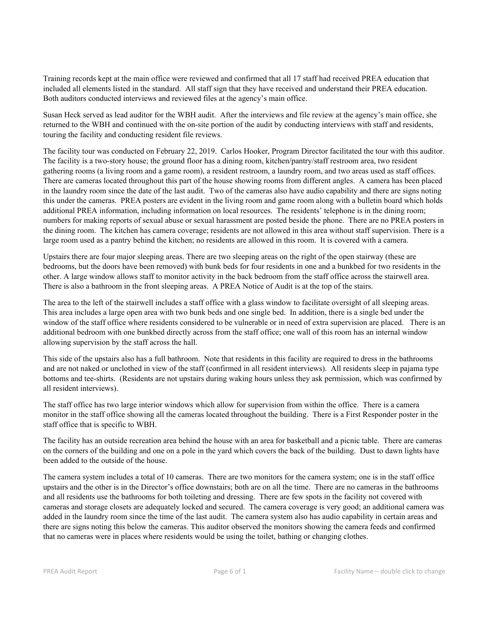Training records kept at the main office were reviewed and confirmed that all 17 staff had received PREA education that included all elements listed in the standard. All staff sign that they have received and understand their PREA education. Both auditors conducted interviews and reviewed files at the agency's main office.

Susan Heck served as lead auditor for the WBH audit. After the interviews and file review at the agency's main office, she returned to the WBH and continued with the on-site portion of the audit by conducting interviews with staff and residents, touring the facility and conducting resident file reviews.

The facility tour was conducted on February 22, 2019. Carlos Hooker, Program Director facilitated the tour with this auditor. The facility is a two-story house; the ground floor has a dining room, kitchen/pantry/staff restroom area, two resident gathering rooms (a living room and a game room), a resident restroom, a laundry room, and two areas used as staff offices. There are cameras located throughout this part of the house showing rooms from different angles. A camera has been placed in the laundry room since the date of the last audit. Two of the cameras also have audio capability and there are signs noting this under the cameras. PREA posters are evident in the living room and game room along with a bulletin board which holds additional PREA information, including information on local resources. The residents' telephone is in the dining room; numbers for making reports of sexual abuse or sexual harassment are posted beside the phone. There are no PREA posters in the dining room. The kitchen has camera coverage; residents are not allowed in this area without staff supervision. There is a large room used as a pantry behind the kitchen; no residents are allowed in this room. It is covered with a camera.

Upstairs there are four major sleeping areas. There are two sleeping areas on the right of the open stairway (these are bedrooms, but the doors have been removed) with bunk beds for four residents in one and a bunkbed for two residents in the other. A large window allows staff to monitor activity in the back bedroom from the staff office across the stairwell area. There is also a bathroom in the front sleeping areas. A PREA Notice of Audit is at the top of the stairs.

The area to the left of the stairwell includes a staff office with a glass window to facilitate oversight of all sleeping areas. This area includes a large open area with two bunk beds and one single bed. In addition, there is a single bed under the window of the staff office where residents considered to be vulnerable or in need of extra supervision are placed. There is an additional bedroom with one bunkbed directly across from the staff office; one wall of this room has an internal window allowing supervision by the staff across the hall.

This side of the upstairs also has a full bathroom. Note that residents in this facility are required to dress in the bathrooms and are not naked or unclothed in view of the staff (confirmed in all resident interviews). All residents sleep in pajama type bottoms and tee-shirts. (Residents are not upstairs during waking hours unless they ask permission, which was confirmed by all resident interviews).

The staff office has two large interior windows which allow for supervision from within the office. There is a camera monitor in the staff office showing all the cameras located throughout the building. There is a First Responder poster in the staff office that is specific to WBH.

The facility has an outside recreation area behind the house with an area for basketball and a picnic table. There are cameras on the corners of the building and one on a pole in the yard which covers the back of the building. Dust to dawn lights have been added to the outside of the house.

The camera system includes a total of 10 cameras. There are two monitors for the camera system; one is in the staff office upstairs and the other is in the Director's office downstairs; both are on all the time. There are no cameras in the bathrooms and all residents use the bathrooms for both toileting and dressing. There are few spots in the facility not covered with cameras and storage closets are adequately locked and secured. The camera coverage is very good; an additional camera was added in the laundry room since the time of the last audit. The camera system also has audio capability in certain areas and there are signs noting this below the cameras. This auditor observed the monitors showing the camera feeds and confirmed that no cameras were in places where residents would be using the toilet, bathing or changing clothes.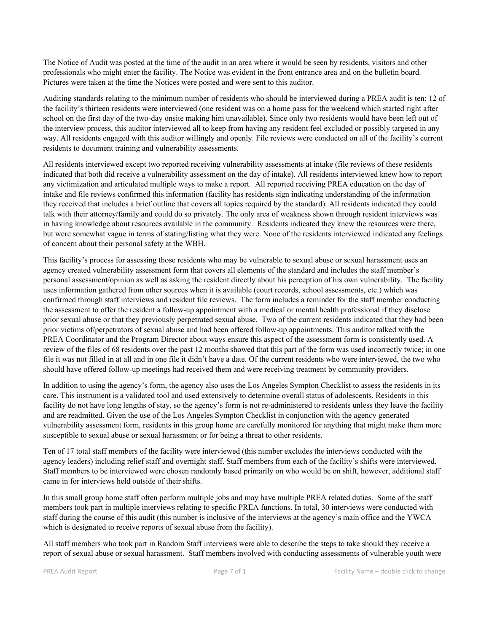The Notice of Audit was posted at the time of the audit in an area where it would be seen by residents, visitors and other professionals who might enter the facility. The Notice was evident in the front entrance area and on the bulletin board. Pictures were taken at the time the Notices were posted and were sent to this auditor.

Auditing standards relating to the minimum number of residents who should be interviewed during a PREA audit is ten; 12 of the facility's thirteen residents were interviewed (one resident was on a home pass for the weekend which started right after school on the first day of the two-day onsite making him unavailable). Since only two residents would have been left out of the interview process, this auditor interviewed all to keep from having any resident feel excluded or possibly targeted in any way. All residents engaged with this auditor willingly and openly. File reviews were conducted on all of the facility's current residents to document training and vulnerability assessments.

All residents interviewed except two reported receiving vulnerability assessments at intake (file reviews of these residents indicated that both did receive a vulnerability assessment on the day of intake). All residents interviewed knew how to report any victimization and articulated multiple ways to make a report. All reported receiving PREA education on the day of intake and file reviews confirmed this information (facility has residents sign indicating understanding of the information they received that includes a brief outline that covers all topics required by the standard). All residents indicated they could talk with their attorney/family and could do so privately. The only area of weakness shown through resident interviews was in having knowledge about resources available in the community. Residents indicated they knew the resources were there, but were somewhat vague in terms of stating/listing what they were. None of the residents interviewed indicated any feelings of concern about their personal safety at the WBH.

This facility's process for assessing those residents who may be vulnerable to sexual abuse or sexual harassment uses an agency created vulnerability assessment form that covers all elements of the standard and includes the staff member's personal assessment/opinion as well as asking the resident directly about his perception of his own vulnerability. The facility uses information gathered from other sources when it is available (court records, school assessments, etc.) which was confirmed through staff interviews and resident file reviews. The form includes a reminder for the staff member conducting the assessment to offer the resident a follow-up appointment with a medical or mental health professional if they disclose prior sexual abuse or that they previously perpetrated sexual abuse. Two of the current residents indicated that they had been prior victims of/perpetrators of sexual abuse and had been offered follow-up appointments. This auditor talked with the PREA Coordinator and the Program Director about ways ensure this aspect of the assessment form is consistently used. A review of the files of 68 residents over the past 12 months showed that this part of the form was used incorrectly twice; in one file it was not filled in at all and in one file it didn't have a date. Of the current residents who were interviewed, the two who should have offered follow-up meetings had received them and were receiving treatment by community providers.

In addition to using the agency's form, the agency also uses the Los Angeles Sympton Checklist to assess the residents in its care. This instrument is a validated tool and used extensively to determine overall status of adolescents. Residents in this facility do not have long lengths of stay, so the agency's form is not re-administered to residents unless they leave the facility and are readmitted. Given the use of the Los Angeles Sympton Checklist in conjunction with the agency generated vulnerability assessment form, residents in this group home are carefully monitored for anything that might make them more susceptible to sexual abuse or sexual harassment or for being a threat to other residents.

Ten of 17 total staff members of the facility were interviewed (this number excludes the interviews conducted with the agency leaders) including relief staff and overnight staff. Staff members from each of the facility's shifts were interviewed. Staff members to be interviewed were chosen randomly based primarily on who would be on shift, however, additional staff came in for interviews held outside of their shifts.

In this small group home staff often perform multiple jobs and may have multiple PREA related duties. Some of the staff members took part in multiple interviews relating to specific PREA functions. In total, 30 interviews were conducted with staff during the course of this audit (this number is inclusive of the interviews at the agency's main office and the YWCA which is designated to receive reports of sexual abuse from the facility).

All staff members who took part in Random Staff interviews were able to describe the steps to take should they receive a report of sexual abuse or sexual harassment. Staff members involved with conducting assessments of vulnerable youth were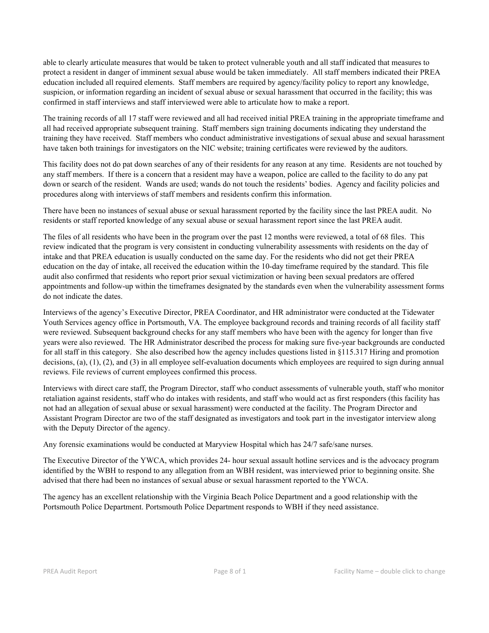able to clearly articulate measures that would be taken to protect vulnerable youth and all staff indicated that measures to protect a resident in danger of imminent sexual abuse would be taken immediately. All staff members indicated their PREA education included all required elements. Staff members are required by agency/facility policy to report any knowledge, suspicion, or information regarding an incident of sexual abuse or sexual harassment that occurred in the facility; this was confirmed in staff interviews and staff interviewed were able to articulate how to make a report.

The training records of all 17 staff were reviewed and all had received initial PREA training in the appropriate timeframe and all had received appropriate subsequent training. Staff members sign training documents indicating they understand the training they have received. Staff members who conduct administrative investigations of sexual abuse and sexual harassment have taken both trainings for investigators on the NIC website; training certificates were reviewed by the auditors.

This facility does not do pat down searches of any of their residents for any reason at any time. Residents are not touched by any staff members. If there is a concern that a resident may have a weapon, police are called to the facility to do any pat down or search of the resident. Wands are used; wands do not touch the residents' bodies. Agency and facility policies and procedures along with interviews of staff members and residents confirm this information.

There have been no instances of sexual abuse or sexual harassment reported by the facility since the last PREA audit. No residents or staff reported knowledge of any sexual abuse or sexual harassment report since the last PREA audit.

The files of all residents who have been in the program over the past 12 months were reviewed, a total of 68 files. This review indicated that the program is very consistent in conducting vulnerability assessments with residents on the day of intake and that PREA education is usually conducted on the same day. For the residents who did not get their PREA education on the day of intake, all received the education within the 10-day timeframe required by the standard. This file audit also confirmed that residents who report prior sexual victimization or having been sexual predators are offered appointments and follow-up within the timeframes designated by the standards even when the vulnerability assessment forms do not indicate the dates.

Interviews of the agency's Executive Director, PREA Coordinator, and HR administrator were conducted at the Tidewater Youth Services agency office in Portsmouth, VA. The employee background records and training records of all facility staff were reviewed. Subsequent background checks for any staff members who have been with the agency for longer than five years were also reviewed. The HR Administrator described the process for making sure five-year backgrounds are conducted for all staff in this category. She also described how the agency includes questions listed in §115.317 Hiring and promotion decisions, (a), (1), (2), and (3) in all employee self-evaluation documents which employees are required to sign during annual reviews. File reviews of current employees confirmed this process.

Interviews with direct care staff, the Program Director, staff who conduct assessments of vulnerable youth, staff who monitor retaliation against residents, staff who do intakes with residents, and staff who would act as first responders (this facility has not had an allegation of sexual abuse or sexual harassment) were conducted at the facility. The Program Director and Assistant Program Director are two of the staff designated as investigators and took part in the investigator interview along with the Deputy Director of the agency.

Any forensic examinations would be conducted at Maryview Hospital which has 24/7 safe/sane nurses.

The Executive Director of the YWCA, which provides 24- hour sexual assault hotline services and is the advocacy program identified by the WBH to respond to any allegation from an WBH resident, was interviewed prior to beginning onsite. She advised that there had been no instances of sexual abuse or sexual harassment reported to the YWCA.

The agency has an excellent relationship with the Virginia Beach Police Department and a good relationship with the Portsmouth Police Department. Portsmouth Police Department responds to WBH if they need assistance.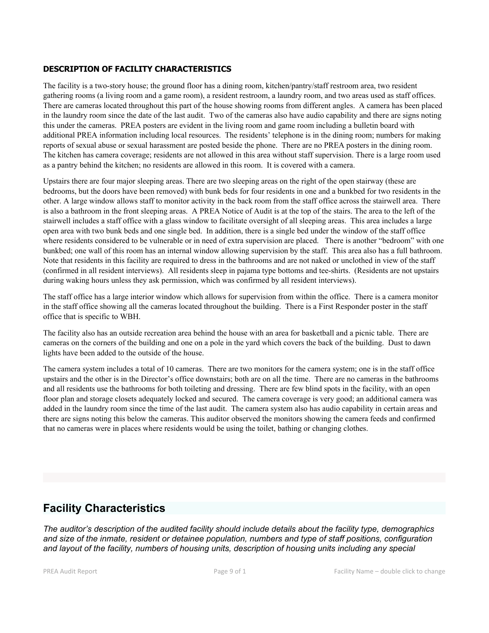#### **DESCRIPTION OF FACILITY CHARACTERISTICS**

The facility is a two-story house; the ground floor has a dining room, kitchen/pantry/staff restroom area, two resident gathering rooms (a living room and a game room), a resident restroom, a laundry room, and two areas used as staff offices. There are cameras located throughout this part of the house showing rooms from different angles. A camera has been placed in the laundry room since the date of the last audit. Two of the cameras also have audio capability and there are signs noting this under the cameras. PREA posters are evident in the living room and game room including a bulletin board with additional PREA information including local resources. The residents' telephone is in the dining room; numbers for making reports of sexual abuse or sexual harassment are posted beside the phone. There are no PREA posters in the dining room. The kitchen has camera coverage; residents are not allowed in this area without staff supervision. There is a large room used as a pantry behind the kitchen; no residents are allowed in this room. It is covered with a camera.

Upstairs there are four major sleeping areas. There are two sleeping areas on the right of the open stairway (these are bedrooms, but the doors have been removed) with bunk beds for four residents in one and a bunkbed for two residents in the other. A large window allows staff to monitor activity in the back room from the staff office across the stairwell area. There is also a bathroom in the front sleeping areas. A PREA Notice of Audit is at the top of the stairs. The area to the left of the stairwell includes a staff office with a glass window to facilitate oversight of all sleeping areas. This area includes a large open area with two bunk beds and one single bed. In addition, there is a single bed under the window of the staff office where residents considered to be vulnerable or in need of extra supervision are placed. There is another "bedroom" with one bunkbed; one wall of this room has an internal window allowing supervision by the staff. This area also has a full bathroom. Note that residents in this facility are required to dress in the bathrooms and are not naked or unclothed in view of the staff (confirmed in all resident interviews). All residents sleep in pajama type bottoms and tee-shirts. (Residents are not upstairs during waking hours unless they ask permission, which was confirmed by all resident interviews).

The staff office has a large interior window which allows for supervision from within the office. There is a camera monitor in the staff office showing all the cameras located throughout the building. There is a First Responder poster in the staff office that is specific to WBH.

The facility also has an outside recreation area behind the house with an area for basketball and a picnic table. There are cameras on the corners of the building and one on a pole in the yard which covers the back of the building. Dust to dawn lights have been added to the outside of the house.

The camera system includes a total of 10 cameras. There are two monitors for the camera system; one is in the staff office upstairs and the other is in the Director's office downstairs; both are on all the time. There are no cameras in the bathrooms and all residents use the bathrooms for both toileting and dressing. There are few blind spots in the facility, with an open floor plan and storage closets adequately locked and secured. The camera coverage is very good; an additional camera was added in the laundry room since the time of the last audit. The camera system also has audio capability in certain areas and there are signs noting this below the cameras. This auditor observed the monitors showing the camera feeds and confirmed that no cameras were in places where residents would be using the toilet, bathing or changing clothes.

# **Facility Characteristics**

*The auditor's description of the audited facility should include details about the facility type, demographics and size of the inmate, resident or detainee population, numbers and type of staff positions, configuration and layout of the facility, numbers of housing units, description of housing units including any special*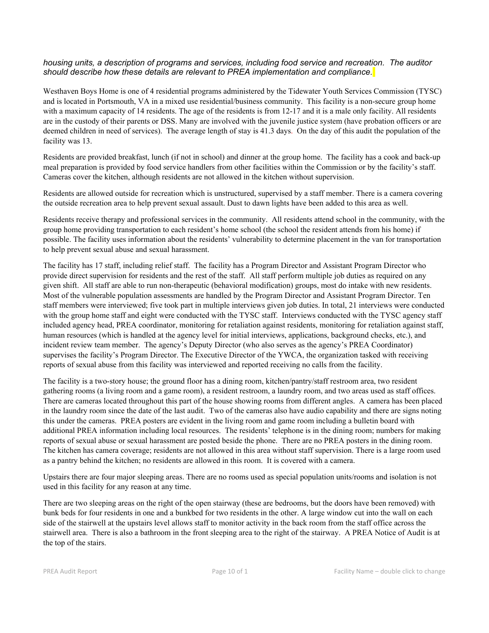#### *housing units, a description of programs and services, including food service and recreation. The auditor should describe how these details are relevant to PREA implementation and compliance.*

Westhaven Boys Home is one of 4 residential programs administered by the Tidewater Youth Services Commission (TYSC) and is located in Portsmouth, VA in a mixed use residential/business community. This facility is a non-secure group home with a maximum capacity of 14 residents. The age of the residents is from 12-17 and it is a male only facility. All residents are in the custody of their parents or DSS. Many are involved with the juvenile justice system (have probation officers or are deemed children in need of services). The average length of stay is 41.3 days. On the day of this audit the population of the facility was 13.

Residents are provided breakfast, lunch (if not in school) and dinner at the group home. The facility has a cook and back-up meal preparation is provided by food service handlers from other facilities within the Commission or by the facility's staff. Cameras cover the kitchen, although residents are not allowed in the kitchen without supervision.

Residents are allowed outside for recreation which is unstructured, supervised by a staff member. There is a camera covering the outside recreation area to help prevent sexual assault. Dust to dawn lights have been added to this area as well.

Residents receive therapy and professional services in the community. All residents attend school in the community, with the group home providing transportation to each resident's home school (the school the resident attends from his home) if possible. The facility uses information about the residents' vulnerability to determine placement in the van for transportation to help prevent sexual abuse and sexual harassment.

The facility has 17 staff, including relief staff. The facility has a Program Director and Assistant Program Director who provide direct supervision for residents and the rest of the staff. All staff perform multiple job duties as required on any given shift. All staff are able to run non-therapeutic (behavioral modification) groups, most do intake with new residents. Most of the vulnerable population assessments are handled by the Program Director and Assistant Program Director. Ten staff members were interviewed; five took part in multiple interviews given job duties. In total, 21 interviews were conducted with the group home staff and eight were conducted with the TYSC staff. Interviews conducted with the TYSC agency staff included agency head, PREA coordinator, monitoring for retaliation against residents, monitoring for retaliation against staff, human resources (which is handled at the agency level for initial interviews, applications, background checks, etc.), and incident review team member. The agency's Deputy Director (who also serves as the agency's PREA Coordinator) supervises the facility's Program Director. The Executive Director of the YWCA, the organization tasked with receiving reports of sexual abuse from this facility was interviewed and reported receiving no calls from the facility.

The facility is a two-story house; the ground floor has a dining room, kitchen/pantry/staff restroom area, two resident gathering rooms (a living room and a game room), a resident restroom, a laundry room, and two areas used as staff offices. There are cameras located throughout this part of the house showing rooms from different angles. A camera has been placed in the laundry room since the date of the last audit. Two of the cameras also have audio capability and there are signs noting this under the cameras. PREA posters are evident in the living room and game room including a bulletin board with additional PREA information including local resources. The residents' telephone is in the dining room; numbers for making reports of sexual abuse or sexual harassment are posted beside the phone. There are no PREA posters in the dining room. The kitchen has camera coverage; residents are not allowed in this area without staff supervision. There is a large room used as a pantry behind the kitchen; no residents are allowed in this room. It is covered with a camera.

Upstairs there are four major sleeping areas. There are no rooms used as special population units/rooms and isolation is not used in this facility for any reason at any time.

There are two sleeping areas on the right of the open stairway (these are bedrooms, but the doors have been removed) with bunk beds for four residents in one and a bunkbed for two residents in the other. A large window cut into the wall on each side of the stairwell at the upstairs level allows staff to monitor activity in the back room from the staff office across the stairwell area. There is also a bathroom in the front sleeping area to the right of the stairway. A PREA Notice of Audit is at the top of the stairs.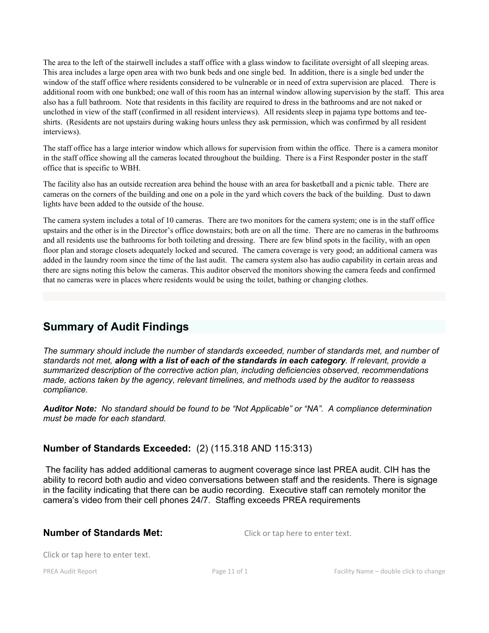The area to the left of the stairwell includes a staff office with a glass window to facilitate oversight of all sleeping areas. This area includes a large open area with two bunk beds and one single bed. In addition, there is a single bed under the window of the staff office where residents considered to be vulnerable or in need of extra supervision are placed. There is additional room with one bunkbed; one wall of this room has an internal window allowing supervision by the staff. This area also has a full bathroom. Note that residents in this facility are required to dress in the bathrooms and are not naked or unclothed in view of the staff (confirmed in all resident interviews). All residents sleep in pajama type bottoms and teeshirts. (Residents are not upstairs during waking hours unless they ask permission, which was confirmed by all resident interviews).

The staff office has a large interior window which allows for supervision from within the office. There is a camera monitor in the staff office showing all the cameras located throughout the building. There is a First Responder poster in the staff office that is specific to WBH.

The facility also has an outside recreation area behind the house with an area for basketball and a picnic table. There are cameras on the corners of the building and one on a pole in the yard which covers the back of the building. Dust to dawn lights have been added to the outside of the house.

The camera system includes a total of 10 cameras. There are two monitors for the camera system; one is in the staff office upstairs and the other is in the Director's office downstairs; both are on all the time. There are no cameras in the bathrooms and all residents use the bathrooms for both toileting and dressing. There are few blind spots in the facility, with an open floor plan and storage closets adequately locked and secured. The camera coverage is very good; an additional camera was added in the laundry room since the time of the last audit. The camera system also has audio capability in certain areas and there are signs noting this below the cameras. This auditor observed the monitors showing the camera feeds and confirmed that no cameras were in places where residents would be using the toilet, bathing or changing clothes.

# **Summary of Audit Findings**

*The summary should include the number of standards exceeded, number of standards met, and number of standards not met, along with a list of each of the standards in each category. If relevant, provide a summarized description of the corrective action plan, including deficiencies observed, recommendations made, actions taken by the agency, relevant timelines, and methods used by the auditor to reassess compliance.*

*Auditor Note: No standard should be found to be "Not Applicable" or "NA". A compliance determination must be made for each standard.* 

# **Number of Standards Exceeded:** (2) (115.318 AND 115:313)

 The facility has added additional cameras to augment coverage since last PREA audit. CIH has the ability to record both audio and video conversations between staff and the residents. There is signage in the facility indicating that there can be audio recording. Executive staff can remotely monitor the camera's video from their cell phones 24/7. Staffing exceeds PREA requirements

# **Number of Standards Met:** Click or tap here to enter text.

Click or tap here to enter text.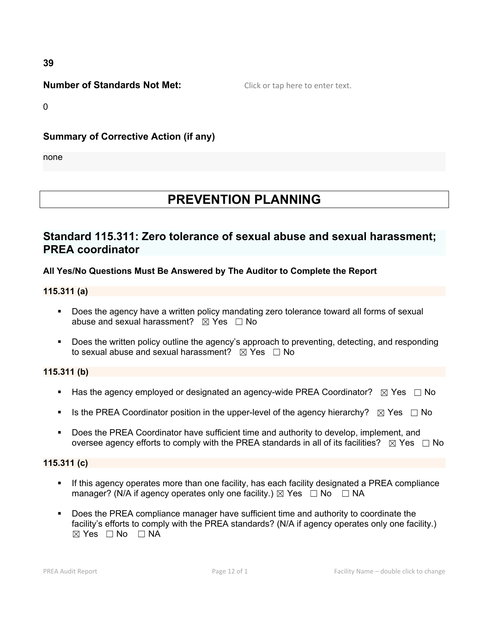**39**

# **Number of Standards Not Met:** Click or tap here to enter text.

0

# **Summary of Corrective Action (if any)**

none

# **PREVENTION PLANNING**

# **Standard 115.311: Zero tolerance of sexual abuse and sexual harassment; PREA coordinator**

# **All Yes/No Questions Must Be Answered by The Auditor to Complete the Report**

# **115.311 (a)**

- Does the agency have a written policy mandating zero tolerance toward all forms of sexual abuse and sexual harassment?  $\boxtimes$  Yes  $\Box$  No
- Does the written policy outline the agency's approach to preventing, detecting, and responding to sexual abuse and sexual harassment?  $\boxtimes$  Yes  $\Box$  No

# **115.311 (b)**

- Has the agency employed or designated an agency-wide PREA Coordinator?  $\boxtimes$  Yes  $\Box$  No
- Is the PREA Coordinator position in the upper-level of the agency hierarchy?  $\boxtimes$  Yes  $\Box$  No
- Does the PREA Coordinator have sufficient time and authority to develop, implement, and oversee agency efforts to comply with the PREA standards in all of its facilities?  $\boxtimes$  Yes  $\Box$  No

# **115.311 (c)**

- **If this agency operates more than one facility, has each facility designated a PREA compliance** manager? (N/A if agency operates only one facility.)  $\boxtimes$  Yes  $\Box$  No  $\Box$  NA
- **Does the PREA compliance manager have sufficient time and authority to coordinate the** facility's efforts to comply with the PREA standards? (N/A if agency operates only one facility.)  $\boxtimes$  Yes  $\Box$  No  $\Box$  NA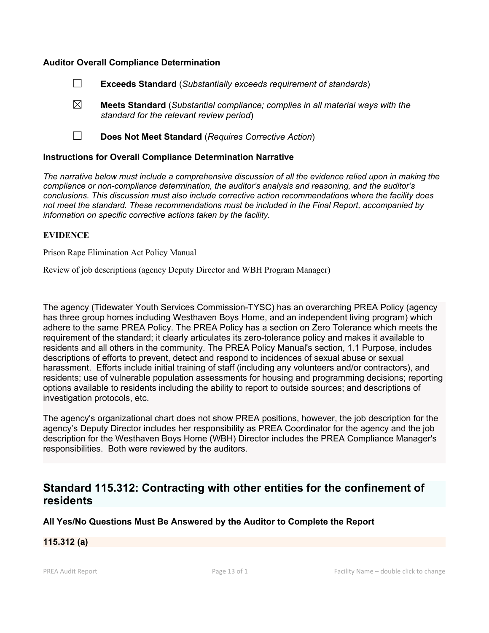#### **Auditor Overall Compliance Determination**

- ☐ **Exceeds Standard** (*Substantially exceeds requirement of standards*)
- ☒ **Meets Standard** (*Substantial compliance; complies in all material ways with the standard for the relevant review period*)
- ☐ **Does Not Meet Standard** (*Requires Corrective Action*)

#### **Instructions for Overall Compliance Determination Narrative**

*The narrative below must include a comprehensive discussion of all the evidence relied upon in making the compliance or non-compliance determination, the auditor's analysis and reasoning, and the auditor's conclusions. This discussion must also include corrective action recommendations where the facility does not meet the standard. These recommendations must be included in the Final Report, accompanied by information on specific corrective actions taken by the facility.*

#### **EVIDENCE**

Prison Rape Elimination Act Policy Manual

Review of job descriptions (agency Deputy Director and WBH Program Manager)

The agency (Tidewater Youth Services Commission-TYSC) has an overarching PREA Policy (agency has three group homes including Westhaven Boys Home, and an independent living program) which adhere to the same PREA Policy. The PREA Policy has a section on Zero Tolerance which meets the requirement of the standard; it clearly articulates its zero-tolerance policy and makes it available to residents and all others in the community. The PREA Policy Manual's section, 1.1 Purpose, includes descriptions of efforts to prevent, detect and respond to incidences of sexual abuse or sexual harassment. Efforts include initial training of staff (including any volunteers and/or contractors), and residents; use of vulnerable population assessments for housing and programming decisions; reporting options available to residents including the ability to report to outside sources; and descriptions of investigation protocols, etc.

The agency's organizational chart does not show PREA positions, however, the job description for the agency's Deputy Director includes her responsibility as PREA Coordinator for the agency and the job description for the Westhaven Boys Home (WBH) Director includes the PREA Compliance Manager's responsibilities. Both were reviewed by the auditors.

# **Standard 115.312: Contracting with other entities for the confinement of residents**

#### **All Yes/No Questions Must Be Answered by the Auditor to Complete the Report**

# **115.312 (a)**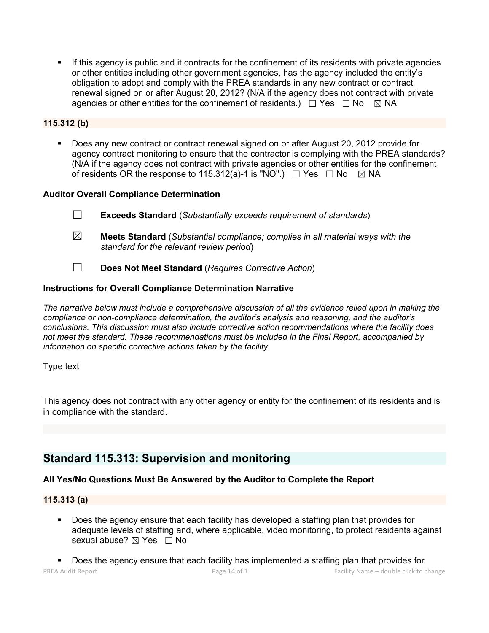If this agency is public and it contracts for the confinement of its residents with private agencies or other entities including other government agencies, has the agency included the entity's obligation to adopt and comply with the PREA standards in any new contract or contract renewal signed on or after August 20, 2012? (N/A if the agency does not contract with private agencies or other entities for the confinement of residents.)  $\Box$  Yes  $\Box$  No  $\boxtimes$  NA

# **115.312 (b)**

 Does any new contract or contract renewal signed on or after August 20, 2012 provide for agency contract monitoring to ensure that the contractor is complying with the PREA standards? (N/A if the agency does not contract with private agencies or other entities for the confinement of residents OR the response to 115.312(a)-1 is "NO".)  $\Box$  Yes  $\Box$  No  $\boxtimes$  NA

# **Auditor Overall Compliance Determination**

- ☐ **Exceeds Standard** (*Substantially exceeds requirement of standards*)
- ☒ **Meets Standard** (*Substantial compliance; complies in all material ways with the standard for the relevant review period*)
- ☐ **Does Not Meet Standard** (*Requires Corrective Action*)

# **Instructions for Overall Compliance Determination Narrative**

*The narrative below must include a comprehensive discussion of all the evidence relied upon in making the compliance or non-compliance determination, the auditor's analysis and reasoning, and the auditor's conclusions. This discussion must also include corrective action recommendations where the facility does not meet the standard. These recommendations must be included in the Final Report, accompanied by information on specific corrective actions taken by the facility.*

# Type text

This agency does not contract with any other agency or entity for the confinement of its residents and is in compliance with the standard.

# **Standard 115.313: Supervision and monitoring**

# **All Yes/No Questions Must Be Answered by the Auditor to Complete the Report**

# **115.313 (a)**

 Does the agency ensure that each facility has developed a staffing plan that provides for adequate levels of staffing and, where applicable, video monitoring, to protect residents against sexual abuse?  $\boxtimes$  Yes  $\Box$  No

PREA Audit Report **PREA Audit Report Page 14 of 1** Page 14 of 1 Facility Name – double click to change Does the agency ensure that each facility has implemented a staffing plan that provides for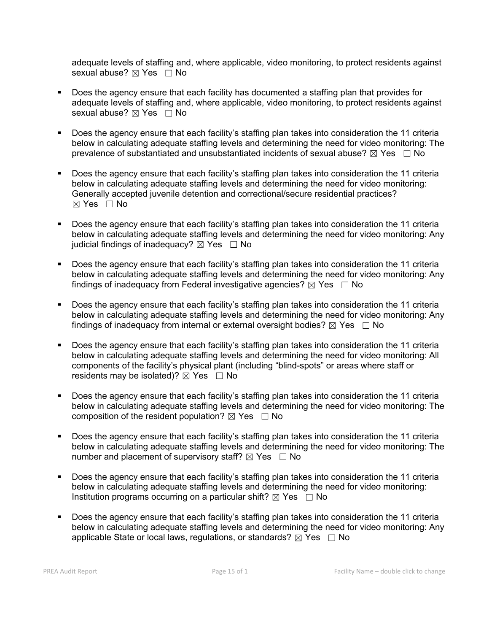adequate levels of staffing and, where applicable, video monitoring, to protect residents against sexual abuse?  $⊠$  Yes  $□$  No

- Does the agency ensure that each facility has documented a staffing plan that provides for adequate levels of staffing and, where applicable, video monitoring, to protect residents against sexual abuse?  $\boxtimes$  Yes  $\Box$  No
- Does the agency ensure that each facility's staffing plan takes into consideration the 11 criteria below in calculating adequate staffing levels and determining the need for video monitoring: The prevalence of substantiated and unsubstantiated incidents of sexual abuse?  $\boxtimes$  Yes  $\Box$  No
- Does the agency ensure that each facility's staffing plan takes into consideration the 11 criteria below in calculating adequate staffing levels and determining the need for video monitoring: Generally accepted juvenile detention and correctional/secure residential practices?  $\boxtimes$  Yes  $\Box$  No
- Does the agency ensure that each facility's staffing plan takes into consideration the 11 criteria below in calculating adequate staffing levels and determining the need for video monitoring: Any judicial findings of inadequacy?  $\boxtimes$  Yes  $\Box$  No
- Does the agency ensure that each facility's staffing plan takes into consideration the 11 criteria below in calculating adequate staffing levels and determining the need for video monitoring: Any findings of inadequacy from Federal investigative agencies?  $\boxtimes$  Yes  $\Box$  No
- Does the agency ensure that each facility's staffing plan takes into consideration the 11 criteria below in calculating adequate staffing levels and determining the need for video monitoring: Any findings of inadequacy from internal or external oversight bodies?  $\boxtimes$  Yes  $\Box$  No
- Does the agency ensure that each facility's staffing plan takes into consideration the 11 criteria below in calculating adequate staffing levels and determining the need for video monitoring: All components of the facility's physical plant (including "blind-spots" or areas where staff or residents may be isolated)?  $\boxtimes$  Yes  $\Box$  No
- Does the agency ensure that each facility's staffing plan takes into consideration the 11 criteria below in calculating adequate staffing levels and determining the need for video monitoring: The composition of the resident population?  $\boxtimes$  Yes  $\Box$  No
- Does the agency ensure that each facility's staffing plan takes into consideration the 11 criteria below in calculating adequate staffing levels and determining the need for video monitoring: The number and placement of supervisory staff?  $\boxtimes$  Yes  $\Box$  No
- Does the agency ensure that each facility's staffing plan takes into consideration the 11 criteria below in calculating adequate staffing levels and determining the need for video monitoring: Institution programs occurring on a particular shift?  $\boxtimes$  Yes  $\Box$  No
- Does the agency ensure that each facility's staffing plan takes into consideration the 11 criteria below in calculating adequate staffing levels and determining the need for video monitoring: Any applicable State or local laws, regulations, or standards?  $\boxtimes$  Yes  $\Box$  No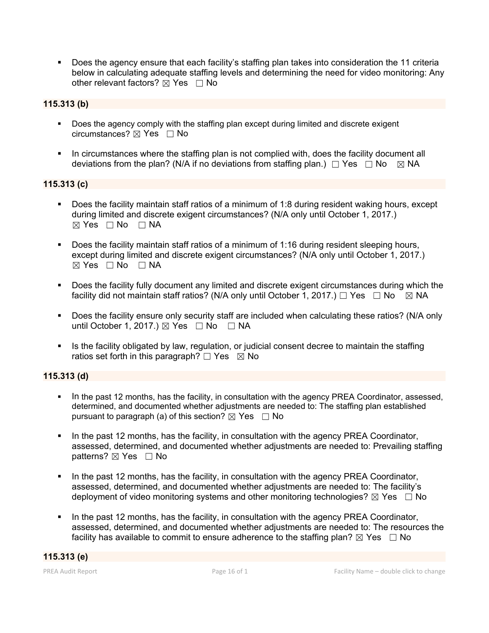Does the agency ensure that each facility's staffing plan takes into consideration the 11 criteria below in calculating adequate staffing levels and determining the need for video monitoring: Any other relevant factors?  $\boxtimes$  Yes  $\Box$  No

# **115.313 (b)**

- **Does the agency comply with the staffing plan except during limited and discrete exigent** circumstances? ☒ Yes ☐ No
- In circumstances where the staffing plan is not complied with, does the facility document all deviations from the plan? (N/A if no deviations from staffing plan.)  $\Box$  Yes  $\Box$  No  $\Box$  NA

# **115.313 (c)**

- Does the facility maintain staff ratios of a minimum of 1:8 during resident waking hours, except during limited and discrete exigent circumstances? (N/A only until October 1, 2017.)  $⊠ Yes □ No □ NA$
- Does the facility maintain staff ratios of a minimum of 1:16 during resident sleeping hours, except during limited and discrete exigent circumstances? (N/A only until October 1, 2017.)  $\boxtimes$  Yes  $\Box$  No  $\Box$  NA
- Does the facility fully document any limited and discrete exigent circumstances during which the facility did not maintain staff ratios? (N/A only until October 1, 2017.)  $\Box$  Yes  $\Box$  No  $\Box$  NA
- Does the facility ensure only security staff are included when calculating these ratios? (N/A only until October 1, 2017.)  $\boxtimes$  Yes  $\Box$  No  $\Box$  NA
- If Its the facility obligated by law, regulation, or judicial consent decree to maintain the staffing ratios set forth in this paragraph?  $\Box$  Yes  $\boxtimes$  No

# **115.313 (d)**

- In the past 12 months, has the facility, in consultation with the agency PREA Coordinator, assessed, determined, and documented whether adjustments are needed to: The staffing plan established pursuant to paragraph (a) of this section?  $\boxtimes$  Yes  $\Box$  No
- In the past 12 months, has the facility, in consultation with the agency PREA Coordinator, assessed, determined, and documented whether adjustments are needed to: Prevailing staffing patterns?  $\boxtimes$  Yes  $\Box$  No
- In the past 12 months, has the facility, in consultation with the agency PREA Coordinator, assessed, determined, and documented whether adjustments are needed to: The facility's deployment of video monitoring systems and other monitoring technologies?  $\boxtimes$  Yes  $\Box$  No
- In the past 12 months, has the facility, in consultation with the agency PREA Coordinator, assessed, determined, and documented whether adjustments are needed to: The resources the facility has available to commit to ensure adherence to the staffing plan?  $\boxtimes$  Yes  $\Box$  No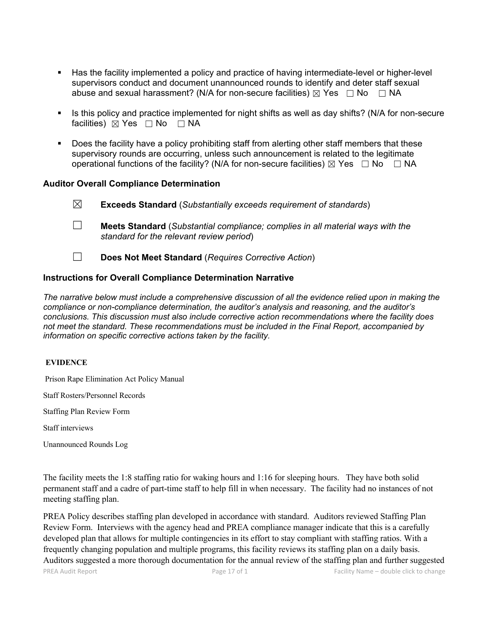- Has the facility implemented a policy and practice of having intermediate-level or higher-level supervisors conduct and document unannounced rounds to identify and deter staff sexual abuse and sexual harassment? (N/A for non-secure facilities)  $\boxtimes$  Yes  $\Box$  No  $\Box$  NA
- Is this policy and practice implemented for night shifts as well as day shifts? (N/A for non-secure facilities) ⊠ Yes □ No □ NA
- **Does the facility have a policy prohibiting staff from alerting other staff members that these** supervisory rounds are occurring, unless such announcement is related to the legitimate operational functions of the facility? (N/A for non-secure facilities)  $\boxtimes$  Yes  $\Box$  No  $\Box$  NA

### **Auditor Overall Compliance Determination**

| $\boxtimes$ | <b>Exceeds Standard</b> (Substantially exceeds requirement of standards)                                                          |
|-------------|-----------------------------------------------------------------------------------------------------------------------------------|
|             | <b>Meets Standard</b> (Substantial compliance; complies in all material ways with the<br>standard for the relevant review period) |

☐ **Does Not Meet Standard** (*Requires Corrective Action*)

# **Instructions for Overall Compliance Determination Narrative**

*The narrative below must include a comprehensive discussion of all the evidence relied upon in making the compliance or non-compliance determination, the auditor's analysis and reasoning, and the auditor's conclusions. This discussion must also include corrective action recommendations where the facility does not meet the standard. These recommendations must be included in the Final Report, accompanied by information on specific corrective actions taken by the facility.*

#### **EVIDENCE**

Prison Rape Elimination Act Policy Manual

Staff Rosters/Personnel Records

Staffing Plan Review Form

Staff interviews

Unannounced Rounds Log

The facility meets the 1:8 staffing ratio for waking hours and 1:16 for sleeping hours. They have both solid permanent staff and a cadre of part-time staff to help fill in when necessary. The facility had no instances ofnot meeting staffing plan.

PREA Policy describes staffing plan developed in accordance with standard. Auditors reviewed Staffing Plan Review Form. Interviews with the agency head and PREA compliance manager indicate that this is a carefully developed plan that allows for multiple contingencies in its effort to stay compliant with staffing ratios. With a frequently changing population and multiple programs, this facility reviews its staffing plan on a daily basis. Auditors suggested a more thorough documentation for the annual review of the staffing plan and further suggested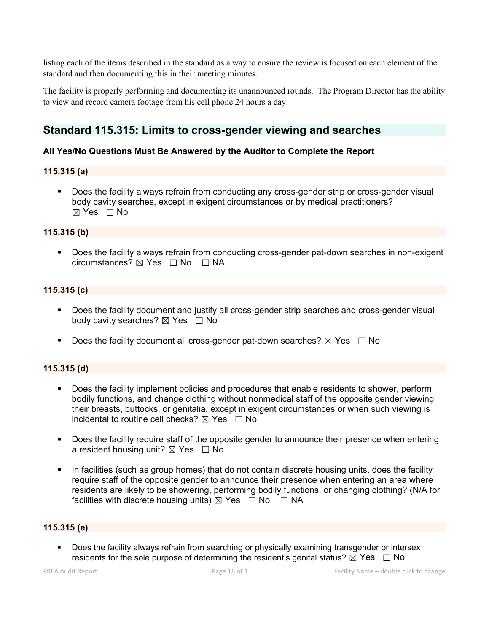listing each of the items described in the standard as a way to ensure the review is focused on each element of the standard and then documenting this in their meeting minutes.

The facility is properly performing and documenting its unannounced rounds. The Program Director has the ability to view and record camera footage from his cell phone 24 hours a day.

# **Standard 115.315: Limits to cross-gender viewing and searches**

# **All Yes/No Questions Must Be Answered by the Auditor to Complete the Report**

# **115.315 (a)**

 Does the facility always refrain from conducting any cross-gender strip or cross-gender visual body cavity searches, except in exigent circumstances or by medical practitioners?  $\boxtimes$  Yes  $\Box$  No

### **115.315 (b)**

 Does the facility always refrain from conducting cross-gender pat-down searches in non-exigent circumstances? ☒ Yes ☐ No ☐ NA

# **115.315 (c)**

- Does the facility document and justify all cross-gender strip searches and cross-gender visual body cavity searches? ⊠ Yes □ No
- Does the facility document all cross-gender pat-down searches?  $\boxtimes$  Yes  $\Box$  No

# **115.315 (d)**

- **Does the facility implement policies and procedures that enable residents to shower, perform** bodily functions, and change clothing without nonmedical staff of the opposite gender viewing their breasts, buttocks, or genitalia, except in exigent circumstances or when such viewing is incidental to routine cell checks?  $\boxtimes$  Yes  $\Box$  No
- Does the facility require staff of the opposite gender to announce their presence when entering a resident housing unit?  $\boxtimes$  Yes  $\Box$  No
- In facilities (such as group homes) that do not contain discrete housing units, does the facility require staff of the opposite gender to announce their presence when entering an area where residents are likely to be showering, performing bodily functions, or changing clothing? (N/A for facilities with discrete housing units)  $\boxtimes$  Yes  $\Box$  No  $\Box$  NA

#### **115.315 (e)**

 Does the facility always refrain from searching or physically examining transgender or intersex residents for the sole purpose of determining the resident's genital status?  $\boxtimes$  Yes  $\Box$  No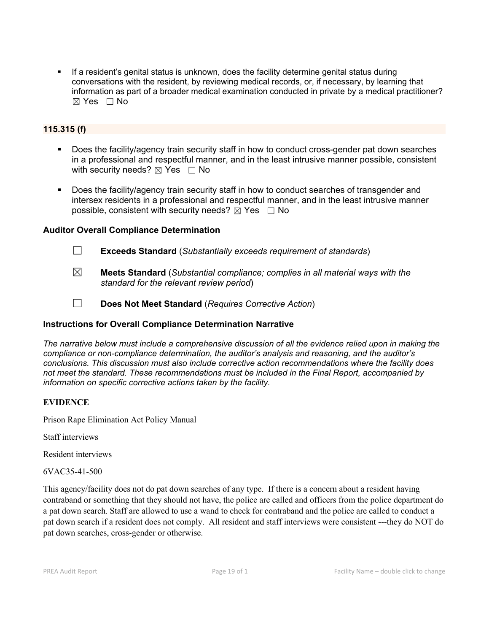If a resident's genital status is unknown, does the facility determine genital status during conversations with the resident, by reviewing medical records, or, if necessary, by learning that information as part of a broader medical examination conducted in private by a medical practitioner?  $\boxtimes$  Yes  $\Box$  No

# **115.315 (f)**

- Does the facility/agency train security staff in how to conduct cross-gender pat down searches in a professional and respectful manner, and in the least intrusive manner possible, consistent with security needs?  $\boxtimes$  Yes  $\Box$  No
- Does the facility/agency train security staff in how to conduct searches of transgender and intersex residents in a professional and respectful manner, and in the least intrusive manner possible, consistent with security needs?  $\boxtimes$  Yes  $\Box$  No

### **Auditor Overall Compliance Determination**

☐ **Exceeds Standard** (*Substantially exceeds requirement of standards*)

- ☒ **Meets Standard** (*Substantial compliance; complies in all material ways with the standard for the relevant review period*)
- 

☐ **Does Not Meet Standard** (*Requires Corrective Action*)

# **Instructions for Overall Compliance Determination Narrative**

*The narrative below must include a comprehensive discussion of all the evidence relied upon in making the compliance or non-compliance determination, the auditor's analysis and reasoning, and the auditor's conclusions. This discussion must also include corrective action recommendations where the facility does not meet the standard. These recommendations must be included in the Final Report, accompanied by information on specific corrective actions taken by the facility.*

# **EVIDENCE**

Prison Rape Elimination Act Policy Manual

Staff interviews

Resident interviews

6VAC35-41-500

This agency/facility does not do pat down searches of any type. If there is a concern about a resident having contraband or something that they should not have, the police are called and officers from the police department do a pat down search. Staff are allowed to use a wand to check for contraband and the police are called to conduct a pat down search if a resident does not comply. All resident and staff interviews were consistent ---they do NOT do pat down searches, cross-gender or otherwise.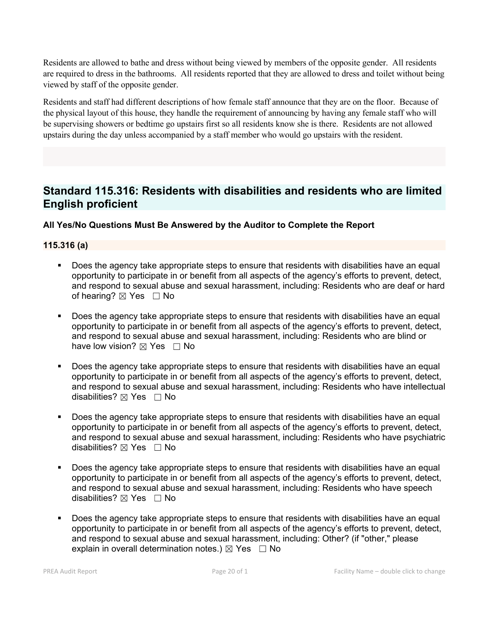Residents are allowed to bathe and dress without being viewed by members of the opposite gender. All residents are required to dress in the bathrooms. All residents reported that they are allowed to dress and toilet without being viewed by staff of the opposite gender.

Residents and staff had different descriptions of how female staff announce that they are on the floor. Because of the physical layout of this house, they handle the requirement of announcing by having any female staff who will be supervising showers or bedtime go upstairs first so all residents know she is there. Residents are not allowed upstairs during the day unless accompanied by a staff member who would go upstairs with the resident.

# **Standard 115.316: Residents with disabilities and residents who are limited English proficient**

**All Yes/No Questions Must Be Answered by the Auditor to Complete the Report**

# **115.316 (a)**

- Does the agency take appropriate steps to ensure that residents with disabilities have an equal opportunity to participate in or benefit from all aspects of the agency's efforts to prevent, detect, and respond to sexual abuse and sexual harassment, including: Residents who are deaf or hard of hearing?  $\boxtimes$  Yes  $\Box$  No
- Does the agency take appropriate steps to ensure that residents with disabilities have an equal opportunity to participate in or benefit from all aspects of the agency's efforts to prevent, detect, and respond to sexual abuse and sexual harassment, including: Residents who are blind or have low vision?  $\boxtimes$  Yes  $\Box$  No
- Does the agency take appropriate steps to ensure that residents with disabilities have an equal opportunity to participate in or benefit from all aspects of the agency's efforts to prevent, detect, and respond to sexual abuse and sexual harassment, including: Residents who have intellectual disabilities?  $\boxtimes$  Yes  $\Box$  No
- Does the agency take appropriate steps to ensure that residents with disabilities have an equal opportunity to participate in or benefit from all aspects of the agency's efforts to prevent, detect, and respond to sexual abuse and sexual harassment, including: Residents who have psychiatric disabilities?  $\boxtimes$  Yes  $\Box$  No
- Does the agency take appropriate steps to ensure that residents with disabilities have an equal opportunity to participate in or benefit from all aspects of the agency's efforts to prevent, detect, and respond to sexual abuse and sexual harassment, including: Residents who have speech disabilities?  $\boxtimes$  Yes  $\Box$  No
- Does the agency take appropriate steps to ensure that residents with disabilities have an equal opportunity to participate in or benefit from all aspects of the agency's efforts to prevent, detect, and respond to sexual abuse and sexual harassment, including: Other? (if "other," please explain in overall determination notes.)  $\boxtimes$  Yes  $\Box$  No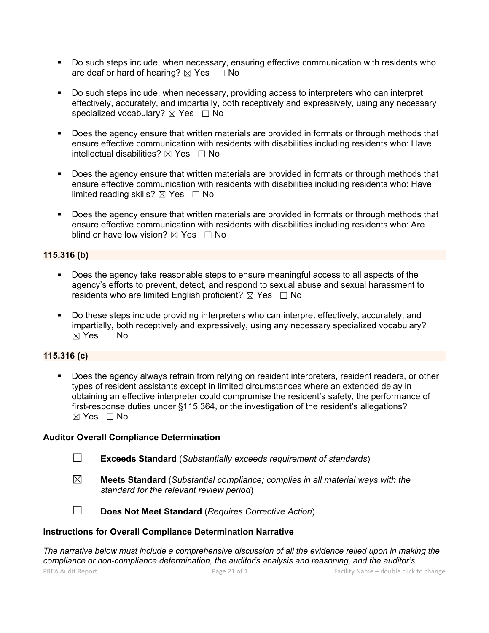- Do such steps include, when necessary, ensuring effective communication with residents who are deaf or hard of hearing?  $\boxtimes$  Yes  $\Box$  No
- Do such steps include, when necessary, providing access to interpreters who can interpret effectively, accurately, and impartially, both receptively and expressively, using any necessary specialized vocabulary?  $\boxtimes$  Yes  $\Box$  No
- Does the agency ensure that written materials are provided in formats or through methods that ensure effective communication with residents with disabilities including residents who: Have intellectual disabilities?  $\boxtimes$  Yes  $\Box$  No
- Does the agency ensure that written materials are provided in formats or through methods that ensure effective communication with residents with disabilities including residents who: Have limited reading skills?  $\boxtimes$  Yes  $\Box$  No
- Does the agency ensure that written materials are provided in formats or through methods that ensure effective communication with residents with disabilities including residents who: Are blind or have low vision?  $\boxtimes$  Yes  $\Box$  No

### **115.316 (b)**

- Does the agency take reasonable steps to ensure meaningful access to all aspects of the agency's efforts to prevent, detect, and respond to sexual abuse and sexual harassment to residents who are limited English proficient?  $\boxtimes$  Yes  $\Box$  No
- Do these steps include providing interpreters who can interpret effectively, accurately, and impartially, both receptively and expressively, using any necessary specialized vocabulary?  $\boxtimes$  Yes  $\Box$  No

# **115.316 (c)**

 Does the agency always refrain from relying on resident interpreters, resident readers, or other types of resident assistants except in limited circumstances where an extended delay in obtaining an effective interpreter could compromise the resident's safety, the performance of first-response duties under §115.364, or the investigation of the resident's allegations?  $\boxtimes$  Yes  $\Box$  No

#### **Auditor Overall Compliance Determination**

- ☐ **Exceeds Standard** (*Substantially exceeds requirement of standards*)
- ☒ **Meets Standard** (*Substantial compliance; complies in all material ways with the standard for the relevant review period*)



☐ **Does Not Meet Standard** (*Requires Corrective Action*)

#### **Instructions for Overall Compliance Determination Narrative**

*The narrative below must include a comprehensive discussion of all the evidence relied upon in making the compliance or non-compliance determination, the auditor's analysis and reasoning, and the auditor's*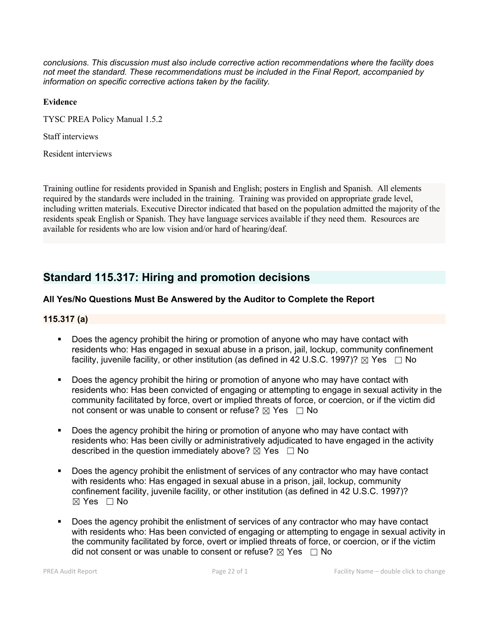*conclusions. This discussion must also include corrective action recommendations where the facility does not meet the standard. These recommendations must be included in the Final Report, accompanied by information on specific corrective actions taken by the facility.*

#### **Evidence**

TYSC PREA Policy Manual 1.5.2

Staff interviews

Resident interviews

Training outline for residents provided in Spanish and English; posters in English and Spanish. All elements required by the standards were included in the training. Training was provided on appropriate grade level, including written materials. Executive Director indicated that based on the population admitted the majority of the residents speak English or Spanish. They have language services available if they need them. Resources are available for residents who are low vision and/or hard of hearing/deaf.

# **Standard 115.317: Hiring and promotion decisions**

# **All Yes/No Questions Must Be Answered by the Auditor to Complete the Report**

### **115.317 (a)**

- Does the agency prohibit the hiring or promotion of anyone who may have contact with residents who: Has engaged in sexual abuse in a prison, jail, lockup, community confinement facility, juvenile facility, or other institution (as defined in 42 U.S.C. 1997)?  $\boxtimes$  Yes  $\Box$  No
- Does the agency prohibit the hiring or promotion of anyone who may have contact with residents who: Has been convicted of engaging or attempting to engage in sexual activity in the community facilitated by force, overt or implied threats of force, or coercion, or if the victim did not consent or was unable to consent or refuse?  $\boxtimes$  Yes  $\Box$  No
- Does the agency prohibit the hiring or promotion of anyone who may have contact with residents who: Has been civilly or administratively adjudicated to have engaged in the activity described in the question immediately above?  $\boxtimes$  Yes  $\Box$  No
- Does the agency prohibit the enlistment of services of any contractor who may have contact with residents who: Has engaged in sexual abuse in a prison, jail, lockup, community confinement facility, juvenile facility, or other institution (as defined in 42 U.S.C. 1997)? ☒ Yes ☐ No
- Does the agency prohibit the enlistment of services of any contractor who may have contact with residents who: Has been convicted of engaging or attempting to engage in sexual activity in the community facilitated by force, overt or implied threats of force, or coercion, or if the victim did not consent or was unable to consent or refuse?  $\boxtimes$  Yes  $\Box$  No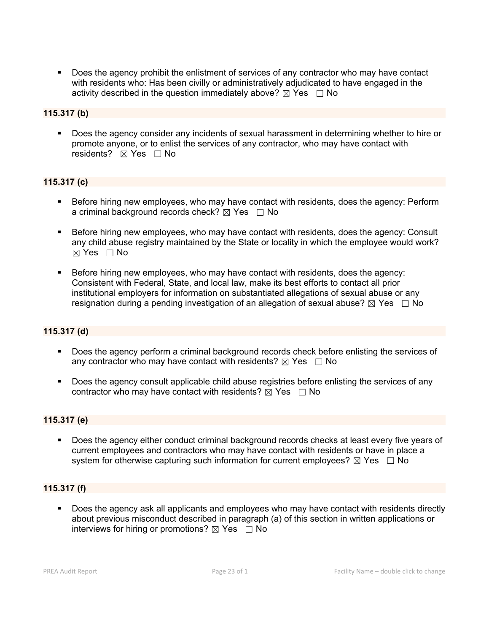Does the agency prohibit the enlistment of services of any contractor who may have contact with residents who: Has been civilly or administratively adjudicated to have engaged in the activity described in the question immediately above?  $\boxtimes$  Yes  $\Box$  No

### **115.317 (b)**

 Does the agency consider any incidents of sexual harassment in determining whether to hire or promote anyone, or to enlist the services of any contractor, who may have contact with residents?  $\boxtimes$  Yes  $□$  No

### **115.317 (c)**

- **Before hiring new employees, who may have contact with residents, does the agency: Perform** a criminal background records check?  $\boxtimes$  Yes  $\Box$  No
- **Before hiring new employees, who may have contact with residents, does the agency: Consult** any child abuse registry maintained by the State or locality in which the employee would work?  $\boxtimes$  Yes  $\Box$  No
- Before hiring new employees, who may have contact with residents, does the agency: Consistent with Federal, State, and local law, make its best efforts to contact all prior institutional employers for information on substantiated allegations of sexual abuse or any resignation during a pending investigation of an allegation of sexual abuse?  $\boxtimes$  Yes  $\Box$  No

#### **115.317 (d)**

- Does the agency perform a criminal background records check before enlisting the services of any contractor who may have contact with residents?  $\boxtimes$  Yes  $\Box$  No
- Does the agency consult applicable child abuse registries before enlisting the services of any contractor who may have contact with residents?  $\boxtimes$  Yes  $\Box$  No

#### **115.317 (e)**

 Does the agency either conduct criminal background records checks at least every five years of current employees and contractors who may have contact with residents or have in place a system for otherwise capturing such information for current employees?  $\boxtimes$  Yes  $\Box$  No

# **115.317 (f)**

**Does the agency ask all applicants and employees who may have contact with residents directly** about previous misconduct described in paragraph (a) of this section in written applications or interviews for hiring or promotions?  $\boxtimes$  Yes  $\Box$  No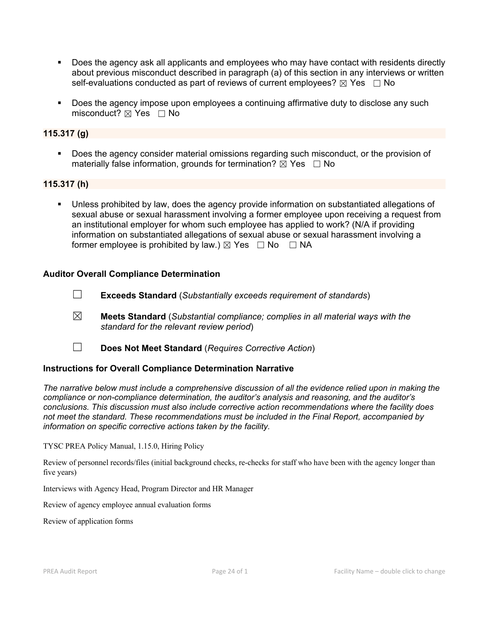- Does the agency ask all applicants and employees who may have contact with residents directly about previous misconduct described in paragraph (a) of this section in any interviews or written self-evaluations conducted as part of reviews of current employees?  $\boxtimes$  Yes  $\Box$  No
- Does the agency impose upon employees a continuing affirmative duty to disclose any such misconduct?  $\boxtimes$  Yes  $\Box$  No

# **115.317 (g)**

**Does the agency consider material omissions regarding such misconduct, or the provision of** materially false information, grounds for termination?  $\boxtimes$  Yes  $\Box$  No

### **115.317 (h)**

 Unless prohibited by law, does the agency provide information on substantiated allegations of sexual abuse or sexual harassment involving a former employee upon receiving a request from an institutional employer for whom such employee has applied to work? (N/A if providing information on substantiated allegations of sexual abuse or sexual harassment involving a former employee is prohibited by law.)  $\boxtimes$  Yes  $\Box$  No  $\Box$  NA

### **Auditor Overall Compliance Determination**

- ☐ **Exceeds Standard** (*Substantially exceeds requirement of standards*)
- ☒ **Meets Standard** (*Substantial compliance; complies in all material ways with the standard for the relevant review period*)
- ☐ **Does Not Meet Standard** (*Requires Corrective Action*)

# **Instructions for Overall Compliance Determination Narrative**

*The narrative below must include a comprehensive discussion of all the evidence relied upon in making the compliance or non-compliance determination, the auditor's analysis and reasoning, and the auditor's conclusions. This discussion must also include corrective action recommendations where the facility does not meet the standard. These recommendations must be included in the Final Report, accompanied by information on specific corrective actions taken by the facility.*

TYSC PREA Policy Manual, 1.15.0, Hiring Policy

Review of personnel records/files (initial background checks, re-checks for staff who have been with the agency longer than five years)

Interviews with Agency Head, Program Director and HR Manager

Review of agency employee annual evaluation forms

Review of application forms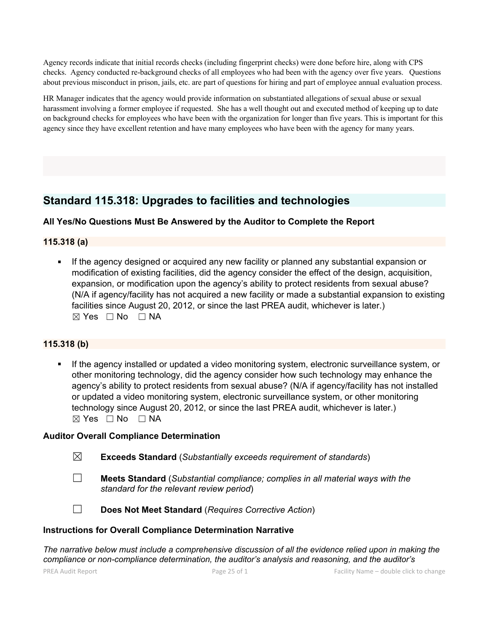Agency records indicate that initial records checks (including fingerprint checks) were done before hire, along with CPS checks. Agency conducted re-background checks of all employees who had been with the agency over five years. Questions about previous misconduct in prison, jails, etc. are part of questions for hiring and part of employee annual evaluation process.

HR Manager indicates that the agency would provide information on substantiated allegations of sexual abuse or sexual harassment involving a former employee if requested. She has a well thought out and executed method of keeping up to date on background checks for employees who have been with the organization for longer than five years. This is important for this agency since they have excellent retention and have many employees who have been with the agency for many years.

# **Standard 115.318: Upgrades to facilities and technologies**

# **All Yes/No Questions Must Be Answered by the Auditor to Complete the Report**

# **115.318 (a)**

 If the agency designed or acquired any new facility or planned any substantial expansion or modification of existing facilities, did the agency consider the effect of the design, acquisition, expansion, or modification upon the agency's ability to protect residents from sexual abuse? (N/A if agency/facility has not acquired a new facility or made a substantial expansion to existing facilities since August 20, 2012, or since the last PREA audit, whichever is later.)  $\boxtimes$  Yes  $\Box$  No  $\Box$  NA

# **115.318 (b)**

 If the agency installed or updated a video monitoring system, electronic surveillance system, or other monitoring technology, did the agency consider how such technology may enhance the agency's ability to protect residents from sexual abuse? (N/A if agency/facility has not installed or updated a video monitoring system, electronic surveillance system, or other monitoring technology since August 20, 2012, or since the last PREA audit, whichever is later.)  $⊠ Yes □ No □ NA$ 

#### **Auditor Overall Compliance Determination**

| $\boxtimes$ | <b>Exceeds Standard</b> (Substantially exceeds requirement of standards) |  |  |  |
|-------------|--------------------------------------------------------------------------|--|--|--|
|-------------|--------------------------------------------------------------------------|--|--|--|

- ☐ **Meets Standard** (*Substantial compliance; complies in all material ways with the standard for the relevant review period*)
- 
- ☐ **Does Not Meet Standard** (*Requires Corrective Action*)

#### **Instructions for Overall Compliance Determination Narrative**

*The narrative below must include a comprehensive discussion of all the evidence relied upon in making the compliance or non-compliance determination, the auditor's analysis and reasoning, and the auditor's*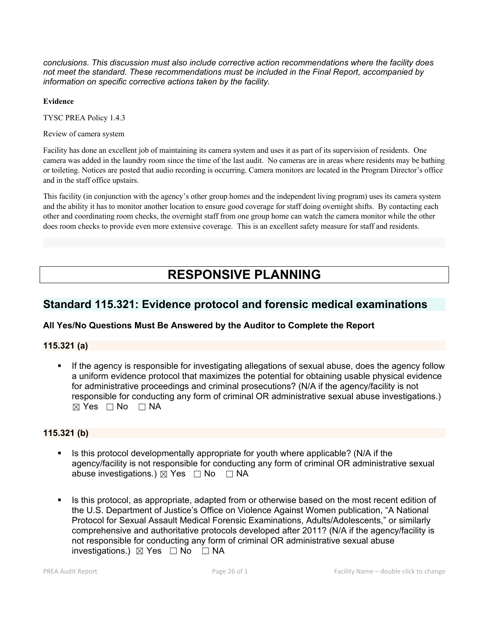*conclusions. This discussion must also include corrective action recommendations where the facility does not meet the standard. These recommendations must be included in the Final Report, accompanied by information on specific corrective actions taken by the facility.*

#### **Evidence**

TYSC PREA Policy 1.4.3

Review of camera system

Facility has done an excellent job of maintaining its camera system and uses it as part of its supervision of residents. One camera was added in the laundry room since the time of the last audit. No cameras are in areas where residents may be bathing or toileting. Notices are posted that audio recording is occurring. Camera monitors are located in the Program Director's office and in the staff office upstairs.

This facility (in conjunction with the agency's other group homes and the independent living program) uses its camera system and the ability it has to monitor another location to ensure good coverage for staff doing overnight shifts. By contacting each other and coordinating room checks, the overnight staff from one group home can watch the camera monitor while the other does room checks to provide even more extensive coverage. This is an excellent safety measure for staff and residents.

# **RESPONSIVE PLANNING**

# **Standard 115.321: Evidence protocol and forensic medical examinations**

# **All Yes/No Questions Must Be Answered by the Auditor to Complete the Report**

# **115.321 (a)**

If the agency is responsible for investigating allegations of sexual abuse, does the agency follow a uniform evidence protocol that maximizes the potential for obtaining usable physical evidence for administrative proceedings and criminal prosecutions? (N/A if the agency/facility is not responsible for conducting any form of criminal OR administrative sexual abuse investigations.)  $\boxtimes$  Yes  $\Box$  No  $\Box$  NA

# **115.321 (b)**

- Is this protocol developmentally appropriate for youth where applicable? (N/A if the agency/facility is not responsible for conducting any form of criminal OR administrative sexual abuse investigations.)  $\boxtimes$  Yes  $\Box$  No  $\Box$  NA
- Is this protocol, as appropriate, adapted from or otherwise based on the most recent edition of the U.S. Department of Justice's Office on Violence Against Women publication, "A National Protocol for Sexual Assault Medical Forensic Examinations, Adults/Adolescents," or similarly comprehensive and authoritative protocols developed after 2011? (N/A if the agency/facility is not responsible for conducting any form of criminal OR administrative sexual abuse investigations.) ☒ Yes ☐ No ☐ NA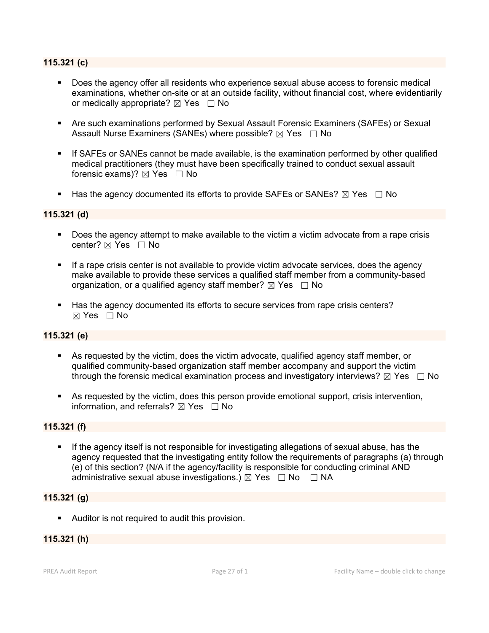#### **115.321 (c)**

- Does the agency offer all residents who experience sexual abuse access to forensic medical examinations, whether on-site or at an outside facility, without financial cost, where evidentiarily or medically appropriate?  $\boxtimes$  Yes  $\Box$  No
- Are such examinations performed by Sexual Assault Forensic Examiners (SAFEs) or Sexual Assault Nurse Examiners (SANEs) where possible?  $\boxtimes$  Yes  $\Box$  No
- If SAFEs or SANEs cannot be made available, is the examination performed by other qualified medical practitioners (they must have been specifically trained to conduct sexual assault forensic exams)?  $\boxtimes$  Yes  $\Box$  No
- Has the agency documented its efforts to provide SAFEs or SANEs?  $\boxtimes$  Yes  $\Box$  No

#### **115.321 (d)**

- Does the agency attempt to make available to the victim a victim advocate from a rape crisis center? ⊠ Yes □ No
- If a rape crisis center is not available to provide victim advocate services, does the agency make available to provide these services a qualified staff member from a community-based organization, or a qualified agency staff member?  $\boxtimes$  Yes  $\Box$  No
- Has the agency documented its efforts to secure services from rape crisis centers?  $\boxtimes$  Yes  $\Box$  No

#### **115.321 (e)**

- As requested by the victim, does the victim advocate, qualified agency staff member, or qualified community-based organization staff member accompany and support the victim through the forensic medical examination process and investigatory interviews?  $\boxtimes$  Yes  $\Box$  No
- As requested by the victim, does this person provide emotional support, crisis intervention, information, and referrals?  $\boxtimes$  Yes  $\Box$  No

#### **115.321 (f)**

 If the agency itself is not responsible for investigating allegations of sexual abuse, has the agency requested that the investigating entity follow the requirements of paragraphs (a) through (e) of this section? (N/A if the agency/facility is responsible for conducting criminal AND administrative sexual abuse investigations.)  $\boxtimes$  Yes  $\Box$  No  $\Box$  NA

## **115.321 (g)**

Auditor is not required to audit this provision.

## **115.321 (h)**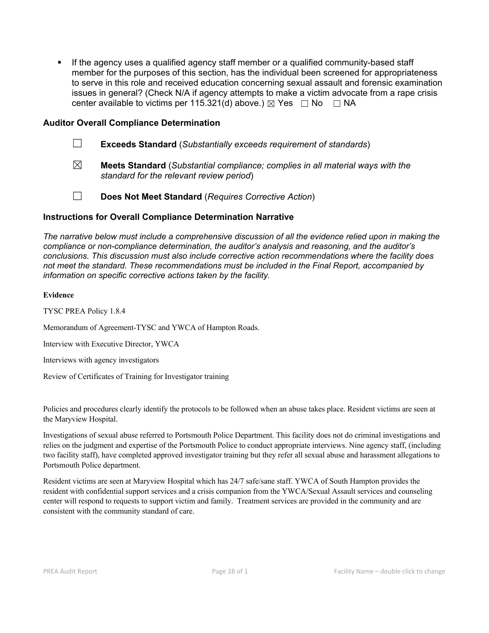**If the agency uses a qualified agency staff member or a qualified community-based staff** member for the purposes of this section, has the individual been screened for appropriateness to serve in this role and received education concerning sexual assault and forensic examination issues in general? (Check N/A if agency attempts to make a victim advocate from a rape crisis center available to victims per 115.321(d) above.)  $\boxtimes$  Yes  $\Box$  No  $\Box$  NA

### **Auditor Overall Compliance Determination**

- ☐ **Exceeds Standard** (*Substantially exceeds requirement of standards*)
- ☒ **Meets Standard** (*Substantial compliance; complies in all material ways with the standard for the relevant review period*)
- 
- ☐ **Does Not Meet Standard** (*Requires Corrective Action*)

#### **Instructions for Overall Compliance Determination Narrative**

*The narrative below must include a comprehensive discussion of all the evidence relied upon in making the compliance or non-compliance determination, the auditor's analysis and reasoning, and the auditor's conclusions. This discussion must also include corrective action recommendations where the facility does not meet the standard. These recommendations must be included in the Final Report, accompanied by information on specific corrective actions taken by the facility.*

#### **Evidence**

TYSC PREA Policy 1.8.4

Memorandum of Agreement-TYSC and YWCA of Hampton Roads.

Interview with Executive Director, YWCA

Interviews with agency investigators

Review of Certificates of Training for Investigator training

Policies and procedures clearly identify the protocols to be followed when an abuse takes place. Resident victims are seen at the Maryview Hospital.

Investigations ofsexual abuse referred to Portsmouth Police Department. This facility does not do criminal investigations and relies on the judgment and expertise of the Portsmouth Police to conduct appropriate interviews. Nine agency staff, (including two facility staff), have completed approved investigator training but they refer all sexual abuse and harassment allegations to Portsmouth Police department.

Resident victims are seen at Maryview Hospital which has 24/7 safe/sane staff. YWCA of South Hampton provides the resident with confidential support services and a crisis companion from the YWCA/Sexual Assault services and counseling center will respond to requests to support victim and family. Treatment services are provided in the community and are consistent with the community standard of care.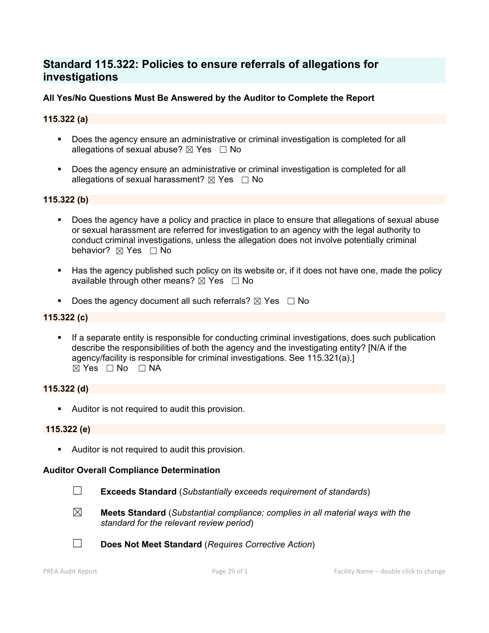## **Standard 115.322: Policies to ensure referrals of allegations for investigations**

## **All Yes/No Questions Must Be Answered by the Auditor to Complete the Report**

## **115.322 (a)**

- Does the agency ensure an administrative or criminal investigation is completed for all allegations of sexual abuse?  $\boxtimes$  Yes  $\Box$  No
- Does the agency ensure an administrative or criminal investigation is completed for all allegations of sexual harassment?  $\boxtimes$  Yes  $\Box$  No

## **115.322 (b)**

- **Does the agency have a policy and practice in place to ensure that allegations of sexual abuse** or sexual harassment are referred for investigation to an agency with the legal authority to conduct criminal investigations, unless the allegation does not involve potentially criminal behavior?  $\boxtimes$  **Yes**  $\Box$  No
- Has the agency published such policy on its website or, if it does not have one, made the policy available through other means?  $\boxtimes$  Yes  $\Box$  No
- Does the agency document all such referrals?  $\boxtimes$  Yes  $\Box$  No

### **115.322 (c)**

 If a separate entity is responsible for conducting criminal investigations, does such publication describe the responsibilities of both the agency and the investigating entity? [N/A if the agency/facility is responsible for criminal investigations. See 115.321(a).]  $\boxtimes$  Yes  $\Box$  No  $\Box$  NA

## **115.322 (d)**

Auditor is not required to audit this provision.

#### **115.322 (e)**

Auditor is not required to audit this provision.

#### **Auditor Overall Compliance Determination**

- ☐ **Exceeds Standard** (*Substantially exceeds requirement of standards*)
- ☒ **Meets Standard** (*Substantial compliance; complies in all material ways with the standard for the relevant review period*)
- ☐ **Does Not Meet Standard** (*Requires Corrective Action*)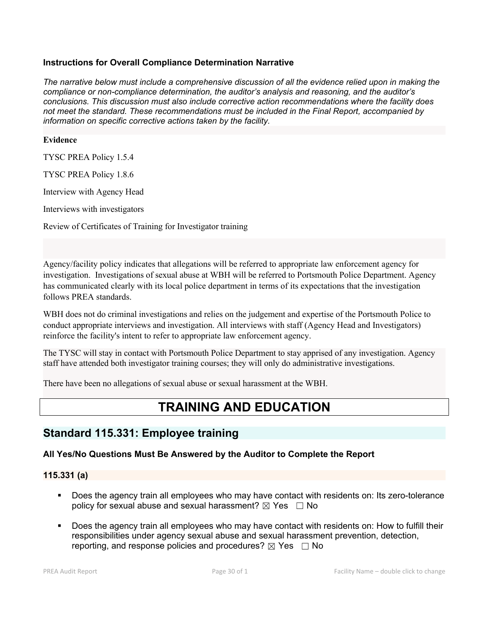## **Instructions for Overall Compliance Determination Narrative**

*The narrative below must include a comprehensive discussion of all the evidence relied upon in making the compliance or non-compliance determination, the auditor's analysis and reasoning, and the auditor's conclusions. This discussion must also include corrective action recommendations where the facility does not meet the standard. These recommendations must be included in the Final Report, accompanied by information on specific corrective actions taken by the facility.*

#### **Evidence**

TYSC PREA Policy 1.5.4

TYSC PREA Policy 1.8.6

Interview with Agency Head

Interviews with investigators

Review of Certificates of Training for Investigator training

Agency/facility policy indicates that allegations will be referred to appropriate law enforcement agency for investigation. Investigations of sexual abuse at WBH will be referred to Portsmouth Police Department. Agency has communicated clearly with its local police department in terms of its expectations that the investigation follows PREA standards.

WBH does not do criminal investigations and relies on the judgement and expertise of the Portsmouth Police to conduct appropriate interviews and investigation. All interviews with staff (Agency Head and Investigators) reinforce the facility's intent to refer to appropriate law enforcement agency.

The TYSC will stay in contact with Portsmouth Police Department to stay apprised of any investigation. Agency staff have attended both investigator training courses; they will only do administrative investigations.

There have been no allegations of sexual abuse or sexual harassment at the WBH.

# **TRAINING AND EDUCATION**

## **Standard 115.331: Employee training**

## **All Yes/No Questions Must Be Answered by the Auditor to Complete the Report**

#### **115.331 (a)**

- Does the agency train all employees who may have contact with residents on: Its zero-tolerance policy for sexual abuse and sexual harassment?  $\boxtimes$  Yes  $\Box$  No
- Does the agency train all employees who may have contact with residents on: How to fulfill their responsibilities under agency sexual abuse and sexual harassment prevention, detection, reporting, and response policies and procedures?  $\boxtimes$  Yes  $\Box$  No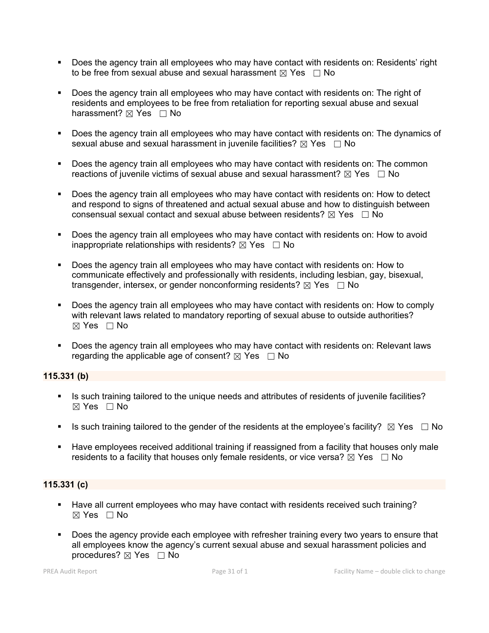- Does the agency train all employees who may have contact with residents on: Residents' right to be free from sexual abuse and sexual harassment  $\boxtimes$  Yes  $\Box$  No
- Does the agency train all employees who may have contact with residents on: The right of residents and employees to be free from retaliation for reporting sexual abuse and sexual harassment?  $\boxtimes$  Yes  $\Box$  No
- Does the agency train all employees who may have contact with residents on: The dynamics of sexual abuse and sexual harassment in juvenile facilities?  $\boxtimes$  Yes  $\Box$  No
- Does the agency train all employees who may have contact with residents on: The common reactions of juvenile victims of sexual abuse and sexual harassment?  $\boxtimes$  Yes  $\Box$  No
- Does the agency train all employees who may have contact with residents on: How to detect and respond to signs of threatened and actual sexual abuse and how to distinguish between consensual sexual contact and sexual abuse between residents?  $\boxtimes$  Yes  $\Box$  No
- Does the agency train all employees who may have contact with residents on: How to avoid inappropriate relationships with residents?  $\boxtimes$  Yes  $\Box$  No
- Does the agency train all employees who may have contact with residents on: How to communicate effectively and professionally with residents, including lesbian, gay, bisexual, transgender, intersex, or gender nonconforming residents?  $\boxtimes$  Yes  $\Box$  No
- Does the agency train all employees who may have contact with residents on: How to comply with relevant laws related to mandatory reporting of sexual abuse to outside authorities?  $\boxtimes$  Yes  $\Box$  No
- Does the agency train all employees who may have contact with residents on: Relevant laws regarding the applicable age of consent?  $\boxtimes$  Yes  $\Box$  No

## **115.331 (b)**

- Is such training tailored to the unique needs and attributes of residents of juvenile facilities?  $\boxtimes$  Yes  $\Box$  No
- Is such training tailored to the gender of the residents at the employee's facility?  $\boxtimes$  Yes  $\Box$  No
- Have employees received additional training if reassigned from a facility that houses only male residents to a facility that houses only female residents, or vice versa?  $\boxtimes$  Yes  $\Box$  No

## **115.331 (c)**

- Have all current employees who may have contact with residents received such training?  $\boxtimes$  Yes  $\Box$  No
- Does the agency provide each employee with refresher training every two years to ensure that all employees know the agency's current sexual abuse and sexual harassment policies and procedures? ⊠ Yes □ No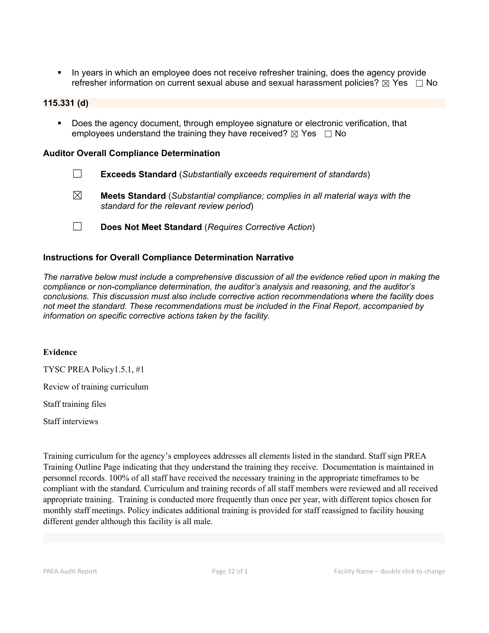In years in which an employee does not receive refresher training, does the agency provide refresher information on current sexual abuse and sexual harassment policies?  $\boxtimes$  Yes  $\Box$  No

#### **115.331 (d)**

 Does the agency document, through employee signature or electronic verification, that employees understand the training they have received?  $\boxtimes$  Yes  $\Box$  No

#### **Auditor Overall Compliance Determination**

- ☐ **Exceeds Standard** (*Substantially exceeds requirement of standards*)
- ☒ **Meets Standard** (*Substantial compliance; complies in all material ways with the standard for the relevant review period*)
- ☐ **Does Not Meet Standard** (*Requires Corrective Action*)

#### **Instructions for Overall Compliance Determination Narrative**

*The narrative below must include a comprehensive discussion of all the evidence relied upon in making the compliance or non-compliance determination, the auditor's analysis and reasoning, and the auditor's conclusions. This discussion must also include corrective action recommendations where the facility does not meet the standard. These recommendations must be included in the Final Report, accompanied by information on specific corrective actions taken by the facility.*

#### **Evidence**

TYSC PREA Policy1.5.1, #1

Review of training curriculum

Staff training files

Staff interviews

Training curriculum for the agency's employees addresses all elements listed in the standard. Staff sign PREA Training Outline Page indicating that they understand the training they receive. Documentation is maintained in personnel records. 100% of all staff have received the necessary training in the appropriate timeframes to be compliant with the standard. Curriculum and training records of all staff members were reviewed and all received appropriate training. Training is conducted more frequently than once per year,with different topics chosen for monthly staff meetings. Policy indicates additional training is provided for staff reassigned to facility housing different gender although this facility is all male.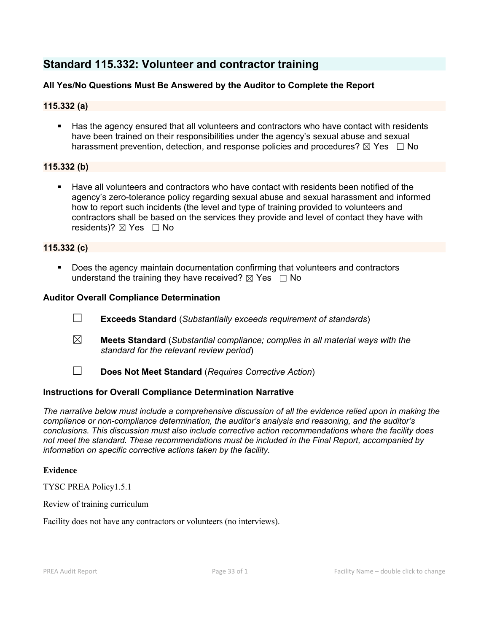## **Standard 115.332: Volunteer and contractor training**

## **All Yes/No Questions Must Be Answered by the Auditor to Complete the Report**

## **115.332 (a)**

 Has the agency ensured that all volunteers and contractors who have contact with residents have been trained on their responsibilities under the agency's sexual abuse and sexual harassment prevention, detection, and response policies and procedures?  $\boxtimes$  Yes  $\Box$  No

## **115.332 (b)**

 Have all volunteers and contractors who have contact with residents been notified of the agency's zero-tolerance policy regarding sexual abuse and sexual harassment and informed how to report such incidents (the level and type of training provided to volunteers and contractors shall be based on the services they provide and level of contact they have with residents)?  $\boxtimes$  Yes  $\Box$  No

#### **115.332 (c)**

 Does the agency maintain documentation confirming that volunteers and contractors understand the training they have received?  $\boxtimes$  Yes  $\Box$  No

#### **Auditor Overall Compliance Determination**

- ☐ **Exceeds Standard** (*Substantially exceeds requirement of standards*)
- ☒ **Meets Standard** (*Substantial compliance; complies in all material ways with the standard for the relevant review period*)
- ☐ **Does Not Meet Standard** (*Requires Corrective Action*)

## **Instructions for Overall Compliance Determination Narrative**

*The narrative below must include a comprehensive discussion of all the evidence relied upon in making the compliance or non-compliance determination, the auditor's analysis and reasoning, and the auditor's conclusions. This discussion must also include corrective action recommendations where the facility does not meet the standard. These recommendations must be included in the Final Report, accompanied by information on specific corrective actions taken by the facility.*

#### **Evidence**

TYSC PREA Policy1.5.1

#### Review of training curriculum

Facility does not have any contractors or volunteers (no interviews).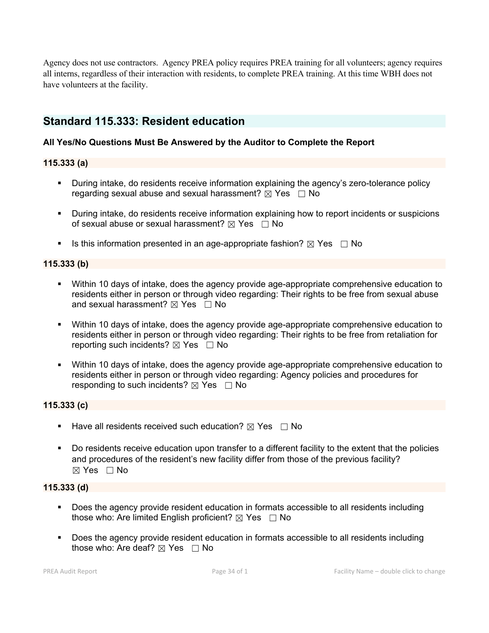Agency doesnot use contractors. Agency PREA policy requires PREA training for all volunteers; agency requires all interns, regardless oftheir interaction with residents, to complete PREA training. At this time WBH does not have volunteers at the facility.

## **Standard 115.333: Resident education**

## **All Yes/No Questions Must Be Answered by the Auditor to Complete the Report**

## **115.333 (a)**

- During intake, do residents receive information explaining the agency's zero-tolerance policy regarding sexual abuse and sexual harassment?  $\boxtimes$  Yes  $\Box$  No
- During intake, do residents receive information explaining how to report incidents or suspicions of sexual abuse or sexual harassment?  $\boxtimes$  Yes  $\Box$  No
- Is this information presented in an age-appropriate fashion?  $\boxtimes$  Yes  $\Box$  No

## **115.333 (b)**

- Within 10 days of intake, does the agency provide age-appropriate comprehensive education to residents either in person or through video regarding: Their rights to be free from sexual abuse and sexual harassment?  $\boxtimes$  Yes  $\Box$  No
- Within 10 days of intake, does the agency provide age-appropriate comprehensive education to residents either in person or through video regarding: Their rights to be free from retaliation for reporting such incidents?  $\boxtimes$  Yes  $\Box$  No
- Within 10 days of intake, does the agency provide age-appropriate comprehensive education to residents either in person or through video regarding: Agency policies and procedures for responding to such incidents?  $\boxtimes$  Yes  $\Box$  No

## **115.333 (c)**

- Have all residents received such education?  $\boxtimes$  Yes  $\Box$  No
- Do residents receive education upon transfer to a different facility to the extent that the policies and procedures of the resident's new facility differ from those of the previous facility?  $\boxtimes$  Yes  $\Box$  No

## **115.333 (d)**

- Does the agency provide resident education in formats accessible to all residents including those who: Are limited English proficient?  $\boxtimes$  Yes  $\Box$  No
- Does the agency provide resident education in formats accessible to all residents including those who: Are deaf?  $\boxtimes$  Yes  $\Box$  No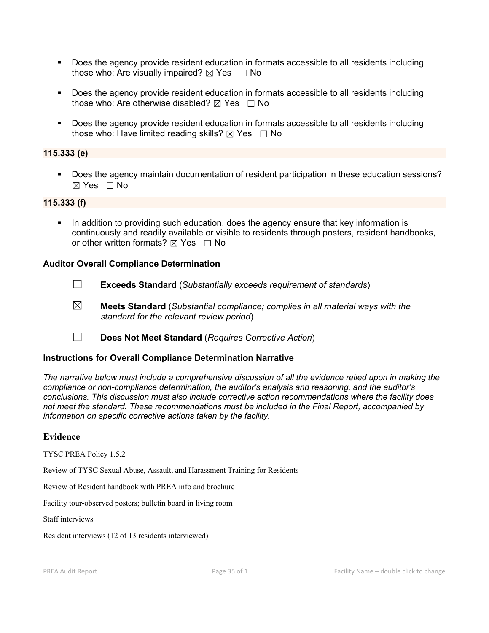- Does the agency provide resident education in formats accessible to all residents including those who: Are visually impaired?  $\boxtimes$  Yes  $\Box$  No
- Does the agency provide resident education in formats accessible to all residents including those who: Are otherwise disabled?  $\boxtimes$  Yes  $\Box$  No
- Does the agency provide resident education in formats accessible to all residents including those who: Have limited reading skills?  $\boxtimes$  Yes  $\Box$  No

## **115.333 (e)**

 Does the agency maintain documentation of resident participation in these education sessions?  $\boxtimes$  Yes  $\Box$  No

#### **115.333 (f)**

 In addition to providing such education, does the agency ensure that key information is continuously and readily available or visible to residents through posters, resident handbooks, or other written formats?  $\boxtimes$  Yes  $\Box$  No

#### **Auditor Overall Compliance Determination**

- 
- ☐ **Exceeds Standard** (*Substantially exceeds requirement of standards*)
- ☒ **Meets Standard** (*Substantial compliance; complies in all material ways with the standard for the relevant review period*)
- ☐ **Does Not Meet Standard** (*Requires Corrective Action*)

#### **Instructions for Overall Compliance Determination Narrative**

*The narrative below must include a comprehensive discussion of all the evidence relied upon in making the compliance or non-compliance determination, the auditor's analysis and reasoning, and the auditor's conclusions. This discussion must also include corrective action recommendations where the facility does not meet the standard. These recommendations must be included in the Final Report, accompanied by information on specific corrective actions taken by the facility.*

#### **Evidence**

TYSC PREA Policy 1.5.2

Review of TYSC Sexual Abuse, Assault, and Harassment Training for Residents

Review of Resident handbook with PREA info and brochure

Facility tour-observed posters; bulletin board in living room

Staff interviews

Resident interviews (12 of 13 residents interviewed)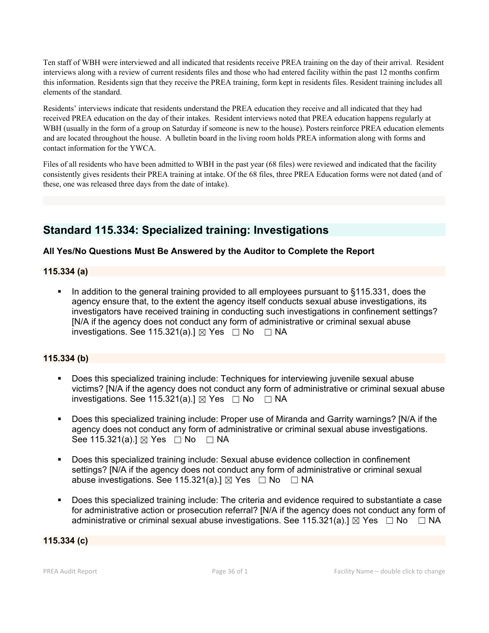Ten staff of WBH were interviewed and all indicated that residents receive PREA training on the day of their arrival. Resident interviews along with a review of current residents files and those who had entered facility within the past 12 months confirm this information. Residents sign that they receive the PREA training, form kept in residents files. Resident training includes all elements of the standard.

Residents' interviews indicate that residents understand the PREA education they receive and all indicated that they had received PREA education on the day of their intakes. Resident interviews noted that PREA education happens regularly at WBH (usually in the form of a group on Saturday if someone is new to the house). Posters reinforce PREA education elements and are located throughout the house. A bulletin board in the living room holds PREA information along with forms and contact information for the YWCA.

Files of all residents who have been admitted to WBH in the past year (68 files) were reviewed and indicated that the facility consistently gives residents their PREA training at intake. Of the 68 files, three PREA Education forms were not dated (and of these, one was released three days from the date of intake).

## **Standard 115.334: Specialized training: Investigations**

## **All Yes/No Questions Must Be Answered by the Auditor to Complete the Report**

#### **115.334 (a)**

■ In addition to the general training provided to all employees pursuant to §115.331, does the agency ensure that, to the extent the agency itself conducts sexual abuse investigations, its investigators have received training in conducting such investigations in confinement settings? [N/A if the agency does not conduct any form of administrative or criminal sexual abuse investigations. See 115.321(a).]  $\boxtimes$  Yes  $\Box$  No  $\Box$  NA

## **115.334 (b)**

- Does this specialized training include: Techniques for interviewing juvenile sexual abuse victims? [N/A if the agency does not conduct any form of administrative or criminal sexual abuse investigations. See 115.321(a).]  $\boxtimes$  Yes  $\Box$  No  $\Box$  NA
- Does this specialized training include: Proper use of Miranda and Garrity warnings? [N/A if the agency does not conduct any form of administrative or criminal sexual abuse investigations. See 115.321(a).] ⊠ Yes □ No □ NA
- Does this specialized training include: Sexual abuse evidence collection in confinement settings? [N/A if the agency does not conduct any form of administrative or criminal sexual abuse investigations. See 115.321(a).]  $\boxtimes$  Yes  $\Box$  No  $\Box$  NA
- Does this specialized training include: The criteria and evidence required to substantiate a case for administrative action or prosecution referral? [N/A if the agency does not conduct any form of administrative or criminal sexual abuse investigations. See 115.321(a).]  $\boxtimes$  Yes  $\Box$  No  $\Box$  NA

### **115.334 (c)**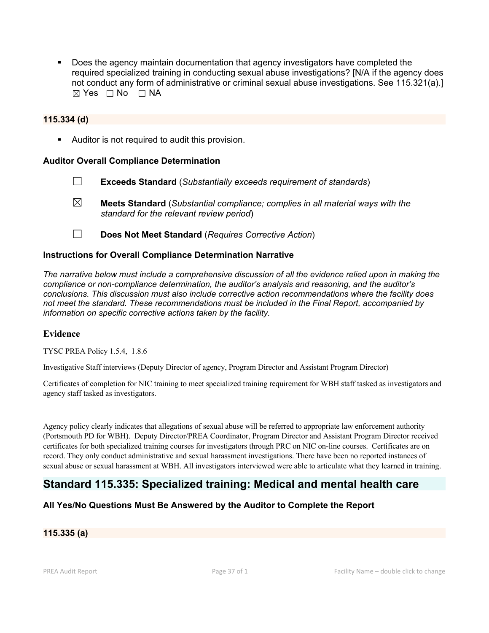Does the agency maintain documentation that agency investigators have completed the required specialized training in conducting sexual abuse investigations? [N/A if the agency does not conduct any form of administrative or criminal sexual abuse investigations. See 115.321(a).]  $\boxtimes$  Yes  $\Box$  No  $\Box$  NA

#### **115.334 (d)**

Auditor is not required to audit this provision.

#### **Auditor Overall Compliance Determination**

- ☐ **Exceeds Standard** (*Substantially exceeds requirement of standards*) ☒ **Meets Standard** (*Substantial compliance; complies in all material ways with the standard for the relevant review period*)
- ☐ **Does Not Meet Standard** (*Requires Corrective Action*)

#### **Instructions for Overall Compliance Determination Narrative**

*The narrative below must include a comprehensive discussion of all the evidence relied upon in making the compliance or non-compliance determination, the auditor's analysis and reasoning, and the auditor's conclusions. This discussion must also include corrective action recommendations where the facility does not meet the standard. These recommendations must be included in the Final Report, accompanied by information on specific corrective actions taken by the facility.*

#### **Evidence**

TYSC PREA Policy 1.5.4, 1.8.6

Investigative Staff interviews (Deputy Director of agency, Program Director and Assistant Program Director)

Certificates of completion for NIC training to meet specialized training requirement for WBH staff tasked as investigators and agency staff tasked as investigators.

Agency policy clearly indicates that allegations of sexual abuse will be referred to appropriate law enforcement authority (Portsmouth PD for WBH). Deputy Director/PREA Coordinator, Program Director and Assistant Program Director received certificates for both specialized training courses for investigators through PRC on NIC on-line courses. Certificates are on record. They only conduct administrative and sexual harassment investigations. There have been no reported instances of sexual abuse or sexual harassment at WBH. All investigators interviewed were able to articulate what they learned in training.

## **Standard 115.335: Specialized training: Medical and mental health care**

## **All Yes/No Questions Must Be Answered by the Auditor to Complete the Report**

#### **115.335 (a)**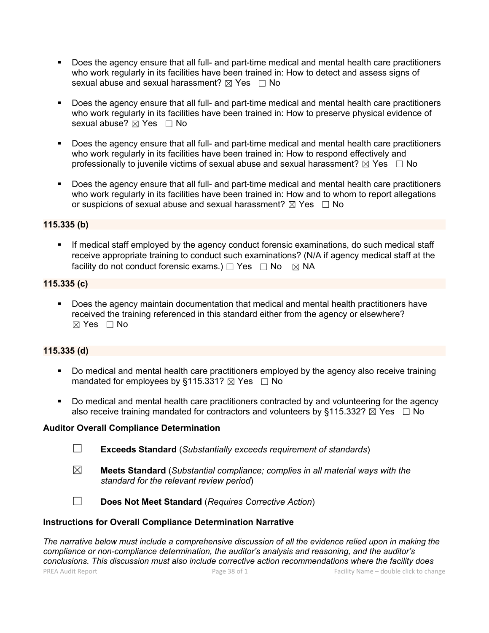- Does the agency ensure that all full- and part-time medical and mental health care practitioners who work regularly in its facilities have been trained in: How to detect and assess signs of sexual abuse and sexual harassment?  $\boxtimes$  Yes  $\Box$  No
- **Does the agency ensure that all full- and part-time medical and mental health care practitioners** who work regularly in its facilities have been trained in: How to preserve physical evidence of sexual abuse? ⊠ Yes □ No
- Does the agency ensure that all full- and part-time medical and mental health care practitioners who work regularly in its facilities have been trained in: How to respond effectively and professionally to juvenile victims of sexual abuse and sexual harassment?  $\boxtimes$  Yes  $\Box$  No
- Does the agency ensure that all full- and part-time medical and mental health care practitioners who work regularly in its facilities have been trained in: How and to whom to report allegations or suspicions of sexual abuse and sexual harassment?  $\boxtimes$  Yes  $\Box$  No

## **115.335 (b)**

 If medical staff employed by the agency conduct forensic examinations, do such medical staff receive appropriate training to conduct such examinations? (N/A if agency medical staff at the facility do not conduct forensic exams.)  $\Box$  Yes  $\Box$  No  $\boxtimes$  NA

## **115.335 (c)**

 Does the agency maintain documentation that medical and mental health practitioners have received the training referenced in this standard either from the agency or elsewhere?  $\boxtimes$  Yes  $\Box$  No

## **115.335 (d)**

- Do medical and mental health care practitioners employed by the agency also receive training mandated for employees by §115.331?  $\boxtimes$  Yes  $\Box$  No
- Do medical and mental health care practitioners contracted by and volunteering for the agency also receive training mandated for contractors and volunteers by §115.332?  $\boxtimes$  Yes  $\Box$  No

## **Auditor Overall Compliance Determination**

- ☐ **Exceeds Standard** (*Substantially exceeds requirement of standards*)
- ☒ **Meets Standard** (*Substantial compliance; complies in all material ways with the standard for the relevant review period*)
- ☐ **Does Not Meet Standard** (*Requires Corrective Action*)

#### **Instructions for Overall Compliance Determination Narrative**

PREA Audit Report **Page 38 of 1** Page 38 of 1 Facility Name – double click to change *The narrative below must include a comprehensive discussion of all the evidence relied upon in making the compliance or non-compliance determination, the auditor's analysis and reasoning, and the auditor's conclusions. This discussion must also include corrective action recommendations where the facility does*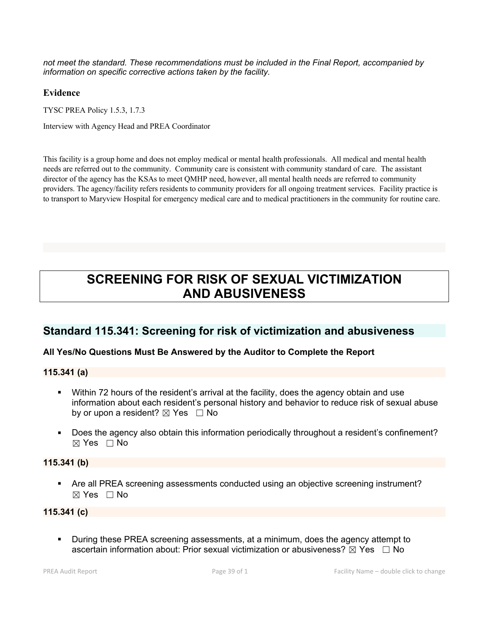*not meet the standard. These recommendations must be included in the Final Report, accompanied by information on specific corrective actions taken by the facility.*

#### **Evidence**

TYSC PREA Policy 1.5.3, 1.7.3

Interview with Agency Head and PREA Coordinator

This facility is a group home and does not employ medical or mental health professionals. All medical and mental health needs are referred out to the community. Community care is consistent with community standard of care. The assistant director of the agency has the KSAs to meet QMHP need, however, all mental health needs are referred to community providers. The agency/facility refers residents to community providers for all ongoing treatment services. Facility practice is to transport to Maryview Hospital for emergency medical care and to medical practitioners in the community for routine care.

# **SCREENING FOR RISK OF SEXUAL VICTIMIZATION AND ABUSIVENESS**

## **Standard 115.341: Screening for risk of victimization and abusiveness**

## **All Yes/No Questions Must Be Answered by the Auditor to Complete the Report**

**115.341 (a)**

- Within 72 hours of the resident's arrival at the facility, does the agency obtain and use information about each resident's personal history and behavior to reduce risk of sexual abuse by or upon a resident?  $\boxtimes$  Yes  $\Box$  No
- Does the agency also obtain this information periodically throughout a resident's confinement?  $\boxtimes$  Yes  $\Box$  No

## **115.341 (b)**

 Are all PREA screening assessments conducted using an objective screening instrument?  $\boxtimes$  Yes  $\Box$  No

## **115.341 (c)**

 During these PREA screening assessments, at a minimum, does the agency attempt to ascertain information about: Prior sexual victimization or abusiveness?  $\boxtimes$  Yes  $\Box$  No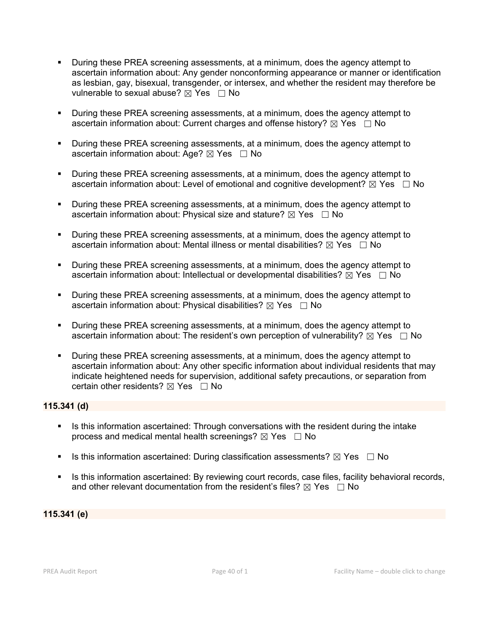- During these PREA screening assessments, at a minimum, does the agency attempt to ascertain information about: Any gender nonconforming appearance or manner or identification as lesbian, gay, bisexual, transgender, or intersex, and whether the resident may therefore be vulnerable to sexual abuse?  $\boxtimes$  Yes  $\Box$  No
- During these PREA screening assessments, at a minimum, does the agency attempt to ascertain information about: Current charges and offense history?  $\boxtimes$  Yes  $\Box$  No
- **During these PREA screening assessments, at a minimum, does the agency attempt to** ascertain information about: Age?  $\boxtimes$  Yes  $\Box$  No
- During these PREA screening assessments, at a minimum, does the agency attempt to ascertain information about: Level of emotional and cognitive development?  $\boxtimes$  Yes  $\Box$  No
- During these PREA screening assessments, at a minimum, does the agency attempt to ascertain information about: Physical size and stature?  $\boxtimes$  Yes  $\Box$  No
- During these PREA screening assessments, at a minimum, does the agency attempt to ascertain information about: Mental illness or mental disabilities?  $\boxtimes$  Yes  $\Box$  No
- During these PREA screening assessments, at a minimum, does the agency attempt to ascertain information about: Intellectual or developmental disabilities?  $\boxtimes$  Yes  $\Box$  No
- **During these PREA screening assessments, at a minimum, does the agency attempt to** ascertain information about: Physical disabilities?  $\boxtimes$  Yes  $\Box$  No
- **During these PREA screening assessments, at a minimum, does the agency attempt to** ascertain information about: The resident's own perception of vulnerability?  $\boxtimes$  Yes  $\Box$  No
- During these PREA screening assessments, at a minimum, does the agency attempt to ascertain information about: Any other specific information about individual residents that may indicate heightened needs for supervision, additional safety precautions, or separation from certain other residents?  $\boxtimes$  Yes  $\Box$  No

## **115.341 (d)**

- Is this information ascertained: Through conversations with the resident during the intake process and medical mental health screenings?  $\boxtimes$  Yes  $\Box$  No
- Is this information ascertained: During classification assessments?  $\boxtimes$  Yes  $\Box$  No
- Is this information ascertained: By reviewing court records, case files, facility behavioral records, and other relevant documentation from the resident's files?  $\boxtimes$  Yes  $\Box$  No

**115.341 (e)**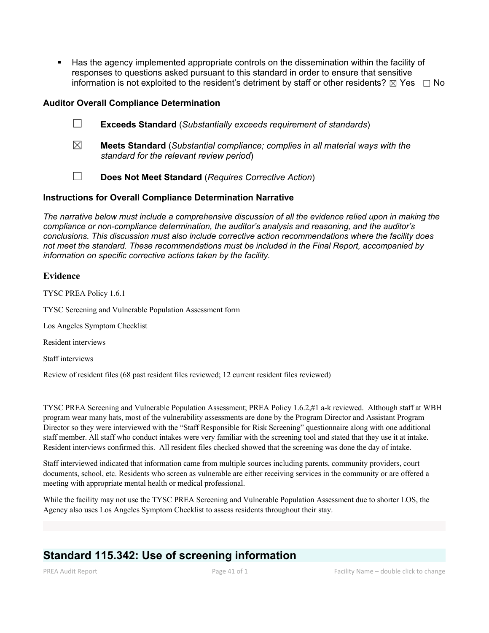Has the agency implemented appropriate controls on the dissemination within the facility of responses to questions asked pursuant to this standard in order to ensure that sensitive information is not exploited to the resident's detriment by staff or other residents?  $\boxtimes$  Yes  $\Box$  No

#### **Auditor Overall Compliance Determination**

- ☐ **Exceeds Standard** (*Substantially exceeds requirement of standards*)
- ☒ **Meets Standard** (*Substantial compliance; complies in all material ways with the standard for the relevant review period*)
- ☐ **Does Not Meet Standard** (*Requires Corrective Action*)

#### **Instructions for Overall Compliance Determination Narrative**

*The narrative below must include a comprehensive discussion of all the evidence relied upon in making the compliance or non-compliance determination, the auditor's analysis and reasoning, and the auditor's conclusions. This discussion must also include corrective action recommendations where the facility does not meet the standard. These recommendations must be included in the Final Report, accompanied by information on specific corrective actions taken by the facility.*

#### **Evidence**

TYSC PREA Policy 1.6.1

TYSC Screening and Vulnerable Population Assessment form

Los Angeles Symptom Checklist

Resident interviews

Staff interviews

Review of resident files (68 past resident files reviewed; 12 current resident files reviewed)

TYSC PREA Screeningand Vulnerable Population Assessment; PREA Policy 1.6.2,#1 a-k reviewed. Although staff at WBH program wear many hats, mostof the vulnerability assessments are done by the Program Director and Assistant Program Director so they were interviewed with the "Staff Responsible for Risk Screening" questionnaire along with one additional staff member. All staff who conduct intakes were very familiar with the screening tool and stated that they use it at intake. Resident interviews confirmed this. All resident files checked showed that the screening was done the day of intake.

Staff interviewed indicated that information came from multiple sources including parents, community providers, court documents, school, etc. Residents who screen as vulnerable are either receiving services in the community or are offered a meeting with appropriate mental health or medical professional.

While the facility may not use the TYSC PREA Screening and Vulnerable Population Assessment due to shorter LOS, the Agency also uses Los Angeles Symptom Checklist to assess residents throughout their stay.

## **Standard 115.342: Use of screening information**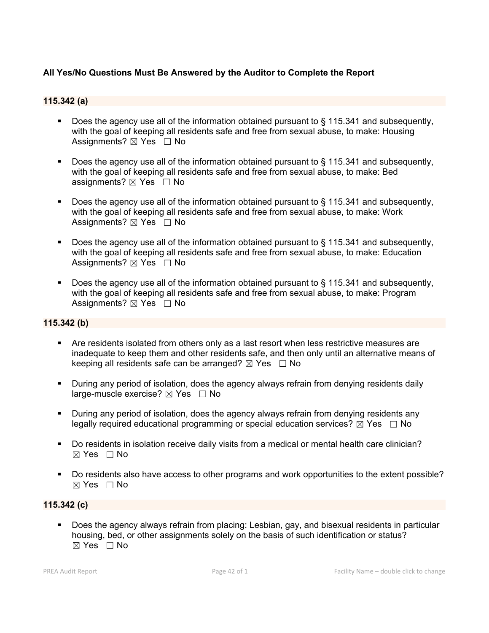## **All Yes/No Questions Must Be Answered by the Auditor to Complete the Report**

### **115.342 (a)**

- Does the agency use all of the information obtained pursuant to § 115.341 and subsequently, with the goal of keeping all residents safe and free from sexual abuse, to make: Housing Assignments?  $\boxtimes$  Yes  $\Box$  No
- Does the agency use all of the information obtained pursuant to § 115.341 and subsequently, with the goal of keeping all residents safe and free from sexual abuse, to make: Bed assignments?  $\boxtimes$  Yes  $\Box$  No
- Does the agency use all of the information obtained pursuant to § 115.341 and subsequently, with the goal of keeping all residents safe and free from sexual abuse, to make: Work Assignments?  $\boxtimes$  Yes  $\Box$  No
- Does the agency use all of the information obtained pursuant to  $\S$  115.341 and subsequently, with the goal of keeping all residents safe and free from sexual abuse, to make: Education Assignments?  $\boxtimes$  Yes  $\Box$  No
- Does the agency use all of the information obtained pursuant to § 115.341 and subsequently, with the goal of keeping all residents safe and free from sexual abuse, to make: Program Assignments?  $\boxtimes$  Yes  $\Box$  No

## **115.342 (b)**

- Are residents isolated from others only as a last resort when less restrictive measures are inadequate to keep them and other residents safe, and then only until an alternative means of keeping all residents safe can be arranged?  $\boxtimes$  Yes  $\Box$  No
- During any period of isolation, does the agency always refrain from denying residents daily large-muscle exercise?  $\boxtimes$  Yes  $\Box$  No
- During any period of isolation, does the agency always refrain from denying residents any legally required educational programming or special education services?  $\boxtimes$  Yes  $\Box$  No
- Do residents in isolation receive daily visits from a medical or mental health care clinician?  $\boxtimes$  Yes  $\Box$  No
- Do residents also have access to other programs and work opportunities to the extent possible?  $\boxtimes$  Yes  $\Box$  No

#### **115.342 (c)**

 Does the agency always refrain from placing: Lesbian, gay, and bisexual residents in particular housing, bed, or other assignments solely on the basis of such identification or status?  $\boxtimes$  Yes  $\Box$  No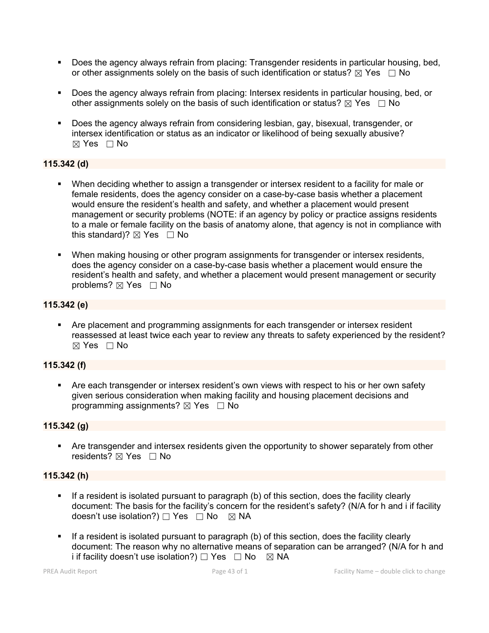- Does the agency always refrain from placing: Transgender residents in particular housing, bed, or other assignments solely on the basis of such identification or status?  $\boxtimes$  Yes  $\Box$  No
- Does the agency always refrain from placing: Intersex residents in particular housing, bed, or other assignments solely on the basis of such identification or status?  $\boxtimes$  Yes  $\Box$  No
- Does the agency always refrain from considering lesbian, gay, bisexual, transgender, or intersex identification or status as an indicator or likelihood of being sexually abusive?  $\boxtimes$  Yes  $\Box$  No

## **115.342 (d)**

- When deciding whether to assign a transgender or intersex resident to a facility for male or female residents, does the agency consider on a case-by-case basis whether a placement would ensure the resident's health and safety, and whether a placement would present management or security problems (NOTE: if an agency by policy or practice assigns residents to a male or female facility on the basis of anatomy alone, that agency is not in compliance with this standard)?  $\boxtimes$  Yes  $\Box$  No
- When making housing or other program assignments for transgender or intersex residents, does the agency consider on a case-by-case basis whether a placement would ensure the resident's health and safety, and whether a placement would present management or security problems?  $\boxtimes$  Yes  $\Box$  No

## **115.342 (e)**

**• Are placement and programming assignments for each transgender or intersex resident** reassessed at least twice each year to review any threats to safety experienced by the resident?  $\boxtimes$  Yes  $\Box$  No

## **115.342 (f)**

 Are each transgender or intersex resident's own views with respect to his or her own safety given serious consideration when making facility and housing placement decisions and programming assignments?  $\boxtimes$  Yes  $\Box$  No

## **115.342 (g)**

 Are transgender and intersex residents given the opportunity to shower separately from other residents?  $\boxtimes$  Yes  $\Box$  No

## **115.342 (h)**

- **If a resident is isolated pursuant to paragraph (b) of this section, does the facility clearly** document: The basis for the facility's concern for the resident's safety? (N/A for h and i if facility doesn't use isolation?) □ Yes □ No ⊠ NA
- If a resident is isolated pursuant to paragraph (b) of this section, does the facility clearly document: The reason why no alternative means of separation can be arranged? (N/A for h and i if facility doesn't use isolation?)  $\Box$  Yes  $\Box$  No  $\boxtimes$  NA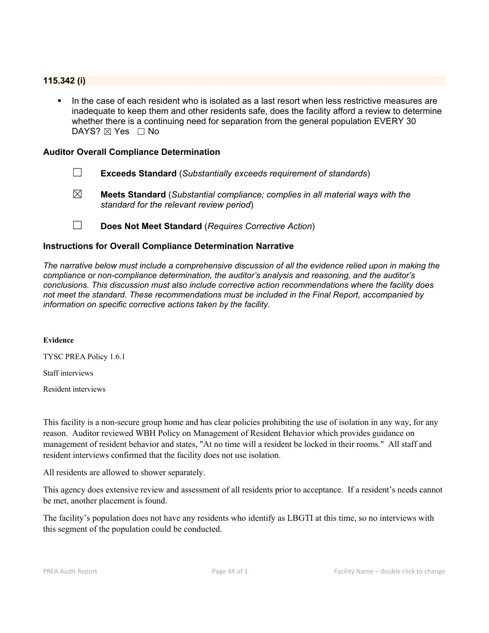### **115.342 (i)**

 In the case of each resident who is isolated as a last resort when less restrictive measures are inadequate to keep them and other residents safe, does the facility afford a review to determine whether there is a continuing need for separation from the general population EVERY 30 DAYS?  $\boxtimes$  Yes  $\Box$  No

#### **Auditor Overall Compliance Determination**

- ☐ **Exceeds Standard** (*Substantially exceeds requirement of standards*)
- ☒ **Meets Standard** (*Substantial compliance; complies in all material ways with the standard for the relevant review period*)
- ☐ **Does Not Meet Standard** (*Requires Corrective Action*)

### **Instructions for Overall Compliance Determination Narrative**

*The narrative below must include a comprehensive discussion of all the evidence relied upon in making the compliance or non-compliance determination, the auditor's analysis and reasoning, and the auditor's conclusions. This discussion must also include corrective action recommendations where the facility does not meet the standard. These recommendations must be included in the Final Report, accompanied by information on specific corrective actions taken by the facility.*

#### **Evidence**

TYSC PREA Policy 1.6.1

Staff interviews

Resident interviews

This facility is a non-secure group home and has clear policies prohibiting the use of isolation in any way, for any reason. Auditor reviewed WBH Policy on Management of Resident Behavior which provides guidance on management of resident behavior and states, "At no time will a resident be locked in their rooms." All staff and resident interviews confirmed that the facility does not use isolation.

All residents are allowed to shower separately.

This agency does extensive review and assessment of all residents prior to acceptance. If a resident's needs cannot be met, another placement is found.

The facility's population does not have any residents who identify as LBGTI at this time, so no interviews with this segment of the population could be conducted.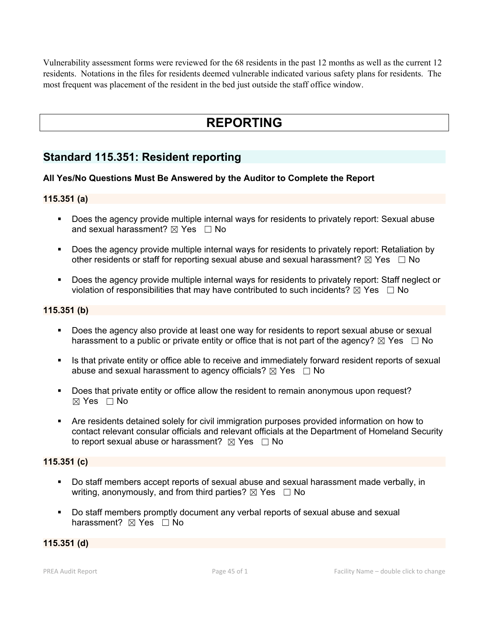Vulnerability assessment forms were reviewed for the 68 residents in the past 12 months as well as the current 12 residents. Notations in the files for residents deemed vulnerable indicated various safety plans for residents. The most frequent was placement of the resident in the bed just outside the staff office window.

# **REPORTING**

## **Standard 115.351: Resident reporting**

## **All Yes/No Questions Must Be Answered by the Auditor to Complete the Report**

### **115.351 (a)**

- **Does the agency provide multiple internal ways for residents to privately report: Sexual abuse** and sexual harassment?  $\boxtimes$  Yes  $\Box$  No
- **Does the agency provide multiple internal ways for residents to privately report: Retaliation by** other residents or staff for reporting sexual abuse and sexual harassment?  $\boxtimes$  Yes  $\Box$  No
- Does the agency provide multiple internal ways for residents to privately report: Staff neglect or violation of responsibilities that may have contributed to such incidents?  $\boxtimes$  Yes  $\Box$  No

#### **115.351 (b)**

- Does the agency also provide at least one way for residents to report sexual abuse or sexual harassment to a public or private entity or office that is not part of the agency?  $\boxtimes$  Yes  $\Box$  No
- Is that private entity or office able to receive and immediately forward resident reports of sexual abuse and sexual harassment to agency officials?  $\boxtimes$  Yes  $\Box$  No
- Does that private entity or office allow the resident to remain anonymous upon request?  $\boxtimes$  Yes  $\Box$  No
- Are residents detained solely for civil immigration purposes provided information on how to contact relevant consular officials and relevant officials at the Department of Homeland Security to report sexual abuse or harassment?  $\boxtimes$  Yes  $\Box$  No

## **115.351 (c)**

- Do staff members accept reports of sexual abuse and sexual harassment made verbally, in writing, anonymously, and from third parties?  $\boxtimes$  Yes  $\Box$  No
- Do staff members promptly document any verbal reports of sexual abuse and sexual harassment?  $\boxtimes$  Yes  $\Box$  No

## **115.351 (d)**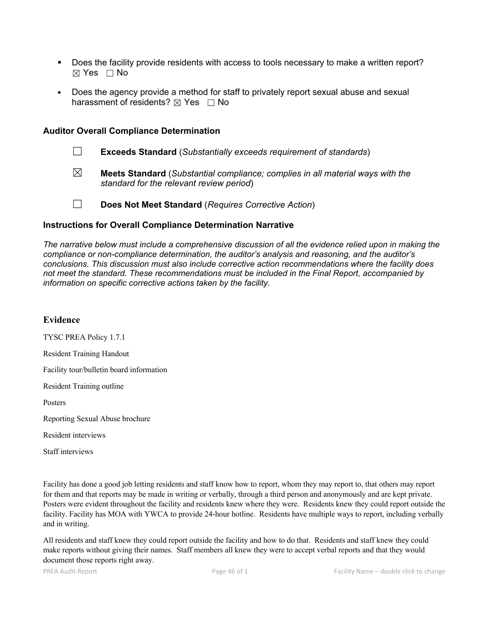- Does the facility provide residents with access to tools necessary to make a written report? ☒ Yes ☐ No
- Does the agency provide a method for staff to privately report sexual abuse and sexual harassment of residents?  $\boxtimes$  Yes  $\Box$  No

#### **Auditor Overall Compliance Determination**

- ☐ **Exceeds Standard** (*Substantially exceeds requirement of standards*)
- ☒ **Meets Standard** (*Substantial compliance; complies in all material ways with the standard for the relevant review period*)
- 
- ☐ **Does Not Meet Standard** (*Requires Corrective Action*)

#### **Instructions for Overall Compliance Determination Narrative**

*The narrative below must include a comprehensive discussion of all the evidence relied upon in making the compliance or non-compliance determination, the auditor's analysis and reasoning, and the auditor's conclusions. This discussion must also include corrective action recommendations where the facility does not meet the standard. These recommendations must be included in the Final Report, accompanied by information on specific corrective actions taken by the facility.*

#### **Evidence**

TYSC PREA Policy 1.7.1

Resident Training Handout

Facility tour/bulletin board information

Resident Training outline

Posters

Reporting Sexual Abuse brochure

Resident interviews

Staff interviews

Facility has done a good job letting residents and staff know how to report, whom they may report to, that others may report for them and that reports may be made in writing or verbally, through a third person and anonymously and are kept private. Posters were evident throughout the facility and residents knew where they were. Residents knew they could report outside the facility. Facility has MOA with YWCA to provide 24-hour hotline. Residents have multiple ways to report, including verbally and in writing.

All residents and staff knew they could report outside the facility and how to do that. Residents and staff knew they could make reports without giving their names. Staff members all knew they were to accept verbal reports and that they would document those reports right away.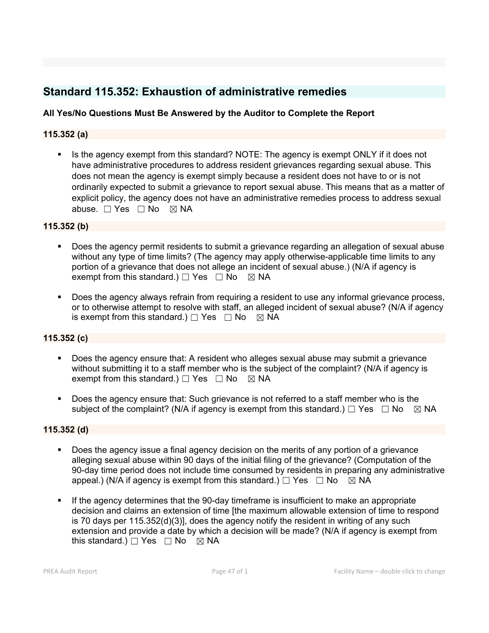## **Standard 115.352: Exhaustion of administrative remedies**

## **All Yes/No Questions Must Be Answered by the Auditor to Complete the Report**

## **115.352 (a)**

Is the agency exempt from this standard? NOTE: The agency is exempt ONLY if it does not have administrative procedures to address resident grievances regarding sexual abuse. This does not mean the agency is exempt simply because a resident does not have to or is not ordinarily expected to submit a grievance to report sexual abuse. This means that as a matter of explicit policy, the agency does not have an administrative remedies process to address sexual abuse. □ Yes □ No ⊠ NA

## **115.352 (b)**

- Does the agency permit residents to submit a grievance regarding an allegation of sexual abuse without any type of time limits? (The agency may apply otherwise-applicable time limits to any portion of a grievance that does not allege an incident of sexual abuse.) (N/A if agency is exempt from this standard.)  $\Box$  Yes  $\Box$  No  $\boxtimes$  NA
- Does the agency always refrain from requiring a resident to use any informal grievance process, or to otherwise attempt to resolve with staff, an alleged incident of sexual abuse? (N/A if agency is exempt from this standard.)  $\Box$  Yes  $\Box$  No  $\boxtimes$  NA

## **115.352 (c)**

- Does the agency ensure that: A resident who alleges sexual abuse may submit a grievance without submitting it to a staff member who is the subject of the complaint? (N/A if agency is exempt from this standard.)  $\Box$  Yes  $\Box$  No  $\boxtimes$  NA
- Does the agency ensure that: Such grievance is not referred to a staff member who is the subject of the complaint? (N/A if agency is exempt from this standard.)  $\Box$  Yes  $\Box$  No  $\boxtimes$  NA

## **115.352 (d)**

- Does the agency issue a final agency decision on the merits of any portion of a grievance alleging sexual abuse within 90 days of the initial filing of the grievance? (Computation of the 90-day time period does not include time consumed by residents in preparing any administrative appeal.) (N/A if agency is exempt from this standard.)  $\Box$  Yes  $\Box$  No  $\boxtimes$  NA
- If the agency determines that the 90-day timeframe is insufficient to make an appropriate decision and claims an extension of time [the maximum allowable extension of time to respond is 70 days per 115.352(d)(3)], does the agency notify the resident in writing of any such extension and provide a date by which a decision will be made? (N/A if agency is exempt from this standard.)  $\Box$  Yes  $\Box$  No  $\boxtimes$  NA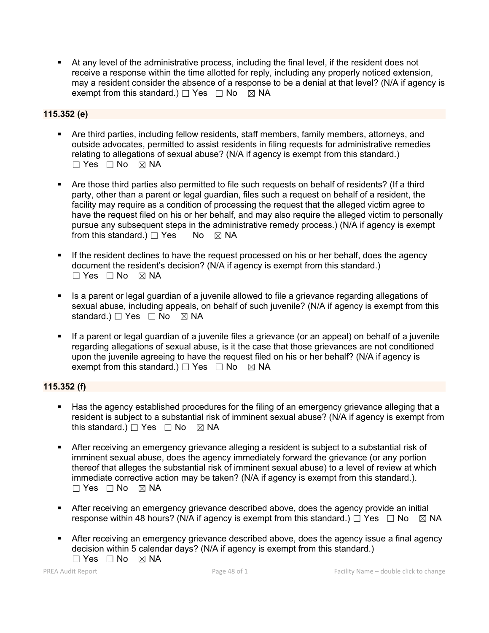At any level of the administrative process, including the final level, if the resident does not receive a response within the time allotted for reply, including any properly noticed extension, may a resident consider the absence of a response to be a denial at that level? (N/A if agency is exempt from this standard.)  $\Box$  Yes  $\Box$  No  $\boxtimes$  NA

## **115.352 (e)**

- Are third parties, including fellow residents, staff members, family members, attorneys, and outside advocates, permitted to assist residents in filing requests for administrative remedies relating to allegations of sexual abuse? (N/A if agency is exempt from this standard.)  $\Box$  Yes  $\Box$  No  $\boxtimes$  NA
- Are those third parties also permitted to file such requests on behalf of residents? (If a third party, other than a parent or legal guardian, files such a request on behalf of a resident, the facility may require as a condition of processing the request that the alleged victim agree to have the request filed on his or her behalf, and may also require the alleged victim to personally pursue any subsequent steps in the administrative remedy process.) (N/A if agency is exempt from this standard.)  $\Box$  Yes No  $\boxtimes$  NA
- If the resident declines to have the request processed on his or her behalf, does the agency document the resident's decision? (N/A if agency is exempt from this standard.)  $\Box$  Yes  $\Box$  No  $\boxtimes$  NA
- Is a parent or legal guardian of a juvenile allowed to file a grievance regarding allegations of sexual abuse, including appeals, on behalf of such juvenile? (N/A if agency is exempt from this standard.)  $\Box$  Yes  $\Box$  No  $\boxtimes$  NA
- If a parent or legal guardian of a juvenile files a grievance (or an appeal) on behalf of a juvenile regarding allegations of sexual abuse, is it the case that those grievances are not conditioned upon the juvenile agreeing to have the request filed on his or her behalf? (N/A if agency is exempt from this standard.)  $\Box$  Yes  $\Box$  No  $\boxtimes$  NA

## **115.352 (f)**

- Has the agency established procedures for the filing of an emergency grievance alleging that a resident is subject to a substantial risk of imminent sexual abuse? (N/A if agency is exempt from this standard.)  $\Box$  Yes  $\Box$  No  $\boxtimes$  NA
- After receiving an emergency grievance alleging a resident is subject to a substantial risk of imminent sexual abuse, does the agency immediately forward the grievance (or any portion thereof that alleges the substantial risk of imminent sexual abuse) to a level of review at which immediate corrective action may be taken? (N/A if agency is exempt from this standard.).  $\Box$  Yes  $\Box$  No  $\boxtimes$  NA
- After receiving an emergency grievance described above, does the agency provide an initial response within 48 hours? (N/A if agency is exempt from this standard.)  $\Box$  Yes  $\Box$  No  $\boxtimes$  NA
- After receiving an emergency grievance described above, does the agency issue a final agency decision within 5 calendar days? (N/A if agency is exempt from this standard.)  $\Box$  Yes  $\Box$  No  $\boxtimes$  NA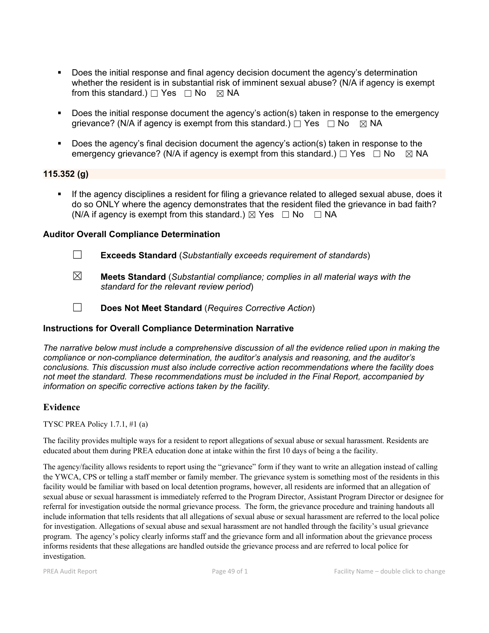- Does the initial response and final agency decision document the agency's determination whether the resident is in substantial risk of imminent sexual abuse? (N/A if agency is exempt from this standard.)  $\Box$  Yes  $\Box$  No  $\boxtimes$  NA
- Does the initial response document the agency's action(s) taken in response to the emergency grievance? (N/A if agency is exempt from this standard.)  $\Box$  Yes  $\Box$  No  $\boxtimes$  NA
- Does the agency's final decision document the agency's action(s) taken in response to the emergency grievance? (N/A if agency is exempt from this standard.)  $\Box$  Yes  $\Box$  No  $\boxtimes$  NA

#### **115.352 (g)**

 If the agency disciplines a resident for filing a grievance related to alleged sexual abuse, does it do so ONLY where the agency demonstrates that the resident filed the grievance in bad faith? (N/A if agency is exempt from this standard.)  $\boxtimes$  Yes  $\Box$  No  $\Box$  NA

## **Auditor Overall Compliance Determination**

- ☐ **Exceeds Standard** (*Substantially exceeds requirement of standards*)
- ☒ **Meets Standard** (*Substantial compliance; complies in all material ways with the standard for the relevant review period*)
- ☐ **Does Not Meet Standard** (*Requires Corrective Action*)

## **Instructions for Overall Compliance Determination Narrative**

*The narrative below must include a comprehensive discussion of all the evidence relied upon in making the compliance or non-compliance determination, the auditor's analysis and reasoning, and the auditor's conclusions. This discussion must also include corrective action recommendations where the facility does not meet the standard. These recommendations must be included in the Final Report, accompanied by information on specific corrective actions taken by the facility.*

#### **Evidence**

TYSC PREA Policy 1.7.1, #1 (a)

The facility provides multiple ways for a resident to report allegations of sexual abuse or sexual harassment. Residents are educated about them during PREA education done at intake within the first 10 days of being a the facility.

The agency/facility allows residents to report using the "grievance" form if they want to write an allegation instead of calling the YWCA, CPS or telling a staff member or family member. The grievance system is something most of the residents in this facility would be familiar with based on local detention programs, however, all residents are informed that an allegation of sexual abuse or sexual harassment is immediately referred to the Program Director, Assistant Program Director or designee for referral for investigation outside the normal grievance process. The form, the grievance procedure and training handouts all include information that tells residents that all allegations of sexual abuse or sexual harassment are referred to the local police for investigation. Allegations of sexual abuse and sexual harassment are not handled through the facility's usual grievance program. The agency's policy clearly informs staff and the grievance form and all information about the grievance process informs residents that these allegations are handled outside the grievance process and are referred to local police for investigation.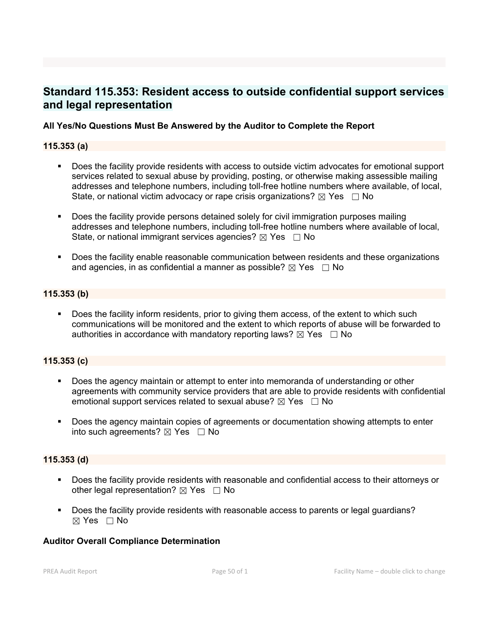## **Standard 115.353: Resident access to outside confidential support services and legal representation**

### **All Yes/No Questions Must Be Answered by the Auditor to Complete the Report**

#### **115.353 (a)**

- Does the facility provide residents with access to outside victim advocates for emotional support services related to sexual abuse by providing, posting, or otherwise making assessible mailing addresses and telephone numbers, including toll-free hotline numbers where available, of local, State, or national victim advocacy or rape crisis organizations?  $\boxtimes$  Yes  $\Box$  No
- **-** Does the facility provide persons detained solely for civil immigration purposes mailing addresses and telephone numbers, including toll-free hotline numbers where available of local, State, or national immigrant services agencies?  $\boxtimes$  Yes  $\Box$  No
- Does the facility enable reasonable communication between residents and these organizations and agencies, in as confidential a manner as possible?  $\boxtimes$  Yes  $\Box$  No

#### **115.353 (b)**

Does the facility inform residents, prior to giving them access, of the extent to which such communications will be monitored and the extent to which reports of abuse will be forwarded to authorities in accordance with mandatory reporting laws?  $\boxtimes$  Yes  $\Box$  No

#### **115.353 (c)**

- Does the agency maintain or attempt to enter into memoranda of understanding or other agreements with community service providers that are able to provide residents with confidential emotional support services related to sexual abuse?  $\boxtimes$  Yes  $\Box$  No
- Does the agency maintain copies of agreements or documentation showing attempts to enter into such agreements?  $\boxtimes$  Yes  $\Box$  No

#### **115.353 (d)**

- Does the facility provide residents with reasonable and confidential access to their attorneys or other legal representation?  $\boxtimes$  Yes  $\Box$  No
- Does the facility provide residents with reasonable access to parents or legal guardians?  $\boxtimes$  Yes  $\Box$  No

#### **Auditor Overall Compliance Determination**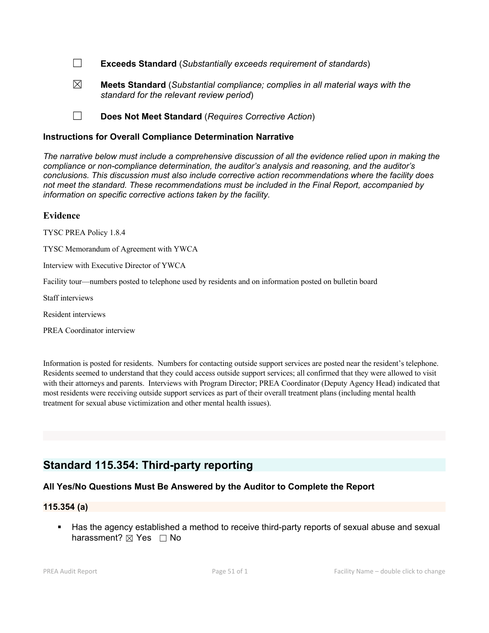☐ **Exceeds Standard** (*Substantially exceeds requirement of standards*)

☒ **Meets Standard** (*Substantial compliance; complies in all material ways with the standard for the relevant review period*)

☐ **Does Not Meet Standard** (*Requires Corrective Action*)

#### **Instructions for Overall Compliance Determination Narrative**

*The narrative below must include a comprehensive discussion of all the evidence relied upon in making the compliance or non-compliance determination, the auditor's analysis and reasoning, and the auditor's conclusions. This discussion must also include corrective action recommendations where the facility does not meet the standard. These recommendations must be included in the Final Report, accompanied by information on specific corrective actions taken by the facility.*

#### **Evidence**

TYSC PREA Policy 1.8.4

TYSC Memorandum of Agreement with YWCA

Interview with Executive Director of YWCA

Facility tour—numbers posted to telephone used by residents and on information posted on bulletin board

Staff interviews

Resident interviews

PREA Coordinator interview

Information is posted for residents. Numbers for contacting outside support services are posted near the resident's telephone. Residents seemed to understand that they could access outside support services; all confirmed that they were allowed to visit with their attorneys and parents. Interviews with Program Director; PREA Coordinator (Deputy Agency Head) indicated that most residents were receiving outside support services as part of their overall treatment plans (including mental health treatment for sexual abuse victimization and other mental health issues).

## **Standard 115.354: Third-party reporting**

## **All Yes/No Questions Must Be Answered by the Auditor to Complete the Report**

#### **115.354 (a)**

Has the agency established a method to receive third-party reports of sexual abuse and sexual harassment?  $\boxtimes$  Yes  $\Box$  No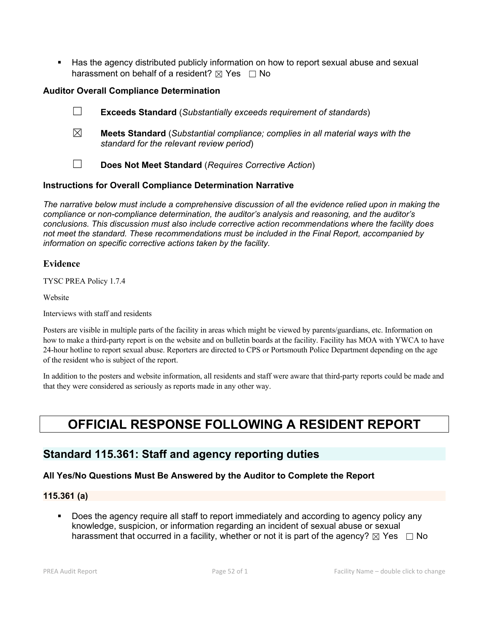Has the agency distributed publicly information on how to report sexual abuse and sexual harassment on behalf of a resident?  $\boxtimes$  Yes  $\Box$  No

## **Auditor Overall Compliance Determination**

- ☐ **Exceeds Standard** (*Substantially exceeds requirement of standards*)
- ☒ **Meets Standard** (*Substantial compliance; complies in all material ways with the standard for the relevant review period*)
- ☐ **Does Not Meet Standard** (*Requires Corrective Action*)

## **Instructions for Overall Compliance Determination Narrative**

*The narrative below must include a comprehensive discussion of all the evidence relied upon in making the compliance or non-compliance determination, the auditor's analysis and reasoning, and the auditor's conclusions. This discussion must also include corrective action recommendations where the facility does not meet the standard. These recommendations must be included in the Final Report, accompanied by information on specific corrective actions taken by the facility.*

## **Evidence**

TYSC PREA Policy 1.7.4

Website

Interviews with staff and residents

Posters are visible in multiple parts of the facility in areas which might be viewed by parents/guardians, etc. Information on how to make a third-party report is on the website and on bulletin boards at the facility. Facility has MOA with YWCA to have 24-hour hotline to report sexual abuse. Reporters are directed to CPS or Portsmouth Police Department depending on the age of the resident who is subject of the report.

In addition to the posters and website information, all residents and staff were aware that third-party reports could be made and that they were considered as seriously as reports made in any other way.

# **OFFICIAL RESPONSE FOLLOWING A RESIDENT REPORT**

## **Standard 115.361: Staff and agency reporting duties**

## **All Yes/No Questions Must Be Answered by the Auditor to Complete the Report**

## **115.361 (a)**

 Does the agency require all staff to report immediately and according to agency policy any knowledge, suspicion, or information regarding an incident of sexual abuse or sexual harassment that occurred in a facility, whether or not it is part of the agency?  $\boxtimes$  Yes  $\Box$  No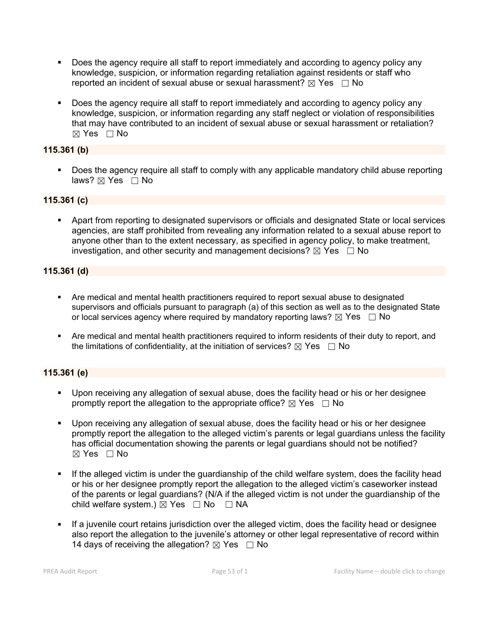- **Does the agency require all staff to report immediately and according to agency policy any** knowledge, suspicion, or information regarding retaliation against residents or staff who reported an incident of sexual abuse or sexual harassment?  $\boxtimes$  Yes  $\Box$  No
- Does the agency require all staff to report immediately and according to agency policy any knowledge, suspicion, or information regarding any staff neglect or violation of responsibilities that may have contributed to an incident of sexual abuse or sexual harassment or retaliation?  $\boxtimes$  Yes  $\Box$  No

## **115.361 (b)**

 Does the agency require all staff to comply with any applicable mandatory child abuse reporting laws?  $\boxtimes$  Yes  $\Box$  No

## **115.361 (c)**

 Apart from reporting to designated supervisors or officials and designated State or local services agencies, are staff prohibited from revealing any information related to a sexual abuse report to anyone other than to the extent necessary, as specified in agency policy, to make treatment, investigation, and other security and management decisions?  $\boxtimes$  Yes  $\Box$  No

## **115.361 (d)**

- Are medical and mental health practitioners required to report sexual abuse to designated supervisors and officials pursuant to paragraph (a) of this section as well as to the designated State or local services agency where required by mandatory reporting laws?  $\boxtimes$  Yes  $\Box$  No
- Are medical and mental health practitioners required to inform residents of their duty to report, and the limitations of confidentiality, at the initiation of services?  $\boxtimes$  Yes  $\Box$  No

## **115.361 (e)**

- Upon receiving any allegation of sexual abuse, does the facility head or his or her designee promptly report the allegation to the appropriate office?  $\boxtimes$  Yes  $\Box$  No
- Upon receiving any allegation of sexual abuse, does the facility head or his or her designee promptly report the allegation to the alleged victim's parents or legal guardians unless the facility has official documentation showing the parents or legal guardians should not be notified?  $\boxtimes$  Yes  $\Box$  No
- If the alleged victim is under the guardianship of the child welfare system, does the facility head or his or her designee promptly report the allegation to the alleged victim's caseworker instead of the parents or legal guardians? (N/A if the alleged victim is not under the guardianship of the child welfare system.)  $\boxtimes$  Yes  $\Box$  No  $\Box$  NA
- If a juvenile court retains jurisdiction over the alleged victim, does the facility head or designee also report the allegation to the juvenile's attorney or other legal representative of record within 14 days of receiving the allegation?  $\boxtimes$  Yes  $\Box$  No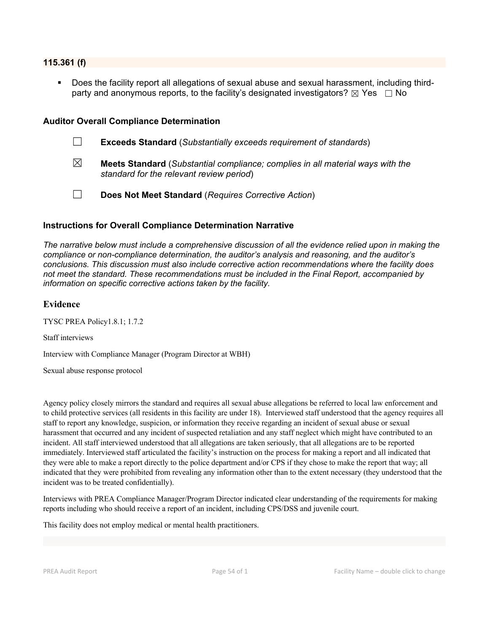#### **115.361 (f)**

 Does the facility report all allegations of sexual abuse and sexual harassment, including thirdparty and anonymous reports, to the facility's designated investigators?  $\boxtimes$  Yes  $\Box$  No

#### **Auditor Overall Compliance Determination**

☐ **Exceeds Standard** (*Substantially exceeds requirement of standards*) ☒ **Meets Standard** (*Substantial compliance; complies in all material ways with the standard for the relevant review period*) ☐ **Does Not Meet Standard** (*Requires Corrective Action*)

#### **Instructions for Overall Compliance Determination Narrative**

*The narrative below must include a comprehensive discussion of all the evidence relied upon in making the compliance or non-compliance determination, the auditor's analysis and reasoning, and the auditor's conclusions. This discussion must also include corrective action recommendations where the facility does not meet the standard. These recommendations must be included in the Final Report, accompanied by information on specific corrective actions taken by the facility.*

#### **Evidence**

TYSC PREA Policy1.8.1; 1.7.2

Staff interviews

Interview with Compliance Manager (Program Director at WBH)

Sexual abuse response protocol

Agency policy closely mirrors the standard and requires all sexual abuse allegations be referred to local law enforcement and to child protective services (all residents in this facility are under 18). Interviewed staff understood that the agency requires all staff to report any knowledge, suspicion, or information they receive regarding an incident of sexual abuse or sexual harassment that occurred and any incident of suspected retaliation and any staff neglect which might have contributed to an incident. All staff interviewed understood that all allegations are taken seriously, that all allegations are to be reported immediately. Interviewed staff articulated the facility's instruction on the process for making a report and all indicated that they were able to make a report directly to the police department and/or CPS if they chose to make the report that way; all indicated that they were prohibited from revealing any information other than to the extent necessary (they understood that the incident was to be treated confidentially).

Interviews with PREA Compliance Manager/Program Director indicated clear understanding of the requirements for making reports including who should receive a report of an incident, including CPS/DSS and juvenile court.

This facility does not employ medical or mental health practitioners.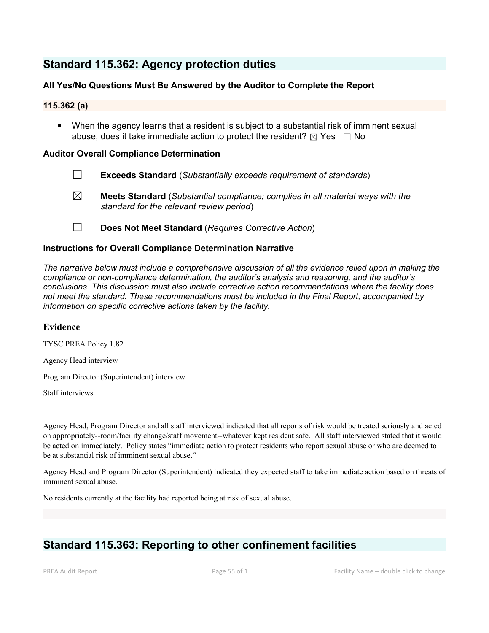## **Standard 115.362: Agency protection duties**

## **All Yes/No Questions Must Be Answered by the Auditor to Complete the Report**

## **115.362 (a)**

 When the agency learns that a resident is subject to a substantial risk of imminent sexual abuse, does it take immediate action to protect the resident?  $\boxtimes$  Yes  $\Box$  No

### **Auditor Overall Compliance Determination**

- ☐ **Exceeds Standard** (*Substantially exceeds requirement of standards*)
- ☒ **Meets Standard** (*Substantial compliance; complies in all material ways with the standard for the relevant review period*)
- ☐ **Does Not Meet Standard** (*Requires Corrective Action*)

#### **Instructions for Overall Compliance Determination Narrative**

*The narrative below must include a comprehensive discussion of all the evidence relied upon in making the compliance or non-compliance determination, the auditor's analysis and reasoning, and the auditor's conclusions. This discussion must also include corrective action recommendations where the facility does not meet the standard. These recommendations must be included in the Final Report, accompanied by information on specific corrective actions taken by the facility.*

#### **Evidence**

TYSC PREA Policy 1.82

Agency Head interview

Program Director (Superintendent) interview

Staff interviews

Agency Head, Program Director and all staff interviewed indicated that all reports of risk would be treated seriously and acted on appropriately--room/facility change/staff movement--whatever kept resident safe. All staff interviewed stated thatit would be acted on immediately. Policy states "immediate action to protect residents who report sexual abuse or who are deemed to be at substantial risk of imminent sexual abuse."

Agency Head and Program Director (Superintendent) indicated they expected staff to take immediate action based on threats of imminent sexual abuse.

No residents currently at the facility had reported being at risk of sexual abuse.

## **Standard 115.363: Reporting to other confinement facilities**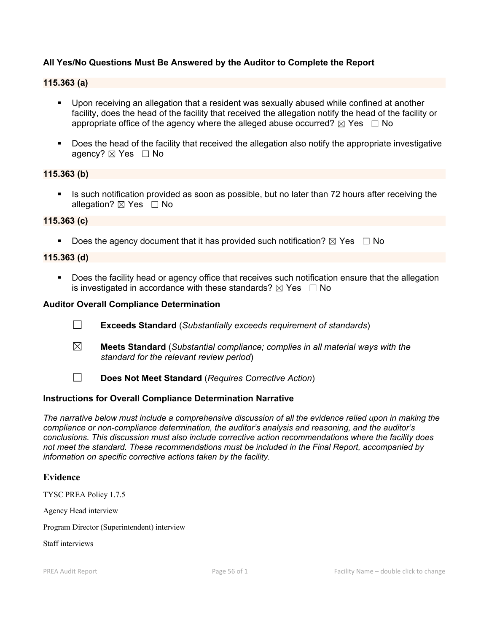## **All Yes/No Questions Must Be Answered by the Auditor to Complete the Report**

#### **115.363 (a)**

- Upon receiving an allegation that a resident was sexually abused while confined at another facility, does the head of the facility that received the allegation notify the head of the facility or appropriate office of the agency where the alleged abuse occurred?  $\boxtimes$  Yes  $\Box$  No
- **Does the head of the facility that received the allegation also notify the appropriate investigative** agency? ⊠ Yes □ No

#### **115.363 (b)**

Is such notification provided as soon as possible, but no later than 72 hours after receiving the allegation?  $\boxtimes$  Yes  $\Box$  No

#### **115.363 (c)**

Does the agency document that it has provided such notification?  $\boxtimes$  Yes  $\Box$  No

#### **115.363 (d)**

 Does the facility head or agency office that receives such notification ensure that the allegation is investigated in accordance with these standards?  $\boxtimes$  Yes  $\Box$  No

#### **Auditor Overall Compliance Determination**

- ☐ **Exceeds Standard** (*Substantially exceeds requirement of standards*)
- ☒ **Meets Standard** (*Substantial compliance; complies in all material ways with the standard for the relevant review period*)
- ☐ **Does Not Meet Standard** (*Requires Corrective Action*)

#### **Instructions for Overall Compliance Determination Narrative**

*The narrative below must include a comprehensive discussion of all the evidence relied upon in making the compliance or non-compliance determination, the auditor's analysis and reasoning, and the auditor's conclusions. This discussion must also include corrective action recommendations where the facility does not meet the standard. These recommendations must be included in the Final Report, accompanied by information on specific corrective actions taken by the facility.*

#### **Evidence**

TYSC PREA Policy 1.7.5

Agency Head interview

Program Director (Superintendent) interview

Staff interviews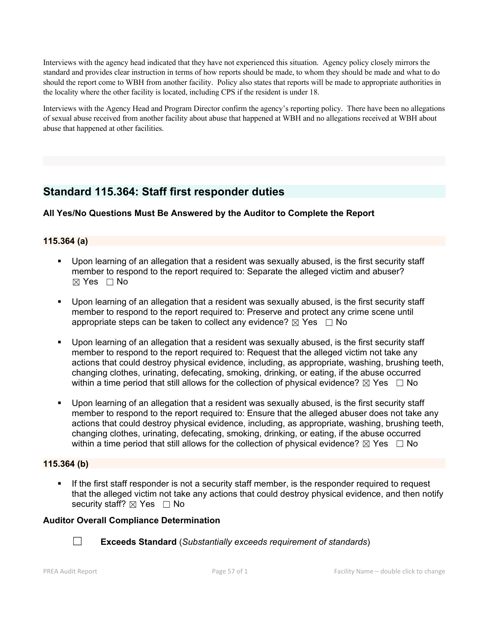Interviews with the agency head indicated that they have not experienced this situation. Agency policy closely mirrors the standard and provides clear instruction in terms of how reports should be made, to whom they should be made and what to do should the report come to WBH from another facility. Policy also states that reports will be made to appropriate authorities in the locality where the other facility is located, including CPS if the resident is under 18.

Interviews with the Agency Head and Program Director confirm the agency's reporting policy. There have been no allegations of sexual abuse received from another facility about abuse that happened at WBH and no allegations received at WBH about abuse that happened at other facilities.

## **Standard 115.364: Staff first responder duties**

## **All Yes/No Questions Must Be Answered by the Auditor to Complete the Report**

## **115.364 (a)**

- Upon learning of an allegation that a resident was sexually abused, is the first security staff member to respond to the report required to: Separate the alleged victim and abuser?  $\boxtimes$  Yes  $\Box$  No
- Upon learning of an allegation that a resident was sexually abused, is the first security staff member to respond to the report required to: Preserve and protect any crime scene until appropriate steps can be taken to collect any evidence?  $\boxtimes$  Yes  $\Box$  No
- Upon learning of an allegation that a resident was sexually abused, is the first security staff member to respond to the report required to: Request that the alleged victim not take any actions that could destroy physical evidence, including, as appropriate, washing, brushing teeth, changing clothes, urinating, defecating, smoking, drinking, or eating, if the abuse occurred within a time period that still allows for the collection of physical evidence?  $\boxtimes$  Yes  $\Box$  No
- Upon learning of an allegation that a resident was sexually abused, is the first security staff member to respond to the report required to: Ensure that the alleged abuser does not take any actions that could destroy physical evidence, including, as appropriate, washing, brushing teeth, changing clothes, urinating, defecating, smoking, drinking, or eating, if the abuse occurred within a time period that still allows for the collection of physical evidence?  $\boxtimes$  Yes  $\Box$  No

## **115.364 (b)**

 If the first staff responder is not a security staff member, is the responder required to request that the alleged victim not take any actions that could destroy physical evidence, and then notify security staff?  $\boxtimes$  Yes  $\Box$  No

## **Auditor Overall Compliance Determination**



☐ **Exceeds Standard** (*Substantially exceeds requirement of standards*)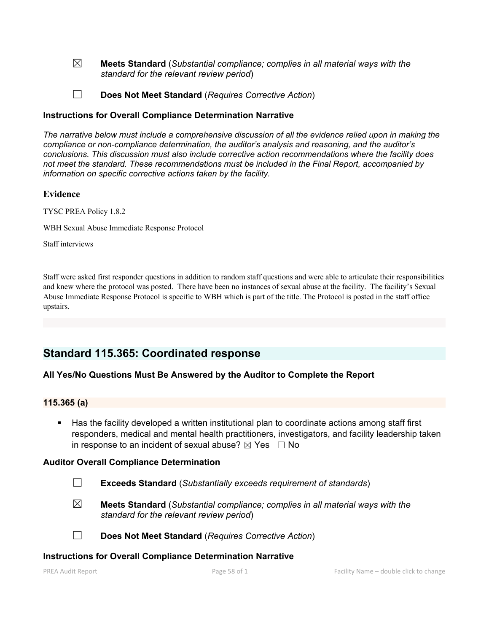☒ **Meets Standard** (*Substantial compliance; complies in all material ways with the standard for the relevant review period*)

☐ **Does Not Meet Standard** (*Requires Corrective Action*)

#### **Instructions for Overall Compliance Determination Narrative**

*The narrative below must include a comprehensive discussion of all the evidence relied upon in making the compliance or non-compliance determination, the auditor's analysis and reasoning, and the auditor's conclusions. This discussion must also include corrective action recommendations where the facility does not meet the standard. These recommendations must be included in the Final Report, accompanied by information on specific corrective actions taken by the facility.*

### **Evidence**

TYSC PREA Policy 1.8.2

WBH Sexual Abuse Immediate Response Protocol

Staff interviews

Staff were asked first responder questions in addition to random staff questions and were able to articulate their responsibilities and knew where the protocol was posted. There have been no instances of sexual abuse at the facility. The facility's Sexual Abuse Immediate Response Protocol is specific to WBH which is part of the title. The Protocol is posted in the staff office upstairs.

## **Standard 115.365: Coordinated response**

#### **All Yes/No Questions Must Be Answered by the Auditor to Complete the Report**

#### **115.365 (a)**

 Has the facility developed a written institutional plan to coordinate actions among staff first responders, medical and mental health practitioners, investigators, and facility leadership taken in response to an incident of sexual abuse?  $\boxtimes$  Yes  $\Box$  No

#### **Auditor Overall Compliance Determination**

- ☐ **Exceeds Standard** (*Substantially exceeds requirement of standards*)
- ☒ **Meets Standard** (*Substantial compliance; complies in all material ways with the standard for the relevant review period*)

☐ **Does Not Meet Standard** (*Requires Corrective Action*)

#### **Instructions for Overall Compliance Determination Narrative**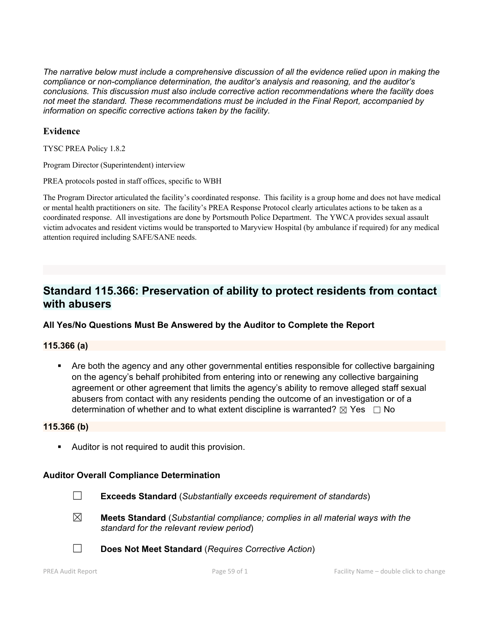*The narrative below must include a comprehensive discussion of all the evidence relied upon in making the compliance or non-compliance determination, the auditor's analysis and reasoning, and the auditor's conclusions. This discussion must also include corrective action recommendations where the facility does not meet the standard. These recommendations must be included in the Final Report, accompanied by information on specific corrective actions taken by the facility.*

### **Evidence**

TYSC PREA Policy 1.8.2

Program Director (Superintendent) interview

PREA protocols posted in staff offices, specific to WBH

The Program Director articulated the facility's coordinated response. This facility is a group home and doesnot have medical or mental health practitioners on site. The facility's PREA Response Protocol clearly articulates actions to be taken as a coordinated response. All investigations are done by Portsmouth Police Department. The YWCA provides sexual assault victim advocates and resident victims would be transported to Maryview Hospital (by ambulance if required) for any medical attention required including SAFE/SANE needs.

## **Standard 115.366: Preservation of ability to protect residents from contact with abusers**

## **All Yes/No Questions Must Be Answered by the Auditor to Complete the Report**

#### **115.366 (a)**

 Are both the agency and any other governmental entities responsible for collective bargaining on the agency's behalf prohibited from entering into or renewing any collective bargaining agreement or other agreement that limits the agency's ability to remove alleged staff sexual abusers from contact with any residents pending the outcome of an investigation or of a determination of whether and to what extent discipline is warranted?  $\boxtimes$  Yes  $\Box$  No

#### **115.366 (b)**

Auditor is not required to audit this provision.

#### **Auditor Overall Compliance Determination**

- ☐ **Exceeds Standard** (*Substantially exceeds requirement of standards*)
- ☒ **Meets Standard** (*Substantial compliance; complies in all material ways with the standard for the relevant review period*)
- ☐ **Does Not Meet Standard** (*Requires Corrective Action*)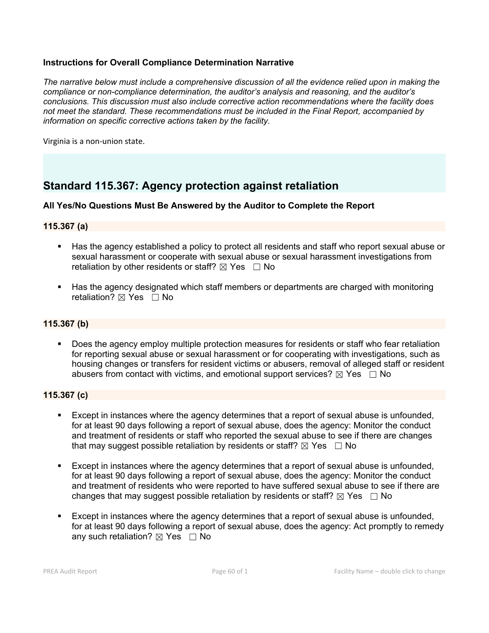## **Instructions for Overall Compliance Determination Narrative**

*The narrative below must include a comprehensive discussion of all the evidence relied upon in making the compliance or non-compliance determination, the auditor's analysis and reasoning, and the auditor's conclusions. This discussion must also include corrective action recommendations where the facility does not meet the standard. These recommendations must be included in the Final Report, accompanied by information on specific corrective actions taken by the facility.*

Virginia is a non-union state.

## **Standard 115.367: Agency protection against retaliation**

#### **All Yes/No Questions Must Be Answered by the Auditor to Complete the Report**

#### **115.367 (a)**

- Has the agency established a policy to protect all residents and staff who report sexual abuse or sexual harassment or cooperate with sexual abuse or sexual harassment investigations from retaliation by other residents or staff?  $\boxtimes$  Yes  $\Box$  No
- Has the agency designated which staff members or departments are charged with monitoring retaliation?  $\boxtimes$  Yes  $\Box$  No

## **115.367 (b)**

 Does the agency employ multiple protection measures for residents or staff who fear retaliation for reporting sexual abuse or sexual harassment or for cooperating with investigations, such as housing changes or transfers for resident victims or abusers, removal of alleged staff or resident abusers from contact with victims, and emotional support services?  $\boxtimes$  Yes  $\Box$  No

#### **115.367 (c)**

- Except in instances where the agency determines that a report of sexual abuse is unfounded, for at least 90 days following a report of sexual abuse, does the agency: Monitor the conduct and treatment of residents or staff who reported the sexual abuse to see if there are changes that may suggest possible retaliation by residents or staff?  $\boxtimes$  Yes  $\Box$  No
- Except in instances where the agency determines that a report of sexual abuse is unfounded, for at least 90 days following a report of sexual abuse, does the agency: Monitor the conduct and treatment of residents who were reported to have suffered sexual abuse to see if there are changes that may suggest possible retaliation by residents or staff?  $\boxtimes$  Yes  $\Box$  No
- Except in instances where the agency determines that a report of sexual abuse is unfounded, for at least 90 days following a report of sexual abuse, does the agency: Act promptly to remedy any such retaliation?  $\boxtimes$  Yes  $\Box$  No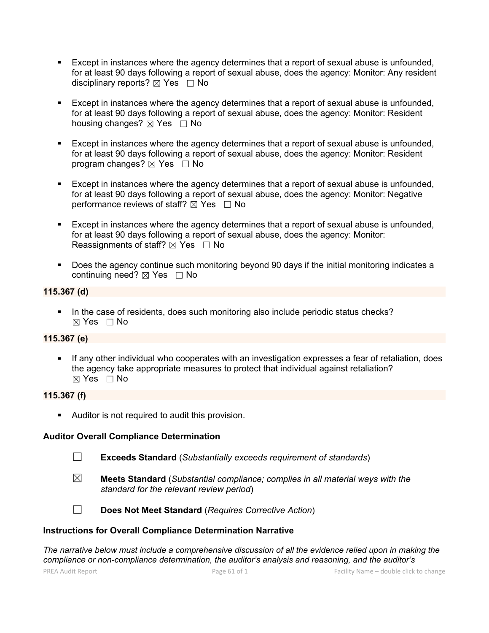- Except in instances where the agency determines that a report of sexual abuse is unfounded, for at least 90 days following a report of sexual abuse, does the agency: Monitor: Any resident disciplinary reports?  $\boxtimes$  Yes  $\Box$  No
- Except in instances where the agency determines that a report of sexual abuse is unfounded, for at least 90 days following a report of sexual abuse, does the agency: Monitor: Resident housing changes?  $\boxtimes$  Yes  $\Box$  No
- Except in instances where the agency determines that a report of sexual abuse is unfounded, for at least 90 days following a report of sexual abuse, does the agency: Monitor: Resident program changes?  $\boxtimes$  Yes  $\Box$  No
- Except in instances where the agency determines that a report of sexual abuse is unfounded, for at least 90 days following a report of sexual abuse, does the agency: Monitor: Negative performance reviews of staff?  $\boxtimes$  Yes  $\Box$  No
- Except in instances where the agency determines that a report of sexual abuse is unfounded, for at least 90 days following a report of sexual abuse, does the agency: Monitor: Reassignments of staff?  $\boxtimes$  Yes  $\Box$  No
- Does the agency continue such monitoring beyond 90 days if the initial monitoring indicates a continuing need?  $\boxtimes$  Yes  $\Box$  No

## **115.367 (d)**

In the case of residents, does such monitoring also include periodic status checks?  $\boxtimes$  Yes  $\Box$  No

#### **115.367 (e)**

 If any other individual who cooperates with an investigation expresses a fear of retaliation, does the agency take appropriate measures to protect that individual against retaliation?  $\boxtimes$  Yes  $\Box$  No

## **115.367 (f)**

Auditor is not required to audit this provision.

#### **Auditor Overall Compliance Determination**

- ☐ **Exceeds Standard** (*Substantially exceeds requirement of standards*)
- 
- ☒ **Meets Standard** (*Substantial compliance; complies in all material ways with the standard for the relevant review period*)



☐ **Does Not Meet Standard** (*Requires Corrective Action*)

#### **Instructions for Overall Compliance Determination Narrative**

*The narrative below must include a comprehensive discussion of all the evidence relied upon in making the compliance or non-compliance determination, the auditor's analysis and reasoning, and the auditor's*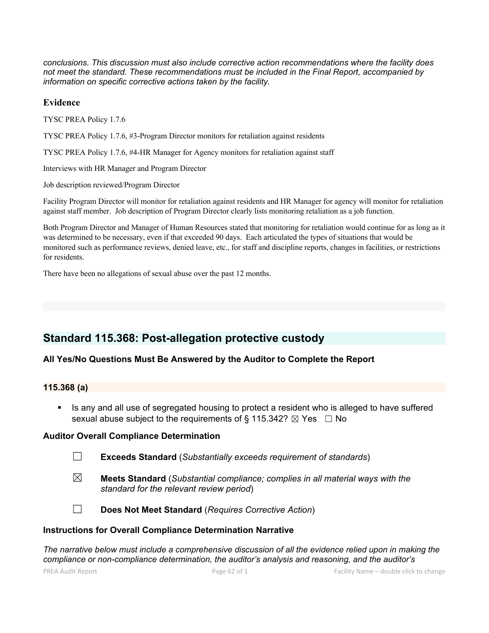*conclusions. This discussion must also include corrective action recommendations where the facility does not meet the standard. These recommendations must be included in the Final Report, accompanied by information on specific corrective actions taken by the facility.*

### **Evidence**

TYSC PREA Policy 1.7.6

TYSC PREA Policy 1.7.6, #3-Program Director monitors for retaliation against residents

TYSC PREA Policy 1.7.6, #4-HR Manager for Agency monitors for retaliation against staff

Interviews with HR Manager and Program Director

Job description reviewed/Program Director

Facility Program Director will monitor for retaliation against residents and HR Manager for agency will monitor for retaliation against staff member. Job description of Program Director clearly lists monitoring retaliation as a job function.

Both Program Director and Manager of Human Resources stated that monitoring for retaliation would continue for as long as it was determined to be necessary, even if that exceeded 90 days. Each articulated the types of situations that would be monitored such as performance reviews, denied leave, etc., for staff and discipline reports, changes in facilities, or restrictions for residents.

There have been no allegations of sexual abuse over the past 12 months.

## **Standard 115.368: Post-allegation protective custody**

## **All Yes/No Questions Must Be Answered by the Auditor to Complete the Report**

## **115.368 (a)**

 Is any and all use of segregated housing to protect a resident who is alleged to have suffered sexual abuse subject to the requirements of § 115.342?  $\boxtimes$  Yes  $\Box$  No

#### **Auditor Overall Compliance Determination**

| <b>Exceeds Standard</b> (Substantially exceeds requirement of standards) |  |  |  |  |  |
|--------------------------------------------------------------------------|--|--|--|--|--|
|--------------------------------------------------------------------------|--|--|--|--|--|

☒ **Meets Standard** (*Substantial compliance; complies in all material ways with the standard for the relevant review period*)



☐ **Does Not Meet Standard** (*Requires Corrective Action*)

#### **Instructions for Overall Compliance Determination Narrative**

*The narrative below must include a comprehensive discussion of all the evidence relied upon in making the compliance or non-compliance determination, the auditor's analysis and reasoning, and the auditor's*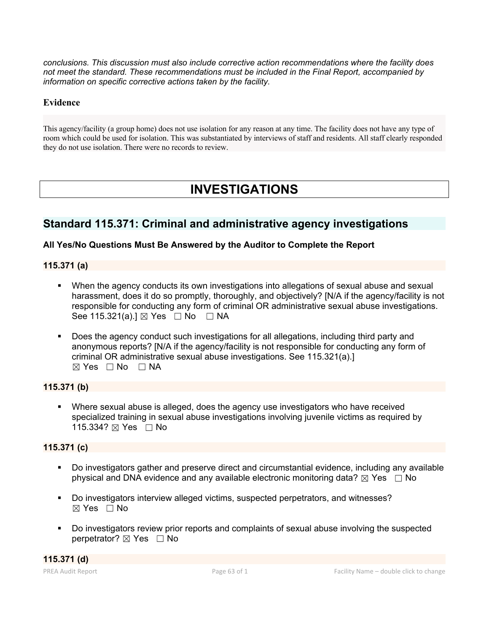*conclusions. This discussion must also include corrective action recommendations where the facility does not meet the standard. These recommendations must be included in the Final Report, accompanied by information on specific corrective actions taken by the facility.*

# **Evidence**

This agency/facility (a group home) does not use isolation for any reason at any time. The facility does not have any type of room which could be used for isolation. This was substantiated by interviews ofstaff and residents. All staff clearly responded they do not use isolation. There were no records to review.

# **INVESTIGATIONS**

# **Standard 115.371: Criminal and administrative agency investigations**

# **All Yes/No Questions Must Be Answered by the Auditor to Complete the Report**

# **115.371 (a)**

- When the agency conducts its own investigations into allegations of sexual abuse and sexual harassment, does it do so promptly, thoroughly, and objectively? [N/A if the agency/facility is not responsible for conducting any form of criminal OR administrative sexual abuse investigations. See 115.321(a).] ⊠ Yes □ No □ NA
- Does the agency conduct such investigations for all allegations, including third party and anonymous reports? [N/A if the agency/facility is not responsible for conducting any form of criminal OR administrative sexual abuse investigations. See 115.321(a).]  $\boxtimes$  Yes  $\Box$  No  $\Box$  NA

# **115.371 (b)**

 Where sexual abuse is alleged, does the agency use investigators who have received specialized training in sexual abuse investigations involving juvenile victims as required by 115.334? ⊠ Yes □ No

# **115.371 (c)**

- Do investigators gather and preserve direct and circumstantial evidence, including any available physical and DNA evidence and any available electronic monitoring data?  $\boxtimes$  Yes  $\Box$  No
- Do investigators interview alleged victims, suspected perpetrators, and witnesses?  $\boxtimes$  Yes  $\Box$  No
- Do investigators review prior reports and complaints of sexual abuse involving the suspected perpetrator?  $\boxtimes$  Yes  $\Box$  No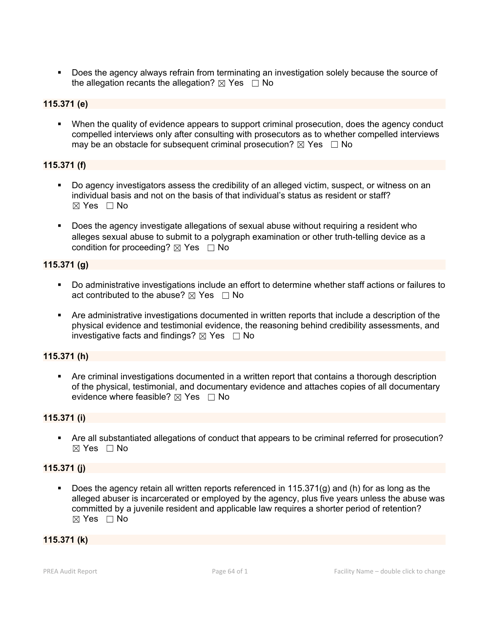Does the agency always refrain from terminating an investigation solely because the source of the allegation recants the allegation?  $\boxtimes$  Yes  $\Box$  No

# **115.371 (e)**

 When the quality of evidence appears to support criminal prosecution, does the agency conduct compelled interviews only after consulting with prosecutors as to whether compelled interviews may be an obstacle for subsequent criminal prosecution?  $\boxtimes$  Yes  $\Box$  No

# **115.371 (f)**

- Do agency investigators assess the credibility of an alleged victim, suspect, or witness on an individual basis and not on the basis of that individual's status as resident or staff?  $\boxtimes$  Yes  $\Box$  No
- Does the agency investigate allegations of sexual abuse without requiring a resident who alleges sexual abuse to submit to a polygraph examination or other truth-telling device as a condition for proceeding?  $\boxtimes$  Yes  $\Box$  No

# **115.371 (g)**

- Do administrative investigations include an effort to determine whether staff actions or failures to act contributed to the abuse?  $\boxtimes$  Yes  $\Box$  No
- Are administrative investigations documented in written reports that include a description of the physical evidence and testimonial evidence, the reasoning behind credibility assessments, and investigative facts and findings?  $\boxtimes$  Yes  $\Box$  No

# **115.371 (h)**

 Are criminal investigations documented in a written report that contains a thorough description of the physical, testimonial, and documentary evidence and attaches copies of all documentary evidence where feasible?  $\boxtimes$  Yes  $\Box$  No

# **115.371 (i)**

 Are all substantiated allegations of conduct that appears to be criminal referred for prosecution? ☒ Yes ☐ No

# **115.371 (j)**

 Does the agency retain all written reports referenced in 115.371(g) and (h) for as long as the alleged abuser is incarcerated or employed by the agency, plus five years unless the abuse was committed by a juvenile resident and applicable law requires a shorter period of retention? ☒ Yes ☐ No

# **115.371 (k)**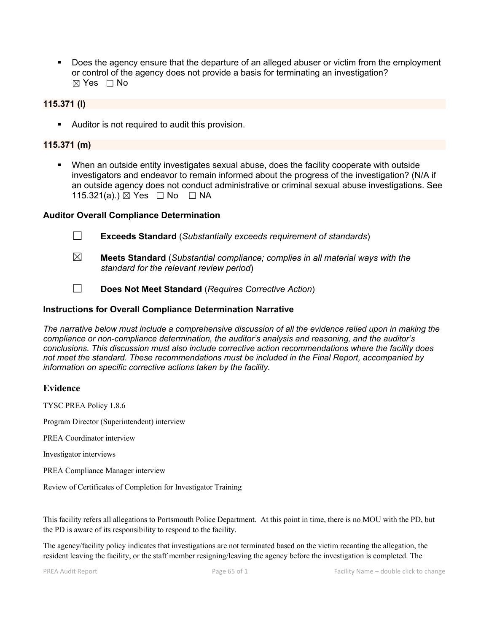Does the agency ensure that the departure of an alleged abuser or victim from the employment or control of the agency does not provide a basis for terminating an investigation? ☒ Yes ☐ No

### **115.371 (l)**

Auditor is not required to audit this provision.

### **115.371 (m)**

 When an outside entity investigates sexual abuse, does the facility cooperate with outside investigators and endeavor to remain informed about the progress of the investigation? (N/A if an outside agency does not conduct administrative or criminal sexual abuse investigations. See 115.321(a).) ⊠ Yes □ No □ NA

#### **Auditor Overall Compliance Determination**

- ☐ **Exceeds Standard** (*Substantially exceeds requirement of standards*)
- ☒ **Meets Standard** (*Substantial compliance; complies in all material ways with the standard for the relevant review period*)
- ☐ **Does Not Meet Standard** (*Requires Corrective Action*)

#### **Instructions for Overall Compliance Determination Narrative**

*The narrative below must include a comprehensive discussion of all the evidence relied upon in making the compliance or non-compliance determination, the auditor's analysis and reasoning, and the auditor's conclusions. This discussion must also include corrective action recommendations where the facility does not meet the standard. These recommendations must be included in the Final Report, accompanied by information on specific corrective actions taken by the facility.*

#### **Evidence**

TYSC PREA Policy 1.8.6

Program Director (Superintendent) interview

PREA Coordinator interview

Investigator interviews

PREA Compliance Manager interview

Review of Certificates of Completion for Investigator Training

This facility refers all allegations to Portsmouth Police Department. At this point in time, there is no MOU with the PD, but the PD is aware of its responsibility to respond to the facility.<br>The agency/facility policy indicates that investigations are not terminated based on the victim recanting the allegation, the

resident leaving the facility, or the staff member resigning/leaving the agency before the investigation is completed. The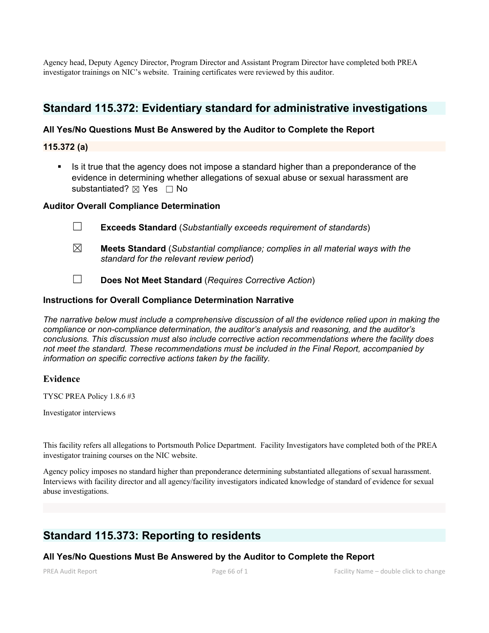Agency head, Deputy Agency Director, Program Director and Assistant Program Director have completed both PREA investigator trainings on NIC's website. Training certificates were reviewed by this auditor.

# **Standard 115.372: Evidentiary standard for administrative investigations**

# **All Yes/No Questions Must Be Answered by the Auditor to Complete the Report**

#### **115.372 (a)**

 Is it true that the agency does not impose a standard higher than a preponderance of the evidence in determining whether allegations of sexual abuse or sexual harassment are substantiated? ⊠ Yes □ No

#### **Auditor Overall Compliance Determination**

- ☐ **Exceeds Standard** (*Substantially exceeds requirement of standards*)
- ☒ **Meets Standard** (*Substantial compliance; complies in all material ways with the standard for the relevant review period*)
- ☐ **Does Not Meet Standard** (*Requires Corrective Action*)

#### **Instructions for Overall Compliance Determination Narrative**

*The narrative below must include a comprehensive discussion of all the evidence relied upon in making the compliance or non-compliance determination, the auditor's analysis and reasoning, and the auditor's conclusions. This discussion must also include corrective action recommendations where the facility does not meet the standard. These recommendations must be included in the Final Report, accompanied by information on specific corrective actions taken by the facility.*

#### **Evidence**

TYSC PREA Policy 1.8.6 #3

Investigator interviews

This facility refers all allegations to Portsmouth Police Department. Facility Investigators have completed both of the PREA investigator training courses on the NIC website.

Agency policy imposes no standard higher than preponderance determining substantiated allegations of sexual harassment. Interviews with facility director and all agency/facility investigators indicated knowledge of standard of evidence for sexual abuse investigations.

# **Standard 115.373: Reporting to residents**

# **All Yes/No Questions Must Be Answered by the Auditor to Complete the Report**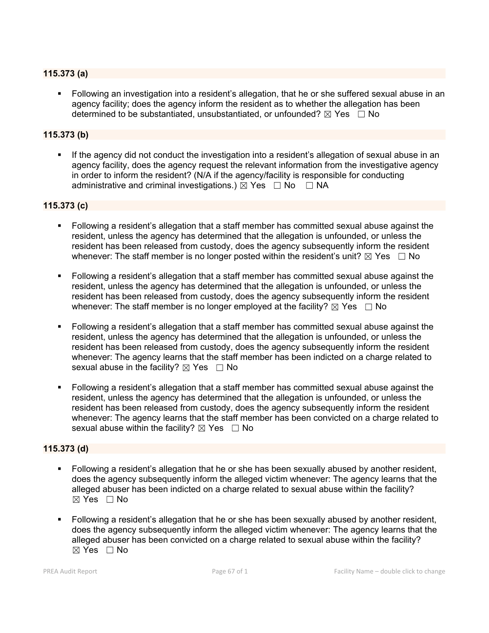### **115.373 (a)**

 Following an investigation into a resident's allegation, that he or she suffered sexual abuse in an agency facility; does the agency inform the resident as to whether the allegation has been determined to be substantiated, unsubstantiated, or unfounded?  $\boxtimes$  Yes  $\Box$  No

### **115.373 (b)**

 If the agency did not conduct the investigation into a resident's allegation of sexual abuse in an agency facility, does the agency request the relevant information from the investigative agency in order to inform the resident? (N/A if the agency/facility is responsible for conducting administrative and criminal investigations.)  $\overline{\boxtimes}$  Yes  $\Box$  No  $\Box$  NA

#### **115.373 (c)**

- Following a resident's allegation that a staff member has committed sexual abuse against the resident, unless the agency has determined that the allegation is unfounded, or unless the resident has been released from custody, does the agency subsequently inform the resident whenever: The staff member is no longer posted within the resident's unit?  $\boxtimes$  Yes  $\Box$  No
- Following a resident's allegation that a staff member has committed sexual abuse against the resident, unless the agency has determined that the allegation is unfounded, or unless the resident has been released from custody, does the agency subsequently inform the resident whenever: The staff member is no longer employed at the facility?  $\boxtimes$  Yes  $\Box$  No
- Following a resident's allegation that a staff member has committed sexual abuse against the resident, unless the agency has determined that the allegation is unfounded, or unless the resident has been released from custody, does the agency subsequently inform the resident whenever: The agency learns that the staff member has been indicted on a charge related to sexual abuse in the facility?  $\boxtimes$  Yes  $\Box$  No
- Following a resident's allegation that a staff member has committed sexual abuse against the resident, unless the agency has determined that the allegation is unfounded, or unless the resident has been released from custody, does the agency subsequently inform the resident whenever: The agency learns that the staff member has been convicted on a charge related to sexual abuse within the facility?  $\boxtimes$  Yes  $\Box$  No

#### **115.373 (d)**

- Following a resident's allegation that he or she has been sexually abused by another resident, does the agency subsequently inform the alleged victim whenever: The agency learns that the alleged abuser has been indicted on a charge related to sexual abuse within the facility?  $\boxtimes$  Yes  $\Box$  No
- Following a resident's allegation that he or she has been sexually abused by another resident, does the agency subsequently inform the alleged victim whenever: The agency learns that the alleged abuser has been convicted on a charge related to sexual abuse within the facility?  $\boxtimes$  Yes  $\Box$  No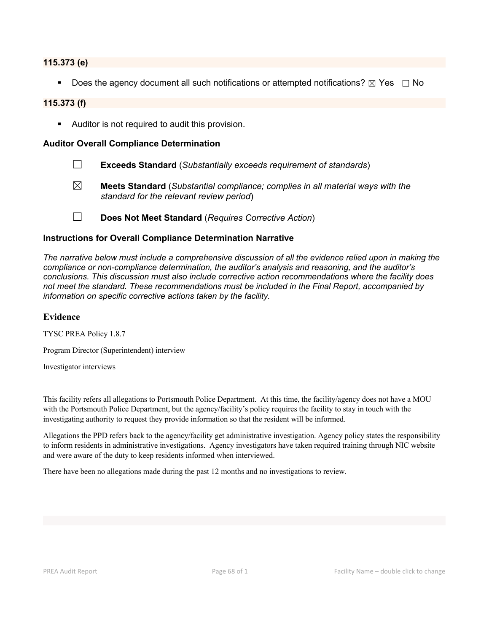#### **115.373 (e)**

Does the agency document all such notifications or attempted notifications?  $\boxtimes$  Yes  $\Box$  No

#### **115.373 (f)**

Auditor is not required to audit this provision.

#### **Auditor Overall Compliance Determination**

- ☐ **Exceeds Standard** (*Substantially exceeds requirement of standards*)
- ☒ **Meets Standard** (*Substantial compliance; complies in all material ways with the standard for the relevant review period*)
- ☐ **Does Not Meet Standard** (*Requires Corrective Action*)

#### **Instructions for Overall Compliance Determination Narrative**

*The narrative below must include a comprehensive discussion of all the evidence relied upon in making the compliance or non-compliance determination, the auditor's analysis and reasoning, and the auditor's conclusions. This discussion must also include corrective action recommendations where the facility does not meet the standard. These recommendations must be included in the Final Report, accompanied by information on specific corrective actions taken by the facility.*

#### **Evidence**

TYSC PREA Policy 1.8.7

Program Director (Superintendent) interview

Investigator interviews

This facility refers all allegations to Portsmouth Police Department. At this time, the facility/agency does not have a MOU with the Portsmouth Police Department, but the agency/facility's policy requires the facility to stay in touch with the investigating authority to request they provide information so that the resident will be informed.

Allegations the PPD refers back to the agency/facility get administrative investigation. Agency policy states the responsibility to inform residents in administrative investigations. Agency investigators have taken required training through NIC website and were aware of the duty to keep residents informed when interviewed.

There have been no allegations made during the past 12 months and no investigations to review.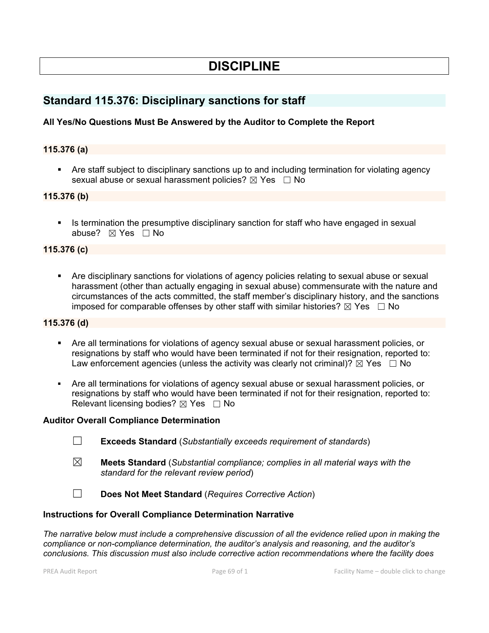# **DISCIPLINE**

# **Standard 115.376: Disciplinary sanctions for staff**

# **All Yes/No Questions Must Be Answered by the Auditor to Complete the Report**

### **115.376 (a)**

 Are staff subject to disciplinary sanctions up to and including termination for violating agency sexual abuse or sexual harassment policies?  $\boxtimes$  Yes  $\Box$  No

### **115.376 (b)**

Is termination the presumptive disciplinary sanction for staff who have engaged in sexual abuse?  $⊠$  Yes  $□$  No

#### **115.376 (c)**

 Are disciplinary sanctions for violations of agency policies relating to sexual abuse or sexual harassment (other than actually engaging in sexual abuse) commensurate with the nature and circumstances of the acts committed, the staff member's disciplinary history, and the sanctions imposed for comparable offenses by other staff with similar histories?  $\boxtimes$  Yes  $\Box$  No

### **115.376 (d)**

- Are all terminations for violations of agency sexual abuse or sexual harassment policies, or resignations by staff who would have been terminated if not for their resignation, reported to: Law enforcement agencies (unless the activity was clearly not criminal)?  $\boxtimes$  Yes  $\Box$  No
- Are all terminations for violations of agency sexual abuse or sexual harassment policies, or resignations by staff who would have been terminated if not for their resignation, reported to: Relevant licensing bodies?  $\boxtimes$  Yes  $\Box$  No

#### **Auditor Overall Compliance Determination**

- ☐ **Exceeds Standard** (*Substantially exceeds requirement of standards*)
- ☒ **Meets Standard** (*Substantial compliance; complies in all material ways with the standard for the relevant review period*)
- ☐ **Does Not Meet Standard** (*Requires Corrective Action*)

#### **Instructions for Overall Compliance Determination Narrative**

*The narrative below must include a comprehensive discussion of all the evidence relied upon in making the compliance or non-compliance determination, the auditor's analysis and reasoning, and the auditor's conclusions. This discussion must also include corrective action recommendations where the facility does*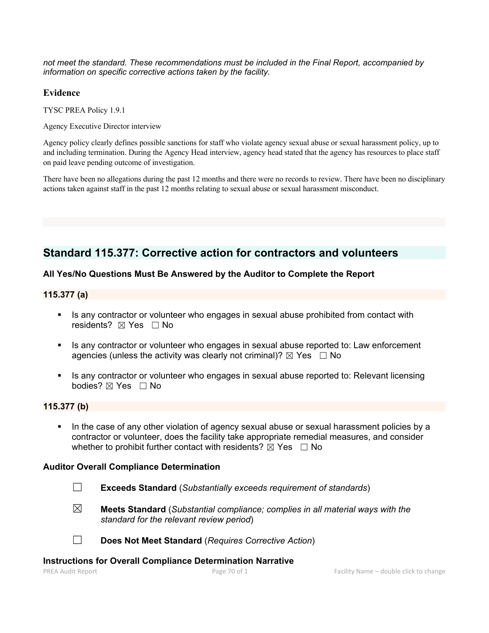*not meet the standard. These recommendations must be included in the Final Report, accompanied by information on specific corrective actions taken by the facility.*

### **Evidence**

TYSC PREA Policy 1.9.1

Agency Executive Director interview

Agency policy clearly defines possible sanctions for staff who violate agency sexual abuse or sexual harassment policy, up to and including termination. During the Agency Head interview, agency head stated that the agency has resources to place staff on paid leave pending outcome of investigation.

There have been no allegations during the past 12 months and there were no records to review. There have been no disciplinary actions taken against staff in the past 12 months relating to sexual abuse or sexual harassment misconduct.

# **Standard 115.377: Corrective action for contractors and volunteers**

# **All Yes/No Questions Must Be Answered by the Auditor to Complete the Report**

### **115.377 (a)**

- Is any contractor or volunteer who engages in sexual abuse prohibited from contact with residents? ⊠ Yes □ No
- Is any contractor or volunteer who engages in sexual abuse reported to: Law enforcement agencies (unless the activity was clearly not criminal)?  $\boxtimes$  Yes  $\Box$  No
- If als any contractor or volunteer who engages in sexual abuse reported to: Relevant licensing bodies? ⊠ Yes □ No

# **115.377 (b)**

In the case of any other violation of agency sexual abuse or sexual harassment policies by a contractor or volunteer, does the facility take appropriate remedial measures, and consider whether to prohibit further contact with residents?  $\boxtimes$  Yes  $\Box$  No

#### **Auditor Overall Compliance Determination**

- ☐ **Exceeds Standard** (*Substantially exceeds requirement of standards*)
- ☒ **Meets Standard** (*Substantial compliance; complies in all material ways with the standard for the relevant review period*)

☐ **Does Not Meet Standard** (*Requires Corrective Action*)

#### **Instructions for Overall Compliance Determination Narrative**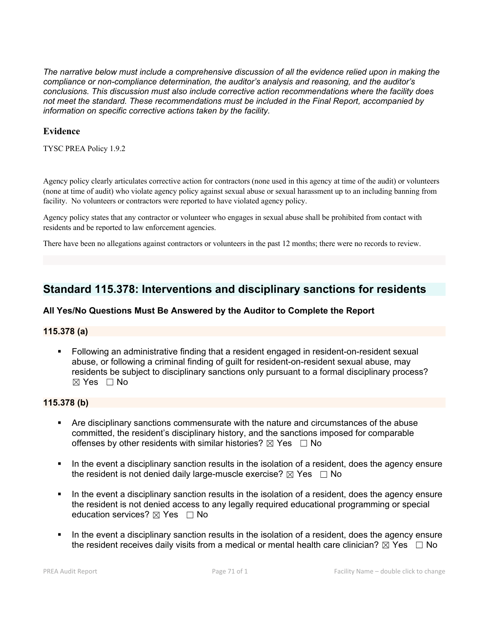*The narrative below must include a comprehensive discussion of all the evidence relied upon in making the compliance or non-compliance determination, the auditor's analysis and reasoning, and the auditor's conclusions. This discussion must also include corrective action recommendations where the facility does not meet the standard. These recommendations must be included in the Final Report, accompanied by information on specific corrective actions taken by the facility.*

### **Evidence**

TYSC PREA Policy 1.9.2

Agency policy clearly articulates corrective action for contractors (none used in this agency at time of the audit) or volunteers (none at time of audit) who violate agency policy against sexual abuse or sexual harassment up to an including banning from facility. No volunteers or contractors were reported to have violated agency policy.

Agency policy states that any contractor or volunteer who engages in sexual abuse shall be prohibited from contact with residents and be reported to law enforcement agencies.

There have been no allegations against contractors or volunteers in the past 12 months; there were no records to review.

# **Standard 115.378: Interventions and disciplinary sanctions for residents**

# **All Yes/No Questions Must Be Answered by the Auditor to Complete the Report**

#### **115.378 (a)**

 Following an administrative finding that a resident engaged in resident-on-resident sexual abuse, or following a criminal finding of guilt for resident-on-resident sexual abuse, may residents be subject to disciplinary sanctions only pursuant to a formal disciplinary process?  $\boxtimes$  Yes  $\Box$  No

#### **115.378 (b)**

- Are disciplinary sanctions commensurate with the nature and circumstances of the abuse committed, the resident's disciplinary history, and the sanctions imposed for comparable offenses by other residents with similar histories?  $\boxtimes$  Yes  $\Box$  No
- In the event a disciplinary sanction results in the isolation of a resident, does the agency ensure the resident is not denied daily large-muscle exercise?  $\boxtimes$  Yes  $\Box$  No
- In the event a disciplinary sanction results in the isolation of a resident, does the agency ensure the resident is not denied access to any legally required educational programming or special education services?  $\boxtimes$  Yes  $\Box$  No
- In the event a disciplinary sanction results in the isolation of a resident, does the agency ensure the resident receives daily visits from a medical or mental health care clinician?  $\boxtimes$  Yes  $\Box$  No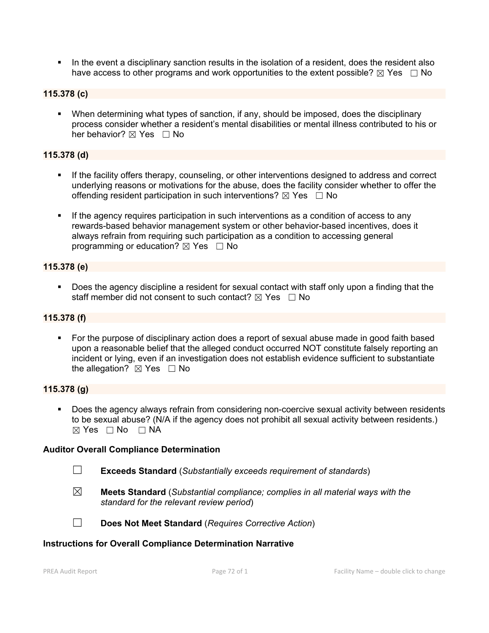In the event a disciplinary sanction results in the isolation of a resident, does the resident also have access to other programs and work opportunities to the extent possible?  $\boxtimes$  Yes  $\Box$  No

# **115.378 (c)**

 When determining what types of sanction, if any, should be imposed, does the disciplinary process consider whether a resident's mental disabilities or mental illness contributed to his or her behavior?  $\boxtimes$  Yes  $\Box$  No

#### **115.378 (d)**

- If the facility offers therapy, counseling, or other interventions designed to address and correct underlying reasons or motivations for the abuse, does the facility consider whether to offer the offending resident participation in such interventions?  $\boxtimes$  Yes  $\Box$  No
- If the agency requires participation in such interventions as a condition of access to any rewards-based behavior management system or other behavior-based incentives, does it always refrain from requiring such participation as a condition to accessing general programming or education?  $\boxtimes$  Yes  $\Box$  No

### **115.378 (e)**

 Does the agency discipline a resident for sexual contact with staff only upon a finding that the staff member did not consent to such contact?  $\boxtimes$  Yes  $\Box$  No

# **115.378 (f)**

 For the purpose of disciplinary action does a report of sexual abuse made in good faith based upon a reasonable belief that the alleged conduct occurred NOT constitute falsely reporting an incident or lying, even if an investigation does not establish evidence sufficient to substantiate the allegation?  $\boxtimes$  Yes  $\Box$  No

#### **115.378 (g)**

 Does the agency always refrain from considering non-coercive sexual activity between residents to be sexual abuse? (N/A if the agency does not prohibit all sexual activity between residents.) ☒ Yes ☐ No ☐ NA

#### **Auditor Overall Compliance Determination**

- ☐ **Exceeds Standard** (*Substantially exceeds requirement of standards*)
- ☒ **Meets Standard** (*Substantial compliance; complies in all material ways with the standard for the relevant review period*)
- 
- ☐ **Does Not Meet Standard** (*Requires Corrective Action*)

#### **Instructions for Overall Compliance Determination Narrative**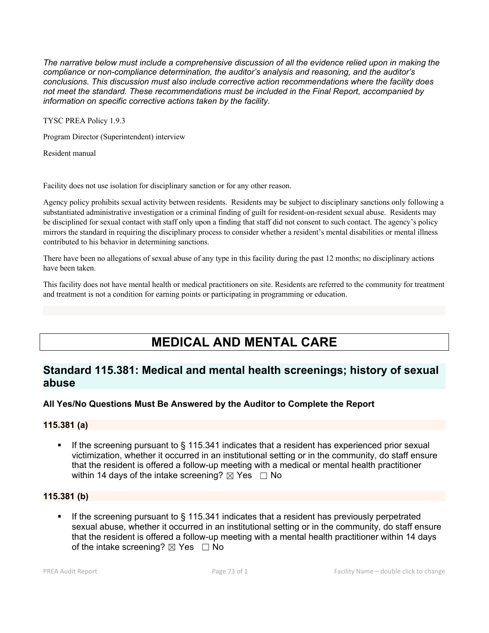*The narrative below must include a comprehensive discussion of all the evidence relied upon in making the compliance or non-compliance determination, the auditor's analysis and reasoning, and the auditor's conclusions. This discussion must also include corrective action recommendations where the facility does not meet the standard. These recommendations must be included in the Final Report, accompanied by information on specific corrective actions taken by the facility.*

TYSC PREA Policy 1.9.3

Program Director (Superintendent) interview

Resident manual

Facility does not use isolation for disciplinary sanction or for any other reason.

Agency policy prohibits sexual activity between residents. Residents may be subject to disciplinary sanctions only following a substantiated administrative investigation or a criminal finding of guilt for resident-on-resident sexual abuse. Residents may be disciplined for sexual contact with staff only upon a finding that staff did not consent to such contact. The agency's policy mirrors the standard in requiring the disciplinary process to consider whether a resident's mental disabilities ormental illness contributed to his behavior in determining sanctions.

There have been no allegations of sexual abuse of any type in this facility during the past 12 months; no disciplinary actions have been taken.

This facility does not have mental health or medical practitioners on site. Residents are referred to the community for treatment and treatment is not a condition for earning points or participating in programming or education.

# **MEDICAL AND MENTAL CARE**

# **Standard 115.381: Medical and mental health screenings; history of sexual abuse**

# **All Yes/No Questions Must Be Answered by the Auditor to Complete the Report**

# **115.381 (a)**

 If the screening pursuant to § 115.341 indicates that a resident has experienced prior sexual victimization, whether it occurred in an institutional setting or in the community, do staff ensure that the resident is offered a follow-up meeting with a medical or mental health practitioner within 14 days of the intake screening?  $\boxtimes$  Yes  $\Box$  No

# **115.381 (b)**

If the screening pursuant to  $\S$  115.341 indicates that a resident has previously perpetrated sexual abuse, whether it occurred in an institutional setting or in the community, do staff ensure that the resident is offered a follow-up meeting with a mental health practitioner within 14 days of the intake screening?  $\boxtimes$  Yes  $\Box$  No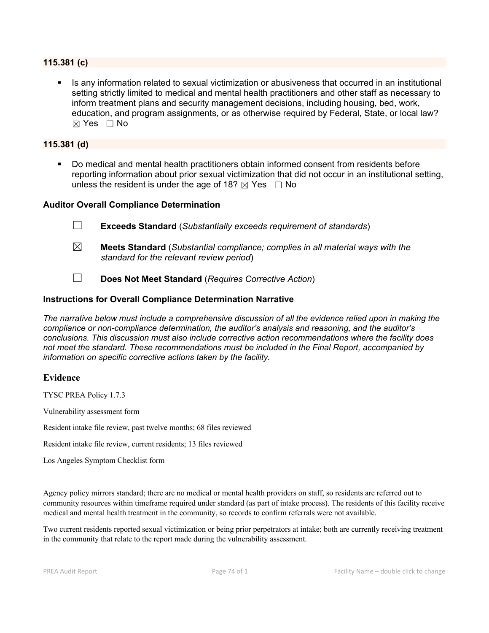### **115.381 (c)**

 Is any information related to sexual victimization or abusiveness that occurred in an institutional setting strictly limited to medical and mental health practitioners and other staff as necessary to inform treatment plans and security management decisions, including housing, bed, work, education, and program assignments, or as otherwise required by Federal, State, or local law?  $\boxtimes$  Yes  $\Box$  No

#### **115.381 (d)**

 Do medical and mental health practitioners obtain informed consent from residents before reporting information about prior sexual victimization that did not occur in an institutional setting, unless the resident is under the age of 18?  $\boxtimes$  Yes  $\Box$  No

#### **Auditor Overall Compliance Determination**

- ☐ **Exceeds Standard** (*Substantially exceeds requirement of standards*)
- ☒ **Meets Standard** (*Substantial compliance; complies in all material ways with the standard for the relevant review period*)
- ☐ **Does Not Meet Standard** (*Requires Corrective Action*)

#### **Instructions for Overall Compliance Determination Narrative**

*The narrative below must include a comprehensive discussion of all the evidence relied upon in making the compliance or non-compliance determination, the auditor's analysis and reasoning, and the auditor's conclusions. This discussion must also include corrective action recommendations where the facility does not meet the standard. These recommendations must be included in the Final Report, accompanied by information on specific corrective actions taken by the facility.*

#### **Evidence**

TYSC PREA Policy 1.7.3

Vulnerability assessment form

Resident intake file review, past twelve months; 68 files reviewed

Resident intake file review, current residents; 13 files reviewed

Los Angeles Symptom Checklist form

Agency policy mirrors standard; there are no medical or mental health providers on staff, so residents are referred out to community resources within timeframe required under standard (as part of intake process). The residents ofthis facility receive medical and mental health treatment in the community, so records to confirm referrals were not available.

Two current residents reported sexual victimization or being prior perpetrators at intake; both are currently receiving treatment in the community that relate to the report made during the vulnerability assessment.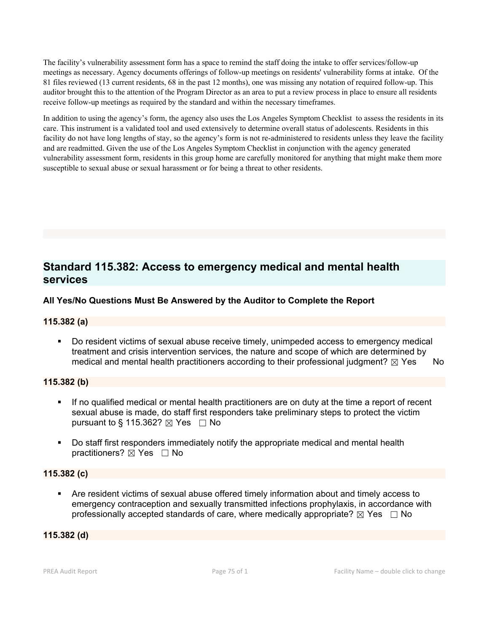The facility's vulnerability assessment form has a space to remind the staff doing the intake to offer services/follow-up meetings as necessary. Agency documents offerings of follow-up meetings on residents' vulnerability forms at intake. Of the 81 files reviewed (13 current residents, 68 in the past 12 months), one was missing any notation of required follow-up. This auditor brought this to the attention of the Program Director as an area to put a review process inplace to ensure all residents receive follow-up meetings as required by the standard and within the necessary timeframes.

In addition to using the agency's form, the agency also uses the Los Angeles Symptom Checklist to assess the residents in its care. This instrument is a validated tool and used extensively to determine overall status of adolescents. Residents in this facility do not have long lengths of stay, so the agency's form is not re-administered to residents unless they leave the facility and are readmitted. Given the use of the Los Angeles Symptom Checklist in conjunction with the agency generated vulnerability assessment form, residents in this group home are carefully monitored for anything that might make them more susceptible to sexual abuse or sexual harassment or for being a threat to other residents.

# **Standard 115.382: Access to emergency medical and mental health services**

# **All Yes/No Questions Must Be Answered by the Auditor to Complete the Report**

# **115.382 (a)**

 Do resident victims of sexual abuse receive timely, unimpeded access to emergency medical treatment and crisis intervention services, the nature and scope of which are determined by medical and mental health practitioners according to their professional judgment?  $\boxtimes$  Yes No

# **115.382 (b)**

- If no qualified medical or mental health practitioners are on duty at the time a report of recent sexual abuse is made, do staff first responders take preliminary steps to protect the victim pursuant to § 115.362?  $\boxtimes$  Yes  $\Box$  No
- Do staff first responders immediately notify the appropriate medical and mental health practitioners?  $\boxtimes$  Yes  $\Box$  No

# **115.382 (c)**

 Are resident victims of sexual abuse offered timely information about and timely access to emergency contraception and sexually transmitted infections prophylaxis, in accordance with professionally accepted standards of care, where medically appropriate?  $\boxtimes$  Yes  $\Box$  No

#### **115.382 (d)**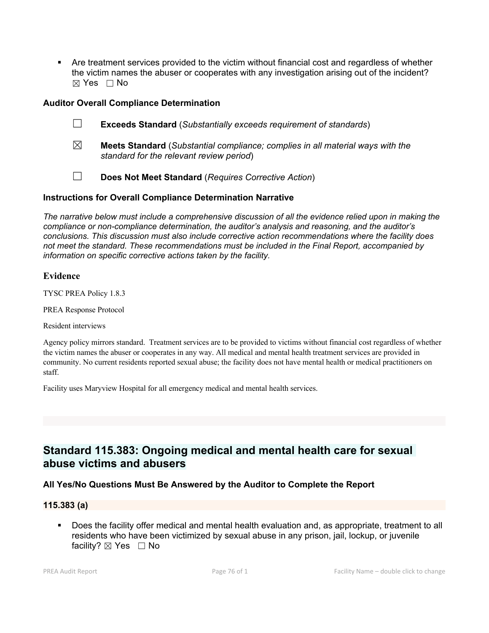Are treatment services provided to the victim without financial cost and regardless of whether the victim names the abuser or cooperates with any investigation arising out of the incident? ☒ Yes ☐ No

### **Auditor Overall Compliance Determination**

- ☐ **Exceeds Standard** (*Substantially exceeds requirement of standards*)
- ☒ **Meets Standard** (*Substantial compliance; complies in all material ways with the standard for the relevant review period*)
- ☐ **Does Not Meet Standard** (*Requires Corrective Action*)

### **Instructions for Overall Compliance Determination Narrative**

*The narrative below must include a comprehensive discussion of all the evidence relied upon in making the compliance or non-compliance determination, the auditor's analysis and reasoning, and the auditor's conclusions. This discussion must also include corrective action recommendations where the facility does not meet the standard. These recommendations must be included in the Final Report, accompanied by information on specific corrective actions taken by the facility.*

### **Evidence**

TYSC PREA Policy 1.8.3

PREA Response Protocol

Resident interviews

Agency policy mirrors standard. Treatment services are to be provided to victims without financial cost regardless of whether the victim names the abuser or cooperates in any way. All medical and mental health treatment services are provided in community. No current residents reported sexual abuse; the facility does not have mental health or medical practitioners on staff.

Facility uses Maryview Hospital for all emergency medical and mental health services.

# **Standard 115.383: Ongoing medical and mental health care for sexual abuse victims and abusers**

# **All Yes/No Questions Must Be Answered by the Auditor to Complete the Report**

#### **115.383 (a)**

 Does the facility offer medical and mental health evaluation and, as appropriate, treatment to all residents who have been victimized by sexual abuse in any prison, jail, lockup, or juvenile facility? ⊠ Yes □ No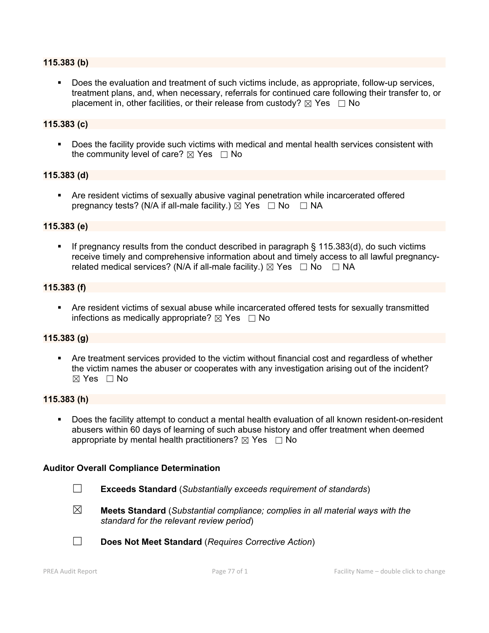#### **115.383 (b)**

 Does the evaluation and treatment of such victims include, as appropriate, follow-up services, treatment plans, and, when necessary, referrals for continued care following their transfer to, or placement in, other facilities, or their release from custody?  $\boxtimes$  Yes  $\Box$  No

#### **115.383 (c)**

 Does the facility provide such victims with medical and mental health services consistent with the community level of care?  $\boxtimes$  Yes  $\Box$  No

#### **115.383 (d)**

 Are resident victims of sexually abusive vaginal penetration while incarcerated offered pregnancy tests? (N/A if all-male facility.)  $\boxtimes$  Yes  $\Box$  No  $\Box$  NA

#### **115.383 (e)**

If pregnancy results from the conduct described in paragraph  $\S$  115.383(d), do such victims receive timely and comprehensive information about and timely access to all lawful pregnancyrelated medical services? (N/A if all-male facility.)  $\boxtimes$  Yes  $\Box$  No  $\Box$  NA

#### **115.383 (f)**

 Are resident victims of sexual abuse while incarcerated offered tests for sexually transmitted infections as medically appropriate?  $\boxtimes$  Yes  $\Box$  No

#### **115.383 (g)**

 Are treatment services provided to the victim without financial cost and regardless of whether the victim names the abuser or cooperates with any investigation arising out of the incident? ☒ Yes ☐ No

#### **115.383 (h)**

 Does the facility attempt to conduct a mental health evaluation of all known resident-on-resident abusers within 60 days of learning of such abuse history and offer treatment when deemed appropriate by mental health practitioners?  $\boxtimes$  Yes  $\Box$  No

#### **Auditor Overall Compliance Determination**

- ☐ **Exceeds Standard** (*Substantially exceeds requirement of standards*)
- ☒ **Meets Standard** (*Substantial compliance; complies in all material ways with the standard for the relevant review period*)

☐ **Does Not Meet Standard** (*Requires Corrective Action*)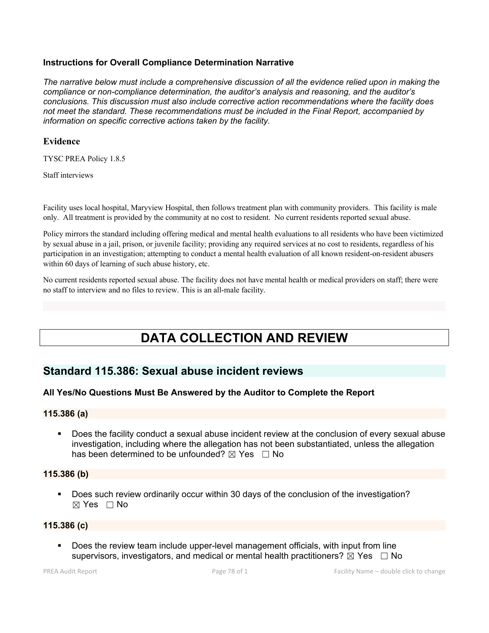### **Instructions for Overall Compliance Determination Narrative**

*The narrative below must include a comprehensive discussion of all the evidence relied upon in making the compliance or non-compliance determination, the auditor's analysis and reasoning, and the auditor's conclusions. This discussion must also include corrective action recommendations where the facility does not meet the standard. These recommendations must be included in the Final Report, accompanied by information on specific corrective actions taken by the facility.*

#### **Evidence**

TYSC PREA Policy 1.8.5

Staff interviews

Facility uses local hospital, Maryview Hospital, then follows treatment plan with community providers. This facility is male only. All treatment is provided by the community at no cost to resident. No current residents reported sexual abuse.

Policy mirrors the standard including offering medical and mental health evaluations to all residents who have been victimized by sexual abuse in a jail, prison, or juvenile facility; providing any required services at no cost to residents, regardless ofhis participation in an investigation; attempting to conduct a mental health evaluation of all known resident-on-resident abusers within 60 days of learning of such abuse history, etc.

No current residents reported sexual abuse. The facility does not have mental health or medical providers on staff; there were no staff to interview and no files to review. This is an all-male facility.

# **DATA COLLECTION AND REVIEW**

# **Standard 115.386: Sexual abuse incident reviews**

# **All Yes/No Questions Must Be Answered by the Auditor to Complete the Report**

#### **115.386 (a)**

 Does the facility conduct a sexual abuse incident review at the conclusion of every sexual abuse investigation, including where the allegation has not been substantiated, unless the allegation has been determined to be unfounded?  $\boxtimes$  Yes  $\Box$  No

#### **115.386 (b)**

 Does such review ordinarily occur within 30 days of the conclusion of the investigation?  $\boxtimes$  Yes  $\Box$  No

#### **115.386 (c)**

 Does the review team include upper-level management officials, with input from line supervisors, investigators, and medical or mental health practitioners?  $\boxtimes$  Yes  $\Box$  No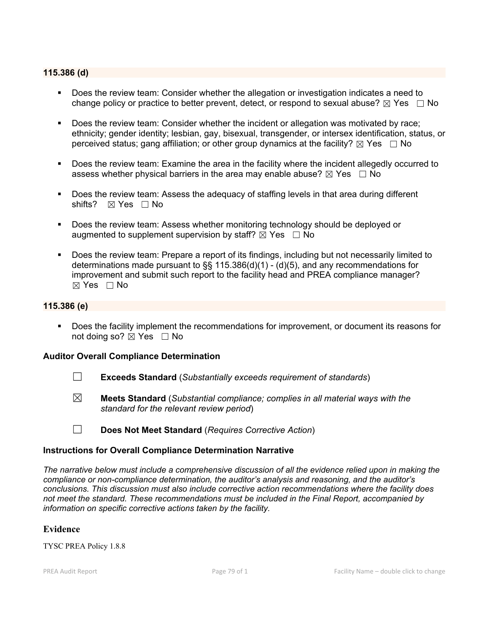#### **115.386 (d)**

- Does the review team: Consider whether the allegation or investigation indicates a need to change policy or practice to better prevent, detect, or respond to sexual abuse?  $\boxtimes$  Yes  $\Box$  No
- Does the review team: Consider whether the incident or allegation was motivated by race; ethnicity; gender identity; lesbian, gay, bisexual, transgender, or intersex identification, status, or perceived status; gang affiliation; or other group dynamics at the facility?  $\boxtimes$  Yes  $\Box$  No
- Does the review team: Examine the area in the facility where the incident allegedly occurred to assess whether physical barriers in the area may enable abuse?  $\boxtimes$  Yes  $\Box$  No
- Does the review team: Assess the adequacy of staffing levels in that area during different shifts? ⊠ Yes □ No
- Does the review team: Assess whether monitoring technology should be deployed or augmented to supplement supervision by staff?  $\boxtimes$  Yes  $\Box$  No
- Does the review team: Prepare a report of its findings, including but not necessarily limited to determinations made pursuant to  $\S$ § 115.386(d)(1) - (d)(5), and any recommendations for improvement and submit such report to the facility head and PREA compliance manager?  $\boxtimes$  Yes  $\Box$  No

#### **115.386 (e)**

 Does the facility implement the recommendations for improvement, or document its reasons for not doing so?  $\boxtimes$  Yes  $\Box$  No

#### **Auditor Overall Compliance Determination**

- ☐ **Exceeds Standard** (*Substantially exceeds requirement of standards*)
- ☒ **Meets Standard** (*Substantial compliance; complies in all material ways with the standard for the relevant review period*)
- ☐ **Does Not Meet Standard** (*Requires Corrective Action*)

#### **Instructions for Overall Compliance Determination Narrative**

*The narrative below must include a comprehensive discussion of all the evidence relied upon in making the compliance or non-compliance determination, the auditor's analysis and reasoning, and the auditor's conclusions. This discussion must also include corrective action recommendations where the facility does not meet the standard. These recommendations must be included in the Final Report, accompanied by information on specific corrective actions taken by the facility.*

# **Evidence**

TYSC PREA Policy 1.8.8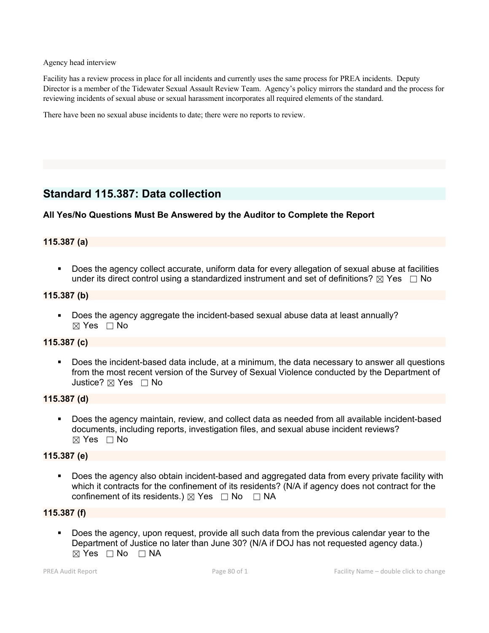Agency head interview

Facility has a review process inplace for all incidents and currently uses the same process for PREA incidents. Deputy Director is a member of the Tidewater Sexual Assault Review Team. Agency's policy mirrors the standard and the process for reviewing incidents of sexual abuse or sexual harassment incorporates all required elements of the standard.

There have been no sexual abuse incidents to date; there were no reports to review.

# **Standard 115.387: Data collection**

# **All Yes/No Questions Must Be Answered by the Auditor to Complete the Report**

# **115.387 (a)**

 Does the agency collect accurate, uniform data for every allegation of sexual abuse at facilities under its direct control using a standardized instrument and set of definitions?  $\boxtimes$  Yes  $\Box$  No

### **115.387 (b)**

**Does the agency aggregate the incident-based sexual abuse data at least annually?** ☒ Yes ☐ No

### **115.387 (c)**

 Does the incident-based data include, at a minimum, the data necessary to answer all questions from the most recent version of the Survey of Sexual Violence conducted by the Department of Justice? ☒ Yes ☐ No

#### **115.387 (d)**

 Does the agency maintain, review, and collect data as needed from all available incident-based documents, including reports, investigation files, and sexual abuse incident reviews?  $\boxtimes$  Yes  $\Box$  No

#### **115.387 (e)**

 Does the agency also obtain incident-based and aggregated data from every private facility with which it contracts for the confinement of its residents? (N/A if agency does not contract for the confinement of its residents.)  $\boxtimes$  Yes  $\Box$  No  $\Box$  NA

# **115.387 (f)**

 Does the agency, upon request, provide all such data from the previous calendar year to the Department of Justice no later than June 30? (N/A if DOJ has not requested agency data.)  $\boxtimes$  Yes  $\Box$  No  $\Box$  NA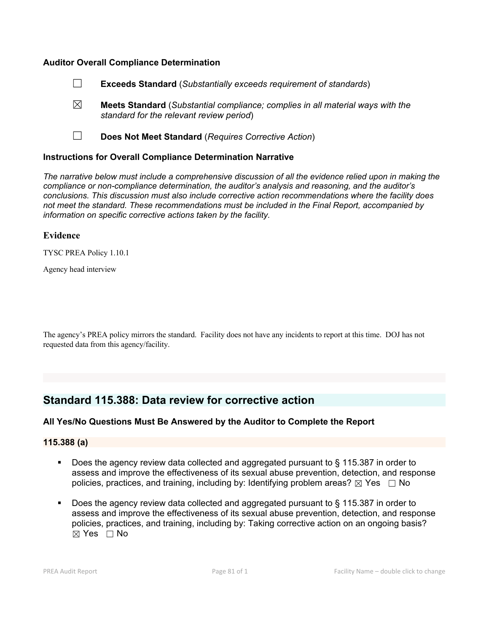#### **Auditor Overall Compliance Determination**

- ☐ **Exceeds Standard** (*Substantially exceeds requirement of standards*)
- ☒ **Meets Standard** (*Substantial compliance; complies in all material ways with the standard for the relevant review period*)
- ☐ **Does Not Meet Standard** (*Requires Corrective Action*)

#### **Instructions for Overall Compliance Determination Narrative**

*The narrative below must include a comprehensive discussion of all the evidence relied upon in making the compliance or non-compliance determination, the auditor's analysis and reasoning, and the auditor's conclusions. This discussion must also include corrective action recommendations where the facility does not meet the standard. These recommendations must be included in the Final Report, accompanied by information on specific corrective actions taken by the facility.*

#### **Evidence**

TYSC PREA Policy 1.10.1

Agency head interview

The agency's PREA policy mirrors the standard. Facility doesnot have any incidents to report at this time. DOJ has not requested data from this agency/facility.

# **Standard 115.388: Data review for corrective action**

#### **All Yes/No Questions Must Be Answered by the Auditor to Complete the Report**

#### **115.388 (a)**

- Does the agency review data collected and aggregated pursuant to § 115.387 in order to assess and improve the effectiveness of its sexual abuse prevention, detection, and response policies, practices, and training, including by: Identifying problem areas?  $\boxtimes$  Yes  $\Box$  No
- Does the agency review data collected and aggregated pursuant to § 115.387 in order to assess and improve the effectiveness of its sexual abuse prevention, detection, and response policies, practices, and training, including by: Taking corrective action on an ongoing basis?  $\boxtimes$  Yes  $\Box$  No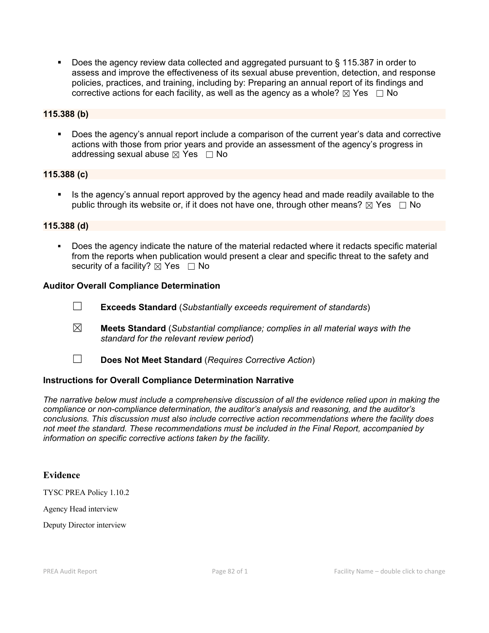■ Does the agency review data collected and aggregated pursuant to § 115.387 in order to assess and improve the effectiveness of its sexual abuse prevention, detection, and response policies, practices, and training, including by: Preparing an annual report of its findings and corrective actions for each facility, as well as the agency as a whole?  $\boxtimes$  Yes  $\Box$  No

# **115.388 (b)**

 Does the agency's annual report include a comparison of the current year's data and corrective actions with those from prior years and provide an assessment of the agency's progress in addressing sexual abuse  $\boxtimes$  Yes  $\Box$  No

#### **115.388 (c)**

 Is the agency's annual report approved by the agency head and made readily available to the public through its website or, if it does not have one, through other means?  $\boxtimes$  Yes  $\Box$  No

#### **115.388 (d)**

 Does the agency indicate the nature of the material redacted where it redacts specific material from the reports when publication would present a clear and specific threat to the safety and security of a facility?  $\boxtimes$  Yes  $\Box$  No

#### **Auditor Overall Compliance Determination**

- ☐ **Exceeds Standard** (*Substantially exceeds requirement of standards*)
- ☒ **Meets Standard** (*Substantial compliance; complies in all material ways with the standard for the relevant review period*)
- ☐ **Does Not Meet Standard** (*Requires Corrective Action*)

#### **Instructions for Overall Compliance Determination Narrative**

*The narrative below must include a comprehensive discussion of all the evidence relied upon in making the compliance or non-compliance determination, the auditor's analysis and reasoning, and the auditor's conclusions. This discussion must also include corrective action recommendations where the facility does not meet the standard. These recommendations must be included in the Final Report, accompanied by information on specific corrective actions taken by the facility.*

#### **Evidence**

TYSC PREA Policy 1.10.2

Agency Head interview

Deputy Director interview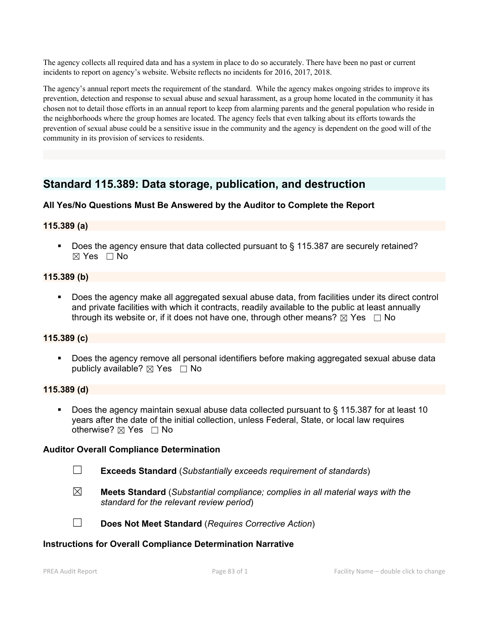The agency collects all required data and has a system in place to do so accurately. There have been no past or current incidents to report on agency's website. Website reflects no incidents for 2016, 2017, 2018.

The agency's annual report meets the requirement of the standard. While the agency makes ongoing strides to improve its prevention, detection and response to sexual abuse and sexual harassment, as a group home located in the community it has chosen not to detail those efforts in an annual report to keep from alarming parents and the general population who reside in the neighborhoods where the group homes are located. The agency feelsthat even talking about its efforts towards the prevention of sexual abuse could be a sensitive issue in the community and the agency is dependent on the good will of the community in its provision of services to residents.

# **Standard 115.389: Data storage, publication, and destruction**

# **All Yes/No Questions Must Be Answered by the Auditor to Complete the Report**

# **115.389 (a)**

Does the agency ensure that data collected pursuant to § 115.387 are securely retained? ☒ Yes ☐ No

### **115.389 (b)**

 Does the agency make all aggregated sexual abuse data, from facilities under its direct control and private facilities with which it contracts, readily available to the public at least annually through its website or, if it does not have one, through other means?  $\boxtimes$  Yes  $\Box$  No

#### **115.389 (c)**

 Does the agency remove all personal identifiers before making aggregated sexual abuse data publicly available?  $\boxtimes$  Yes  $\Box$  No

#### **115.389 (d)**

 Does the agency maintain sexual abuse data collected pursuant to § 115.387 for at least 10 years after the date of the initial collection, unless Federal, State, or local law requires otherwise? ⊠ Yes □ No

#### **Auditor Overall Compliance Determination**

- ☐ **Exceeds Standard** (*Substantially exceeds requirement of standards*)
- ☒ **Meets Standard** (*Substantial compliance; complies in all material ways with the standard for the relevant review period*)



☐ **Does Not Meet Standard** (*Requires Corrective Action*)

#### **Instructions for Overall Compliance Determination Narrative**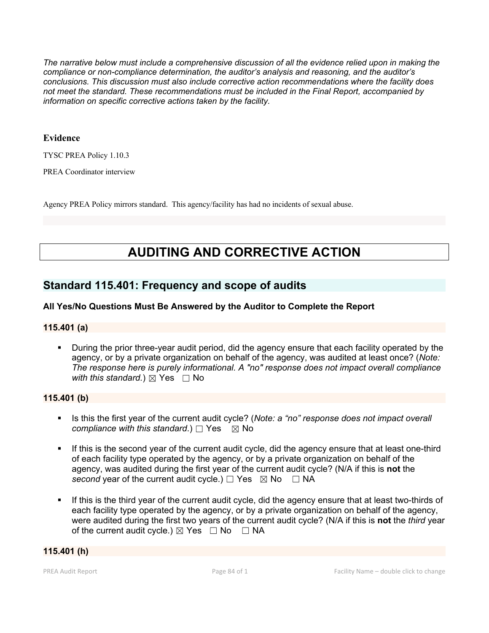*The narrative below must include a comprehensive discussion of all the evidence relied upon in making the compliance or non-compliance determination, the auditor's analysis and reasoning, and the auditor's conclusions. This discussion must also include corrective action recommendations where the facility does not meet the standard. These recommendations must be included in the Final Report, accompanied by information on specific corrective actions taken by the facility.*

### **Evidence**

TYSC PREA Policy 1.10.3

PREA Coordinator interview

Agency PREA Policy mirrors standard. This agency/facility has had no incidents of sexual abuse.

# **AUDITING AND CORRECTIVE ACTION**

# **Standard 115.401: Frequency and scope of audits**

# **All Yes/No Questions Must Be Answered by the Auditor to Complete the Report**

# **115.401 (a)**

 During the prior three-year audit period, did the agency ensure that each facility operated by the agency, or by a private organization on behalf of the agency, was audited at least once? (*Note: The response here is purely informational. A "no" response does not impact overall compliance with this standard.*)  $\boxtimes$  Yes  $\Box$  No

#### **115.401 (b)**

- Is this the first year of the current audit cycle? (*Note: a "no" response does not impact overall compliance with this standard.*) □ Yes  $\boxtimes$  No
- If this is the second year of the current audit cycle, did the agency ensure that at least one-third of each facility type operated by the agency, or by a private organization on behalf of the agency, was audited during the first year of the current audit cycle? (N/A if this is **not** the *second* year of the current audit cycle.)  $\Box$  Yes  $\boxtimes$  No  $\Box$  NA
- If this is the third year of the current audit cycle, did the agency ensure that at least two-thirds of each facility type operated by the agency, or by a private organization on behalf of the agency, were audited during the first two years of the current audit cycle? (N/A if this is **not** the *third* year of the current audit cycle.)  $\boxtimes$  Yes  $\Box$  No  $\Box$  NA

#### **115.401 (h)**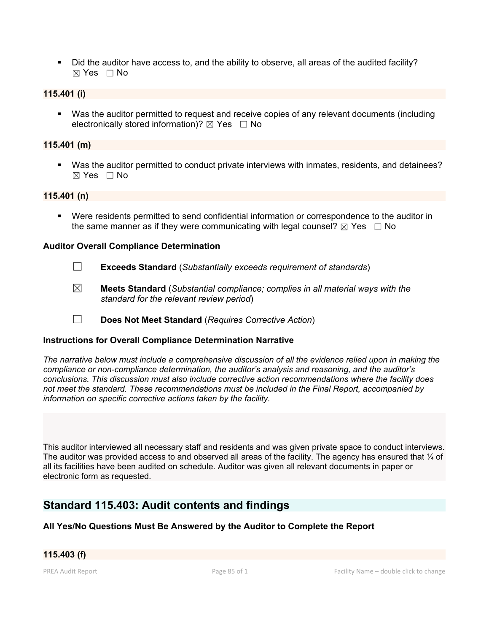Did the auditor have access to, and the ability to observe, all areas of the audited facility?  $\boxtimes$  Yes  $\Box$  No

# **115.401 (i)**

 Was the auditor permitted to request and receive copies of any relevant documents (including electronically stored information)?  $\boxtimes$  Yes  $\Box$  No

### **115.401 (m)**

 Was the auditor permitted to conduct private interviews with inmates, residents, and detainees?  $\boxtimes$  Yes  $\Box$  No

#### **115.401 (n)**

 Were residents permitted to send confidential information or correspondence to the auditor in the same manner as if they were communicating with legal counsel?  $\boxtimes$  Yes  $\Box$  No

#### **Auditor Overall Compliance Determination**

- ☐ **Exceeds Standard** (*Substantially exceeds requirement of standards*)
- ☒ **Meets Standard** (*Substantial compliance; complies in all material ways with the standard for the relevant review period*)
- ☐ **Does Not Meet Standard** (*Requires Corrective Action*)

# **Instructions for Overall Compliance Determination Narrative**

*The narrative below must include a comprehensive discussion of all the evidence relied upon in making the compliance or non-compliance determination, the auditor's analysis and reasoning, and the auditor's conclusions. This discussion must also include corrective action recommendations where the facility does not meet the standard. These recommendations must be included in the Final Report, accompanied by information on specific corrective actions taken by the facility.*

This auditor interviewed all necessary staff and residents and was given private space to conduct interviews. The auditor was provided access to and observed all areas of the facility. The agency has ensured that 1/4 of all its facilities have been audited on schedule. Auditor was given all relevant documents in paper or electronic form as requested.

# **Standard 115.403: Audit contents and findings**

# **All Yes/No Questions Must Be Answered by the Auditor to Complete the Report**

# **115.403 (f)**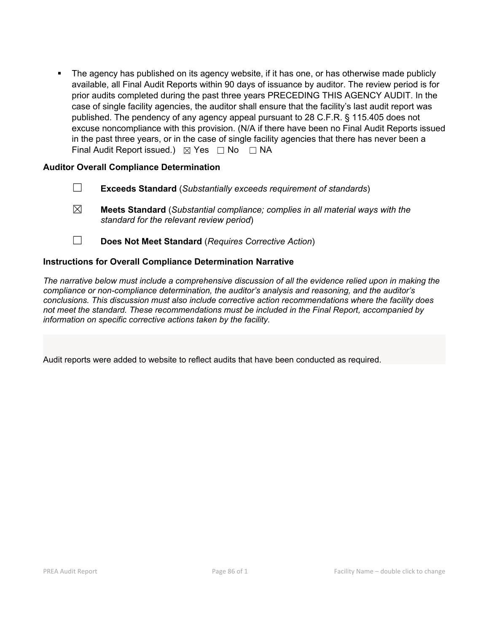The agency has published on its agency website, if it has one, or has otherwise made publicly available, all Final Audit Reports within 90 days of issuance by auditor. The review period is for prior audits completed during the past three years PRECEDING THIS AGENCY AUDIT. In the case of single facility agencies, the auditor shall ensure that the facility's last audit report was published. The pendency of any agency appeal pursuant to 28 C.F.R. § 115.405 does not excuse noncompliance with this provision. (N/A if there have been no Final Audit Reports issued in the past three years, or in the case of single facility agencies that there has never been a Final Audit Report issued.)  $\boxtimes$  Yes  $\Box$  No  $\Box$  NA

# **Auditor Overall Compliance Determination**

- ☐ **Exceeds Standard** (*Substantially exceeds requirement of standards*)
- ☒ **Meets Standard** (*Substantial compliance; complies in all material ways with the standard for the relevant review period*)
- ☐ **Does Not Meet Standard** (*Requires Corrective Action*)

# **Instructions for Overall Compliance Determination Narrative**

*The narrative below must include a comprehensive discussion of all the evidence relied upon in making the compliance or non-compliance determination, the auditor's analysis and reasoning, and the auditor's conclusions. This discussion must also include corrective action recommendations where the facility does not meet the standard. These recommendations must be included in the Final Report, accompanied by information on specific corrective actions taken by the facility.*

Audit reports were added to website to reflect audits that have been conducted as required.